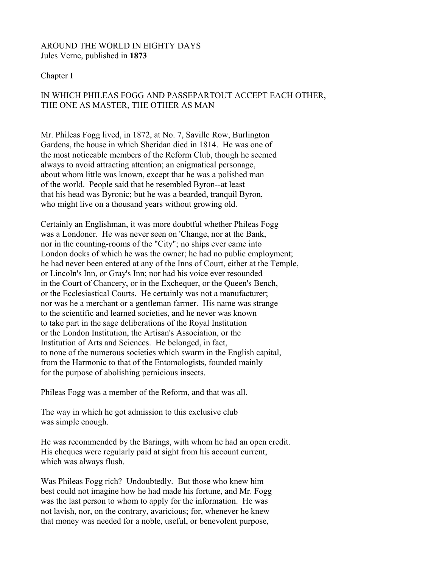## AROUND THE WORLD IN EIGHTY DAYS Jules Verne, published in **1873**

### Chapter I

# IN WHICH PHILEAS FOGG AND PASSEPARTOUT ACCEPT EACH OTHER, THE ONE AS MASTER, THE OTHER AS MAN

Mr. Phileas Fogg lived, in 1872, at No. 7, Saville Row, Burlington Gardens, the house in which Sheridan died in 1814. He was one of the most noticeable members of the Reform Club, though he seemed always to avoid attracting attention; an enigmatical personage, about whom little was known, except that he was a polished man of the world. People said that he resembled Byron--at least that his head was Byronic; but he was a bearded, tranquil Byron, who might live on a thousand years without growing old.

Certainly an Englishman, it was more doubtful whether Phileas Fogg was a Londoner. He was never seen on 'Change, nor at the Bank, nor in the counting-rooms of the "City"; no ships ever came into London docks of which he was the owner; he had no public employment; he had never been entered at any of the Inns of Court, either at the Temple, or Lincoln's Inn, or Gray's Inn; nor had his voice ever resounded in the Court of Chancery, or in the Exchequer, or the Queen's Bench, or the Ecclesiastical Courts. He certainly was not a manufacturer; nor was he a merchant or a gentleman farmer. His name was strange to the scientific and learned societies, and he never was known to take part in the sage deliberations of the Royal Institution or the London Institution, the Artisan's Association, or the Institution of Arts and Sciences. He belonged, in fact, to none of the numerous societies which swarm in the English capital, from the Harmonic to that of the Entomologists, founded mainly for the purpose of abolishing pernicious insects.

Phileas Fogg was a member of the Reform, and that was all.

The way in which he got admission to this exclusive club was simple enough.

He was recommended by the Barings, with whom he had an open credit. His cheques were regularly paid at sight from his account current, which was always flush.

Was Phileas Fogg rich? Undoubtedly. But those who knew him best could not imagine how he had made his fortune, and Mr. Fogg was the last person to whom to apply for the information. He was not lavish, nor, on the contrary, avaricious; for, whenever he knew that money was needed for a noble, useful, or benevolent purpose,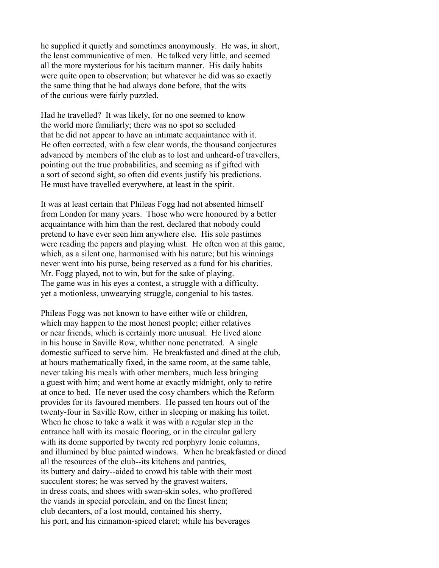he supplied it quietly and sometimes anonymously. He was, in short, the least communicative of men. He talked very little, and seemed all the more mysterious for his taciturn manner. His daily habits were quite open to observation; but whatever he did was so exactly the same thing that he had always done before, that the wits of the curious were fairly puzzled.

Had he travelled? It was likely, for no one seemed to know the world more familiarly; there was no spot so secluded that he did not appear to have an intimate acquaintance with it. He often corrected, with a few clear words, the thousand conjectures advanced by members of the club as to lost and unheard-of travellers, pointing out the true probabilities, and seeming as if gifted with a sort of second sight, so often did events justify his predictions. He must have travelled everywhere, at least in the spirit.

It was at least certain that Phileas Fogg had not absented himself from London for many years. Those who were honoured by a better acquaintance with him than the rest, declared that nobody could pretend to have ever seen him anywhere else. His sole pastimes were reading the papers and playing whist. He often won at this game, which, as a silent one, harmonised with his nature; but his winnings never went into his purse, being reserved as a fund for his charities. Mr. Fogg played, not to win, but for the sake of playing. The game was in his eyes a contest, a struggle with a difficulty, yet a motionless, unwearying struggle, congenial to his tastes.

Phileas Fogg was not known to have either wife or children, which may happen to the most honest people; either relatives or near friends, which is certainly more unusual. He lived alone in his house in Saville Row, whither none penetrated. A single domestic sufficed to serve him. He breakfasted and dined at the club, at hours mathematically fixed, in the same room, at the same table, never taking his meals with other members, much less bringing a guest with him; and went home at exactly midnight, only to retire at once to bed. He never used the cosy chambers which the Reform provides for its favoured members. He passed ten hours out of the twenty-four in Saville Row, either in sleeping or making his toilet. When he chose to take a walk it was with a regular step in the entrance hall with its mosaic flooring, or in the circular gallery with its dome supported by twenty red porphyry Ionic columns, and illumined by blue painted windows. When he breakfasted or dined all the resources of the club--its kitchens and pantries, its buttery and dairy--aided to crowd his table with their most succulent stores; he was served by the gravest waiters, in dress coats, and shoes with swan-skin soles, who proffered the viands in special porcelain, and on the finest linen; club decanters, of a lost mould, contained his sherry, his port, and his cinnamon-spiced claret; while his beverages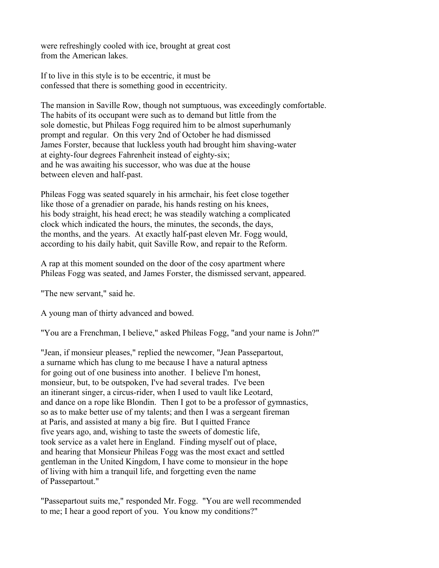were refreshingly cooled with ice, brought at great cost from the American lakes.

If to live in this style is to be eccentric, it must be confessed that there is something good in eccentricity.

The mansion in Saville Row, though not sumptuous, was exceedingly comfortable. The habits of its occupant were such as to demand but little from the sole domestic, but Phileas Fogg required him to be almost superhumanly prompt and regular. On this very 2nd of October he had dismissed James Forster, because that luckless youth had brought him shaving-water at eighty-four degrees Fahrenheit instead of eighty-six; and he was awaiting his successor, who was due at the house between eleven and half-past.

Phileas Fogg was seated squarely in his armchair, his feet close together like those of a grenadier on parade, his hands resting on his knees, his body straight, his head erect; he was steadily watching a complicated clock which indicated the hours, the minutes, the seconds, the days, the months, and the years. At exactly half-past eleven Mr. Fogg would, according to his daily habit, quit Saville Row, and repair to the Reform.

A rap at this moment sounded on the door of the cosy apartment where Phileas Fogg was seated, and James Forster, the dismissed servant, appeared.

"The new servant," said he.

A young man of thirty advanced and bowed.

"You are a Frenchman, I believe," asked Phileas Fogg, "and your name is John?"

"Jean, if monsieur pleases," replied the newcomer, "Jean Passepartout, a surname which has clung to me because I have a natural aptness for going out of one business into another. I believe I'm honest, monsieur, but, to be outspoken, I've had several trades. I've been an itinerant singer, a circus-rider, when I used to vault like Leotard, and dance on a rope like Blondin. Then I got to be a professor of gymnastics, so as to make better use of my talents; and then I was a sergeant fireman at Paris, and assisted at many a big fire. But I quitted France five years ago, and, wishing to taste the sweets of domestic life, took service as a valet here in England. Finding myself out of place, and hearing that Monsieur Phileas Fogg was the most exact and settled gentleman in the United Kingdom, I have come to monsieur in the hope of living with him a tranquil life, and forgetting even the name of Passepartout."

"Passepartout suits me," responded Mr. Fogg. "You are well recommended to me; I hear a good report of you. You know my conditions?"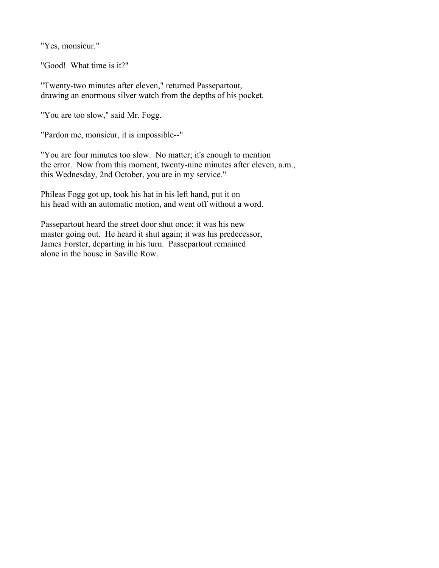"Yes, monsieur."

"Good! What time is it?"

"Twenty-two minutes after eleven," returned Passepartout, drawing an enormous silver watch from the depths of his pocket.

"You are too slow," said Mr. Fogg.

"Pardon me, monsieur, it is impossible--"

"You are four minutes too slow. No matter; it's enough to mention the error. Now from this moment, twenty-nine minutes after eleven, a.m., this Wednesday, 2nd October, you are in my service."

Phileas Fogg got up, took his hat in his left hand, put it on his head with an automatic motion, and went off without a word.

Passepartout heard the street door shut once; it was his new master going out. He heard it shut again; it was his predecessor, James Forster, departing in his turn. Passepartout remained alone in the house in Saville Row.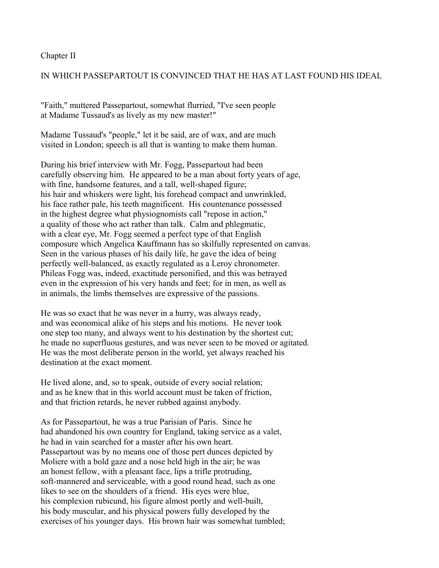#### Chapter II

## IN WHICH PASSEPARTOUT IS CONVINCED THAT HE HAS AT LAST FOUND HIS IDEAL

"Faith," muttered Passepartout, somewhat flurried, "I've seen people at Madame Tussaud's as lively as my new master!"

Madame Tussaud's "people," let it be said, are of wax, and are much visited in London; speech is all that is wanting to make them human.

During his brief interview with Mr. Fogg, Passepartout had been carefully observing him. He appeared to be a man about forty years of age, with fine, handsome features, and a tall, well-shaped figure; his hair and whiskers were light, his forehead compact and unwrinkled, his face rather pale, his teeth magnificent. His countenance possessed in the highest degree what physiognomists call "repose in action," a quality of those who act rather than talk. Calm and phlegmatic, with a clear eye, Mr. Fogg seemed a perfect type of that English composure which Angelica Kauffmann has so skilfully represented on canvas. Seen in the various phases of his daily life, he gave the idea of being perfectly well-balanced, as exactly regulated as a Leroy chronometer. Phileas Fogg was, indeed, exactitude personified, and this was betrayed even in the expression of his very hands and feet; for in men, as well as in animals, the limbs themselves are expressive of the passions.

He was so exact that he was never in a hurry, was always ready, and was economical alike of his steps and his motions. He never took one step too many, and always went to his destination by the shortest cut; he made no superfluous gestures, and was never seen to be moved or agitated. He was the most deliberate person in the world, yet always reached his destination at the exact moment.

He lived alone, and, so to speak, outside of every social relation; and as he knew that in this world account must be taken of friction, and that friction retards, he never rubbed against anybody.

As for Passepartout, he was a true Parisian of Paris. Since he had abandoned his own country for England, taking service as a valet, he had in vain searched for a master after his own heart. Passepartout was by no means one of those pert dunces depicted by Moliere with a bold gaze and a nose held high in the air; he was an honest fellow, with a pleasant face, lips a trifle protruding, soft-mannered and serviceable, with a good round head, such as one likes to see on the shoulders of a friend. His eyes were blue, his complexion rubicund, his figure almost portly and well-built, his body muscular, and his physical powers fully developed by the exercises of his younger days. His brown hair was somewhat tumbled;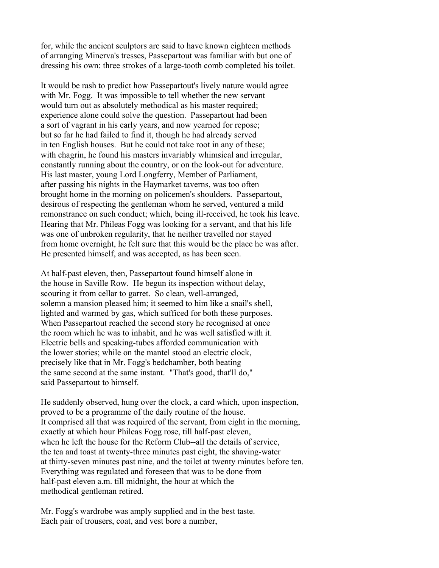for, while the ancient sculptors are said to have known eighteen methods of arranging Minerva's tresses, Passepartout was familiar with but one of dressing his own: three strokes of a large-tooth comb completed his toilet.

It would be rash to predict how Passepartout's lively nature would agree with Mr. Fogg. It was impossible to tell whether the new servant would turn out as absolutely methodical as his master required; experience alone could solve the question. Passepartout had been a sort of vagrant in his early years, and now yearned for repose; but so far he had failed to find it, though he had already served in ten English houses. But he could not take root in any of these; with chagrin, he found his masters invariably whimsical and irregular, constantly running about the country, or on the look-out for adventure. His last master, young Lord Longferry, Member of Parliament, after passing his nights in the Haymarket taverns, was too often brought home in the morning on policemen's shoulders. Passepartout, desirous of respecting the gentleman whom he served, ventured a mild remonstrance on such conduct; which, being ill-received, he took his leave. Hearing that Mr. Phileas Fogg was looking for a servant, and that his life was one of unbroken regularity, that he neither travelled nor stayed from home overnight, he felt sure that this would be the place he was after. He presented himself, and was accepted, as has been seen.

At half-past eleven, then, Passepartout found himself alone in the house in Saville Row. He begun its inspection without delay, scouring it from cellar to garret. So clean, well-arranged, solemn a mansion pleased him; it seemed to him like a snail's shell, lighted and warmed by gas, which sufficed for both these purposes. When Passepartout reached the second story he recognised at once the room which he was to inhabit, and he was well satisfied with it. Electric bells and speaking-tubes afforded communication with the lower stories; while on the mantel stood an electric clock, precisely like that in Mr. Fogg's bedchamber, both beating the same second at the same instant. "That's good, that'll do," said Passepartout to himself.

He suddenly observed, hung over the clock, a card which, upon inspection, proved to be a programme of the daily routine of the house. It comprised all that was required of the servant, from eight in the morning, exactly at which hour Phileas Fogg rose, till half-past eleven, when he left the house for the Reform Club--all the details of service, the tea and toast at twenty-three minutes past eight, the shaving-water at thirty-seven minutes past nine, and the toilet at twenty minutes before ten. Everything was regulated and foreseen that was to be done from half-past eleven a.m. till midnight, the hour at which the methodical gentleman retired.

Mr. Fogg's wardrobe was amply supplied and in the best taste. Each pair of trousers, coat, and vest bore a number,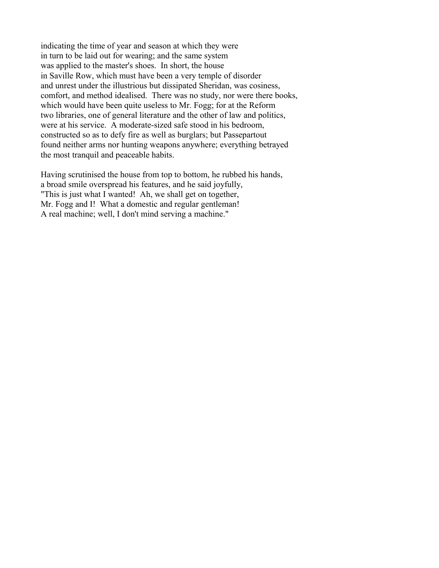indicating the time of year and season at which they were in turn to be laid out for wearing; and the same system was applied to the master's shoes. In short, the house in Saville Row, which must have been a very temple of disorder and unrest under the illustrious but dissipated Sheridan, was cosiness, comfort, and method idealised. There was no study, nor were there books, which would have been quite useless to Mr. Fogg; for at the Reform two libraries, one of general literature and the other of law and politics, were at his service. A moderate-sized safe stood in his bedroom, constructed so as to defy fire as well as burglars; but Passepartout found neither arms nor hunting weapons anywhere; everything betrayed the most tranquil and peaceable habits.

Having scrutinised the house from top to bottom, he rubbed his hands, a broad smile overspread his features, and he said joyfully, "This is just what I wanted! Ah, we shall get on together, Mr. Fogg and I! What a domestic and regular gentleman! A real machine; well, I don't mind serving a machine."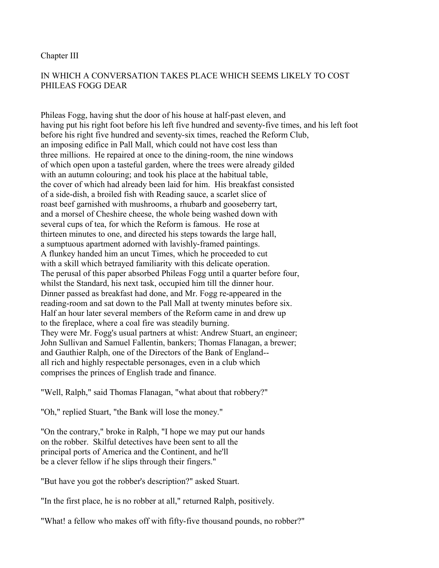#### Chapter III

# IN WHICH A CONVERSATION TAKES PLACE WHICH SEEMS LIKELY TO COST PHILEAS FOGG DEAR

Phileas Fogg, having shut the door of his house at half-past eleven, and having put his right foot before his left five hundred and seventy-five times, and his left foot before his right five hundred and seventy-six times, reached the Reform Club, an imposing edifice in Pall Mall, which could not have cost less than three millions. He repaired at once to the dining-room, the nine windows of which open upon a tasteful garden, where the trees were already gilded with an autumn colouring; and took his place at the habitual table, the cover of which had already been laid for him. His breakfast consisted of a side-dish, a broiled fish with Reading sauce, a scarlet slice of roast beef garnished with mushrooms, a rhubarb and gooseberry tart, and a morsel of Cheshire cheese, the whole being washed down with several cups of tea, for which the Reform is famous. He rose at thirteen minutes to one, and directed his steps towards the large hall, a sumptuous apartment adorned with lavishly-framed paintings. A flunkey handed him an uncut Times, which he proceeded to cut with a skill which betrayed familiarity with this delicate operation. The perusal of this paper absorbed Phileas Fogg until a quarter before four, whilst the Standard, his next task, occupied him till the dinner hour. Dinner passed as breakfast had done, and Mr. Fogg re-appeared in the reading-room and sat down to the Pall Mall at twenty minutes before six. Half an hour later several members of the Reform came in and drew up to the fireplace, where a coal fire was steadily burning. They were Mr. Fogg's usual partners at whist: Andrew Stuart, an engineer; John Sullivan and Samuel Fallentin, bankers; Thomas Flanagan, a brewer; and Gauthier Ralph, one of the Directors of the Bank of England- all rich and highly respectable personages, even in a club which comprises the princes of English trade and finance.

"Well, Ralph," said Thomas Flanagan, "what about that robbery?"

"Oh," replied Stuart, "the Bank will lose the money."

"On the contrary," broke in Ralph, "I hope we may put our hands on the robber. Skilful detectives have been sent to all the principal ports of America and the Continent, and he'll be a clever fellow if he slips through their fingers."

"But have you got the robber's description?" asked Stuart.

"In the first place, he is no robber at all," returned Ralph, positively.

"What! a fellow who makes off with fifty-five thousand pounds, no robber?"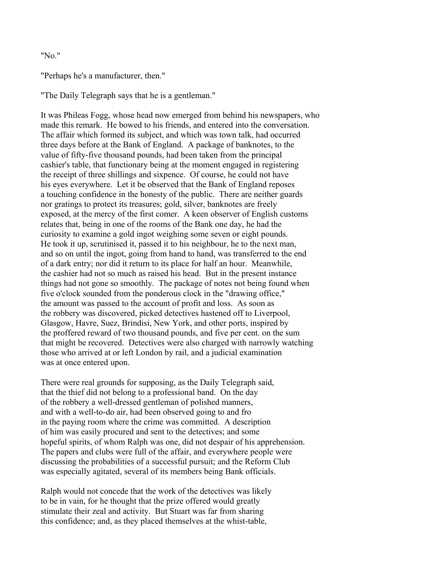#### "No."

"Perhaps he's a manufacturer, then."

"The Daily Telegraph says that he is a gentleman."

It was Phileas Fogg, whose head now emerged from behind his newspapers, who made this remark. He bowed to his friends, and entered into the conversation. The affair which formed its subject, and which was town talk, had occurred three days before at the Bank of England. A package of banknotes, to the value of fifty-five thousand pounds, had been taken from the principal cashier's table, that functionary being at the moment engaged in registering the receipt of three shillings and sixpence. Of course, he could not have his eyes everywhere. Let it be observed that the Bank of England reposes a touching confidence in the honesty of the public. There are neither guards nor gratings to protect its treasures; gold, silver, banknotes are freely exposed, at the mercy of the first comer. A keen observer of English customs relates that, being in one of the rooms of the Bank one day, he had the curiosity to examine a gold ingot weighing some seven or eight pounds. He took it up, scrutinised it, passed it to his neighbour, he to the next man, and so on until the ingot, going from hand to hand, was transferred to the end of a dark entry; nor did it return to its place for half an hour. Meanwhile, the cashier had not so much as raised his head. But in the present instance things had not gone so smoothly. The package of notes not being found when five o'clock sounded from the ponderous clock in the "drawing office," the amount was passed to the account of profit and loss. As soon as the robbery was discovered, picked detectives hastened off to Liverpool, Glasgow, Havre, Suez, Brindisi, New York, and other ports, inspired by the proffered reward of two thousand pounds, and five per cent. on the sum that might be recovered. Detectives were also charged with narrowly watching those who arrived at or left London by rail, and a judicial examination was at once entered upon.

There were real grounds for supposing, as the Daily Telegraph said, that the thief did not belong to a professional band. On the day of the robbery a well-dressed gentleman of polished manners, and with a well-to-do air, had been observed going to and fro in the paying room where the crime was committed. A description of him was easily procured and sent to the detectives; and some hopeful spirits, of whom Ralph was one, did not despair of his apprehension. The papers and clubs were full of the affair, and everywhere people were discussing the probabilities of a successful pursuit; and the Reform Club was especially agitated, several of its members being Bank officials.

Ralph would not concede that the work of the detectives was likely to be in vain, for he thought that the prize offered would greatly stimulate their zeal and activity. But Stuart was far from sharing this confidence; and, as they placed themselves at the whist-table,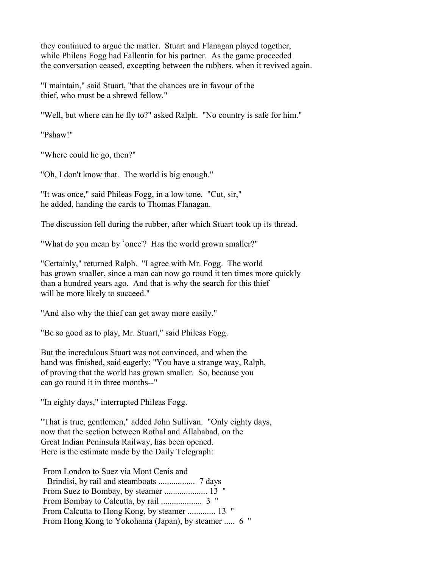they continued to argue the matter. Stuart and Flanagan played together, while Phileas Fogg had Fallentin for his partner. As the game proceeded the conversation ceased, excepting between the rubbers, when it revived again.

"I maintain," said Stuart, "that the chances are in favour of the thief, who must be a shrewd fellow."

"Well, but where can he fly to?" asked Ralph. "No country is safe for him."

"Pshaw!"

"Where could he go, then?"

"Oh, I don't know that. The world is big enough."

"It was once," said Phileas Fogg, in a low tone. "Cut, sir," he added, handing the cards to Thomas Flanagan.

The discussion fell during the rubber, after which Stuart took up its thread.

"What do you mean by `once'? Has the world grown smaller?"

"Certainly," returned Ralph. "I agree with Mr. Fogg. The world has grown smaller, since a man can now go round it ten times more quickly than a hundred years ago. And that is why the search for this thief will be more likely to succeed."

"And also why the thief can get away more easily."

"Be so good as to play, Mr. Stuart," said Phileas Fogg.

But the incredulous Stuart was not convinced, and when the hand was finished, said eagerly: "You have a strange way, Ralph, of proving that the world has grown smaller. So, because you can go round it in three months--"

"In eighty days," interrupted Phileas Fogg.

"That is true, gentlemen," added John Sullivan. "Only eighty days, now that the section between Rothal and Allahabad, on the Great Indian Peninsula Railway, has been opened. Here is the estimate made by the Daily Telegraph:

| From London to Suez via Mont Cenis and              |
|-----------------------------------------------------|
|                                                     |
|                                                     |
|                                                     |
| From Calcutta to Hong Kong, by steamer  13 "        |
| From Hong Kong to Yokohama (Japan), by steamer  6 " |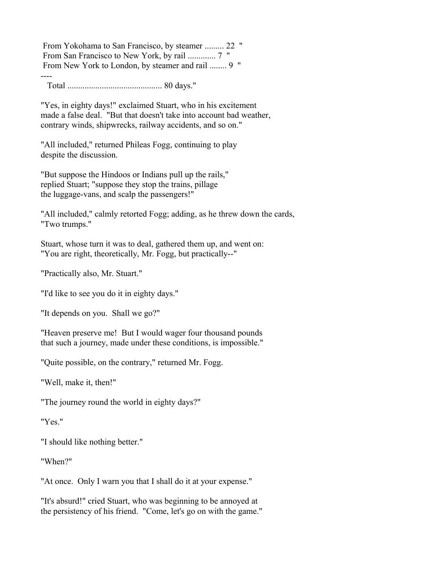From Yokohama to San Francisco, by steamer ......... 22 " From San Francisco to New York, by rail ............. 7 " From New York to London, by steamer and rail ........ 9 "

---- Total ............................................ 80 days."

"Yes, in eighty days!" exclaimed Stuart, who in his excitement made a false deal. "But that doesn't take into account bad weather, contrary winds, shipwrecks, railway accidents, and so on."

"All included," returned Phileas Fogg, continuing to play despite the discussion.

"But suppose the Hindoos or Indians pull up the rails," replied Stuart; "suppose they stop the trains, pillage the luggage-vans, and scalp the passengers!"

"All included," calmly retorted Fogg; adding, as he threw down the cards, "Two trumps."

Stuart, whose turn it was to deal, gathered them up, and went on: "You are right, theoretically, Mr. Fogg, but practically--"

"Practically also, Mr. Stuart."

"I'd like to see you do it in eighty days."

"It depends on you. Shall we go?"

"Heaven preserve me! But I would wager four thousand pounds that such a journey, made under these conditions, is impossible."

"Quite possible, on the contrary," returned Mr. Fogg.

"Well, make it, then!"

"The journey round the world in eighty days?"

"Yes."

"I should like nothing better."

"When?"

"At once. Only I warn you that I shall do it at your expense."

"It's absurd!" cried Stuart, who was beginning to be annoyed at the persistency of his friend. "Come, let's go on with the game."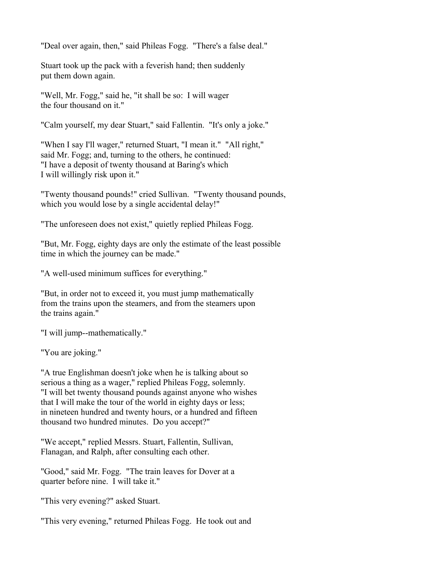"Deal over again, then," said Phileas Fogg. "There's a false deal."

Stuart took up the pack with a feverish hand; then suddenly put them down again.

"Well, Mr. Fogg," said he, "it shall be so: I will wager the four thousand on it."

"Calm yourself, my dear Stuart," said Fallentin. "It's only a joke."

"When I say I'll wager," returned Stuart, "I mean it." "All right," said Mr. Fogg; and, turning to the others, he continued: "I have a deposit of twenty thousand at Baring's which I will willingly risk upon it."

"Twenty thousand pounds!" cried Sullivan. "Twenty thousand pounds, which you would lose by a single accidental delay!"

"The unforeseen does not exist," quietly replied Phileas Fogg.

"But, Mr. Fogg, eighty days are only the estimate of the least possible time in which the journey can be made."

"A well-used minimum suffices for everything."

"But, in order not to exceed it, you must jump mathematically from the trains upon the steamers, and from the steamers upon the trains again."

"I will jump--mathematically."

"You are joking."

"A true Englishman doesn't joke when he is talking about so serious a thing as a wager," replied Phileas Fogg, solemnly. "I will bet twenty thousand pounds against anyone who wishes that I will make the tour of the world in eighty days or less; in nineteen hundred and twenty hours, or a hundred and fifteen thousand two hundred minutes. Do you accept?"

"We accept," replied Messrs. Stuart, Fallentin, Sullivan, Flanagan, and Ralph, after consulting each other.

"Good," said Mr. Fogg. "The train leaves for Dover at a quarter before nine. I will take it."

"This very evening?" asked Stuart.

"This very evening," returned Phileas Fogg. He took out and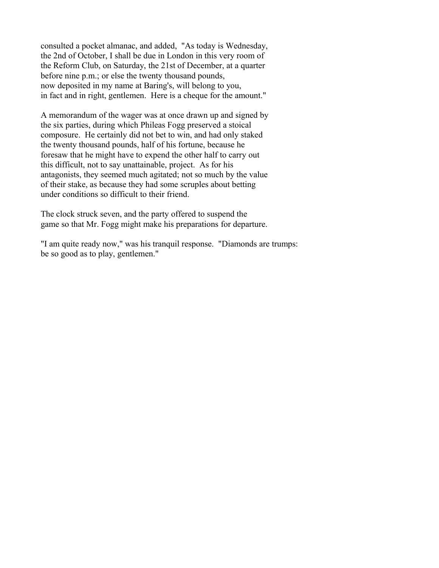consulted a pocket almanac, and added, "As today is Wednesday, the 2nd of October, I shall be due in London in this very room of the Reform Club, on Saturday, the 21st of December, at a quarter before nine p.m.; or else the twenty thousand pounds, now deposited in my name at Baring's, will belong to you, in fact and in right, gentlemen. Here is a cheque for the amount."

A memorandum of the wager was at once drawn up and signed by the six parties, during which Phileas Fogg preserved a stoical composure. He certainly did not bet to win, and had only staked the twenty thousand pounds, half of his fortune, because he foresaw that he might have to expend the other half to carry out this difficult, not to say unattainable, project. As for his antagonists, they seemed much agitated; not so much by the value of their stake, as because they had some scruples about betting under conditions so difficult to their friend.

The clock struck seven, and the party offered to suspend the game so that Mr. Fogg might make his preparations for departure.

"I am quite ready now," was his tranquil response. "Diamonds are trumps: be so good as to play, gentlemen."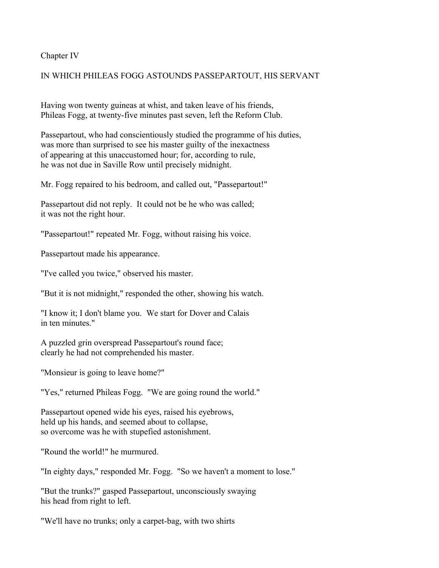Chapter IV

# IN WHICH PHILEAS FOGG ASTOUNDS PASSEPARTOUT, HIS SERVANT

Having won twenty guineas at whist, and taken leave of his friends, Phileas Fogg, at twenty-five minutes past seven, left the Reform Club.

Passepartout, who had conscientiously studied the programme of his duties, was more than surprised to see his master guilty of the inexactness of appearing at this unaccustomed hour; for, according to rule, he was not due in Saville Row until precisely midnight.

Mr. Fogg repaired to his bedroom, and called out, "Passepartout!"

Passepartout did not reply. It could not be he who was called; it was not the right hour.

"Passepartout!" repeated Mr. Fogg, without raising his voice.

Passepartout made his appearance.

"I've called you twice," observed his master.

"But it is not midnight," responded the other, showing his watch.

"I know it; I don't blame you. We start for Dover and Calais in ten minutes."

A puzzled grin overspread Passepartout's round face; clearly he had not comprehended his master.

"Monsieur is going to leave home?"

"Yes," returned Phileas Fogg. "We are going round the world."

Passepartout opened wide his eyes, raised his eyebrows, held up his hands, and seemed about to collapse, so overcome was he with stupefied astonishment.

"Round the world!" he murmured.

"In eighty days," responded Mr. Fogg. "So we haven't a moment to lose."

"But the trunks?" gasped Passepartout, unconsciously swaying his head from right to left.

"We'll have no trunks; only a carpet-bag, with two shirts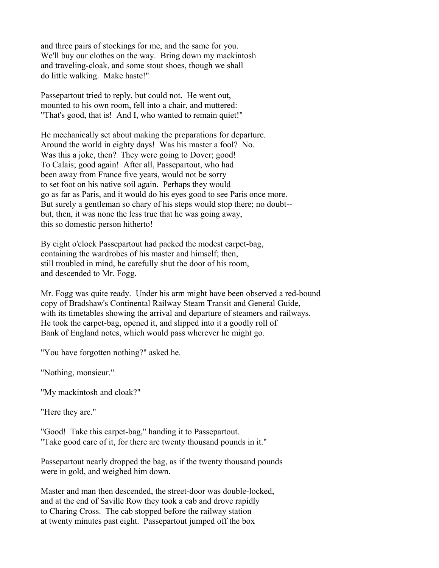and three pairs of stockings for me, and the same for you. We'll buy our clothes on the way. Bring down my mackintosh and traveling-cloak, and some stout shoes, though we shall do little walking. Make haste!"

Passepartout tried to reply, but could not. He went out, mounted to his own room, fell into a chair, and muttered: "That's good, that is! And I, who wanted to remain quiet!"

He mechanically set about making the preparations for departure. Around the world in eighty days! Was his master a fool? No. Was this a joke, then? They were going to Dover; good! To Calais; good again! After all, Passepartout, who had been away from France five years, would not be sorry to set foot on his native soil again. Perhaps they would go as far as Paris, and it would do his eyes good to see Paris once more. But surely a gentleman so chary of his steps would stop there; no doubt- but, then, it was none the less true that he was going away, this so domestic person hitherto!

By eight o'clock Passepartout had packed the modest carpet-bag, containing the wardrobes of his master and himself; then, still troubled in mind, he carefully shut the door of his room, and descended to Mr. Fogg.

Mr. Fogg was quite ready. Under his arm might have been observed a red-bound copy of Bradshaw's Continental Railway Steam Transit and General Guide, with its timetables showing the arrival and departure of steamers and railways. He took the carpet-bag, opened it, and slipped into it a goodly roll of Bank of England notes, which would pass wherever he might go.

"You have forgotten nothing?" asked he.

"Nothing, monsieur."

"My mackintosh and cloak?"

"Here they are."

"Good! Take this carpet-bag," handing it to Passepartout. "Take good care of it, for there are twenty thousand pounds in it."

Passepartout nearly dropped the bag, as if the twenty thousand pounds were in gold, and weighed him down.

Master and man then descended, the street-door was double-locked, and at the end of Saville Row they took a cab and drove rapidly to Charing Cross. The cab stopped before the railway station at twenty minutes past eight. Passepartout jumped off the box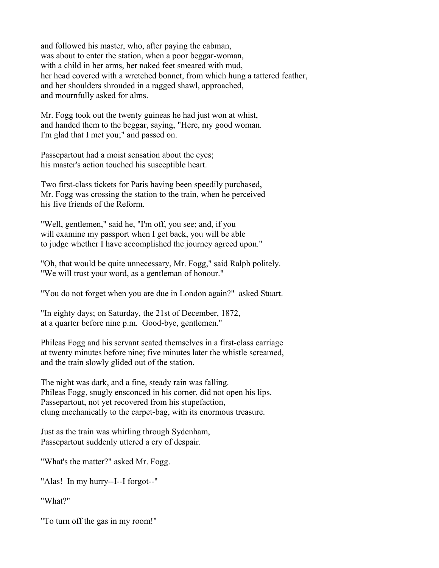and followed his master, who, after paying the cabman, was about to enter the station, when a poor beggar-woman, with a child in her arms, her naked feet smeared with mud, her head covered with a wretched bonnet, from which hung a tattered feather, and her shoulders shrouded in a ragged shawl, approached, and mournfully asked for alms.

Mr. Fogg took out the twenty guineas he had just won at whist, and handed them to the beggar, saying, "Here, my good woman. I'm glad that I met you;" and passed on.

Passepartout had a moist sensation about the eyes; his master's action touched his susceptible heart.

Two first-class tickets for Paris having been speedily purchased, Mr. Fogg was crossing the station to the train, when he perceived his five friends of the Reform.

"Well, gentlemen," said he, "I'm off, you see; and, if you will examine my passport when I get back, you will be able to judge whether I have accomplished the journey agreed upon."

"Oh, that would be quite unnecessary, Mr. Fogg," said Ralph politely. "We will trust your word, as a gentleman of honour."

"You do not forget when you are due in London again?" asked Stuart.

"In eighty days; on Saturday, the 21st of December, 1872, at a quarter before nine p.m. Good-bye, gentlemen."

Phileas Fogg and his servant seated themselves in a first-class carriage at twenty minutes before nine; five minutes later the whistle screamed, and the train slowly glided out of the station.

The night was dark, and a fine, steady rain was falling. Phileas Fogg, snugly ensconced in his corner, did not open his lips. Passepartout, not yet recovered from his stupefaction, clung mechanically to the carpet-bag, with its enormous treasure.

Just as the train was whirling through Sydenham, Passepartout suddenly uttered a cry of despair.

"What's the matter?" asked Mr. Fogg.

"Alas! In my hurry--I--I forgot--"

"What?"

"To turn off the gas in my room!"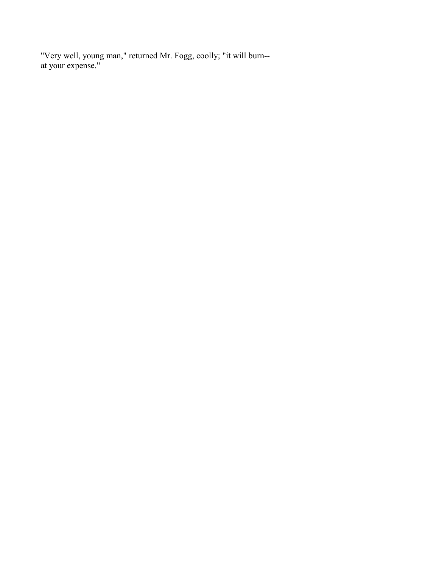"Very well, young man," returned Mr. Fogg, coolly; "it will burn- at your expense."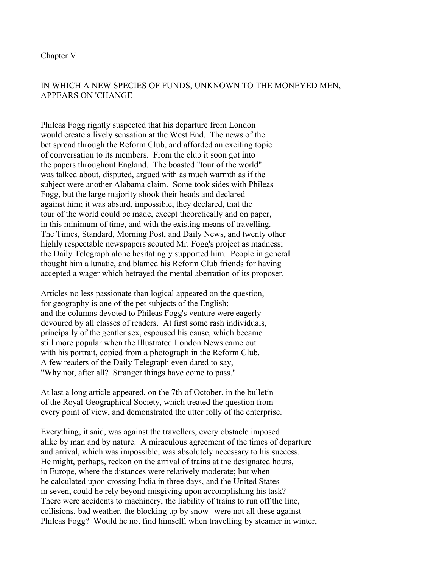# IN WHICH A NEW SPECIES OF FUNDS, UNKNOWN TO THE MONEYED MEN, APPEARS ON 'CHANGE

Phileas Fogg rightly suspected that his departure from London would create a lively sensation at the West End. The news of the bet spread through the Reform Club, and afforded an exciting topic of conversation to its members. From the club it soon got into the papers throughout England. The boasted "tour of the world" was talked about, disputed, argued with as much warmth as if the subject were another Alabama claim. Some took sides with Phileas Fogg, but the large majority shook their heads and declared against him; it was absurd, impossible, they declared, that the tour of the world could be made, except theoretically and on paper, in this minimum of time, and with the existing means of travelling. The Times, Standard, Morning Post, and Daily News, and twenty other highly respectable newspapers scouted Mr. Fogg's project as madness; the Daily Telegraph alone hesitatingly supported him. People in general thought him a lunatic, and blamed his Reform Club friends for having accepted a wager which betrayed the mental aberration of its proposer.

Articles no less passionate than logical appeared on the question, for geography is one of the pet subjects of the English; and the columns devoted to Phileas Fogg's venture were eagerly devoured by all classes of readers. At first some rash individuals, principally of the gentler sex, espoused his cause, which became still more popular when the Illustrated London News came out with his portrait, copied from a photograph in the Reform Club. A few readers of the Daily Telegraph even dared to say, "Why not, after all? Stranger things have come to pass."

At last a long article appeared, on the 7th of October, in the bulletin of the Royal Geographical Society, which treated the question from every point of view, and demonstrated the utter folly of the enterprise.

Everything, it said, was against the travellers, every obstacle imposed alike by man and by nature. A miraculous agreement of the times of departure and arrival, which was impossible, was absolutely necessary to his success. He might, perhaps, reckon on the arrival of trains at the designated hours, in Europe, where the distances were relatively moderate; but when he calculated upon crossing India in three days, and the United States in seven, could he rely beyond misgiving upon accomplishing his task? There were accidents to machinery, the liability of trains to run off the line, collisions, bad weather, the blocking up by snow--were not all these against Phileas Fogg? Would he not find himself, when travelling by steamer in winter,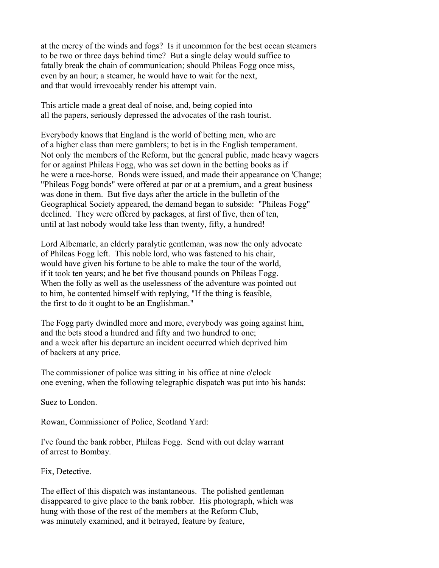at the mercy of the winds and fogs? Is it uncommon for the best ocean steamers to be two or three days behind time? But a single delay would suffice to fatally break the chain of communication; should Phileas Fogg once miss, even by an hour; a steamer, he would have to wait for the next, and that would irrevocably render his attempt vain.

This article made a great deal of noise, and, being copied into all the papers, seriously depressed the advocates of the rash tourist.

Everybody knows that England is the world of betting men, who are of a higher class than mere gamblers; to bet is in the English temperament. Not only the members of the Reform, but the general public, made heavy wagers for or against Phileas Fogg, who was set down in the betting books as if he were a race-horse. Bonds were issued, and made their appearance on 'Change; "Phileas Fogg bonds" were offered at par or at a premium, and a great business was done in them. But five days after the article in the bulletin of the Geographical Society appeared, the demand began to subside: "Phileas Fogg" declined. They were offered by packages, at first of five, then of ten, until at last nobody would take less than twenty, fifty, a hundred!

Lord Albemarle, an elderly paralytic gentleman, was now the only advocate of Phileas Fogg left. This noble lord, who was fastened to his chair, would have given his fortune to be able to make the tour of the world, if it took ten years; and he bet five thousand pounds on Phileas Fogg. When the folly as well as the uselessness of the adventure was pointed out to him, he contented himself with replying, "If the thing is feasible, the first to do it ought to be an Englishman."

The Fogg party dwindled more and more, everybody was going against him, and the bets stood a hundred and fifty and two hundred to one; and a week after his departure an incident occurred which deprived him of backers at any price.

The commissioner of police was sitting in his office at nine o'clock one evening, when the following telegraphic dispatch was put into his hands:

Suez to London.

Rowan, Commissioner of Police, Scotland Yard:

I've found the bank robber, Phileas Fogg. Send with out delay warrant of arrest to Bombay.

Fix, Detective.

The effect of this dispatch was instantaneous. The polished gentleman disappeared to give place to the bank robber. His photograph, which was hung with those of the rest of the members at the Reform Club, was minutely examined, and it betrayed, feature by feature,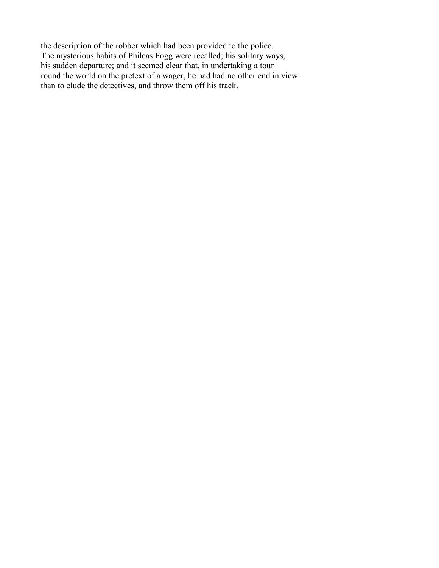the description of the robber which had been provided to the police. The mysterious habits of Phileas Fogg were recalled; his solitary ways, his sudden departure; and it seemed clear that, in undertaking a tour round the world on the pretext of a wager, he had had no other end in view than to elude the detectives, and throw them off his track.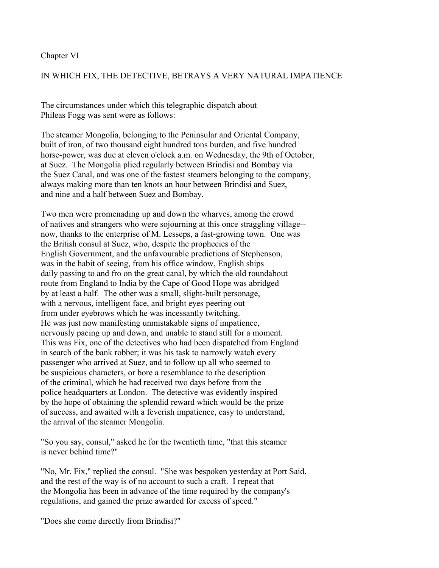### Chapter VI

## IN WHICH FIX, THE DETECTIVE, BETRAYS A VERY NATURAL IMPATIENCE

The circumstances under which this telegraphic dispatch about Phileas Fogg was sent were as follows:

The steamer Mongolia, belonging to the Peninsular and Oriental Company, built of iron, of two thousand eight hundred tons burden, and five hundred horse-power, was due at eleven o'clock a.m. on Wednesday, the 9th of October, at Suez. The Mongolia plied regularly between Brindisi and Bombay via the Suez Canal, and was one of the fastest steamers belonging to the company, always making more than ten knots an hour between Brindisi and Suez, and nine and a half between Suez and Bombay.

Two men were promenading up and down the wharves, among the crowd of natives and strangers who were sojourning at this once straggling village- now, thanks to the enterprise of M. Lesseps, a fast-growing town. One was the British consul at Suez, who, despite the prophecies of the English Government, and the unfavourable predictions of Stephenson, was in the habit of seeing, from his office window, English ships daily passing to and fro on the great canal, by which the old roundabout route from England to India by the Cape of Good Hope was abridged by at least a half. The other was a small, slight-built personage, with a nervous, intelligent face, and bright eyes peering out from under eyebrows which he was incessantly twitching. He was just now manifesting unmistakable signs of impatience, nervously pacing up and down, and unable to stand still for a moment. This was Fix, one of the detectives who had been dispatched from England in search of the bank robber; it was his task to narrowly watch every passenger who arrived at Suez, and to follow up all who seemed to be suspicious characters, or bore a resemblance to the description of the criminal, which he had received two days before from the police headquarters at London. The detective was evidently inspired by the hope of obtaining the splendid reward which would be the prize of success, and awaited with a feverish impatience, easy to understand, the arrival of the steamer Mongolia.

"So you say, consul," asked he for the twentieth time, "that this steamer is never behind time?"

"No, Mr. Fix," replied the consul. "She was bespoken yesterday at Port Said, and the rest of the way is of no account to such a craft. I repeat that the Mongolia has been in advance of the time required by the company's regulations, and gained the prize awarded for excess of speed."

"Does she come directly from Brindisi?"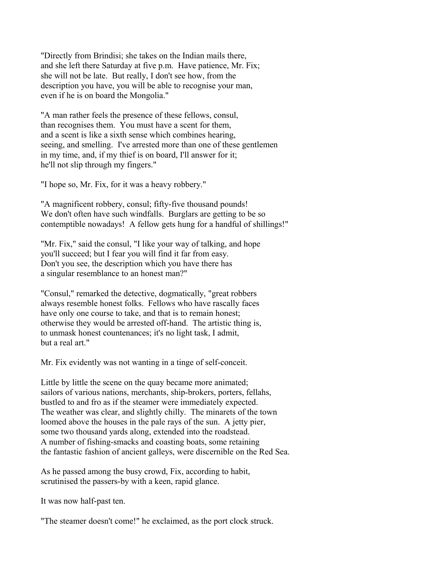"Directly from Brindisi; she takes on the Indian mails there, and she left there Saturday at five p.m. Have patience, Mr. Fix; she will not be late. But really, I don't see how, from the description you have, you will be able to recognise your man, even if he is on board the Mongolia."

"A man rather feels the presence of these fellows, consul, than recognises them. You must have a scent for them, and a scent is like a sixth sense which combines hearing, seeing, and smelling. I've arrested more than one of these gentlemen in my time, and, if my thief is on board, I'll answer for it; he'll not slip through my fingers."

"I hope so, Mr. Fix, for it was a heavy robbery."

"A magnificent robbery, consul; fifty-five thousand pounds! We don't often have such windfalls. Burglars are getting to be so contemptible nowadays! A fellow gets hung for a handful of shillings!"

"Mr. Fix," said the consul, "I like your way of talking, and hope you'll succeed; but I fear you will find it far from easy. Don't you see, the description which you have there has a singular resemblance to an honest man?"

"Consul," remarked the detective, dogmatically, "great robbers always resemble honest folks. Fellows who have rascally faces have only one course to take, and that is to remain honest; otherwise they would be arrested off-hand. The artistic thing is, to unmask honest countenances; it's no light task, I admit, but a real art."

Mr. Fix evidently was not wanting in a tinge of self-conceit.

Little by little the scene on the quay became more animated; sailors of various nations, merchants, ship-brokers, porters, fellahs, bustled to and fro as if the steamer were immediately expected. The weather was clear, and slightly chilly. The minarets of the town loomed above the houses in the pale rays of the sun. A jetty pier, some two thousand yards along, extended into the roadstead. A number of fishing-smacks and coasting boats, some retaining the fantastic fashion of ancient galleys, were discernible on the Red Sea.

As he passed among the busy crowd, Fix, according to habit, scrutinised the passers-by with a keen, rapid glance.

It was now half-past ten.

"The steamer doesn't come!" he exclaimed, as the port clock struck.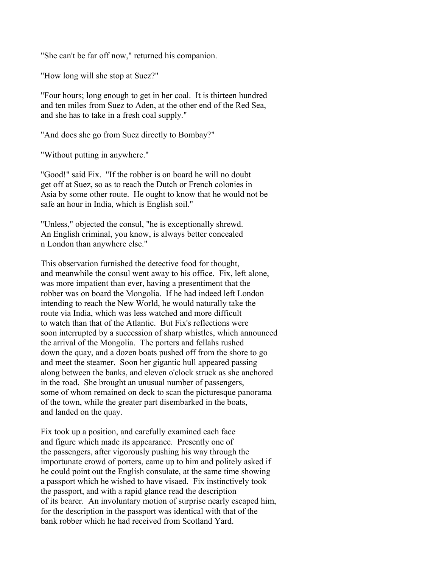"She can't be far off now," returned his companion.

"How long will she stop at Suez?"

"Four hours; long enough to get in her coal. It is thirteen hundred and ten miles from Suez to Aden, at the other end of the Red Sea, and she has to take in a fresh coal supply."

"And does she go from Suez directly to Bombay?"

"Without putting in anywhere."

"Good!" said Fix. "If the robber is on board he will no doubt get off at Suez, so as to reach the Dutch or French colonies in Asia by some other route. He ought to know that he would not be safe an hour in India, which is English soil."

"Unless," objected the consul, "he is exceptionally shrewd. An English criminal, you know, is always better concealed n London than anywhere else."

This observation furnished the detective food for thought, and meanwhile the consul went away to his office. Fix, left alone, was more impatient than ever, having a presentiment that the robber was on board the Mongolia. If he had indeed left London intending to reach the New World, he would naturally take the route via India, which was less watched and more difficult to watch than that of the Atlantic. But Fix's reflections were soon interrupted by a succession of sharp whistles, which announced the arrival of the Mongolia. The porters and fellahs rushed down the quay, and a dozen boats pushed off from the shore to go and meet the steamer. Soon her gigantic hull appeared passing along between the banks, and eleven o'clock struck as she anchored in the road. She brought an unusual number of passengers, some of whom remained on deck to scan the picturesque panorama of the town, while the greater part disembarked in the boats, and landed on the quay.

Fix took up a position, and carefully examined each face and figure which made its appearance. Presently one of the passengers, after vigorously pushing his way through the importunate crowd of porters, came up to him and politely asked if he could point out the English consulate, at the same time showing a passport which he wished to have visaed. Fix instinctively took the passport, and with a rapid glance read the description of its bearer. An involuntary motion of surprise nearly escaped him, for the description in the passport was identical with that of the bank robber which he had received from Scotland Yard.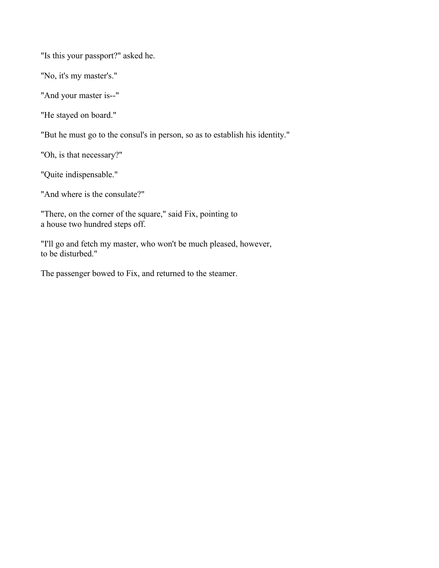"Is this your passport?" asked he.

"No, it's my master's."

"And your master is--"

"He stayed on board."

"But he must go to the consul's in person, so as to establish his identity."

"Oh, is that necessary?"

"Quite indispensable."

"And where is the consulate?"

"There, on the corner of the square," said Fix, pointing to a house two hundred steps off.

"I'll go and fetch my master, who won't be much pleased, however, to be disturbed."

The passenger bowed to Fix, and returned to the steamer.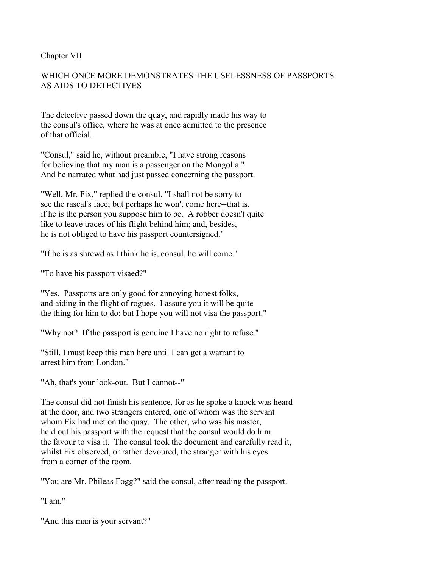## Chapter VII

# WHICH ONCE MORE DEMONSTRATES THE USELESSNESS OF PASSPORTS AS AIDS TO DETECTIVES

The detective passed down the quay, and rapidly made his way to the consul's office, where he was at once admitted to the presence of that official.

"Consul," said he, without preamble, "I have strong reasons for believing that my man is a passenger on the Mongolia." And he narrated what had just passed concerning the passport.

"Well, Mr. Fix," replied the consul, "I shall not be sorry to see the rascal's face; but perhaps he won't come here--that is, if he is the person you suppose him to be. A robber doesn't quite like to leave traces of his flight behind him; and, besides, he is not obliged to have his passport countersigned."

"If he is as shrewd as I think he is, consul, he will come."

"To have his passport visaed?"

"Yes. Passports are only good for annoying honest folks, and aiding in the flight of rogues. I assure you it will be quite the thing for him to do; but I hope you will not visa the passport."

"Why not? If the passport is genuine I have no right to refuse."

"Still, I must keep this man here until I can get a warrant to arrest him from London."

"Ah, that's your look-out. But I cannot--"

The consul did not finish his sentence, for as he spoke a knock was heard at the door, and two strangers entered, one of whom was the servant whom Fix had met on the quay. The other, who was his master, held out his passport with the request that the consul would do him the favour to visa it. The consul took the document and carefully read it, whilst Fix observed, or rather devoured, the stranger with his eyes from a corner of the room.

"You are Mr. Phileas Fogg?" said the consul, after reading the passport.

"I am"

"And this man is your servant?"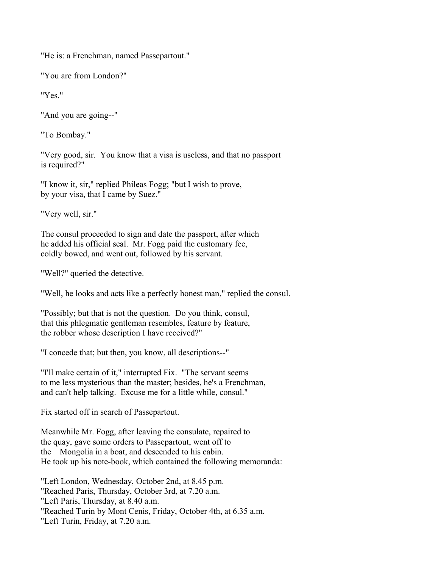"He is: a Frenchman, named Passepartout."

"You are from London?"

"Yes."

"And you are going--"

"To Bombay."

"Very good, sir. You know that a visa is useless, and that no passport is required?"

"I know it, sir," replied Phileas Fogg; "but I wish to prove, by your visa, that I came by Suez."

"Very well, sir."

The consul proceeded to sign and date the passport, after which he added his official seal. Mr. Fogg paid the customary fee, coldly bowed, and went out, followed by his servant.

"Well?" queried the detective.

"Well, he looks and acts like a perfectly honest man," replied the consul.

"Possibly; but that is not the question. Do you think, consul, that this phlegmatic gentleman resembles, feature by feature, the robber whose description I have received?"

"I concede that; but then, you know, all descriptions--"

"I'll make certain of it," interrupted Fix. "The servant seems to me less mysterious than the master; besides, he's a Frenchman, and can't help talking. Excuse me for a little while, consul."

Fix started off in search of Passepartout.

Meanwhile Mr. Fogg, after leaving the consulate, repaired to the quay, gave some orders to Passepartout, went off to the Mongolia in a boat, and descended to his cabin. He took up his note-book, which contained the following memoranda:

"Left London, Wednesday, October 2nd, at 8.45 p.m. "Reached Paris, Thursday, October 3rd, at 7.20 a.m. "Left Paris, Thursday, at 8.40 a.m. "Reached Turin by Mont Cenis, Friday, October 4th, at 6.35 a.m. "Left Turin, Friday, at 7.20 a.m.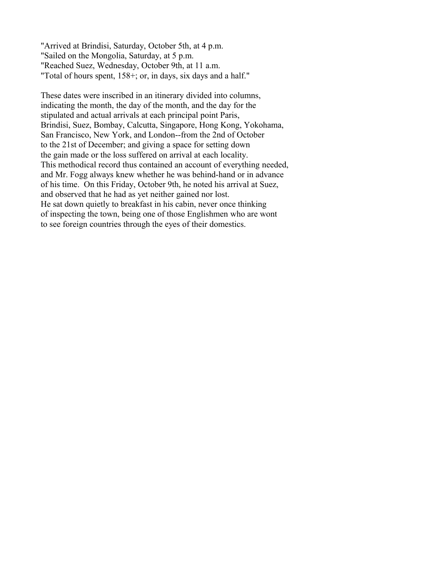"Arrived at Brindisi, Saturday, October 5th, at 4 p.m. "Sailed on the Mongolia, Saturday, at 5 p.m. "Reached Suez, Wednesday, October 9th, at 11 a.m. "Total of hours spent, 158+; or, in days, six days and a half."

These dates were inscribed in an itinerary divided into columns, indicating the month, the day of the month, and the day for the stipulated and actual arrivals at each principal point Paris, Brindisi, Suez, Bombay, Calcutta, Singapore, Hong Kong, Yokohama, San Francisco, New York, and London--from the 2nd of October to the 21st of December; and giving a space for setting down the gain made or the loss suffered on arrival at each locality. This methodical record thus contained an account of everything needed, and Mr. Fogg always knew whether he was behind-hand or in advance of his time. On this Friday, October 9th, he noted his arrival at Suez, and observed that he had as yet neither gained nor lost. He sat down quietly to breakfast in his cabin, never once thinking of inspecting the town, being one of those Englishmen who are wont to see foreign countries through the eyes of their domestics.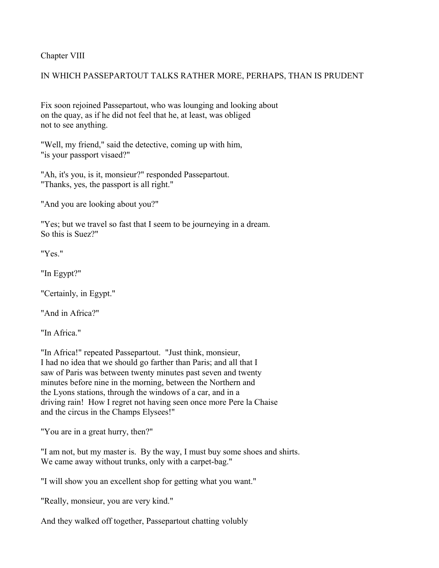Chapter VIII

# IN WHICH PASSEPARTOUT TALKS RATHER MORE, PERHAPS, THAN IS PRUDENT

Fix soon rejoined Passepartout, who was lounging and looking about on the quay, as if he did not feel that he, at least, was obliged not to see anything.

"Well, my friend," said the detective, coming up with him, "is your passport visaed?"

"Ah, it's you, is it, monsieur?" responded Passepartout. "Thanks, yes, the passport is all right."

"And you are looking about you?"

"Yes; but we travel so fast that I seem to be journeying in a dream. So this is Suez?"

"Yes."

"In Egypt?"

"Certainly, in Egypt."

"And in Africa?"

"In Africa"

"In Africa!" repeated Passepartout. "Just think, monsieur, I had no idea that we should go farther than Paris; and all that I saw of Paris was between twenty minutes past seven and twenty minutes before nine in the morning, between the Northern and the Lyons stations, through the windows of a car, and in a driving rain! How I regret not having seen once more Pere la Chaise and the circus in the Champs Elysees!"

"You are in a great hurry, then?"

"I am not, but my master is. By the way, I must buy some shoes and shirts. We came away without trunks, only with a carpet-bag."

"I will show you an excellent shop for getting what you want."

"Really, monsieur, you are very kind."

And they walked off together, Passepartout chatting volubly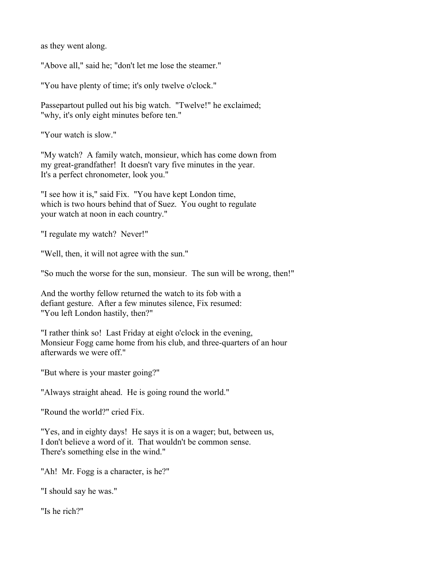as they went along.

"Above all," said he; "don't let me lose the steamer."

"You have plenty of time; it's only twelve o'clock."

Passepartout pulled out his big watch. "Twelve!" he exclaimed; "why, it's only eight minutes before ten."

"Your watch is slow."

"My watch? A family watch, monsieur, which has come down from my great-grandfather! It doesn't vary five minutes in the year. It's a perfect chronometer, look you."

"I see how it is," said Fix. "You have kept London time, which is two hours behind that of Suez. You ought to regulate your watch at noon in each country."

"I regulate my watch? Never!"

"Well, then, it will not agree with the sun."

"So much the worse for the sun, monsieur. The sun will be wrong, then!"

And the worthy fellow returned the watch to its fob with a defiant gesture. After a few minutes silence, Fix resumed: "You left London hastily, then?"

"I rather think so! Last Friday at eight o'clock in the evening, Monsieur Fogg came home from his club, and three-quarters of an hour afterwards we were off."

"But where is your master going?"

"Always straight ahead. He is going round the world."

"Round the world?" cried Fix.

"Yes, and in eighty days! He says it is on a wager; but, between us, I don't believe a word of it. That wouldn't be common sense. There's something else in the wind."

"Ah! Mr. Fogg is a character, is he?"

"I should say he was."

"Is he rich?"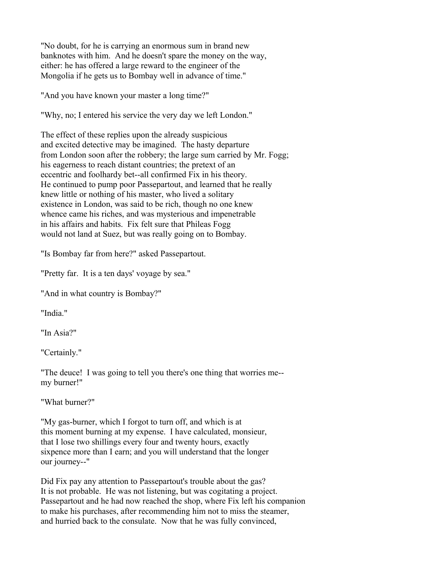"No doubt, for he is carrying an enormous sum in brand new banknotes with him. And he doesn't spare the money on the way, either: he has offered a large reward to the engineer of the Mongolia if he gets us to Bombay well in advance of time."

"And you have known your master a long time?"

"Why, no; I entered his service the very day we left London."

The effect of these replies upon the already suspicious and excited detective may be imagined. The hasty departure from London soon after the robbery; the large sum carried by Mr. Fogg; his eagerness to reach distant countries; the pretext of an eccentric and foolhardy bet--all confirmed Fix in his theory. He continued to pump poor Passepartout, and learned that he really knew little or nothing of his master, who lived a solitary existence in London, was said to be rich, though no one knew whence came his riches, and was mysterious and impenetrable in his affairs and habits. Fix felt sure that Phileas Fogg would not land at Suez, but was really going on to Bombay.

"Is Bombay far from here?" asked Passepartout.

"Pretty far. It is a ten days' voyage by sea."

"And in what country is Bombay?"

"India."

"In Asia?"

"Certainly."

"The deuce! I was going to tell you there's one thing that worries me- my burner!"

"What burner?"

"My gas-burner, which I forgot to turn off, and which is at this moment burning at my expense. I have calculated, monsieur, that I lose two shillings every four and twenty hours, exactly sixpence more than I earn; and you will understand that the longer our journey--"

Did Fix pay any attention to Passepartout's trouble about the gas? It is not probable. He was not listening, but was cogitating a project. Passepartout and he had now reached the shop, where Fix left his companion to make his purchases, after recommending him not to miss the steamer, and hurried back to the consulate. Now that he was fully convinced,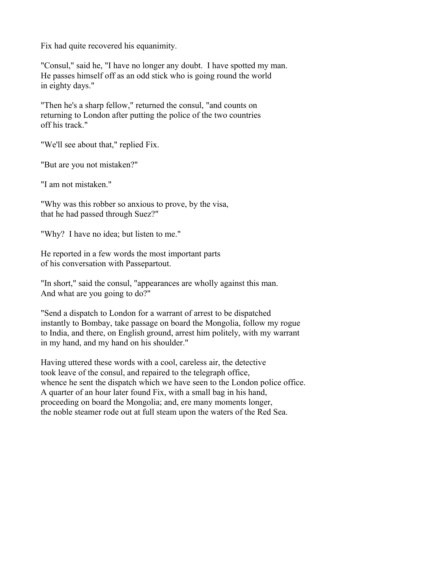Fix had quite recovered his equanimity.

"Consul," said he, "I have no longer any doubt. I have spotted my man. He passes himself off as an odd stick who is going round the world in eighty days."

"Then he's a sharp fellow," returned the consul, "and counts on returning to London after putting the police of the two countries off his track."

"We'll see about that," replied Fix.

"But are you not mistaken?"

"I am not mistaken."

"Why was this robber so anxious to prove, by the visa, that he had passed through Suez?"

"Why? I have no idea; but listen to me."

He reported in a few words the most important parts of his conversation with Passepartout.

"In short," said the consul, "appearances are wholly against this man. And what are you going to do?"

"Send a dispatch to London for a warrant of arrest to be dispatched instantly to Bombay, take passage on board the Mongolia, follow my rogue to India, and there, on English ground, arrest him politely, with my warrant in my hand, and my hand on his shoulder."

Having uttered these words with a cool, careless air, the detective took leave of the consul, and repaired to the telegraph office, whence he sent the dispatch which we have seen to the London police office. A quarter of an hour later found Fix, with a small bag in his hand, proceeding on board the Mongolia; and, ere many moments longer, the noble steamer rode out at full steam upon the waters of the Red Sea.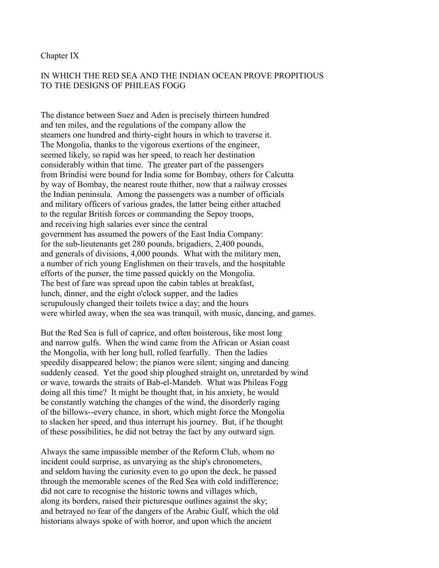#### Chapter IX

# IN WHICH THE RED SEA AND THE INDIAN OCEAN PROVE PROPITIOUS TO THE DESIGNS OF PHILEAS FOGG

The distance between Suez and Aden is precisely thirteen hundred and ten miles, and the regulations of the company allow the steamers one hundred and thirty-eight hours in which to traverse it. The Mongolia, thanks to the vigorous exertions of the engineer, seemed likely, so rapid was her speed, to reach her destination considerably within that time. The greater part of the passengers from Brindisi were bound for India some for Bombay, others for Calcutta by way of Bombay, the nearest route thither, now that a railway crosses the Indian peninsula. Among the passengers was a number of officials and military officers of various grades, the latter being either attached to the regular British forces or commanding the Sepoy troops, and receiving high salaries ever since the central government has assumed the powers of the East India Company: for the sub-lieutenants get 280 pounds, brigadiers, 2,400 pounds, and generals of divisions, 4,000 pounds. What with the military men, a number of rich young Englishmen on their travels, and the hospitable efforts of the purser, the time passed quickly on the Mongolia. The best of fare was spread upon the cabin tables at breakfast, lunch, dinner, and the eight o'clock supper, and the ladies scrupulously changed their toilets twice a day; and the hours were whirled away, when the sea was tranquil, with music, dancing, and games.

But the Red Sea is full of caprice, and often boisterous, like most long and narrow gulfs. When the wind came from the African or Asian coast the Mongolia, with her long hull, rolled fearfully. Then the ladies speedily disappeared below; the pianos were silent; singing and dancing suddenly ceased. Yet the good ship ploughed straight on, unretarded by wind or wave, towards the straits of Bab-el-Mandeb. What was Phileas Fogg doing all this time? It might be thought that, in his anxiety, he would be constantly watching the changes of the wind, the disorderly raging of the billows--every chance, in short, which might force the Mongolia to slacken her speed, and thus interrupt his journey. But, if he thought of these possibilities, he did not betray the fact by any outward sign.

Always the same impassible member of the Reform Club, whom no incident could surprise, as unvarying as the ship's chronometers, and seldom having the curiosity even to go upon the deck, he passed through the memorable scenes of the Red Sea with cold indifference; did not care to recognise the historic towns and villages which, along its borders, raised their picturesque outlines against the sky; and betrayed no fear of the dangers of the Arabic Gulf, which the old historians always spoke of with horror, and upon which the ancient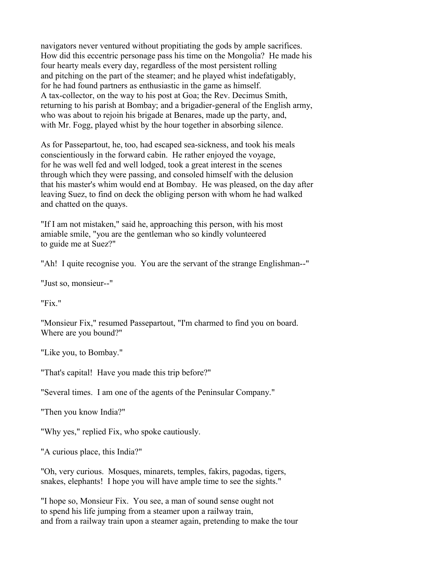navigators never ventured without propitiating the gods by ample sacrifices. How did this eccentric personage pass his time on the Mongolia? He made his four hearty meals every day, regardless of the most persistent rolling and pitching on the part of the steamer; and he played whist indefatigably, for he had found partners as enthusiastic in the game as himself. A tax-collector, on the way to his post at Goa; the Rev. Decimus Smith, returning to his parish at Bombay; and a brigadier-general of the English army, who was about to rejoin his brigade at Benares, made up the party, and, with Mr. Fogg, played whist by the hour together in absorbing silence.

As for Passepartout, he, too, had escaped sea-sickness, and took his meals conscientiously in the forward cabin. He rather enjoyed the voyage, for he was well fed and well lodged, took a great interest in the scenes through which they were passing, and consoled himself with the delusion that his master's whim would end at Bombay. He was pleased, on the day after leaving Suez, to find on deck the obliging person with whom he had walked and chatted on the quays.

"If I am not mistaken," said he, approaching this person, with his most amiable smile, "you are the gentleman who so kindly volunteered to guide me at Suez?"

"Ah! I quite recognise you. You are the servant of the strange Englishman--"

"Just so, monsieur--"

"Fix."

"Monsieur Fix," resumed Passepartout, "I'm charmed to find you on board. Where are you bound?"

"Like you, to Bombay."

"That's capital! Have you made this trip before?"

"Several times. I am one of the agents of the Peninsular Company."

"Then you know India?"

"Why yes," replied Fix, who spoke cautiously.

"A curious place, this India?"

"Oh, very curious. Mosques, minarets, temples, fakirs, pagodas, tigers, snakes, elephants! I hope you will have ample time to see the sights."

"I hope so, Monsieur Fix. You see, a man of sound sense ought not to spend his life jumping from a steamer upon a railway train, and from a railway train upon a steamer again, pretending to make the tour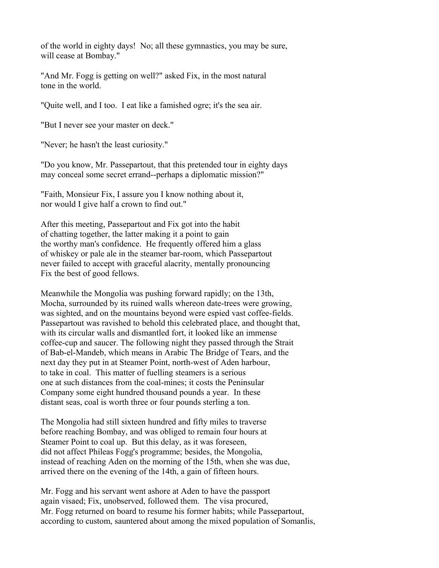of the world in eighty days! No; all these gymnastics, you may be sure, will cease at Bombay."

"And Mr. Fogg is getting on well?" asked Fix, in the most natural tone in the world.

"Quite well, and I too. I eat like a famished ogre; it's the sea air.

"But I never see your master on deck."

"Never; he hasn't the least curiosity."

"Do you know, Mr. Passepartout, that this pretended tour in eighty days may conceal some secret errand--perhaps a diplomatic mission?"

"Faith, Monsieur Fix, I assure you I know nothing about it, nor would I give half a crown to find out."

After this meeting, Passepartout and Fix got into the habit of chatting together, the latter making it a point to gain the worthy man's confidence. He frequently offered him a glass of whiskey or pale ale in the steamer bar-room, which Passepartout never failed to accept with graceful alacrity, mentally pronouncing Fix the best of good fellows.

Meanwhile the Mongolia was pushing forward rapidly; on the 13th, Mocha, surrounded by its ruined walls whereon date-trees were growing, was sighted, and on the mountains beyond were espied vast coffee-fields. Passepartout was ravished to behold this celebrated place, and thought that, with its circular walls and dismantled fort, it looked like an immense coffee-cup and saucer. The following night they passed through the Strait of Bab-el-Mandeb, which means in Arabic The Bridge of Tears, and the next day they put in at Steamer Point, north-west of Aden harbour, to take in coal. This matter of fuelling steamers is a serious one at such distances from the coal-mines; it costs the Peninsular Company some eight hundred thousand pounds a year. In these distant seas, coal is worth three or four pounds sterling a ton.

The Mongolia had still sixteen hundred and fifty miles to traverse before reaching Bombay, and was obliged to remain four hours at Steamer Point to coal up. But this delay, as it was foreseen, did not affect Phileas Fogg's programme; besides, the Mongolia, instead of reaching Aden on the morning of the 15th, when she was due, arrived there on the evening of the 14th, a gain of fifteen hours.

Mr. Fogg and his servant went ashore at Aden to have the passport again visaed; Fix, unobserved, followed them. The visa procured, Mr. Fogg returned on board to resume his former habits; while Passepartout, according to custom, sauntered about among the mixed population of Somanlis,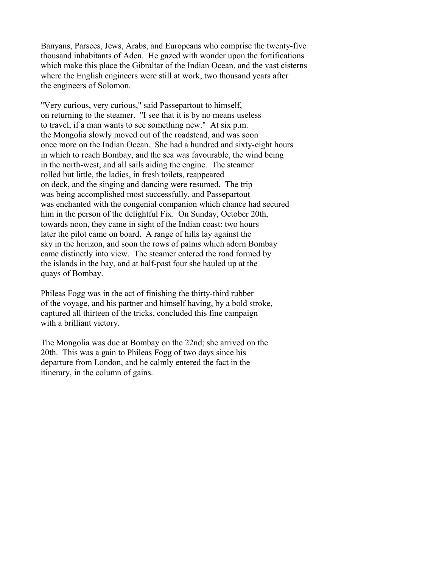Banyans, Parsees, Jews, Arabs, and Europeans who comprise the twenty-five thousand inhabitants of Aden. He gazed with wonder upon the fortifications which make this place the Gibraltar of the Indian Ocean, and the vast cisterns where the English engineers were still at work, two thousand years after the engineers of Solomon.

"Very curious, very curious," said Passepartout to himself, on returning to the steamer. "I see that it is by no means useless to travel, if a man wants to see something new." At six p.m. the Mongolia slowly moved out of the roadstead, and was soon once more on the Indian Ocean. She had a hundred and sixty-eight hours in which to reach Bombay, and the sea was favourable, the wind being in the north-west, and all sails aiding the engine. The steamer rolled but little, the ladies, in fresh toilets, reappeared on deck, and the singing and dancing were resumed. The trip was being accomplished most successfully, and Passepartout was enchanted with the congenial companion which chance had secured him in the person of the delightful Fix. On Sunday, October 20th, towards noon, they came in sight of the Indian coast: two hours later the pilot came on board. A range of hills lay against the sky in the horizon, and soon the rows of palms which adorn Bombay came distinctly into view. The steamer entered the road formed by the islands in the bay, and at half-past four she hauled up at the quays of Bombay.

Phileas Fogg was in the act of finishing the thirty-third rubber of the voyage, and his partner and himself having, by a bold stroke, captured all thirteen of the tricks, concluded this fine campaign with a brilliant victory.

The Mongolia was due at Bombay on the 22nd; she arrived on the 20th. This was a gain to Phileas Fogg of two days since his departure from London, and he calmly entered the fact in the itinerary, in the column of gains.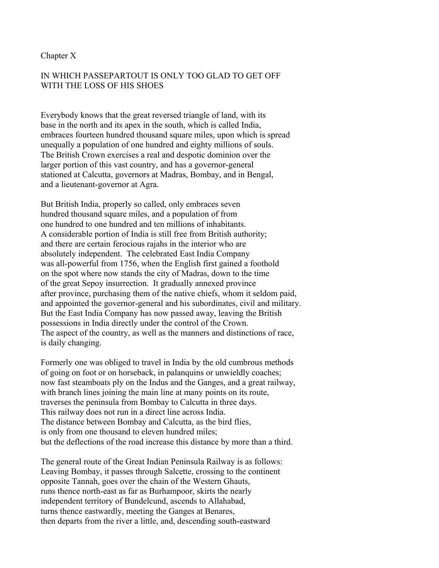#### Chapter X

# IN WHICH PASSEPARTOUT IS ONLY TOO GLAD TO GET OFF WITH THE LOSS OF HIS SHOES

Everybody knows that the great reversed triangle of land, with its base in the north and its apex in the south, which is called India, embraces fourteen hundred thousand square miles, upon which is spread unequally a population of one hundred and eighty millions of souls. The British Crown exercises a real and despotic dominion over the larger portion of this vast country, and has a governor-general stationed at Calcutta, governors at Madras, Bombay, and in Bengal, and a lieutenant-governor at Agra.

But British India, properly so called, only embraces seven hundred thousand square miles, and a population of from one hundred to one hundred and ten millions of inhabitants. A considerable portion of India is still free from British authority; and there are certain ferocious rajahs in the interior who are absolutely independent. The celebrated East India Company was all-powerful from 1756, when the English first gained a foothold on the spot where now stands the city of Madras, down to the time of the great Sepoy insurrection. It gradually annexed province after province, purchasing them of the native chiefs, whom it seldom paid, and appointed the governor-general and his subordinates, civil and military. But the East India Company has now passed away, leaving the British possessions in India directly under the control of the Crown. The aspect of the country, as well as the manners and distinctions of race, is daily changing.

Formerly one was obliged to travel in India by the old cumbrous methods of going on foot or on horseback, in palanquins or unwieldly coaches; now fast steamboats ply on the Indus and the Ganges, and a great railway, with branch lines joining the main line at many points on its route, traverses the peninsula from Bombay to Calcutta in three days. This railway does not run in a direct line across India. The distance between Bombay and Calcutta, as the bird flies, is only from one thousand to eleven hundred miles; but the deflections of the road increase this distance by more than a third.

The general route of the Great Indian Peninsula Railway is as follows: Leaving Bombay, it passes through Salcette, crossing to the continent opposite Tannah, goes over the chain of the Western Ghauts, runs thence north-east as far as Burhampoor, skirts the nearly independent territory of Bundelcund, ascends to Allahabad, turns thence eastwardly, meeting the Ganges at Benares, then departs from the river a little, and, descending south-eastward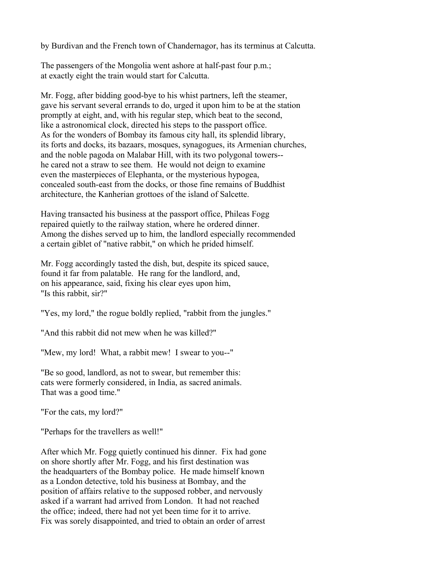by Burdivan and the French town of Chandernagor, has its terminus at Calcutta.

The passengers of the Mongolia went ashore at half-past four p.m.; at exactly eight the train would start for Calcutta.

Mr. Fogg, after bidding good-bye to his whist partners, left the steamer, gave his servant several errands to do, urged it upon him to be at the station promptly at eight, and, with his regular step, which beat to the second, like a astronomical clock, directed his steps to the passport office. As for the wonders of Bombay its famous city hall, its splendid library, its forts and docks, its bazaars, mosques, synagogues, its Armenian churches, and the noble pagoda on Malabar Hill, with its two polygonal towers- he cared not a straw to see them. He would not deign to examine even the masterpieces of Elephanta, or the mysterious hypogea, concealed south-east from the docks, or those fine remains of Buddhist architecture, the Kanherian grottoes of the island of Salcette.

Having transacted his business at the passport office, Phileas Fogg repaired quietly to the railway station, where he ordered dinner. Among the dishes served up to him, the landlord especially recommended a certain giblet of "native rabbit," on which he prided himself.

Mr. Fogg accordingly tasted the dish, but, despite its spiced sauce, found it far from palatable. He rang for the landlord, and, on his appearance, said, fixing his clear eyes upon him, "Is this rabbit, sir?"

"Yes, my lord," the rogue boldly replied, "rabbit from the jungles."

"And this rabbit did not mew when he was killed?"

"Mew, my lord! What, a rabbit mew! I swear to you--"

"Be so good, landlord, as not to swear, but remember this: cats were formerly considered, in India, as sacred animals. That was a good time."

"For the cats, my lord?"

"Perhaps for the travellers as well!"

After which Mr. Fogg quietly continued his dinner. Fix had gone on shore shortly after Mr. Fogg, and his first destination was the headquarters of the Bombay police. He made himself known as a London detective, told his business at Bombay, and the position of affairs relative to the supposed robber, and nervously asked if a warrant had arrived from London. It had not reached the office; indeed, there had not yet been time for it to arrive. Fix was sorely disappointed, and tried to obtain an order of arrest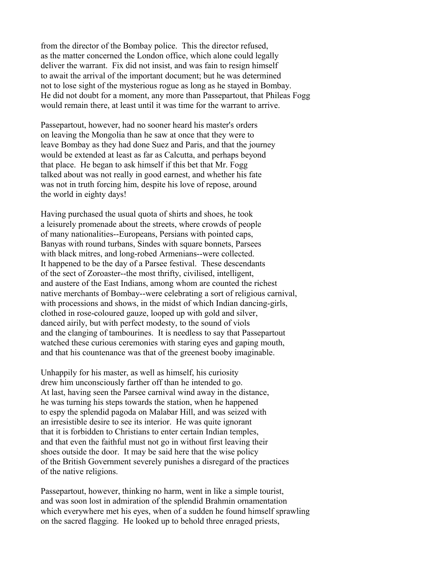from the director of the Bombay police. This the director refused, as the matter concerned the London office, which alone could legally deliver the warrant. Fix did not insist, and was fain to resign himself to await the arrival of the important document; but he was determined not to lose sight of the mysterious rogue as long as he stayed in Bombay. He did not doubt for a moment, any more than Passepartout, that Phileas Fogg would remain there, at least until it was time for the warrant to arrive.

Passepartout, however, had no sooner heard his master's orders on leaving the Mongolia than he saw at once that they were to leave Bombay as they had done Suez and Paris, and that the journey would be extended at least as far as Calcutta, and perhaps beyond that place. He began to ask himself if this bet that Mr. Fogg talked about was not really in good earnest, and whether his fate was not in truth forcing him, despite his love of repose, around the world in eighty days!

Having purchased the usual quota of shirts and shoes, he took a leisurely promenade about the streets, where crowds of people of many nationalities--Europeans, Persians with pointed caps, Banyas with round turbans, Sindes with square bonnets, Parsees with black mitres, and long-robed Armenians--were collected. It happened to be the day of a Parsee festival. These descendants of the sect of Zoroaster--the most thrifty, civilised, intelligent, and austere of the East Indians, among whom are counted the richest native merchants of Bombay--were celebrating a sort of religious carnival, with processions and shows, in the midst of which Indian dancing-girls, clothed in rose-coloured gauze, looped up with gold and silver, danced airily, but with perfect modesty, to the sound of viols and the clanging of tambourines. It is needless to say that Passepartout watched these curious ceremonies with staring eyes and gaping mouth, and that his countenance was that of the greenest booby imaginable.

Unhappily for his master, as well as himself, his curiosity drew him unconsciously farther off than he intended to go. At last, having seen the Parsee carnival wind away in the distance, he was turning his steps towards the station, when he happened to espy the splendid pagoda on Malabar Hill, and was seized with an irresistible desire to see its interior. He was quite ignorant that it is forbidden to Christians to enter certain Indian temples, and that even the faithful must not go in without first leaving their shoes outside the door. It may be said here that the wise policy of the British Government severely punishes a disregard of the practices of the native religions.

Passepartout, however, thinking no harm, went in like a simple tourist, and was soon lost in admiration of the splendid Brahmin ornamentation which everywhere met his eyes, when of a sudden he found himself sprawling on the sacred flagging. He looked up to behold three enraged priests,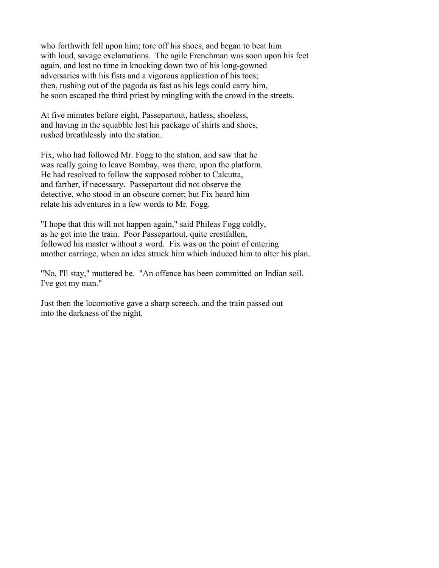who forthwith fell upon him; tore off his shoes, and began to beat him with loud, savage exclamations. The agile Frenchman was soon upon his feet again, and lost no time in knocking down two of his long-gowned adversaries with his fists and a vigorous application of his toes; then, rushing out of the pagoda as fast as his legs could carry him, he soon escaped the third priest by mingling with the crowd in the streets.

At five minutes before eight, Passepartout, hatless, shoeless, and having in the squabble lost his package of shirts and shoes, rushed breathlessly into the station.

Fix, who had followed Mr. Fogg to the station, and saw that he was really going to leave Bombay, was there, upon the platform. He had resolved to follow the supposed robber to Calcutta, and farther, if necessary. Passepartout did not observe the detective, who stood in an obscure corner; but Fix heard him relate his adventures in a few words to Mr. Fogg.

"I hope that this will not happen again," said Phileas Fogg coldly, as he got into the train. Poor Passepartout, quite crestfallen, followed his master without a word. Fix was on the point of entering another carriage, when an idea struck him which induced him to alter his plan.

"No, I'll stay," muttered he. "An offence has been committed on Indian soil. I've got my man."

Just then the locomotive gave a sharp screech, and the train passed out into the darkness of the night.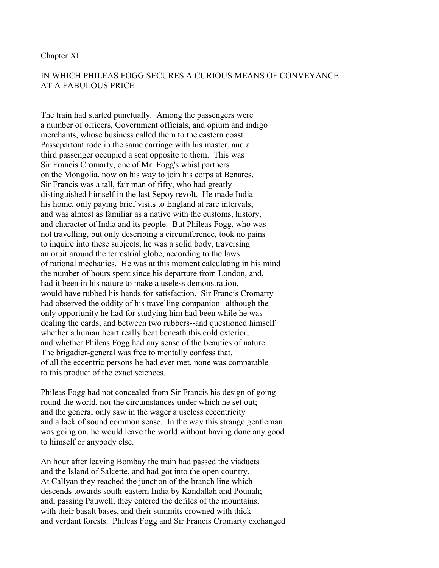#### Chapter XI

# IN WHICH PHILEAS FOGG SECURES A CURIOUS MEANS OF CONVEYANCE AT A FABULOUS PRICE

The train had started punctually. Among the passengers were a number of officers, Government officials, and opium and indigo merchants, whose business called them to the eastern coast. Passepartout rode in the same carriage with his master, and a third passenger occupied a seat opposite to them. This was Sir Francis Cromarty, one of Mr. Fogg's whist partners on the Mongolia, now on his way to join his corps at Benares. Sir Francis was a tall, fair man of fifty, who had greatly distinguished himself in the last Sepoy revolt. He made India his home, only paying brief visits to England at rare intervals; and was almost as familiar as a native with the customs, history, and character of India and its people. But Phileas Fogg, who was not travelling, but only describing a circumference, took no pains to inquire into these subjects; he was a solid body, traversing an orbit around the terrestrial globe, according to the laws of rational mechanics. He was at this moment calculating in his mind the number of hours spent since his departure from London, and, had it been in his nature to make a useless demonstration, would have rubbed his hands for satisfaction. Sir Francis Cromarty had observed the oddity of his travelling companion--although the only opportunity he had for studying him had been while he was dealing the cards, and between two rubbers--and questioned himself whether a human heart really beat beneath this cold exterior, and whether Phileas Fogg had any sense of the beauties of nature. The brigadier-general was free to mentally confess that, of all the eccentric persons he had ever met, none was comparable to this product of the exact sciences.

Phileas Fogg had not concealed from Sir Francis his design of going round the world, nor the circumstances under which he set out; and the general only saw in the wager a useless eccentricity and a lack of sound common sense. In the way this strange gentleman was going on, he would leave the world without having done any good to himself or anybody else.

An hour after leaving Bombay the train had passed the viaducts and the Island of Salcette, and had got into the open country. At Callyan they reached the junction of the branch line which descends towards south-eastern India by Kandallah and Pounah; and, passing Pauwell, they entered the defiles of the mountains, with their basalt bases, and their summits crowned with thick and verdant forests. Phileas Fogg and Sir Francis Cromarty exchanged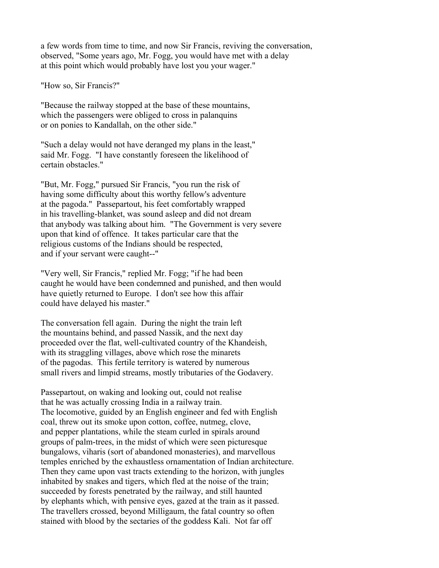a few words from time to time, and now Sir Francis, reviving the conversation, observed, "Some years ago, Mr. Fogg, you would have met with a delay at this point which would probably have lost you your wager."

"How so, Sir Francis?"

"Because the railway stopped at the base of these mountains, which the passengers were obliged to cross in palanquins or on ponies to Kandallah, on the other side."

"Such a delay would not have deranged my plans in the least," said Mr. Fogg. "I have constantly foreseen the likelihood of certain obstacles."

"But, Mr. Fogg," pursued Sir Francis, "you run the risk of having some difficulty about this worthy fellow's adventure at the pagoda." Passepartout, his feet comfortably wrapped in his travelling-blanket, was sound asleep and did not dream that anybody was talking about him. "The Government is very severe upon that kind of offence. It takes particular care that the religious customs of the Indians should be respected, and if your servant were caught--"

"Very well, Sir Francis," replied Mr. Fogg; "if he had been caught he would have been condemned and punished, and then would have quietly returned to Europe. I don't see how this affair could have delayed his master."

The conversation fell again. During the night the train left the mountains behind, and passed Nassik, and the next day proceeded over the flat, well-cultivated country of the Khandeish, with its straggling villages, above which rose the minarets of the pagodas. This fertile territory is watered by numerous small rivers and limpid streams, mostly tributaries of the Godavery.

Passepartout, on waking and looking out, could not realise that he was actually crossing India in a railway train. The locomotive, guided by an English engineer and fed with English coal, threw out its smoke upon cotton, coffee, nutmeg, clove, and pepper plantations, while the steam curled in spirals around groups of palm-trees, in the midst of which were seen picturesque bungalows, viharis (sort of abandoned monasteries), and marvellous temples enriched by the exhaustless ornamentation of Indian architecture. Then they came upon vast tracts extending to the horizon, with jungles inhabited by snakes and tigers, which fled at the noise of the train; succeeded by forests penetrated by the railway, and still haunted by elephants which, with pensive eyes, gazed at the train as it passed. The travellers crossed, beyond Milligaum, the fatal country so often stained with blood by the sectaries of the goddess Kali. Not far off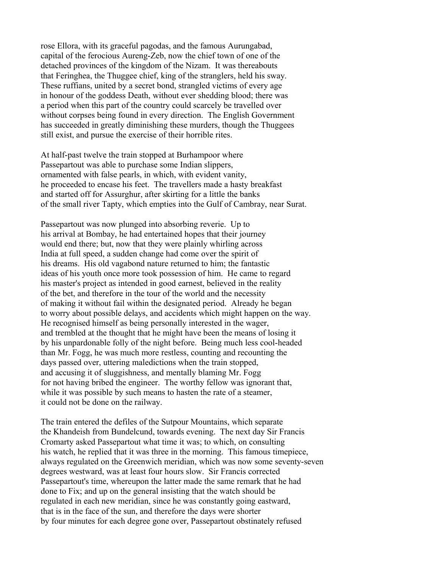rose Ellora, with its graceful pagodas, and the famous Aurungabad, capital of the ferocious Aureng-Zeb, now the chief town of one of the detached provinces of the kingdom of the Nizam. It was thereabouts that Feringhea, the Thuggee chief, king of the stranglers, held his sway. These ruffians, united by a secret bond, strangled victims of every age in honour of the goddess Death, without ever shedding blood; there was a period when this part of the country could scarcely be travelled over without corpses being found in every direction. The English Government has succeeded in greatly diminishing these murders, though the Thuggees still exist, and pursue the exercise of their horrible rites.

At half-past twelve the train stopped at Burhampoor where Passepartout was able to purchase some Indian slippers, ornamented with false pearls, in which, with evident vanity, he proceeded to encase his feet. The travellers made a hasty breakfast and started off for Assurghur, after skirting for a little the banks of the small river Tapty, which empties into the Gulf of Cambray, near Surat.

Passepartout was now plunged into absorbing reverie. Up to his arrival at Bombay, he had entertained hopes that their journey would end there; but, now that they were plainly whirling across India at full speed, a sudden change had come over the spirit of his dreams. His old vagabond nature returned to him; the fantastic ideas of his youth once more took possession of him. He came to regard his master's project as intended in good earnest, believed in the reality of the bet, and therefore in the tour of the world and the necessity of making it without fail within the designated period. Already he began to worry about possible delays, and accidents which might happen on the way. He recognised himself as being personally interested in the wager, and trembled at the thought that he might have been the means of losing it by his unpardonable folly of the night before. Being much less cool-headed than Mr. Fogg, he was much more restless, counting and recounting the days passed over, uttering maledictions when the train stopped, and accusing it of sluggishness, and mentally blaming Mr. Fogg for not having bribed the engineer. The worthy fellow was ignorant that, while it was possible by such means to hasten the rate of a steamer, it could not be done on the railway.

The train entered the defiles of the Sutpour Mountains, which separate the Khandeish from Bundelcund, towards evening. The next day Sir Francis Cromarty asked Passepartout what time it was; to which, on consulting his watch, he replied that it was three in the morning. This famous timepiece, always regulated on the Greenwich meridian, which was now some seventy-seven degrees westward, was at least four hours slow. Sir Francis corrected Passepartout's time, whereupon the latter made the same remark that he had done to Fix; and up on the general insisting that the watch should be regulated in each new meridian, since he was constantly going eastward, that is in the face of the sun, and therefore the days were shorter by four minutes for each degree gone over, Passepartout obstinately refused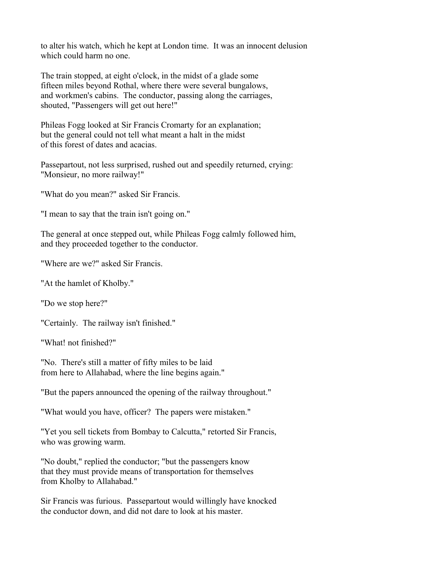to alter his watch, which he kept at London time. It was an innocent delusion which could harm no one.

The train stopped, at eight o'clock, in the midst of a glade some fifteen miles beyond Rothal, where there were several bungalows, and workmen's cabins. The conductor, passing along the carriages, shouted, "Passengers will get out here!"

Phileas Fogg looked at Sir Francis Cromarty for an explanation; but the general could not tell what meant a halt in the midst of this forest of dates and acacias.

Passepartout, not less surprised, rushed out and speedily returned, crying: "Monsieur, no more railway!"

"What do you mean?" asked Sir Francis.

"I mean to say that the train isn't going on."

The general at once stepped out, while Phileas Fogg calmly followed him, and they proceeded together to the conductor.

"Where are we?" asked Sir Francis.

"At the hamlet of Kholby."

"Do we stop here?"

"Certainly. The railway isn't finished."

"What! not finished?"

"No. There's still a matter of fifty miles to be laid from here to Allahabad, where the line begins again."

"But the papers announced the opening of the railway throughout."

"What would you have, officer? The papers were mistaken."

"Yet you sell tickets from Bombay to Calcutta," retorted Sir Francis, who was growing warm.

"No doubt," replied the conductor; "but the passengers know that they must provide means of transportation for themselves from Kholby to Allahabad."

Sir Francis was furious. Passepartout would willingly have knocked the conductor down, and did not dare to look at his master.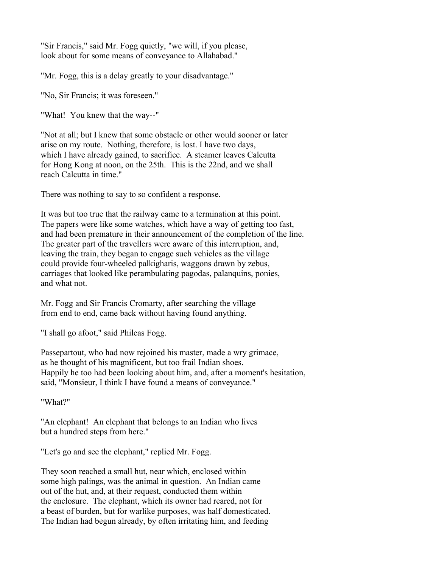"Sir Francis," said Mr. Fogg quietly, "we will, if you please, look about for some means of conveyance to Allahabad."

"Mr. Fogg, this is a delay greatly to your disadvantage."

"No, Sir Francis; it was foreseen."

"What! You knew that the way--"

"Not at all; but I knew that some obstacle or other would sooner or later arise on my route. Nothing, therefore, is lost. I have two days, which I have already gained, to sacrifice. A steamer leaves Calcutta for Hong Kong at noon, on the 25th. This is the 22nd, and we shall reach Calcutta in time."

There was nothing to say to so confident a response.

It was but too true that the railway came to a termination at this point. The papers were like some watches, which have a way of getting too fast, and had been premature in their announcement of the completion of the line. The greater part of the travellers were aware of this interruption, and, leaving the train, they began to engage such vehicles as the village could provide four-wheeled palkigharis, waggons drawn by zebus, carriages that looked like perambulating pagodas, palanquins, ponies, and what not.

Mr. Fogg and Sir Francis Cromarty, after searching the village from end to end, came back without having found anything.

"I shall go afoot," said Phileas Fogg.

Passepartout, who had now rejoined his master, made a wry grimace, as he thought of his magnificent, but too frail Indian shoes. Happily he too had been looking about him, and, after a moment's hesitation, said, "Monsieur, I think I have found a means of conveyance."

"What?"

"An elephant! An elephant that belongs to an Indian who lives but a hundred steps from here."

"Let's go and see the elephant," replied Mr. Fogg.

They soon reached a small hut, near which, enclosed within some high palings, was the animal in question. An Indian came out of the hut, and, at their request, conducted them within the enclosure. The elephant, which its owner had reared, not for a beast of burden, but for warlike purposes, was half domesticated. The Indian had begun already, by often irritating him, and feeding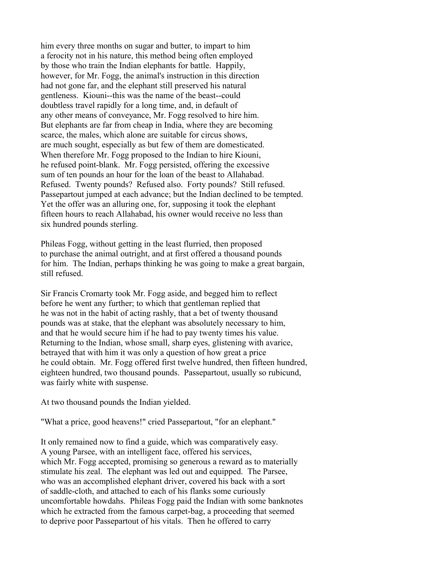him every three months on sugar and butter, to impart to him a ferocity not in his nature, this method being often employed by those who train the Indian elephants for battle. Happily, however, for Mr. Fogg, the animal's instruction in this direction had not gone far, and the elephant still preserved his natural gentleness. Kiouni--this was the name of the beast--could doubtless travel rapidly for a long time, and, in default of any other means of conveyance, Mr. Fogg resolved to hire him. But elephants are far from cheap in India, where they are becoming scarce, the males, which alone are suitable for circus shows, are much sought, especially as but few of them are domesticated. When therefore Mr. Fogg proposed to the Indian to hire Kiouni, he refused point-blank. Mr. Fogg persisted, offering the excessive sum of ten pounds an hour for the loan of the beast to Allahabad. Refused. Twenty pounds? Refused also. Forty pounds? Still refused. Passepartout jumped at each advance; but the Indian declined to be tempted. Yet the offer was an alluring one, for, supposing it took the elephant fifteen hours to reach Allahabad, his owner would receive no less than six hundred pounds sterling.

Phileas Fogg, without getting in the least flurried, then proposed to purchase the animal outright, and at first offered a thousand pounds for him. The Indian, perhaps thinking he was going to make a great bargain, still refused.

Sir Francis Cromarty took Mr. Fogg aside, and begged him to reflect before he went any further; to which that gentleman replied that he was not in the habit of acting rashly, that a bet of twenty thousand pounds was at stake, that the elephant was absolutely necessary to him, and that he would secure him if he had to pay twenty times his value. Returning to the Indian, whose small, sharp eyes, glistening with avarice, betrayed that with him it was only a question of how great a price he could obtain. Mr. Fogg offered first twelve hundred, then fifteen hundred, eighteen hundred, two thousand pounds. Passepartout, usually so rubicund, was fairly white with suspense.

At two thousand pounds the Indian yielded.

"What a price, good heavens!" cried Passepartout, "for an elephant."

It only remained now to find a guide, which was comparatively easy. A young Parsee, with an intelligent face, offered his services, which Mr. Fogg accepted, promising so generous a reward as to materially stimulate his zeal. The elephant was led out and equipped. The Parsee, who was an accomplished elephant driver, covered his back with a sort of saddle-cloth, and attached to each of his flanks some curiously uncomfortable howdahs. Phileas Fogg paid the Indian with some banknotes which he extracted from the famous carpet-bag, a proceeding that seemed to deprive poor Passepartout of his vitals. Then he offered to carry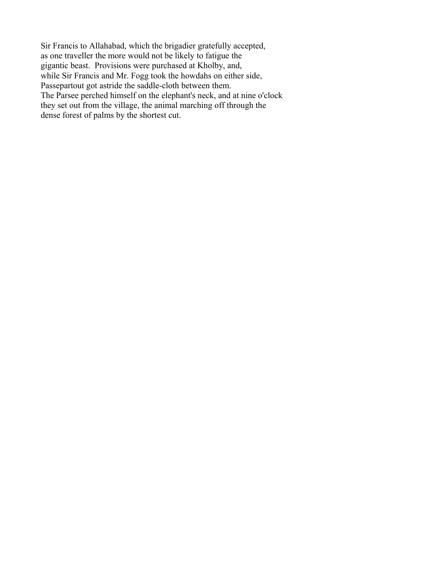Sir Francis to Allahabad, which the brigadier gratefully accepted, as one traveller the more would not be likely to fatigue the gigantic beast. Provisions were purchased at Kholby, and, while Sir Francis and Mr. Fogg took the howdahs on either side, Passepartout got astride the saddle-cloth between them. The Parsee perched himself on the elephant's neck, and at nine o'clock they set out from the village, the animal marching off through the dense forest of palms by the shortest cut.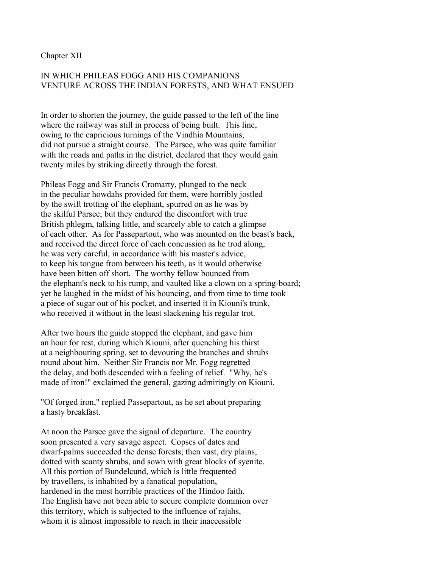Chapter XII

# IN WHICH PHILEAS FOGG AND HIS COMPANIONS VENTURE ACROSS THE INDIAN FORESTS, AND WHAT ENSUED

In order to shorten the journey, the guide passed to the left of the line where the railway was still in process of being built. This line, owing to the capricious turnings of the Vindhia Mountains, did not pursue a straight course. The Parsee, who was quite familiar with the roads and paths in the district, declared that they would gain twenty miles by striking directly through the forest.

Phileas Fogg and Sir Francis Cromarty, plunged to the neck in the peculiar howdahs provided for them, were horribly jostled by the swift trotting of the elephant, spurred on as he was by the skilful Parsee; but they endured the discomfort with true British phlegm, talking little, and scarcely able to catch a glimpse of each other. As for Passepartout, who was mounted on the beast's back, and received the direct force of each concussion as he trod along, he was very careful, in accordance with his master's advice, to keep his tongue from between his teeth, as it would otherwise have been bitten off short. The worthy fellow bounced from the elephant's neck to his rump, and vaulted like a clown on a spring-board; yet he laughed in the midst of his bouncing, and from time to time took a piece of sugar out of his pocket, and inserted it in Kiouni's trunk, who received it without in the least slackening his regular trot.

After two hours the guide stopped the elephant, and gave him an hour for rest, during which Kiouni, after quenching his thirst at a neighbouring spring, set to devouring the branches and shrubs round about him. Neither Sir Francis nor Mr. Fogg regretted the delay, and both descended with a feeling of relief. "Why, he's made of iron!" exclaimed the general, gazing admiringly on Kiouni.

"Of forged iron," replied Passepartout, as he set about preparing a hasty breakfast.

At noon the Parsee gave the signal of departure. The country soon presented a very savage aspect. Copses of dates and dwarf-palms succeeded the dense forests; then vast, dry plains, dotted with scanty shrubs, and sown with great blocks of syenite. All this portion of Bundelcund, which is little frequented by travellers, is inhabited by a fanatical population, hardened in the most horrible practices of the Hindoo faith. The English have not been able to secure complete dominion over this territory, which is subjected to the influence of rajahs, whom it is almost impossible to reach in their inaccessible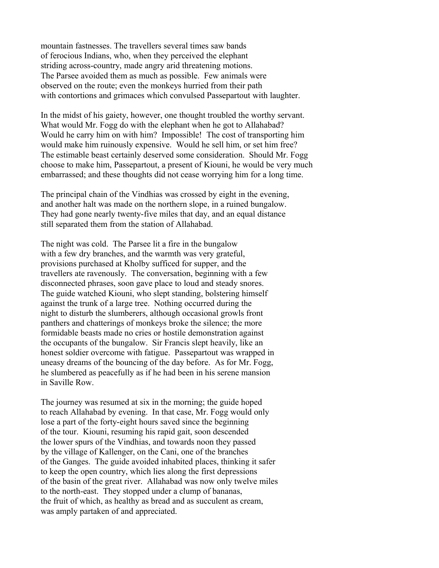mountain fastnesses. The travellers several times saw bands of ferocious Indians, who, when they perceived the elephant striding across-country, made angry arid threatening motions. The Parsee avoided them as much as possible. Few animals were observed on the route; even the monkeys hurried from their path with contortions and grimaces which convulsed Passepartout with laughter.

In the midst of his gaiety, however, one thought troubled the worthy servant. What would Mr. Fogg do with the elephant when he got to Allahabad? Would he carry him on with him? Impossible! The cost of transporting him would make him ruinously expensive. Would he sell him, or set him free? The estimable beast certainly deserved some consideration. Should Mr. Fogg choose to make him, Passepartout, a present of Kiouni, he would be very much embarrassed; and these thoughts did not cease worrying him for a long time.

The principal chain of the Vindhias was crossed by eight in the evening, and another halt was made on the northern slope, in a ruined bungalow. They had gone nearly twenty-five miles that day, and an equal distance still separated them from the station of Allahabad.

The night was cold. The Parsee lit a fire in the bungalow with a few dry branches, and the warmth was very grateful, provisions purchased at Kholby sufficed for supper, and the travellers ate ravenously. The conversation, beginning with a few disconnected phrases, soon gave place to loud and steady snores. The guide watched Kiouni, who slept standing, bolstering himself against the trunk of a large tree. Nothing occurred during the night to disturb the slumberers, although occasional growls front panthers and chatterings of monkeys broke the silence; the more formidable beasts made no cries or hostile demonstration against the occupants of the bungalow. Sir Francis slept heavily, like an honest soldier overcome with fatigue. Passepartout was wrapped in uneasy dreams of the bouncing of the day before. As for Mr. Fogg, he slumbered as peacefully as if he had been in his serene mansion in Saville Row.

The journey was resumed at six in the morning; the guide hoped to reach Allahabad by evening. In that case, Mr. Fogg would only lose a part of the forty-eight hours saved since the beginning of the tour. Kiouni, resuming his rapid gait, soon descended the lower spurs of the Vindhias, and towards noon they passed by the village of Kallenger, on the Cani, one of the branches of the Ganges. The guide avoided inhabited places, thinking it safer to keep the open country, which lies along the first depressions of the basin of the great river. Allahabad was now only twelve miles to the north-east. They stopped under a clump of bananas, the fruit of which, as healthy as bread and as succulent as cream, was amply partaken of and appreciated.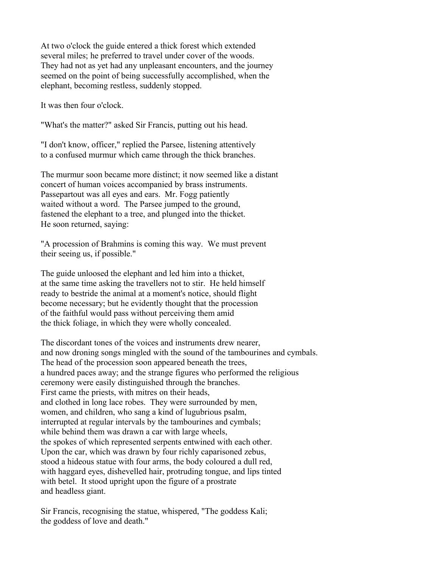At two o'clock the guide entered a thick forest which extended several miles; he preferred to travel under cover of the woods. They had not as yet had any unpleasant encounters, and the journey seemed on the point of being successfully accomplished, when the elephant, becoming restless, suddenly stopped.

It was then four o'clock.

"What's the matter?" asked Sir Francis, putting out his head.

"I don't know, officer," replied the Parsee, listening attentively to a confused murmur which came through the thick branches.

The murmur soon became more distinct; it now seemed like a distant concert of human voices accompanied by brass instruments. Passepartout was all eyes and ears. Mr. Fogg patiently waited without a word. The Parsee jumped to the ground, fastened the elephant to a tree, and plunged into the thicket. He soon returned, saying:

"A procession of Brahmins is coming this way. We must prevent their seeing us, if possible."

The guide unloosed the elephant and led him into a thicket, at the same time asking the travellers not to stir. He held himself ready to bestride the animal at a moment's notice, should flight become necessary; but he evidently thought that the procession of the faithful would pass without perceiving them amid the thick foliage, in which they were wholly concealed.

The discordant tones of the voices and instruments drew nearer, and now droning songs mingled with the sound of the tambourines and cymbals. The head of the procession soon appeared beneath the trees, a hundred paces away; and the strange figures who performed the religious ceremony were easily distinguished through the branches. First came the priests, with mitres on their heads, and clothed in long lace robes. They were surrounded by men, women, and children, who sang a kind of lugubrious psalm, interrupted at regular intervals by the tambourines and cymbals; while behind them was drawn a car with large wheels, the spokes of which represented serpents entwined with each other. Upon the car, which was drawn by four richly caparisoned zebus, stood a hideous statue with four arms, the body coloured a dull red, with haggard eyes, dishevelled hair, protruding tongue, and lips tinted with betel. It stood upright upon the figure of a prostrate and headless giant.

Sir Francis, recognising the statue, whispered, "The goddess Kali; the goddess of love and death."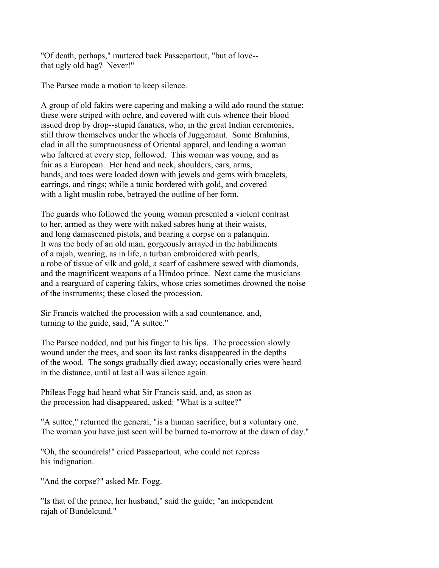"Of death, perhaps," muttered back Passepartout, "but of love- that ugly old hag? Never!"

The Parsee made a motion to keep silence.

A group of old fakirs were capering and making a wild ado round the statue; these were striped with ochre, and covered with cuts whence their blood issued drop by drop--stupid fanatics, who, in the great Indian ceremonies, still throw themselves under the wheels of Juggernaut. Some Brahmins, clad in all the sumptuousness of Oriental apparel, and leading a woman who faltered at every step, followed. This woman was young, and as fair as a European. Her head and neck, shoulders, ears, arms, hands, and toes were loaded down with jewels and gems with bracelets, earrings, and rings; while a tunic bordered with gold, and covered with a light muslin robe, betrayed the outline of her form.

The guards who followed the young woman presented a violent contrast to her, armed as they were with naked sabres hung at their waists, and long damascened pistols, and bearing a corpse on a palanquin. It was the body of an old man, gorgeously arrayed in the habiliments of a rajah, wearing, as in life, a turban embroidered with pearls, a robe of tissue of silk and gold, a scarf of cashmere sewed with diamonds, and the magnificent weapons of a Hindoo prince. Next came the musicians and a rearguard of capering fakirs, whose cries sometimes drowned the noise of the instruments; these closed the procession.

Sir Francis watched the procession with a sad countenance, and, turning to the guide, said, "A suttee."

The Parsee nodded, and put his finger to his lips. The procession slowly wound under the trees, and soon its last ranks disappeared in the depths of the wood. The songs gradually died away; occasionally cries were heard in the distance, until at last all was silence again.

Phileas Fogg had heard what Sir Francis said, and, as soon as the procession had disappeared, asked: "What is a suttee?"

"A suttee," returned the general, "is a human sacrifice, but a voluntary one. The woman you have just seen will be burned to-morrow at the dawn of day."

"Oh, the scoundrels!" cried Passepartout, who could not repress his indignation.

"And the corpse?" asked Mr. Fogg.

"Is that of the prince, her husband," said the guide; "an independent rajah of Bundelcund."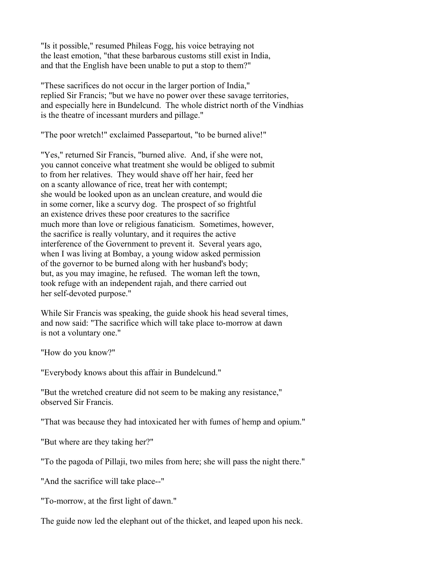"Is it possible," resumed Phileas Fogg, his voice betraying not the least emotion, "that these barbarous customs still exist in India, and that the English have been unable to put a stop to them?"

"These sacrifices do not occur in the larger portion of India," replied Sir Francis; "but we have no power over these savage territories, and especially here in Bundelcund. The whole district north of the Vindhias is the theatre of incessant murders and pillage."

"The poor wretch!" exclaimed Passepartout, "to be burned alive!"

"Yes," returned Sir Francis, "burned alive. And, if she were not, you cannot conceive what treatment she would be obliged to submit to from her relatives. They would shave off her hair, feed her on a scanty allowance of rice, treat her with contempt; she would be looked upon as an unclean creature, and would die in some corner, like a scurvy dog. The prospect of so frightful an existence drives these poor creatures to the sacrifice much more than love or religious fanaticism. Sometimes, however, the sacrifice is really voluntary, and it requires the active interference of the Government to prevent it. Several years ago, when I was living at Bombay, a young widow asked permission of the governor to be burned along with her husband's body; but, as you may imagine, he refused. The woman left the town, took refuge with an independent rajah, and there carried out her self-devoted purpose."

While Sir Francis was speaking, the guide shook his head several times, and now said: "The sacrifice which will take place to-morrow at dawn is not a voluntary one."

"How do you know?"

"Everybody knows about this affair in Bundelcund."

"But the wretched creature did not seem to be making any resistance," observed Sir Francis.

"That was because they had intoxicated her with fumes of hemp and opium."

"But where are they taking her?"

"To the pagoda of Pillaji, two miles from here; she will pass the night there."

"And the sacrifice will take place--"

"To-morrow, at the first light of dawn."

The guide now led the elephant out of the thicket, and leaped upon his neck.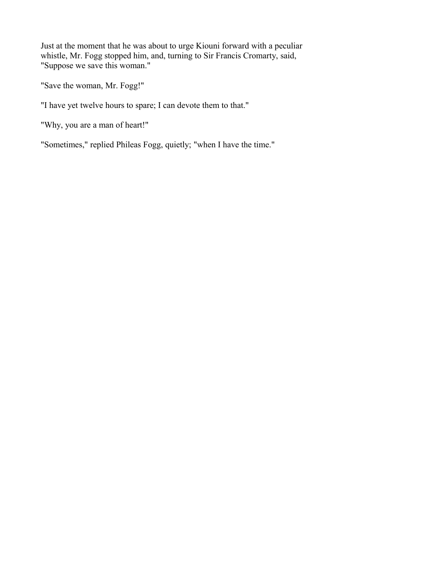Just at the moment that he was about to urge Kiouni forward with a peculiar whistle, Mr. Fogg stopped him, and, turning to Sir Francis Cromarty, said, "Suppose we save this woman."

"Save the woman, Mr. Fogg!"

"I have yet twelve hours to spare; I can devote them to that."

"Why, you are a man of heart!"

"Sometimes," replied Phileas Fogg, quietly; "when I have the time."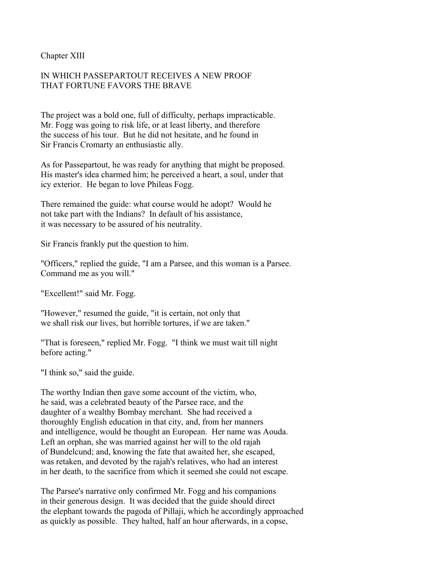Chapter XIII

# IN WHICH PASSEPARTOUT RECEIVES A NEW PROOF THAT FORTUNE FAVORS THE BRAVE

The project was a bold one, full of difficulty, perhaps impracticable. Mr. Fogg was going to risk life, or at least liberty, and therefore the success of his tour. But he did not hesitate, and he found in Sir Francis Cromarty an enthusiastic ally.

As for Passepartout, he was ready for anything that might be proposed. His master's idea charmed him; he perceived a heart, a soul, under that icy exterior. He began to love Phileas Fogg.

There remained the guide: what course would he adopt? Would he not take part with the Indians? In default of his assistance, it was necessary to be assured of his neutrality.

Sir Francis frankly put the question to him.

"Officers," replied the guide, "I am a Parsee, and this woman is a Parsee. Command me as you will."

"Excellent!" said Mr. Fogg.

"However," resumed the guide, "it is certain, not only that we shall risk our lives, but horrible tortures, if we are taken."

"That is foreseen," replied Mr. Fogg. "I think we must wait till night before acting."

"I think so," said the guide.

The worthy Indian then gave some account of the victim, who, he said, was a celebrated beauty of the Parsee race, and the daughter of a wealthy Bombay merchant. She had received a thoroughly English education in that city, and, from her manners and intelligence, would be thought an European. Her name was Aouda. Left an orphan, she was married against her will to the old rajah of Bundelcund; and, knowing the fate that awaited her, she escaped, was retaken, and devoted by the rajah's relatives, who had an interest in her death, to the sacrifice from which it seemed she could not escape.

The Parsee's narrative only confirmed Mr. Fogg and his companions in their generous design. It was decided that the guide should direct the elephant towards the pagoda of Pillaji, which he accordingly approached as quickly as possible. They halted, half an hour afterwards, in a copse,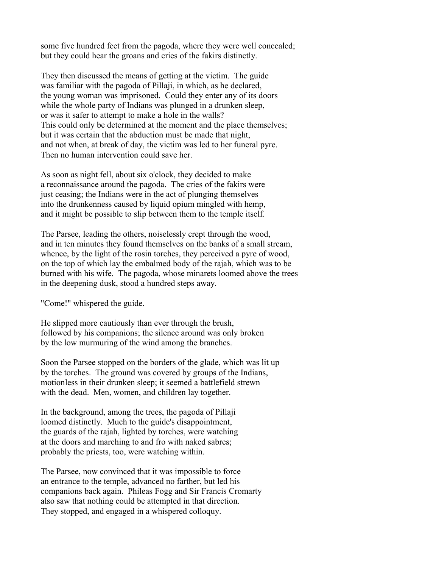some five hundred feet from the pagoda, where they were well concealed; but they could hear the groans and cries of the fakirs distinctly.

They then discussed the means of getting at the victim. The guide was familiar with the pagoda of Pillaji, in which, as he declared, the young woman was imprisoned. Could they enter any of its doors while the whole party of Indians was plunged in a drunken sleep, or was it safer to attempt to make a hole in the walls? This could only be determined at the moment and the place themselves; but it was certain that the abduction must be made that night, and not when, at break of day, the victim was led to her funeral pyre. Then no human intervention could save her.

As soon as night fell, about six o'clock, they decided to make a reconnaissance around the pagoda. The cries of the fakirs were just ceasing; the Indians were in the act of plunging themselves into the drunkenness caused by liquid opium mingled with hemp, and it might be possible to slip between them to the temple itself.

The Parsee, leading the others, noiselessly crept through the wood, and in ten minutes they found themselves on the banks of a small stream, whence, by the light of the rosin torches, they perceived a pyre of wood, on the top of which lay the embalmed body of the rajah, which was to be burned with his wife. The pagoda, whose minarets loomed above the trees in the deepening dusk, stood a hundred steps away.

"Come!" whispered the guide.

He slipped more cautiously than ever through the brush, followed by his companions; the silence around was only broken by the low murmuring of the wind among the branches.

Soon the Parsee stopped on the borders of the glade, which was lit up by the torches. The ground was covered by groups of the Indians, motionless in their drunken sleep; it seemed a battlefield strewn with the dead. Men, women, and children lay together.

In the background, among the trees, the pagoda of Pillaji loomed distinctly. Much to the guide's disappointment, the guards of the rajah, lighted by torches, were watching at the doors and marching to and fro with naked sabres; probably the priests, too, were watching within.

The Parsee, now convinced that it was impossible to force an entrance to the temple, advanced no farther, but led his companions back again. Phileas Fogg and Sir Francis Cromarty also saw that nothing could be attempted in that direction. They stopped, and engaged in a whispered colloquy.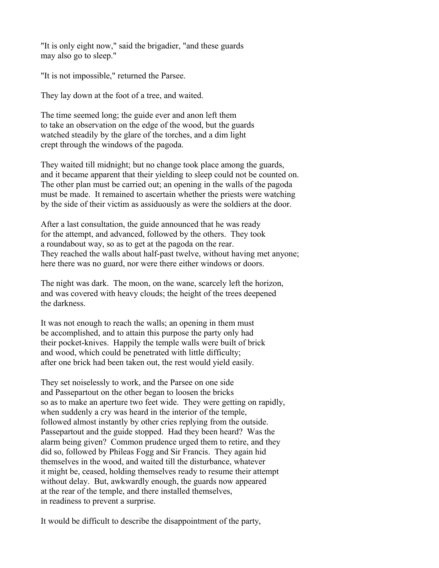"It is only eight now," said the brigadier, "and these guards may also go to sleep."

"It is not impossible," returned the Parsee.

They lay down at the foot of a tree, and waited.

The time seemed long; the guide ever and anon left them to take an observation on the edge of the wood, but the guards watched steadily by the glare of the torches, and a dim light crept through the windows of the pagoda.

They waited till midnight; but no change took place among the guards, and it became apparent that their yielding to sleep could not be counted on. The other plan must be carried out; an opening in the walls of the pagoda must be made. It remained to ascertain whether the priests were watching by the side of their victim as assiduously as were the soldiers at the door.

After a last consultation, the guide announced that he was ready for the attempt, and advanced, followed by the others. They took a roundabout way, so as to get at the pagoda on the rear. They reached the walls about half-past twelve, without having met anyone; here there was no guard, nor were there either windows or doors.

The night was dark. The moon, on the wane, scarcely left the horizon, and was covered with heavy clouds; the height of the trees deepened the darkness.

It was not enough to reach the walls; an opening in them must be accomplished, and to attain this purpose the party only had their pocket-knives. Happily the temple walls were built of brick and wood, which could be penetrated with little difficulty; after one brick had been taken out, the rest would yield easily.

They set noiselessly to work, and the Parsee on one side and Passepartout on the other began to loosen the bricks so as to make an aperture two feet wide. They were getting on rapidly, when suddenly a cry was heard in the interior of the temple, followed almost instantly by other cries replying from the outside. Passepartout and the guide stopped. Had they been heard? Was the alarm being given? Common prudence urged them to retire, and they did so, followed by Phileas Fogg and Sir Francis. They again hid themselves in the wood, and waited till the disturbance, whatever it might be, ceased, holding themselves ready to resume their attempt without delay. But, awkwardly enough, the guards now appeared at the rear of the temple, and there installed themselves, in readiness to prevent a surprise.

It would be difficult to describe the disappointment of the party,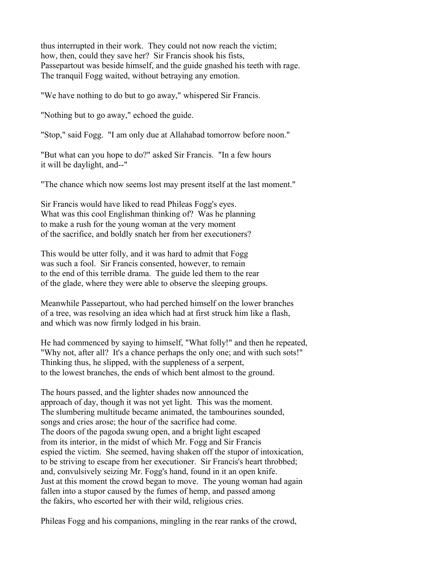thus interrupted in their work. They could not now reach the victim; how, then, could they save her? Sir Francis shook his fists, Passepartout was beside himself, and the guide gnashed his teeth with rage. The tranquil Fogg waited, without betraying any emotion.

"We have nothing to do but to go away," whispered Sir Francis.

"Nothing but to go away," echoed the guide.

"Stop," said Fogg. "I am only due at Allahabad tomorrow before noon."

"But what can you hope to do?" asked Sir Francis. "In a few hours it will be daylight, and--"

"The chance which now seems lost may present itself at the last moment."

Sir Francis would have liked to read Phileas Fogg's eyes. What was this cool Englishman thinking of? Was he planning to make a rush for the young woman at the very moment of the sacrifice, and boldly snatch her from her executioners?

This would be utter folly, and it was hard to admit that Fogg was such a fool. Sir Francis consented, however, to remain to the end of this terrible drama. The guide led them to the rear of the glade, where they were able to observe the sleeping groups.

Meanwhile Passepartout, who had perched himself on the lower branches of a tree, was resolving an idea which had at first struck him like a flash, and which was now firmly lodged in his brain.

He had commenced by saying to himself, "What folly!" and then he repeated, "Why not, after all? It's a chance perhaps the only one; and with such sots!" Thinking thus, he slipped, with the suppleness of a serpent, to the lowest branches, the ends of which bent almost to the ground.

The hours passed, and the lighter shades now announced the approach of day, though it was not yet light. This was the moment. The slumbering multitude became animated, the tambourines sounded, songs and cries arose; the hour of the sacrifice had come. The doors of the pagoda swung open, and a bright light escaped from its interior, in the midst of which Mr. Fogg and Sir Francis espied the victim. She seemed, having shaken off the stupor of intoxication, to be striving to escape from her executioner. Sir Francis's heart throbbed; and, convulsively seizing Mr. Fogg's hand, found in it an open knife. Just at this moment the crowd began to move. The young woman had again fallen into a stupor caused by the fumes of hemp, and passed among the fakirs, who escorted her with their wild, religious cries.

Phileas Fogg and his companions, mingling in the rear ranks of the crowd,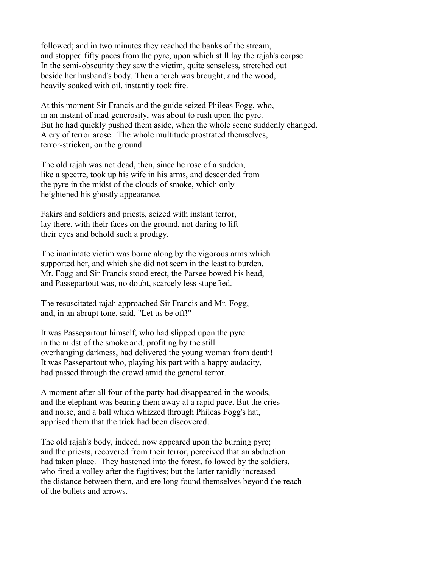followed; and in two minutes they reached the banks of the stream, and stopped fifty paces from the pyre, upon which still lay the rajah's corpse. In the semi-obscurity they saw the victim, quite senseless, stretched out beside her husband's body. Then a torch was brought, and the wood, heavily soaked with oil, instantly took fire.

At this moment Sir Francis and the guide seized Phileas Fogg, who, in an instant of mad generosity, was about to rush upon the pyre. But he had quickly pushed them aside, when the whole scene suddenly changed. A cry of terror arose. The whole multitude prostrated themselves, terror-stricken, on the ground.

The old rajah was not dead, then, since he rose of a sudden, like a spectre, took up his wife in his arms, and descended from the pyre in the midst of the clouds of smoke, which only heightened his ghostly appearance.

Fakirs and soldiers and priests, seized with instant terror, lay there, with their faces on the ground, not daring to lift their eyes and behold such a prodigy.

The inanimate victim was borne along by the vigorous arms which supported her, and which she did not seem in the least to burden. Mr. Fogg and Sir Francis stood erect, the Parsee bowed his head, and Passepartout was, no doubt, scarcely less stupefied.

The resuscitated rajah approached Sir Francis and Mr. Fogg, and, in an abrupt tone, said, "Let us be off!"

It was Passepartout himself, who had slipped upon the pyre in the midst of the smoke and, profiting by the still overhanging darkness, had delivered the young woman from death! It was Passepartout who, playing his part with a happy audacity, had passed through the crowd amid the general terror.

A moment after all four of the party had disappeared in the woods, and the elephant was bearing them away at a rapid pace. But the cries and noise, and a ball which whizzed through Phileas Fogg's hat, apprised them that the trick had been discovered.

The old rajah's body, indeed, now appeared upon the burning pyre; and the priests, recovered from their terror, perceived that an abduction had taken place. They hastened into the forest, followed by the soldiers, who fired a volley after the fugitives; but the latter rapidly increased the distance between them, and ere long found themselves beyond the reach of the bullets and arrows.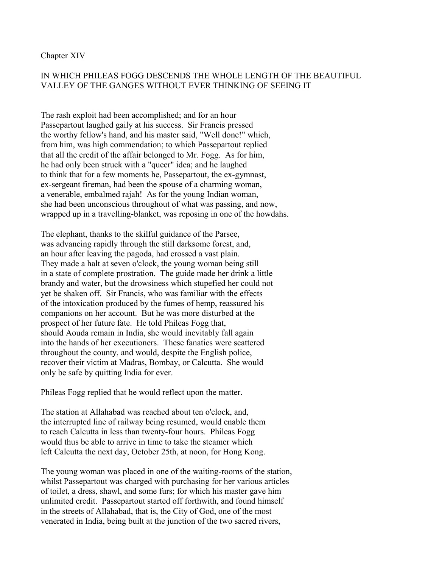#### Chapter XIV

# IN WHICH PHILEAS FOGG DESCENDS THE WHOLE LENGTH OF THE BEAUTIFUL VALLEY OF THE GANGES WITHOUT EVER THINKING OF SEEING IT

The rash exploit had been accomplished; and for an hour Passepartout laughed gaily at his success. Sir Francis pressed the worthy fellow's hand, and his master said, "Well done!" which, from him, was high commendation; to which Passepartout replied that all the credit of the affair belonged to Mr. Fogg. As for him, he had only been struck with a "queer" idea; and he laughed to think that for a few moments he, Passepartout, the ex-gymnast, ex-sergeant fireman, had been the spouse of a charming woman, a venerable, embalmed rajah! As for the young Indian woman, she had been unconscious throughout of what was passing, and now, wrapped up in a travelling-blanket, was reposing in one of the howdahs.

The elephant, thanks to the skilful guidance of the Parsee, was advancing rapidly through the still darksome forest, and, an hour after leaving the pagoda, had crossed a vast plain. They made a halt at seven o'clock, the young woman being still in a state of complete prostration. The guide made her drink a little brandy and water, but the drowsiness which stupefied her could not yet be shaken off. Sir Francis, who was familiar with the effects of the intoxication produced by the fumes of hemp, reassured his companions on her account. But he was more disturbed at the prospect of her future fate. He told Phileas Fogg that, should Aouda remain in India, she would inevitably fall again into the hands of her executioners. These fanatics were scattered throughout the county, and would, despite the English police, recover their victim at Madras, Bombay, or Calcutta. She would only be safe by quitting India for ever.

Phileas Fogg replied that he would reflect upon the matter.

The station at Allahabad was reached about ten o'clock, and, the interrupted line of railway being resumed, would enable them to reach Calcutta in less than twenty-four hours. Phileas Fogg would thus be able to arrive in time to take the steamer which left Calcutta the next day, October 25th, at noon, for Hong Kong.

The young woman was placed in one of the waiting-rooms of the station, whilst Passepartout was charged with purchasing for her various articles of toilet, a dress, shawl, and some furs; for which his master gave him unlimited credit. Passepartout started off forthwith, and found himself in the streets of Allahabad, that is, the City of God, one of the most venerated in India, being built at the junction of the two sacred rivers,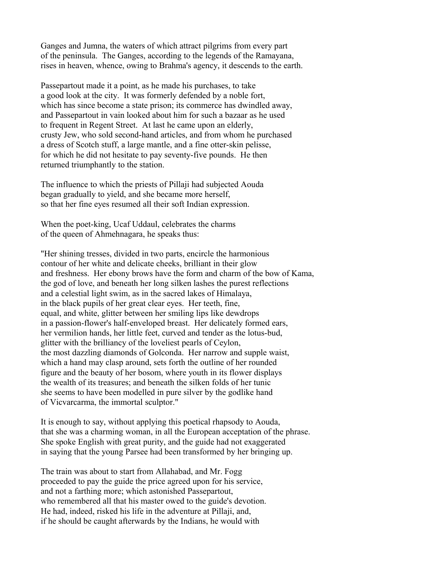Ganges and Jumna, the waters of which attract pilgrims from every part of the peninsula. The Ganges, according to the legends of the Ramayana, rises in heaven, whence, owing to Brahma's agency, it descends to the earth.

Passepartout made it a point, as he made his purchases, to take a good look at the city. It was formerly defended by a noble fort, which has since become a state prison; its commerce has dwindled away, and Passepartout in vain looked about him for such a bazaar as he used to frequent in Regent Street. At last he came upon an elderly, crusty Jew, who sold second-hand articles, and from whom he purchased a dress of Scotch stuff, a large mantle, and a fine otter-skin pelisse, for which he did not hesitate to pay seventy-five pounds. He then returned triumphantly to the station.

The influence to which the priests of Pillaji had subjected Aouda began gradually to yield, and she became more herself, so that her fine eyes resumed all their soft Indian expression.

When the poet-king, Ucaf Uddaul, celebrates the charms of the queen of Ahmehnagara, he speaks thus:

"Her shining tresses, divided in two parts, encircle the harmonious contour of her white and delicate cheeks, brilliant in their glow and freshness. Her ebony brows have the form and charm of the bow of Kama, the god of love, and beneath her long silken lashes the purest reflections and a celestial light swim, as in the sacred lakes of Himalaya, in the black pupils of her great clear eyes. Her teeth, fine, equal, and white, glitter between her smiling lips like dewdrops in a passion-flower's half-enveloped breast. Her delicately formed ears, her vermilion hands, her little feet, curved and tender as the lotus-bud, glitter with the brilliancy of the loveliest pearls of Ceylon, the most dazzling diamonds of Golconda. Her narrow and supple waist, which a hand may clasp around, sets forth the outline of her rounded figure and the beauty of her bosom, where youth in its flower displays the wealth of its treasures; and beneath the silken folds of her tunic she seems to have been modelled in pure silver by the godlike hand of Vicvarcarma, the immortal sculptor."

It is enough to say, without applying this poetical rhapsody to Aouda, that she was a charming woman, in all the European acceptation of the phrase. She spoke English with great purity, and the guide had not exaggerated in saying that the young Parsee had been transformed by her bringing up.

The train was about to start from Allahabad, and Mr. Fogg proceeded to pay the guide the price agreed upon for his service, and not a farthing more; which astonished Passepartout, who remembered all that his master owed to the guide's devotion. He had, indeed, risked his life in the adventure at Pillaji, and, if he should be caught afterwards by the Indians, he would with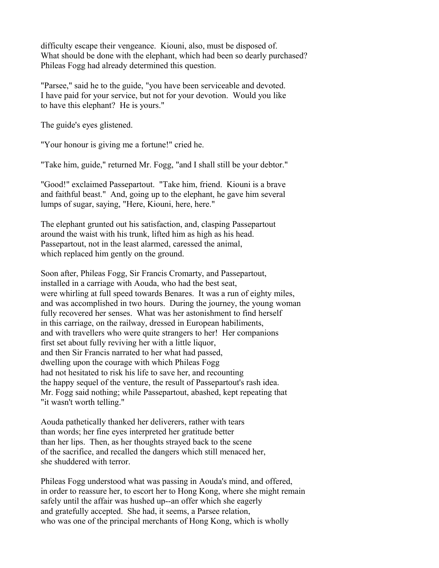difficulty escape their vengeance. Kiouni, also, must be disposed of. What should be done with the elephant, which had been so dearly purchased? Phileas Fogg had already determined this question.

"Parsee," said he to the guide, "you have been serviceable and devoted. I have paid for your service, but not for your devotion. Would you like to have this elephant? He is yours."

The guide's eyes glistened.

"Your honour is giving me a fortune!" cried he.

"Take him, guide," returned Mr. Fogg, "and I shall still be your debtor."

"Good!" exclaimed Passepartout. "Take him, friend. Kiouni is a brave and faithful beast." And, going up to the elephant, he gave him several lumps of sugar, saying, "Here, Kiouni, here, here."

The elephant grunted out his satisfaction, and, clasping Passepartout around the waist with his trunk, lifted him as high as his head. Passepartout, not in the least alarmed, caressed the animal, which replaced him gently on the ground.

Soon after, Phileas Fogg, Sir Francis Cromarty, and Passepartout, installed in a carriage with Aouda, who had the best seat, were whirling at full speed towards Benares. It was a run of eighty miles, and was accomplished in two hours. During the journey, the young woman fully recovered her senses. What was her astonishment to find herself in this carriage, on the railway, dressed in European habiliments, and with travellers who were quite strangers to her! Her companions first set about fully reviving her with a little liquor, and then Sir Francis narrated to her what had passed, dwelling upon the courage with which Phileas Fogg had not hesitated to risk his life to save her, and recounting the happy sequel of the venture, the result of Passepartout's rash idea. Mr. Fogg said nothing; while Passepartout, abashed, kept repeating that "it wasn't worth telling."

Aouda pathetically thanked her deliverers, rather with tears than words; her fine eyes interpreted her gratitude better than her lips. Then, as her thoughts strayed back to the scene of the sacrifice, and recalled the dangers which still menaced her, she shuddered with terror.

Phileas Fogg understood what was passing in Aouda's mind, and offered, in order to reassure her, to escort her to Hong Kong, where she might remain safely until the affair was hushed up--an offer which she eagerly and gratefully accepted. She had, it seems, a Parsee relation, who was one of the principal merchants of Hong Kong, which is wholly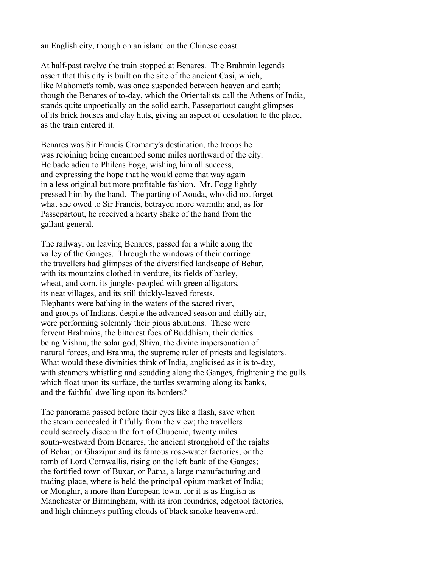an English city, though on an island on the Chinese coast.

At half-past twelve the train stopped at Benares. The Brahmin legends assert that this city is built on the site of the ancient Casi, which, like Mahomet's tomb, was once suspended between heaven and earth; though the Benares of to-day, which the Orientalists call the Athens of India, stands quite unpoetically on the solid earth, Passepartout caught glimpses of its brick houses and clay huts, giving an aspect of desolation to the place, as the train entered it.

Benares was Sir Francis Cromarty's destination, the troops he was rejoining being encamped some miles northward of the city. He bade adieu to Phileas Fogg, wishing him all success, and expressing the hope that he would come that way again in a less original but more profitable fashion. Mr. Fogg lightly pressed him by the hand. The parting of Aouda, who did not forget what she owed to Sir Francis, betrayed more warmth; and, as for Passepartout, he received a hearty shake of the hand from the gallant general.

The railway, on leaving Benares, passed for a while along the valley of the Ganges. Through the windows of their carriage the travellers had glimpses of the diversified landscape of Behar, with its mountains clothed in verdure, its fields of barley, wheat, and corn, its jungles peopled with green alligators, its neat villages, and its still thickly-leaved forests. Elephants were bathing in the waters of the sacred river, and groups of Indians, despite the advanced season and chilly air, were performing solemnly their pious ablutions. These were fervent Brahmins, the bitterest foes of Buddhism, their deities being Vishnu, the solar god, Shiva, the divine impersonation of natural forces, and Brahma, the supreme ruler of priests and legislators. What would these divinities think of India, anglicised as it is to-day, with steamers whistling and scudding along the Ganges, frightening the gulls which float upon its surface, the turtles swarming along its banks, and the faithful dwelling upon its borders?

The panorama passed before their eyes like a flash, save when the steam concealed it fitfully from the view; the travellers could scarcely discern the fort of Chupenie, twenty miles south-westward from Benares, the ancient stronghold of the rajahs of Behar; or Ghazipur and its famous rose-water factories; or the tomb of Lord Cornwallis, rising on the left bank of the Ganges; the fortified town of Buxar, or Patna, a large manufacturing and trading-place, where is held the principal opium market of India; or Monghir, a more than European town, for it is as English as Manchester or Birmingham, with its iron foundries, edgetool factories, and high chimneys puffing clouds of black smoke heavenward.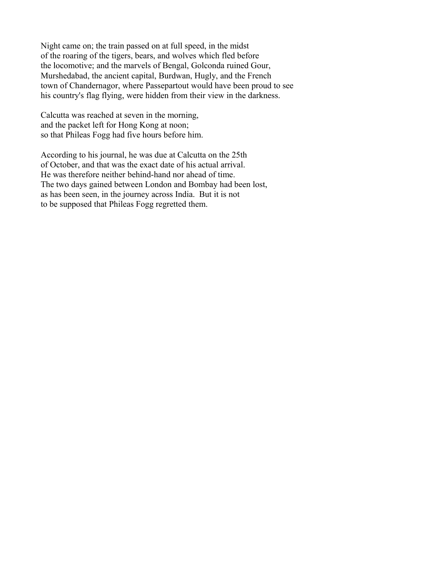Night came on; the train passed on at full speed, in the midst of the roaring of the tigers, bears, and wolves which fled before the locomotive; and the marvels of Bengal, Golconda ruined Gour, Murshedabad, the ancient capital, Burdwan, Hugly, and the French town of Chandernagor, where Passepartout would have been proud to see his country's flag flying, were hidden from their view in the darkness.

Calcutta was reached at seven in the morning, and the packet left for Hong Kong at noon; so that Phileas Fogg had five hours before him.

According to his journal, he was due at Calcutta on the 25th of October, and that was the exact date of his actual arrival. He was therefore neither behind-hand nor ahead of time. The two days gained between London and Bombay had been lost, as has been seen, in the journey across India. But it is not to be supposed that Phileas Fogg regretted them.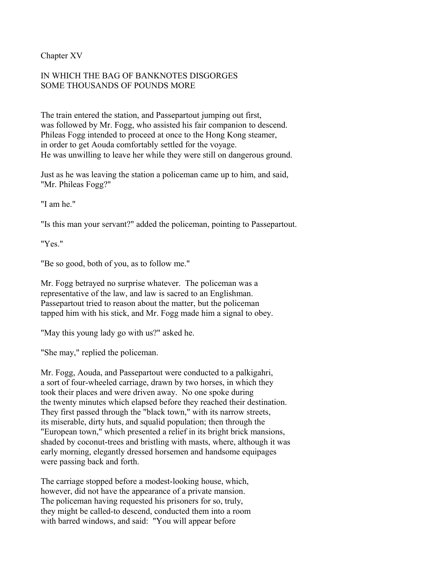Chapter XV

# IN WHICH THE BAG OF BANKNOTES DISGORGES SOME THOUSANDS OF POUNDS MORE

The train entered the station, and Passepartout jumping out first, was followed by Mr. Fogg, who assisted his fair companion to descend. Phileas Fogg intended to proceed at once to the Hong Kong steamer, in order to get Aouda comfortably settled for the voyage. He was unwilling to leave her while they were still on dangerous ground.

Just as he was leaving the station a policeman came up to him, and said, "Mr. Phileas Fogg?"

"I am he"

"Is this man your servant?" added the policeman, pointing to Passepartout.

"Yes."

"Be so good, both of you, as to follow me."

Mr. Fogg betrayed no surprise whatever. The policeman was a representative of the law, and law is sacred to an Englishman. Passepartout tried to reason about the matter, but the policeman tapped him with his stick, and Mr. Fogg made him a signal to obey.

"May this young lady go with us?" asked he.

"She may," replied the policeman.

Mr. Fogg, Aouda, and Passepartout were conducted to a palkigahri, a sort of four-wheeled carriage, drawn by two horses, in which they took their places and were driven away. No one spoke during the twenty minutes which elapsed before they reached their destination. They first passed through the "black town," with its narrow streets, its miserable, dirty huts, and squalid population; then through the "European town," which presented a relief in its bright brick mansions, shaded by coconut-trees and bristling with masts, where, although it was early morning, elegantly dressed horsemen and handsome equipages were passing back and forth.

The carriage stopped before a modest-looking house, which, however, did not have the appearance of a private mansion. The policeman having requested his prisoners for so, truly, they might be called-to descend, conducted them into a room with barred windows, and said: "You will appear before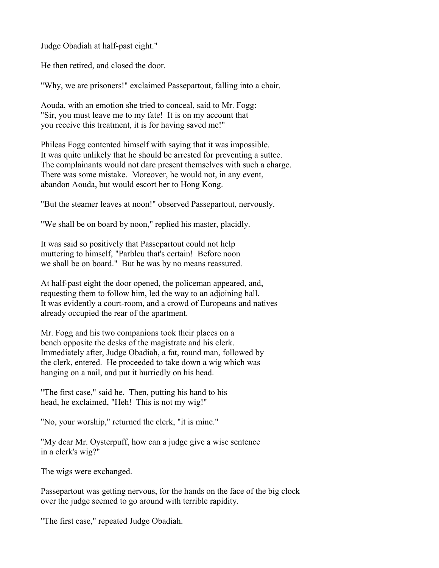Judge Obadiah at half-past eight."

He then retired, and closed the door.

"Why, we are prisoners!" exclaimed Passepartout, falling into a chair.

Aouda, with an emotion she tried to conceal, said to Mr. Fogg: "Sir, you must leave me to my fate! It is on my account that you receive this treatment, it is for having saved me!"

Phileas Fogg contented himself with saying that it was impossible. It was quite unlikely that he should be arrested for preventing a suttee. The complainants would not dare present themselves with such a charge. There was some mistake. Moreover, he would not, in any event, abandon Aouda, but would escort her to Hong Kong.

"But the steamer leaves at noon!" observed Passepartout, nervously.

"We shall be on board by noon," replied his master, placidly.

It was said so positively that Passepartout could not help muttering to himself, "Parbleu that's certain! Before noon we shall be on board." But he was by no means reassured.

At half-past eight the door opened, the policeman appeared, and, requesting them to follow him, led the way to an adjoining hall. It was evidently a court-room, and a crowd of Europeans and natives already occupied the rear of the apartment.

Mr. Fogg and his two companions took their places on a bench opposite the desks of the magistrate and his clerk. Immediately after, Judge Obadiah, a fat, round man, followed by the clerk, entered. He proceeded to take down a wig which was hanging on a nail, and put it hurriedly on his head.

"The first case," said he. Then, putting his hand to his head, he exclaimed, "Heh! This is not my wig!"

"No, your worship," returned the clerk, "it is mine."

"My dear Mr. Oysterpuff, how can a judge give a wise sentence in a clerk's wig?"

The wigs were exchanged.

Passepartout was getting nervous, for the hands on the face of the big clock over the judge seemed to go around with terrible rapidity.

"The first case," repeated Judge Obadiah.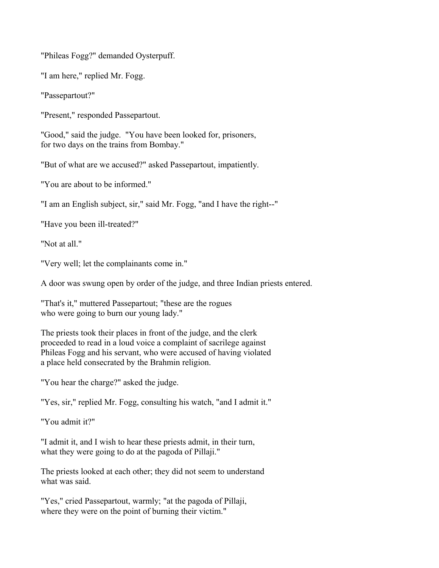"Phileas Fogg?" demanded Oysterpuff.

"I am here," replied Mr. Fogg.

"Passepartout?"

"Present," responded Passepartout.

"Good," said the judge. "You have been looked for, prisoners, for two days on the trains from Bombay."

"But of what are we accused?" asked Passepartout, impatiently.

"You are about to be informed."

"I am an English subject, sir," said Mr. Fogg, "and I have the right--"

"Have you been ill-treated?"

"Not at all."

"Very well; let the complainants come in."

A door was swung open by order of the judge, and three Indian priests entered.

"That's it," muttered Passepartout; "these are the rogues who were going to burn our young lady."

The priests took their places in front of the judge, and the clerk proceeded to read in a loud voice a complaint of sacrilege against Phileas Fogg and his servant, who were accused of having violated a place held consecrated by the Brahmin religion.

"You hear the charge?" asked the judge.

"Yes, sir," replied Mr. Fogg, consulting his watch, "and I admit it."

"You admit it?"

"I admit it, and I wish to hear these priests admit, in their turn, what they were going to do at the pagoda of Pillaji."

The priests looked at each other; they did not seem to understand what was said.

"Yes," cried Passepartout, warmly; "at the pagoda of Pillaji, where they were on the point of burning their victim."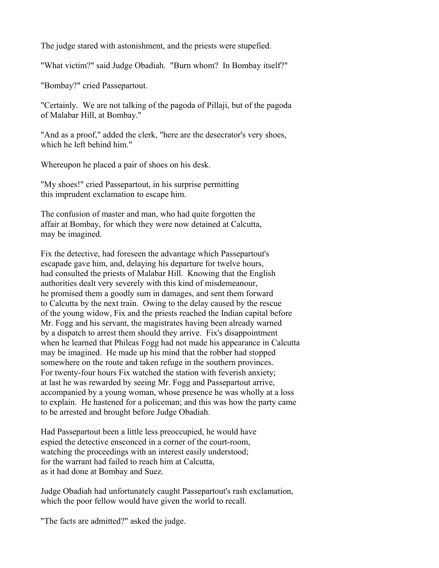The judge stared with astonishment, and the priests were stupefied.

"What victim?" said Judge Obadiah. "Burn whom? In Bombay itself?"

"Bombay?" cried Passepartout.

"Certainly. We are not talking of the pagoda of Pillaji, but of the pagoda of Malabar Hill, at Bombay."

"And as a proof," added the clerk, "here are the desecrator's very shoes, which he left behind him."

Whereupon he placed a pair of shoes on his desk.

"My shoes!" cried Passepartout, in his surprise permitting this imprudent exclamation to escape him.

The confusion of master and man, who had quite forgotten the affair at Bombay, for which they were now detained at Calcutta, may be imagined.

Fix the detective, had foreseen the advantage which Passepartout's escapade gave him, and, delaying his departure for twelve hours, had consulted the priests of Malabar Hill. Knowing that the English authorities dealt very severely with this kind of misdemeanour, he promised them a goodly sum in damages, and sent them forward to Calcutta by the next train. Owing to the delay caused by the rescue of the young widow, Fix and the priests reached the Indian capital before Mr. Fogg and his servant, the magistrates having been already warned by a dispatch to arrest them should they arrive. Fix's disappointment when he learned that Phileas Fogg had not made his appearance in Calcutta may be imagined. He made up his mind that the robber had stopped somewhere on the route and taken refuge in the southern provinces. For twenty-four hours Fix watched the station with feverish anxiety; at last he was rewarded by seeing Mr. Fogg and Passepartout arrive, accompanied by a young woman, whose presence he was wholly at a loss to explain. He hastened for a policeman; and this was how the party came to be arrested and brought before Judge Obadiah.

Had Passepartout been a little less preoccupied, he would have espied the detective ensconced in a corner of the court-room, watching the proceedings with an interest easily understood; for the warrant had failed to reach him at Calcutta, as it had done at Bombay and Suez.

Judge Obadiah had unfortunately caught Passepartout's rash exclamation, which the poor fellow would have given the world to recall.

"The facts are admitted?" asked the judge.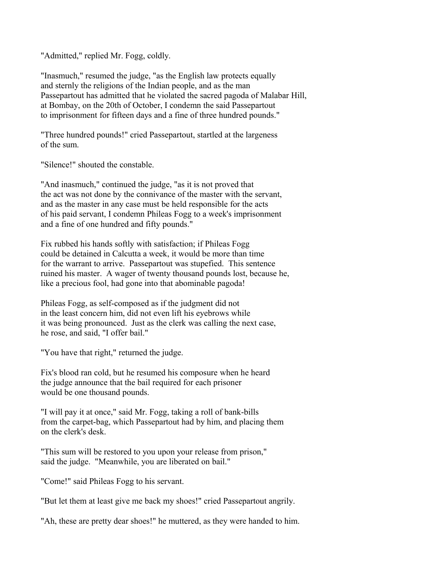"Admitted," replied Mr. Fogg, coldly.

"Inasmuch," resumed the judge, "as the English law protects equally and sternly the religions of the Indian people, and as the man Passepartout has admitted that he violated the sacred pagoda of Malabar Hill, at Bombay, on the 20th of October, I condemn the said Passepartout to imprisonment for fifteen days and a fine of three hundred pounds."

"Three hundred pounds!" cried Passepartout, startled at the largeness of the sum.

"Silence!" shouted the constable.

"And inasmuch," continued the judge, "as it is not proved that the act was not done by the connivance of the master with the servant, and as the master in any case must be held responsible for the acts of his paid servant, I condemn Phileas Fogg to a week's imprisonment and a fine of one hundred and fifty pounds."

Fix rubbed his hands softly with satisfaction; if Phileas Fogg could be detained in Calcutta a week, it would be more than time for the warrant to arrive. Passepartout was stupefied. This sentence ruined his master. A wager of twenty thousand pounds lost, because he, like a precious fool, had gone into that abominable pagoda!

Phileas Fogg, as self-composed as if the judgment did not in the least concern him, did not even lift his eyebrows while it was being pronounced. Just as the clerk was calling the next case, he rose, and said, "I offer bail."

"You have that right," returned the judge.

Fix's blood ran cold, but he resumed his composure when he heard the judge announce that the bail required for each prisoner would be one thousand pounds.

"I will pay it at once," said Mr. Fogg, taking a roll of bank-bills from the carpet-bag, which Passepartout had by him, and placing them on the clerk's desk.

"This sum will be restored to you upon your release from prison," said the judge. "Meanwhile, you are liberated on bail."

"Come!" said Phileas Fogg to his servant.

"But let them at least give me back my shoes!" cried Passepartout angrily.

"Ah, these are pretty dear shoes!" he muttered, as they were handed to him.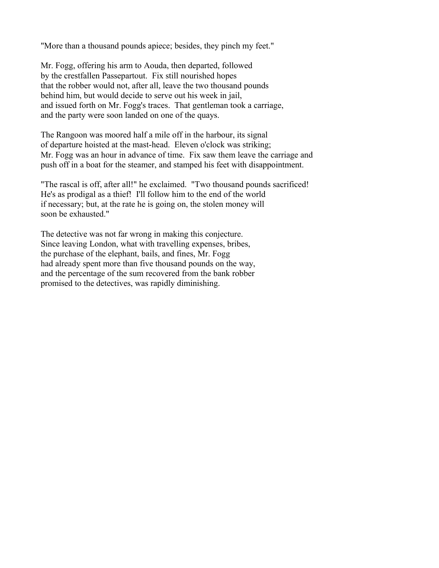"More than a thousand pounds apiece; besides, they pinch my feet."

Mr. Fogg, offering his arm to Aouda, then departed, followed by the crestfallen Passepartout. Fix still nourished hopes that the robber would not, after all, leave the two thousand pounds behind him, but would decide to serve out his week in jail, and issued forth on Mr. Fogg's traces. That gentleman took a carriage, and the party were soon landed on one of the quays.

The Rangoon was moored half a mile off in the harbour, its signal of departure hoisted at the mast-head. Eleven o'clock was striking; Mr. Fogg was an hour in advance of time. Fix saw them leave the carriage and push off in a boat for the steamer, and stamped his feet with disappointment.

"The rascal is off, after all!" he exclaimed. "Two thousand pounds sacrificed! He's as prodigal as a thief! I'll follow him to the end of the world if necessary; but, at the rate he is going on, the stolen money will soon be exhausted."

The detective was not far wrong in making this conjecture. Since leaving London, what with travelling expenses, bribes, the purchase of the elephant, bails, and fines, Mr. Fogg had already spent more than five thousand pounds on the way, and the percentage of the sum recovered from the bank robber promised to the detectives, was rapidly diminishing.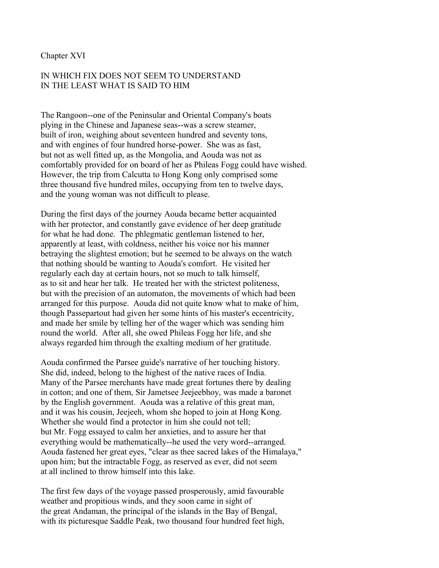### Chapter XVI

# IN WHICH FIX DOES NOT SEEM TO UNDERSTAND IN THE LEAST WHAT IS SAID TO HIM

The Rangoon--one of the Peninsular and Oriental Company's boats plying in the Chinese and Japanese seas--was a screw steamer, built of iron, weighing about seventeen hundred and seventy tons, and with engines of four hundred horse-power. She was as fast, but not as well fitted up, as the Mongolia, and Aouda was not as comfortably provided for on board of her as Phileas Fogg could have wished. However, the trip from Calcutta to Hong Kong only comprised some three thousand five hundred miles, occupying from ten to twelve days, and the young woman was not difficult to please.

During the first days of the journey Aouda became better acquainted with her protector, and constantly gave evidence of her deep gratitude for what he had done. The phlegmatic gentleman listened to her, apparently at least, with coldness, neither his voice nor his manner betraying the slightest emotion; but he seemed to be always on the watch that nothing should be wanting to Aouda's comfort. He visited her regularly each day at certain hours, not so much to talk himself, as to sit and hear her talk. He treated her with the strictest politeness, but with the precision of an automaton, the movements of which had been arranged for this purpose. Aouda did not quite know what to make of him, though Passepartout had given her some hints of his master's eccentricity, and made her smile by telling her of the wager which was sending him round the world. After all, she owed Phileas Fogg her life, and she always regarded him through the exalting medium of her gratitude.

Aouda confirmed the Parsee guide's narrative of her touching history. She did, indeed, belong to the highest of the native races of India. Many of the Parsee merchants have made great fortunes there by dealing in cotton; and one of them, Sir Jametsee Jeejeebhoy, was made a baronet by the English government. Aouda was a relative of this great man, and it was his cousin, Jeejeeh, whom she hoped to join at Hong Kong. Whether she would find a protector in him she could not tell; but Mr. Fogg essayed to calm her anxieties, and to assure her that everything would be mathematically--he used the very word--arranged. Aouda fastened her great eyes, "clear as thee sacred lakes of the Himalaya," upon him; but the intractable Fogg, as reserved as ever, did not seem at all inclined to throw himself into this lake.

The first few days of the voyage passed prosperously, amid favourable weather and propitious winds, and they soon came in sight of the great Andaman, the principal of the islands in the Bay of Bengal, with its picturesque Saddle Peak, two thousand four hundred feet high,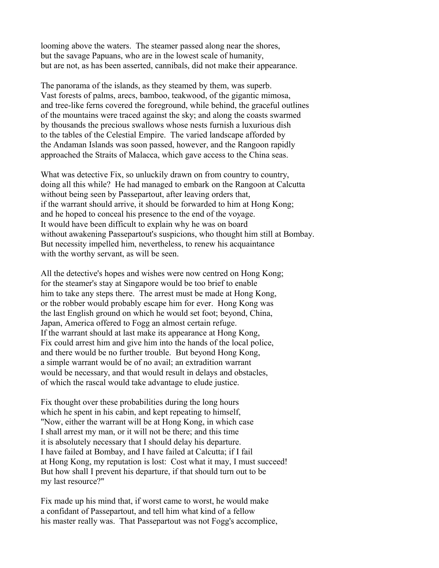looming above the waters. The steamer passed along near the shores, but the savage Papuans, who are in the lowest scale of humanity, but are not, as has been asserted, cannibals, did not make their appearance.

The panorama of the islands, as they steamed by them, was superb. Vast forests of palms, arecs, bamboo, teakwood, of the gigantic mimosa, and tree-like ferns covered the foreground, while behind, the graceful outlines of the mountains were traced against the sky; and along the coasts swarmed by thousands the precious swallows whose nests furnish a luxurious dish to the tables of the Celestial Empire. The varied landscape afforded by the Andaman Islands was soon passed, however, and the Rangoon rapidly approached the Straits of Malacca, which gave access to the China seas.

What was detective Fix, so unluckily drawn on from country to country, doing all this while? He had managed to embark on the Rangoon at Calcutta without being seen by Passepartout, after leaving orders that, if the warrant should arrive, it should be forwarded to him at Hong Kong; and he hoped to conceal his presence to the end of the voyage. It would have been difficult to explain why he was on board without awakening Passepartout's suspicions, who thought him still at Bombay. But necessity impelled him, nevertheless, to renew his acquaintance with the worthy servant, as will be seen.

All the detective's hopes and wishes were now centred on Hong Kong; for the steamer's stay at Singapore would be too brief to enable him to take any steps there. The arrest must be made at Hong Kong, or the robber would probably escape him for ever. Hong Kong was the last English ground on which he would set foot; beyond, China, Japan, America offered to Fogg an almost certain refuge. If the warrant should at last make its appearance at Hong Kong, Fix could arrest him and give him into the hands of the local police, and there would be no further trouble. But beyond Hong Kong, a simple warrant would be of no avail; an extradition warrant would be necessary, and that would result in delays and obstacles, of which the rascal would take advantage to elude justice.

Fix thought over these probabilities during the long hours which he spent in his cabin, and kept repeating to himself, "Now, either the warrant will be at Hong Kong, in which case I shall arrest my man, or it will not be there; and this time it is absolutely necessary that I should delay his departure. I have failed at Bombay, and I have failed at Calcutta; if I fail at Hong Kong, my reputation is lost: Cost what it may, I must succeed! But how shall I prevent his departure, if that should turn out to be my last resource?"

Fix made up his mind that, if worst came to worst, he would make a confidant of Passepartout, and tell him what kind of a fellow his master really was. That Passepartout was not Fogg's accomplice,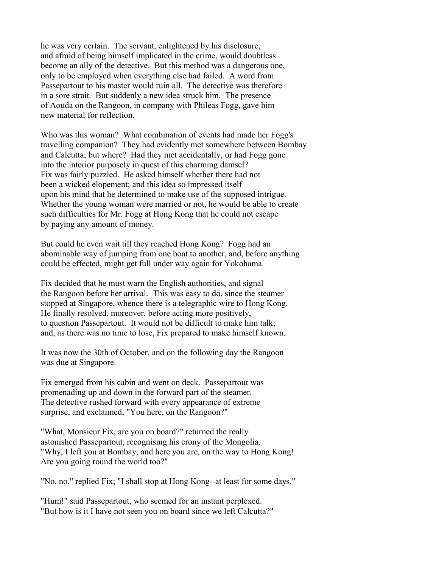he was very certain. The servant, enlightened by his disclosure, and afraid of being himself implicated in the crime, would doubtless become an ally of the detective. But this method was a dangerous one, only to be employed when everything else had failed. A word from Passepartout to his master would ruin all. The detective was therefore in a sore strait. But suddenly a new idea struck him. The presence of Aouda on the Rangoon, in company with Phileas Fogg, gave him new material for reflection.

Who was this woman? What combination of events had made her Fogg's travelling companion? They had evidently met somewhere between Bombay and Calcutta; but where? Had they met accidentally, or had Fogg gone into the interior purposely in quest of this charming damsel? Fix was fairly puzzled. He asked himself whether there had not been a wicked elopement; and this idea so impressed itself upon his mind that he determined to make use of the supposed intrigue. Whether the young woman were married or not, he would be able to create such difficulties for Mr. Fogg at Hong Kong that he could not escape by paying any amount of money.

But could he even wait till they reached Hong Kong? Fogg had an abominable way of jumping from one boat to another, and, before anything could be effected, might get full under way again for Yokohama.

Fix decided that he must warn the English authorities, and signal the Rangoon before her arrival. This was easy to do, since the steamer stopped at Singapore, whence there is a telegraphic wire to Hong Kong. He finally resolved, moreover, before acting more positively, to question Passepartout. It would not be difficult to make him talk; and, as there was no time to lose, Fix prepared to make himself known.

It was now the 30th of October, and on the following day the Rangoon was due at Singapore.

Fix emerged from his cabin and went on deck. Passepartout was promenading up and down in the forward part of the steamer. The detective rushed forward with every appearance of extreme surprise, and exclaimed, "You here, on the Rangoon?"

"What, Monsieur Fix, are you on board?" returned the really astonished Passepartout, recognising his crony of the Mongolia. "Why, I left you at Bombay, and here you are, on the way to Hong Kong! Are you going round the world too?"

"No, no," replied Fix; "I shall stop at Hong Kong--at least for some days."

"Hum!" said Passepartout, who seemed for an instant perplexed. "But how is it I have not seen you on board since we left Calcutta?"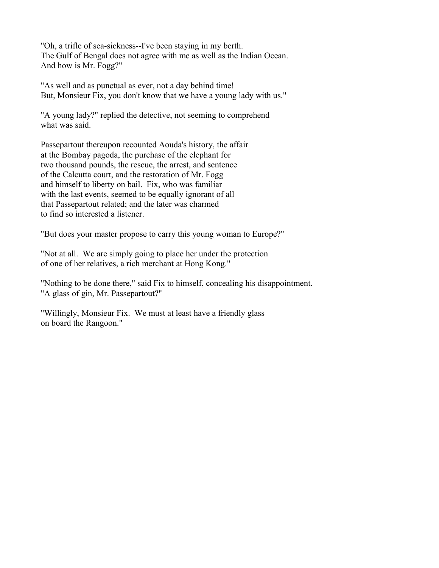"Oh, a trifle of sea-sickness--I've been staying in my berth. The Gulf of Bengal does not agree with me as well as the Indian Ocean. And how is Mr. Fogg?"

"As well and as punctual as ever, not a day behind time! But, Monsieur Fix, you don't know that we have a young lady with us."

"A young lady?" replied the detective, not seeming to comprehend what was said.

Passepartout thereupon recounted Aouda's history, the affair at the Bombay pagoda, the purchase of the elephant for two thousand pounds, the rescue, the arrest, and sentence of the Calcutta court, and the restoration of Mr. Fogg and himself to liberty on bail. Fix, who was familiar with the last events, seemed to be equally ignorant of all that Passepartout related; and the later was charmed to find so interested a listener.

"But does your master propose to carry this young woman to Europe?"

"Not at all. We are simply going to place her under the protection of one of her relatives, a rich merchant at Hong Kong."

"Nothing to be done there," said Fix to himself, concealing his disappointment. "A glass of gin, Mr. Passepartout?"

"Willingly, Monsieur Fix. We must at least have a friendly glass on board the Rangoon."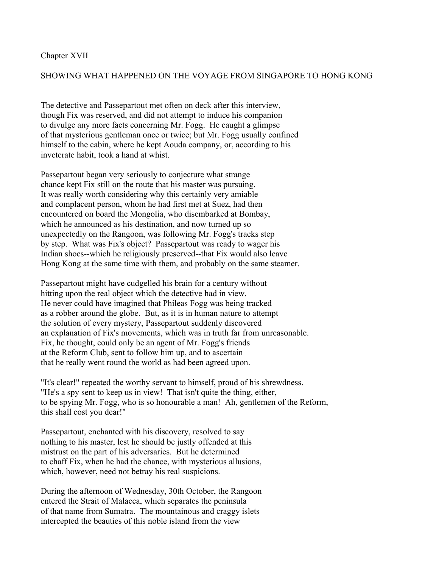## Chapter XVII

## SHOWING WHAT HAPPENED ON THE VOYAGE FROM SINGAPORE TO HONG KONG

The detective and Passepartout met often on deck after this interview, though Fix was reserved, and did not attempt to induce his companion to divulge any more facts concerning Mr. Fogg. He caught a glimpse of that mysterious gentleman once or twice; but Mr. Fogg usually confined himself to the cabin, where he kept Aouda company, or, according to his inveterate habit, took a hand at whist.

Passepartout began very seriously to conjecture what strange chance kept Fix still on the route that his master was pursuing. It was really worth considering why this certainly very amiable and complacent person, whom he had first met at Suez, had then encountered on board the Mongolia, who disembarked at Bombay, which he announced as his destination, and now turned up so unexpectedly on the Rangoon, was following Mr. Fogg's tracks step by step. What was Fix's object? Passepartout was ready to wager his Indian shoes--which he religiously preserved--that Fix would also leave Hong Kong at the same time with them, and probably on the same steamer.

Passepartout might have cudgelled his brain for a century without hitting upon the real object which the detective had in view. He never could have imagined that Phileas Fogg was being tracked as a robber around the globe. But, as it is in human nature to attempt the solution of every mystery, Passepartout suddenly discovered an explanation of Fix's movements, which was in truth far from unreasonable. Fix, he thought, could only be an agent of Mr. Fogg's friends at the Reform Club, sent to follow him up, and to ascertain that he really went round the world as had been agreed upon.

"It's clear!" repeated the worthy servant to himself, proud of his shrewdness. "He's a spy sent to keep us in view! That isn't quite the thing, either, to be spying Mr. Fogg, who is so honourable a man! Ah, gentlemen of the Reform, this shall cost you dear!"

Passepartout, enchanted with his discovery, resolved to say nothing to his master, lest he should be justly offended at this mistrust on the part of his adversaries. But he determined to chaff Fix, when he had the chance, with mysterious allusions, which, however, need not betray his real suspicions.

During the afternoon of Wednesday, 30th October, the Rangoon entered the Strait of Malacca, which separates the peninsula of that name from Sumatra. The mountainous and craggy islets intercepted the beauties of this noble island from the view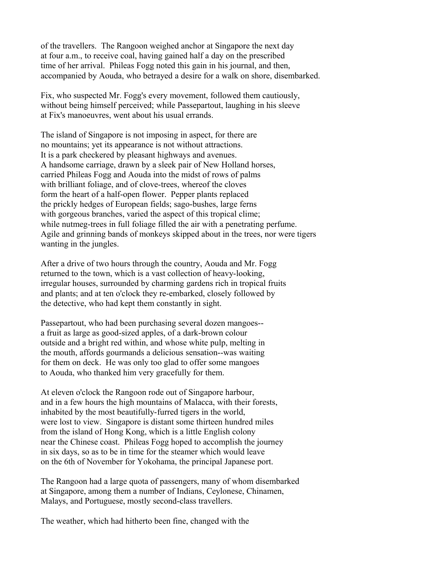of the travellers. The Rangoon weighed anchor at Singapore the next day at four a.m., to receive coal, having gained half a day on the prescribed time of her arrival. Phileas Fogg noted this gain in his journal, and then, accompanied by Aouda, who betrayed a desire for a walk on shore, disembarked.

Fix, who suspected Mr. Fogg's every movement, followed them cautiously, without being himself perceived; while Passepartout, laughing in his sleeve at Fix's manoeuvres, went about his usual errands.

The island of Singapore is not imposing in aspect, for there are no mountains; yet its appearance is not without attractions. It is a park checkered by pleasant highways and avenues. A handsome carriage, drawn by a sleek pair of New Holland horses, carried Phileas Fogg and Aouda into the midst of rows of palms with brilliant foliage, and of clove-trees, whereof the cloves form the heart of a half-open flower. Pepper plants replaced the prickly hedges of European fields; sago-bushes, large ferns with gorgeous branches, varied the aspect of this tropical clime; while nutmeg-trees in full foliage filled the air with a penetrating perfume. Agile and grinning bands of monkeys skipped about in the trees, nor were tigers wanting in the jungles.

After a drive of two hours through the country, Aouda and Mr. Fogg returned to the town, which is a vast collection of heavy-looking, irregular houses, surrounded by charming gardens rich in tropical fruits and plants; and at ten o'clock they re-embarked, closely followed by the detective, who had kept them constantly in sight.

Passepartout, who had been purchasing several dozen mangoes- a fruit as large as good-sized apples, of a dark-brown colour outside and a bright red within, and whose white pulp, melting in the mouth, affords gourmands a delicious sensation--was waiting for them on deck. He was only too glad to offer some mangoes to Aouda, who thanked him very gracefully for them.

At eleven o'clock the Rangoon rode out of Singapore harbour, and in a few hours the high mountains of Malacca, with their forests, inhabited by the most beautifully-furred tigers in the world, were lost to view. Singapore is distant some thirteen hundred miles from the island of Hong Kong, which is a little English colony near the Chinese coast. Phileas Fogg hoped to accomplish the journey in six days, so as to be in time for the steamer which would leave on the 6th of November for Yokohama, the principal Japanese port.

The Rangoon had a large quota of passengers, many of whom disembarked at Singapore, among them a number of Indians, Ceylonese, Chinamen, Malays, and Portuguese, mostly second-class travellers.

The weather, which had hitherto been fine, changed with the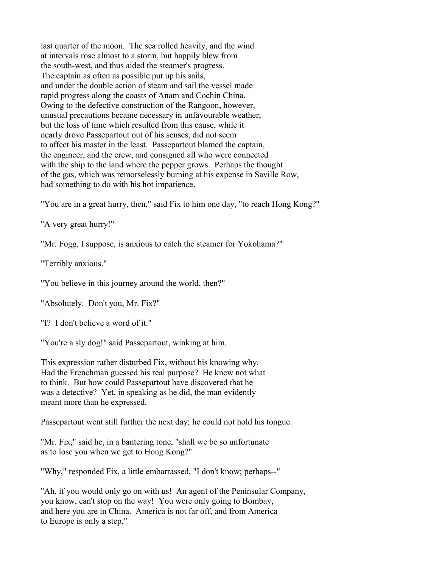last quarter of the moon. The sea rolled heavily, and the wind at intervals rose almost to a storm, but happily blew from the south-west, and thus aided the steamer's progress. The captain as often as possible put up his sails, and under the double action of steam and sail the vessel made rapid progress along the coasts of Anam and Cochin China. Owing to the defective construction of the Rangoon, however, unusual precautions became necessary in unfavourable weather; but the loss of time which resulted from this cause, while it nearly drove Passepartout out of his senses, did not seem to affect his master in the least. Passepartout blamed the captain, the engineer, and the crew, and consigned all who were connected with the ship to the land where the pepper grows. Perhaps the thought of the gas, which was remorselessly burning at his expense in Saville Row, had something to do with his hot impatience.

"You are in a great hurry, then," said Fix to him one day, "to reach Hong Kong?"

"A very great hurry!"

"Mr. Fogg, I suppose, is anxious to catch the steamer for Yokohama?"

"Terribly anxious."

"You believe in this journey around the world, then?"

"Absolutely. Don't you, Mr. Fix?"

"I? I don't believe a word of it."

"You're a sly dog!" said Passepartout, winking at him.

This expression rather disturbed Fix, without his knowing why. Had the Frenchman guessed his real purpose? He knew not what to think. But how could Passepartout have discovered that he was a detective? Yet, in speaking as he did, the man evidently meant more than he expressed.

Passepartout went still further the next day; he could not hold his tongue.

"Mr. Fix," said he, in a bantering tone, "shall we be so unfortunate as to lose you when we get to Hong Kong?"

"Why," responded Fix, a little embarrassed, "I don't know; perhaps--"

"Ah, if you would only go on with us! An agent of the Peninsular Company, you know, can't stop on the way! You were only going to Bombay, and here you are in China. America is not far off, and from America to Europe is only a step."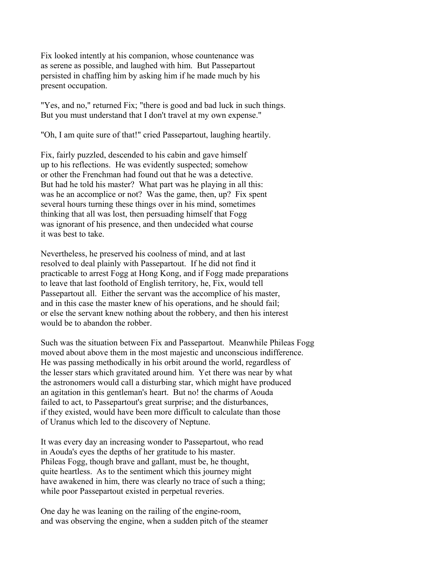Fix looked intently at his companion, whose countenance was as serene as possible, and laughed with him. But Passepartout persisted in chaffing him by asking him if he made much by his present occupation.

"Yes, and no," returned Fix; "there is good and bad luck in such things. But you must understand that I don't travel at my own expense."

"Oh, I am quite sure of that!" cried Passepartout, laughing heartily.

Fix, fairly puzzled, descended to his cabin and gave himself up to his reflections. He was evidently suspected; somehow or other the Frenchman had found out that he was a detective. But had he told his master? What part was he playing in all this: was he an accomplice or not? Was the game, then, up? Fix spent several hours turning these things over in his mind, sometimes thinking that all was lost, then persuading himself that Fogg was ignorant of his presence, and then undecided what course it was best to take.

Nevertheless, he preserved his coolness of mind, and at last resolved to deal plainly with Passepartout. If he did not find it practicable to arrest Fogg at Hong Kong, and if Fogg made preparations to leave that last foothold of English territory, he, Fix, would tell Passepartout all. Either the servant was the accomplice of his master, and in this case the master knew of his operations, and he should fail; or else the servant knew nothing about the robbery, and then his interest would be to abandon the robber.

Such was the situation between Fix and Passepartout. Meanwhile Phileas Fogg moved about above them in the most majestic and unconscious indifference. He was passing methodically in his orbit around the world, regardless of the lesser stars which gravitated around him. Yet there was near by what the astronomers would call a disturbing star, which might have produced an agitation in this gentleman's heart. But no! the charms of Aouda failed to act, to Passepartout's great surprise; and the disturbances, if they existed, would have been more difficult to calculate than those of Uranus which led to the discovery of Neptune.

It was every day an increasing wonder to Passepartout, who read in Aouda's eyes the depths of her gratitude to his master. Phileas Fogg, though brave and gallant, must be, he thought, quite heartless. As to the sentiment which this journey might have awakened in him, there was clearly no trace of such a thing; while poor Passepartout existed in perpetual reveries.

One day he was leaning on the railing of the engine-room, and was observing the engine, when a sudden pitch of the steamer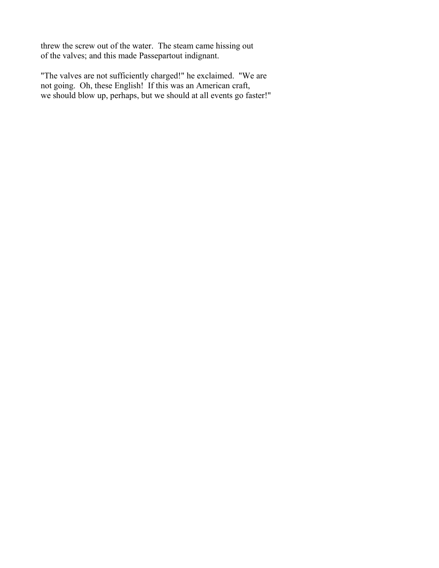threw the screw out of the water. The steam came hissing out of the valves; and this made Passepartout indignant.

"The valves are not sufficiently charged!" he exclaimed. "We are not going. Oh, these English! If this was an American craft, we should blow up, perhaps, but we should at all events go faster!"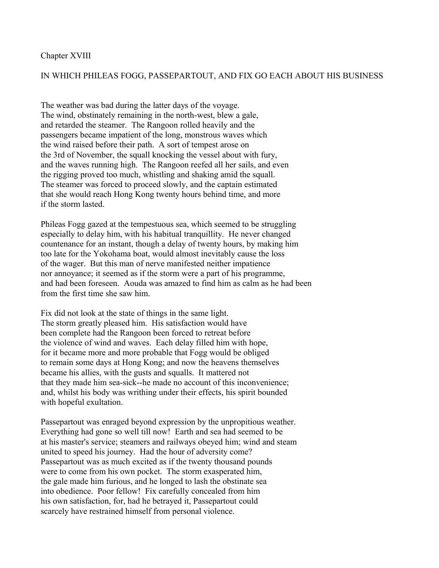### Chapter XVIII

## IN WHICH PHILEAS FOGG, PASSEPARTOUT, AND FIX GO EACH ABOUT HIS BUSINESS

The weather was bad during the latter days of the voyage. The wind, obstinately remaining in the north-west, blew a gale, and retarded the steamer. The Rangoon rolled heavily and the passengers became impatient of the long, monstrous waves which the wind raised before their path. A sort of tempest arose on the 3rd of November, the squall knocking the vessel about with fury, and the waves running high. The Rangoon reefed all her sails, and even the rigging proved too much, whistling and shaking amid the squall. The steamer was forced to proceed slowly, and the captain estimated that she would reach Hong Kong twenty hours behind time, and more if the storm lasted.

Phileas Fogg gazed at the tempestuous sea, which seemed to be struggling especially to delay him, with his habitual tranquillity. He never changed countenance for an instant, though a delay of twenty hours, by making him too late for the Yokohama boat, would almost inevitably cause the loss of the wager. But this man of nerve manifested neither impatience nor annoyance; it seemed as if the storm were a part of his programme, and had been foreseen. Aouda was amazed to find him as calm as he had been from the first time she saw him.

Fix did not look at the state of things in the same light. The storm greatly pleased him. His satisfaction would have been complete had the Rangoon been forced to retreat before the violence of wind and waves. Each delay filled him with hope, for it became more and more probable that Fogg would be obliged to remain some days at Hong Kong; and now the heavens themselves became his allies, with the gusts and squalls. It mattered not that they made him sea-sick--he made no account of this inconvenience; and, whilst his body was writhing under their effects, his spirit bounded with hopeful exultation.

Passepartout was enraged beyond expression by the unpropitious weather. Everything had gone so well till now! Earth and sea had seemed to be at his master's service; steamers and railways obeyed him; wind and steam united to speed his journey. Had the hour of adversity come? Passepartout was as much excited as if the twenty thousand pounds were to come from his own pocket. The storm exasperated him, the gale made him furious, and he longed to lash the obstinate sea into obedience. Poor fellow! Fix carefully concealed from him his own satisfaction, for, had he betrayed it, Passepartout could scarcely have restrained himself from personal violence.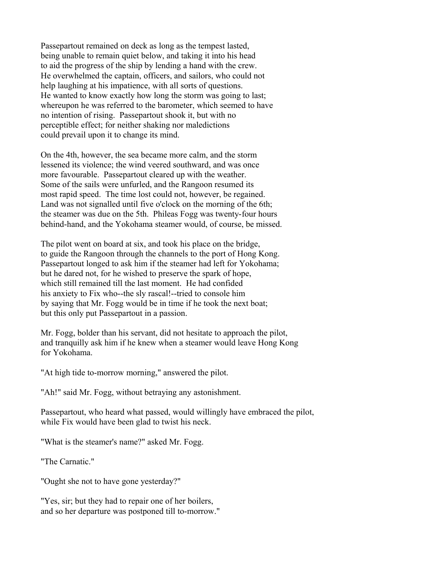Passepartout remained on deck as long as the tempest lasted, being unable to remain quiet below, and taking it into his head to aid the progress of the ship by lending a hand with the crew. He overwhelmed the captain, officers, and sailors, who could not help laughing at his impatience, with all sorts of questions. He wanted to know exactly how long the storm was going to last; whereupon he was referred to the barometer, which seemed to have no intention of rising. Passepartout shook it, but with no perceptible effect; for neither shaking nor maledictions could prevail upon it to change its mind.

On the 4th, however, the sea became more calm, and the storm lessened its violence; the wind veered southward, and was once more favourable. Passepartout cleared up with the weather. Some of the sails were unfurled, and the Rangoon resumed its most rapid speed. The time lost could not, however, be regained. Land was not signalled until five o'clock on the morning of the 6th; the steamer was due on the 5th. Phileas Fogg was twenty-four hours behind-hand, and the Yokohama steamer would, of course, be missed.

The pilot went on board at six, and took his place on the bridge, to guide the Rangoon through the channels to the port of Hong Kong. Passepartout longed to ask him if the steamer had left for Yokohama; but he dared not, for he wished to preserve the spark of hope, which still remained till the last moment. He had confided his anxiety to Fix who--the sly rascal!--tried to console him by saying that Mr. Fogg would be in time if he took the next boat; but this only put Passepartout in a passion.

Mr. Fogg, bolder than his servant, did not hesitate to approach the pilot, and tranquilly ask him if he knew when a steamer would leave Hong Kong for Yokohama.

"At high tide to-morrow morning," answered the pilot.

"Ah!" said Mr. Fogg, without betraying any astonishment.

Passepartout, who heard what passed, would willingly have embraced the pilot, while Fix would have been glad to twist his neck.

"What is the steamer's name?" asked Mr. Fogg.

"The Carnatic."

"Ought she not to have gone yesterday?"

"Yes, sir; but they had to repair one of her boilers, and so her departure was postponed till to-morrow."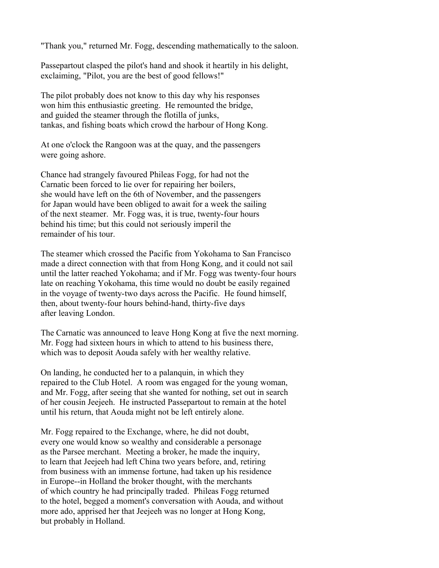"Thank you," returned Mr. Fogg, descending mathematically to the saloon.

Passepartout clasped the pilot's hand and shook it heartily in his delight, exclaiming, "Pilot, you are the best of good fellows!"

The pilot probably does not know to this day why his responses won him this enthusiastic greeting. He remounted the bridge, and guided the steamer through the flotilla of junks, tankas, and fishing boats which crowd the harbour of Hong Kong.

At one o'clock the Rangoon was at the quay, and the passengers were going ashore.

Chance had strangely favoured Phileas Fogg, for had not the Carnatic been forced to lie over for repairing her boilers, she would have left on the 6th of November, and the passengers for Japan would have been obliged to await for a week the sailing of the next steamer. Mr. Fogg was, it is true, twenty-four hours behind his time; but this could not seriously imperil the remainder of his tour.

The steamer which crossed the Pacific from Yokohama to San Francisco made a direct connection with that from Hong Kong, and it could not sail until the latter reached Yokohama; and if Mr. Fogg was twenty-four hours late on reaching Yokohama, this time would no doubt be easily regained in the voyage of twenty-two days across the Pacific. He found himself, then, about twenty-four hours behind-hand, thirty-five days after leaving London.

The Carnatic was announced to leave Hong Kong at five the next morning. Mr. Fogg had sixteen hours in which to attend to his business there, which was to deposit Aouda safely with her wealthy relative.

On landing, he conducted her to a palanquin, in which they repaired to the Club Hotel. A room was engaged for the young woman, and Mr. Fogg, after seeing that she wanted for nothing, set out in search of her cousin Jeejeeh. He instructed Passepartout to remain at the hotel until his return, that Aouda might not be left entirely alone.

Mr. Fogg repaired to the Exchange, where, he did not doubt, every one would know so wealthy and considerable a personage as the Parsee merchant. Meeting a broker, he made the inquiry, to learn that Jeejeeh had left China two years before, and, retiring from business with an immense fortune, had taken up his residence in Europe--in Holland the broker thought, with the merchants of which country he had principally traded. Phileas Fogg returned to the hotel, begged a moment's conversation with Aouda, and without more ado, apprised her that Jeejeeh was no longer at Hong Kong, but probably in Holland.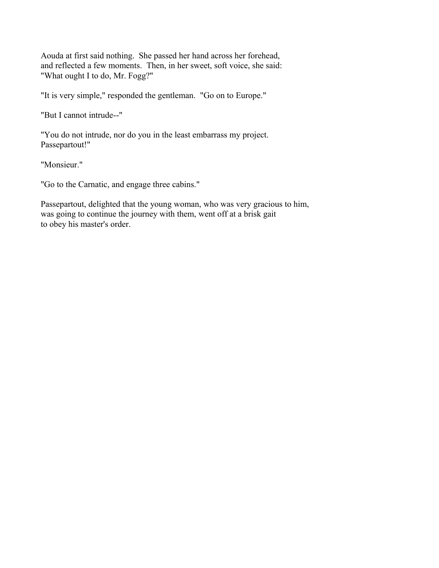Aouda at first said nothing. She passed her hand across her forehead, and reflected a few moments. Then, in her sweet, soft voice, she said: "What ought I to do, Mr. Fogg?"

"It is very simple," responded the gentleman. "Go on to Europe."

"But I cannot intrude--"

"You do not intrude, nor do you in the least embarrass my project. Passepartout!"

"Monsieur."

"Go to the Carnatic, and engage three cabins."

Passepartout, delighted that the young woman, who was very gracious to him, was going to continue the journey with them, went off at a brisk gait to obey his master's order.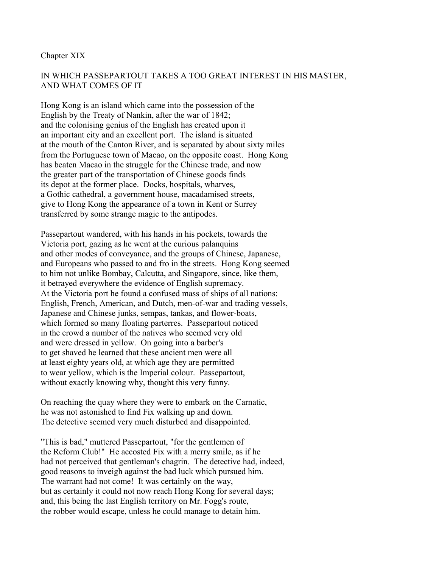### Chapter XIX

# IN WHICH PASSEPARTOUT TAKES A TOO GREAT INTEREST IN HIS MASTER, AND WHAT COMES OF IT

Hong Kong is an island which came into the possession of the English by the Treaty of Nankin, after the war of 1842; and the colonising genius of the English has created upon it an important city and an excellent port. The island is situated at the mouth of the Canton River, and is separated by about sixty miles from the Portuguese town of Macao, on the opposite coast. Hong Kong has beaten Macao in the struggle for the Chinese trade, and now the greater part of the transportation of Chinese goods finds its depot at the former place. Docks, hospitals, wharves, a Gothic cathedral, a government house, macadamised streets, give to Hong Kong the appearance of a town in Kent or Surrey transferred by some strange magic to the antipodes.

Passepartout wandered, with his hands in his pockets, towards the Victoria port, gazing as he went at the curious palanquins and other modes of conveyance, and the groups of Chinese, Japanese, and Europeans who passed to and fro in the streets. Hong Kong seemed to him not unlike Bombay, Calcutta, and Singapore, since, like them, it betrayed everywhere the evidence of English supremacy. At the Victoria port he found a confused mass of ships of all nations: English, French, American, and Dutch, men-of-war and trading vessels, Japanese and Chinese junks, sempas, tankas, and flower-boats, which formed so many floating parterres. Passepartout noticed in the crowd a number of the natives who seemed very old and were dressed in yellow. On going into a barber's to get shaved he learned that these ancient men were all at least eighty years old, at which age they are permitted to wear yellow, which is the Imperial colour. Passepartout, without exactly knowing why, thought this very funny.

On reaching the quay where they were to embark on the Carnatic, he was not astonished to find Fix walking up and down. The detective seemed very much disturbed and disappointed.

"This is bad," muttered Passepartout, "for the gentlemen of the Reform Club!" He accosted Fix with a merry smile, as if he had not perceived that gentleman's chagrin. The detective had, indeed, good reasons to inveigh against the bad luck which pursued him. The warrant had not come! It was certainly on the way, but as certainly it could not now reach Hong Kong for several days; and, this being the last English territory on Mr. Fogg's route, the robber would escape, unless he could manage to detain him.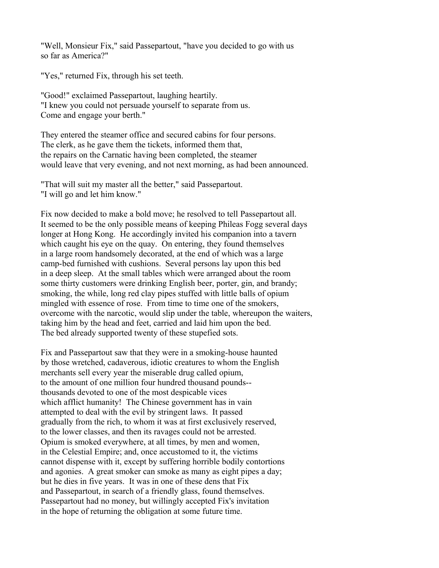"Well, Monsieur Fix," said Passepartout, "have you decided to go with us so far as America?"

"Yes," returned Fix, through his set teeth.

"Good!" exclaimed Passepartout, laughing heartily. "I knew you could not persuade yourself to separate from us. Come and engage your berth."

They entered the steamer office and secured cabins for four persons. The clerk, as he gave them the tickets, informed them that, the repairs on the Carnatic having been completed, the steamer would leave that very evening, and not next morning, as had been announced.

"That will suit my master all the better," said Passepartout. "I will go and let him know."

Fix now decided to make a bold move; he resolved to tell Passepartout all. It seemed to be the only possible means of keeping Phileas Fogg several days longer at Hong Kong. He accordingly invited his companion into a tavern which caught his eye on the quay. On entering, they found themselves in a large room handsomely decorated, at the end of which was a large camp-bed furnished with cushions. Several persons lay upon this bed in a deep sleep. At the small tables which were arranged about the room some thirty customers were drinking English beer, porter, gin, and brandy; smoking, the while, long red clay pipes stuffed with little balls of opium mingled with essence of rose. From time to time one of the smokers, overcome with the narcotic, would slip under the table, whereupon the waiters, taking him by the head and feet, carried and laid him upon the bed. The bed already supported twenty of these stupefied sots.

Fix and Passepartout saw that they were in a smoking-house haunted by those wretched, cadaverous, idiotic creatures to whom the English merchants sell every year the miserable drug called opium, to the amount of one million four hundred thousand pounds- thousands devoted to one of the most despicable vices which afflict humanity! The Chinese government has in vain attempted to deal with the evil by stringent laws. It passed gradually from the rich, to whom it was at first exclusively reserved, to the lower classes, and then its ravages could not be arrested. Opium is smoked everywhere, at all times, by men and women, in the Celestial Empire; and, once accustomed to it, the victims cannot dispense with it, except by suffering horrible bodily contortions and agonies. A great smoker can smoke as many as eight pipes a day; but he dies in five years. It was in one of these dens that Fix and Passepartout, in search of a friendly glass, found themselves. Passepartout had no money, but willingly accepted Fix's invitation in the hope of returning the obligation at some future time.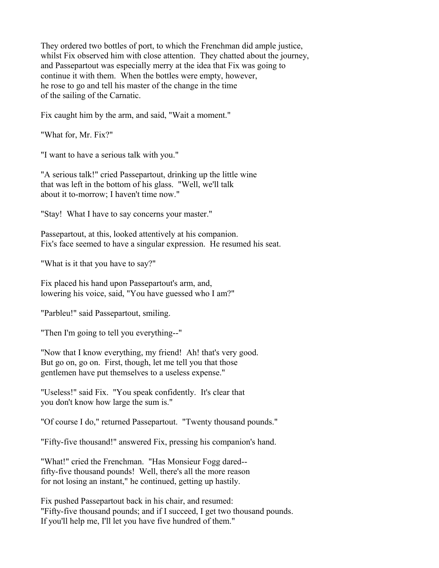They ordered two bottles of port, to which the Frenchman did ample justice, whilst Fix observed him with close attention. They chatted about the journey, and Passepartout was especially merry at the idea that Fix was going to continue it with them. When the bottles were empty, however, he rose to go and tell his master of the change in the time of the sailing of the Carnatic.

Fix caught him by the arm, and said, "Wait a moment."

"What for, Mr. Fix?"

"I want to have a serious talk with you."

"A serious talk!" cried Passepartout, drinking up the little wine that was left in the bottom of his glass. "Well, we'll talk about it to-morrow; I haven't time now."

"Stay! What I have to say concerns your master."

Passepartout, at this, looked attentively at his companion. Fix's face seemed to have a singular expression. He resumed his seat.

"What is it that you have to say?"

Fix placed his hand upon Passepartout's arm, and, lowering his voice, said, "You have guessed who I am?"

"Parbleu!" said Passepartout, smiling.

"Then I'm going to tell you everything--"

"Now that I know everything, my friend! Ah! that's very good. But go on, go on. First, though, let me tell you that those gentlemen have put themselves to a useless expense."

"Useless!" said Fix. "You speak confidently. It's clear that you don't know how large the sum is."

"Of course I do," returned Passepartout. "Twenty thousand pounds."

"Fifty-five thousand!" answered Fix, pressing his companion's hand.

"What!" cried the Frenchman. "Has Monsieur Fogg dared- fifty-five thousand pounds! Well, there's all the more reason for not losing an instant," he continued, getting up hastily.

Fix pushed Passepartout back in his chair, and resumed: "Fifty-five thousand pounds; and if I succeed, I get two thousand pounds. If you'll help me, I'll let you have five hundred of them."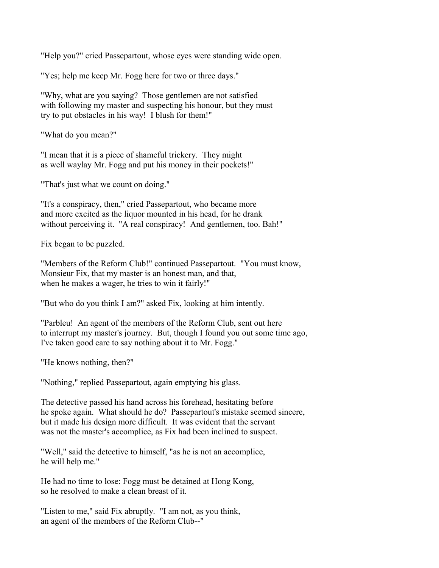"Help you?" cried Passepartout, whose eyes were standing wide open.

"Yes; help me keep Mr. Fogg here for two or three days."

"Why, what are you saying? Those gentlemen are not satisfied with following my master and suspecting his honour, but they must try to put obstacles in his way! I blush for them!"

"What do you mean?"

"I mean that it is a piece of shameful trickery. They might as well waylay Mr. Fogg and put his money in their pockets!"

"That's just what we count on doing."

"It's a conspiracy, then," cried Passepartout, who became more and more excited as the liquor mounted in his head, for he drank without perceiving it. "A real conspiracy! And gentlemen, too. Bah!"

Fix began to be puzzled.

"Members of the Reform Club!" continued Passepartout. "You must know, Monsieur Fix, that my master is an honest man, and that, when he makes a wager, he tries to win it fairly!"

"But who do you think I am?" asked Fix, looking at him intently.

"Parbleu! An agent of the members of the Reform Club, sent out here to interrupt my master's journey. But, though I found you out some time ago, I've taken good care to say nothing about it to Mr. Fogg."

"He knows nothing, then?"

"Nothing," replied Passepartout, again emptying his glass.

The detective passed his hand across his forehead, hesitating before he spoke again. What should he do? Passepartout's mistake seemed sincere, but it made his design more difficult. It was evident that the servant was not the master's accomplice, as Fix had been inclined to suspect.

"Well," said the detective to himself, "as he is not an accomplice, he will help me."

He had no time to lose: Fogg must be detained at Hong Kong, so he resolved to make a clean breast of it.

"Listen to me," said Fix abruptly. "I am not, as you think, an agent of the members of the Reform Club--"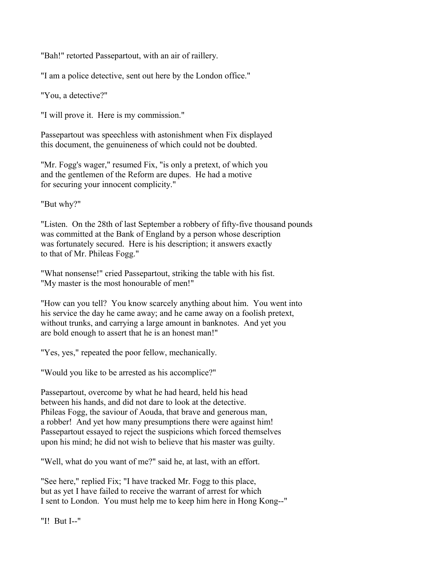"Bah!" retorted Passepartout, with an air of raillery.

"I am a police detective, sent out here by the London office."

"You, a detective?"

"I will prove it. Here is my commission."

Passepartout was speechless with astonishment when Fix displayed this document, the genuineness of which could not be doubted.

"Mr. Fogg's wager," resumed Fix, "is only a pretext, of which you and the gentlemen of the Reform are dupes. He had a motive for securing your innocent complicity."

"But why?"

"Listen. On the 28th of last September a robbery of fifty-five thousand pounds was committed at the Bank of England by a person whose description was fortunately secured. Here is his description; it answers exactly to that of Mr. Phileas Fogg."

"What nonsense!" cried Passepartout, striking the table with his fist. "My master is the most honourable of men!"

"How can you tell? You know scarcely anything about him. You went into his service the day he came away; and he came away on a foolish pretext, without trunks, and carrying a large amount in banknotes. And yet you are bold enough to assert that he is an honest man!"

"Yes, yes," repeated the poor fellow, mechanically.

"Would you like to be arrested as his accomplice?"

Passepartout, overcome by what he had heard, held his head between his hands, and did not dare to look at the detective. Phileas Fogg, the saviour of Aouda, that brave and generous man, a robber! And yet how many presumptions there were against him! Passepartout essayed to reject the suspicions which forced themselves upon his mind; he did not wish to believe that his master was guilty.

"Well, what do you want of me?" said he, at last, with an effort.

"See here," replied Fix; "I have tracked Mr. Fogg to this place, but as yet I have failed to receive the warrant of arrest for which I sent to London. You must help me to keep him here in Hong Kong--"

"I! But I--"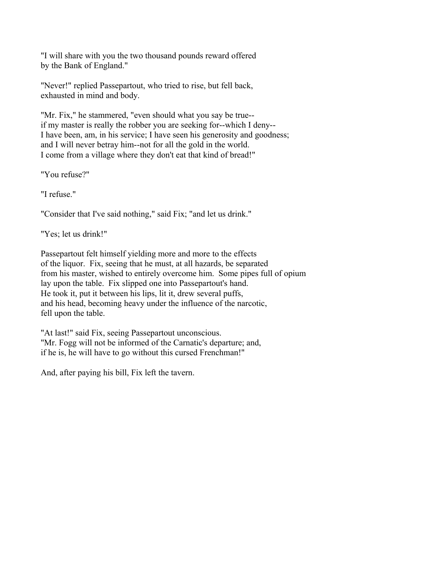"I will share with you the two thousand pounds reward offered by the Bank of England."

"Never!" replied Passepartout, who tried to rise, but fell back, exhausted in mind and body.

"Mr. Fix," he stammered, "even should what you say be true- if my master is really the robber you are seeking for--which I deny-- I have been, am, in his service; I have seen his generosity and goodness; and I will never betray him--not for all the gold in the world. I come from a village where they don't eat that kind of bread!"

"You refuse?"

"I refuse."

"Consider that I've said nothing," said Fix; "and let us drink."

"Yes; let us drink!"

Passepartout felt himself yielding more and more to the effects of the liquor. Fix, seeing that he must, at all hazards, be separated from his master, wished to entirely overcome him. Some pipes full of opium lay upon the table. Fix slipped one into Passepartout's hand. He took it, put it between his lips, lit it, drew several puffs, and his head, becoming heavy under the influence of the narcotic, fell upon the table.

"At last!" said Fix, seeing Passepartout unconscious. "Mr. Fogg will not be informed of the Carnatic's departure; and, if he is, he will have to go without this cursed Frenchman!"

And, after paying his bill, Fix left the tavern.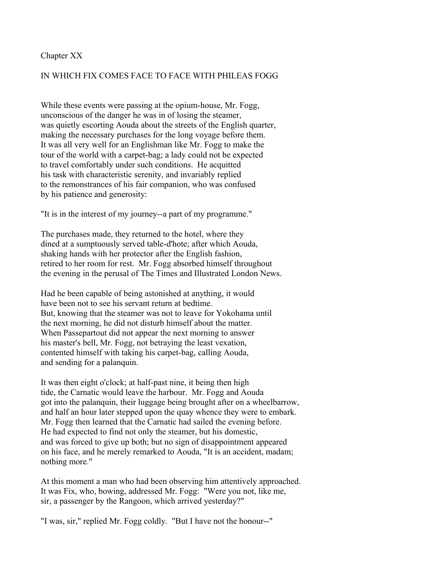#### Chapter XX

## IN WHICH FIX COMES FACE TO FACE WITH PHILEAS FOGG

While these events were passing at the opium-house, Mr. Fogg, unconscious of the danger he was in of losing the steamer, was quietly escorting Aouda about the streets of the English quarter, making the necessary purchases for the long voyage before them. It was all very well for an Englishman like Mr. Fogg to make the tour of the world with a carpet-bag; a lady could not be expected to travel comfortably under such conditions. He acquitted his task with characteristic serenity, and invariably replied to the remonstrances of his fair companion, who was confused by his patience and generosity:

"It is in the interest of my journey--a part of my programme."

The purchases made, they returned to the hotel, where they dined at a sumptuously served table-d'hote; after which Aouda, shaking hands with her protector after the English fashion, retired to her room for rest. Mr. Fogg absorbed himself throughout the evening in the perusal of The Times and Illustrated London News.

Had he been capable of being astonished at anything, it would have been not to see his servant return at bedtime. But, knowing that the steamer was not to leave for Yokohama until the next morning, he did not disturb himself about the matter. When Passepartout did not appear the next morning to answer his master's bell, Mr. Fogg, not betraying the least vexation, contented himself with taking his carpet-bag, calling Aouda, and sending for a palanquin.

It was then eight o'clock; at half-past nine, it being then high tide, the Carnatic would leave the harbour. Mr. Fogg and Aouda got into the palanquin, their luggage being brought after on a wheelbarrow, and half an hour later stepped upon the quay whence they were to embark. Mr. Fogg then learned that the Carnatic had sailed the evening before. He had expected to find not only the steamer, but his domestic, and was forced to give up both; but no sign of disappointment appeared on his face, and he merely remarked to Aouda, "It is an accident, madam; nothing more."

At this moment a man who had been observing him attentively approached. It was Fix, who, bowing, addressed Mr. Fogg: "Were you not, like me, sir, a passenger by the Rangoon, which arrived yesterday?"

"I was, sir," replied Mr. Fogg coldly. "But I have not the honour--"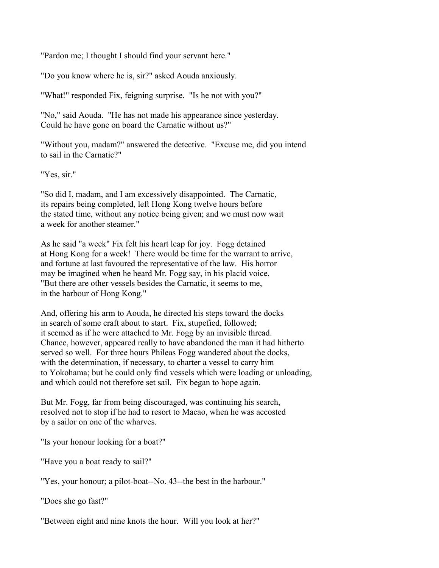"Pardon me; I thought I should find your servant here."

"Do you know where he is, sir?" asked Aouda anxiously.

"What!" responded Fix, feigning surprise. "Is he not with you?"

"No," said Aouda. "He has not made his appearance since yesterday. Could he have gone on board the Carnatic without us?"

"Without you, madam?" answered the detective. "Excuse me, did you intend to sail in the Carnatic?"

"Yes, sir."

"So did I, madam, and I am excessively disappointed. The Carnatic, its repairs being completed, left Hong Kong twelve hours before the stated time, without any notice being given; and we must now wait a week for another steamer."

As he said "a week" Fix felt his heart leap for joy. Fogg detained at Hong Kong for a week! There would be time for the warrant to arrive, and fortune at last favoured the representative of the law. His horror may be imagined when he heard Mr. Fogg say, in his placid voice, "But there are other vessels besides the Carnatic, it seems to me, in the harbour of Hong Kong."

And, offering his arm to Aouda, he directed his steps toward the docks in search of some craft about to start. Fix, stupefied, followed; it seemed as if he were attached to Mr. Fogg by an invisible thread. Chance, however, appeared really to have abandoned the man it had hitherto served so well. For three hours Phileas Fogg wandered about the docks, with the determination, if necessary, to charter a vessel to carry him to Yokohama; but he could only find vessels which were loading or unloading, and which could not therefore set sail. Fix began to hope again.

But Mr. Fogg, far from being discouraged, was continuing his search, resolved not to stop if he had to resort to Macao, when he was accosted by a sailor on one of the wharves.

"Is your honour looking for a boat?"

"Have you a boat ready to sail?"

"Yes, your honour; a pilot-boat--No. 43--the best in the harbour."

"Does she go fast?"

"Between eight and nine knots the hour. Will you look at her?"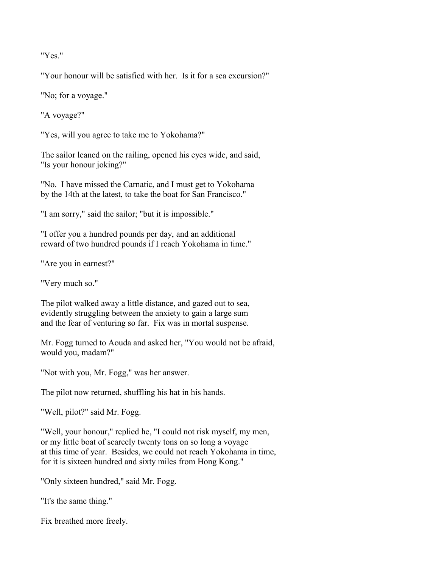"Yes."

"Your honour will be satisfied with her. Is it for a sea excursion?"

"No; for a voyage."

"A voyage?"

"Yes, will you agree to take me to Yokohama?"

The sailor leaned on the railing, opened his eyes wide, and said, "Is your honour joking?"

"No. I have missed the Carnatic, and I must get to Yokohama by the 14th at the latest, to take the boat for San Francisco."

"I am sorry," said the sailor; "but it is impossible."

"I offer you a hundred pounds per day, and an additional reward of two hundred pounds if I reach Yokohama in time."

"Are you in earnest?"

"Very much so."

The pilot walked away a little distance, and gazed out to sea, evidently struggling between the anxiety to gain a large sum and the fear of venturing so far. Fix was in mortal suspense.

Mr. Fogg turned to Aouda and asked her, "You would not be afraid, would you, madam?"

"Not with you, Mr. Fogg," was her answer.

The pilot now returned, shuffling his hat in his hands.

"Well, pilot?" said Mr. Fogg.

"Well, your honour," replied he, "I could not risk myself, my men, or my little boat of scarcely twenty tons on so long a voyage at this time of year. Besides, we could not reach Yokohama in time, for it is sixteen hundred and sixty miles from Hong Kong."

"Only sixteen hundred," said Mr. Fogg.

"It's the same thing."

Fix breathed more freely.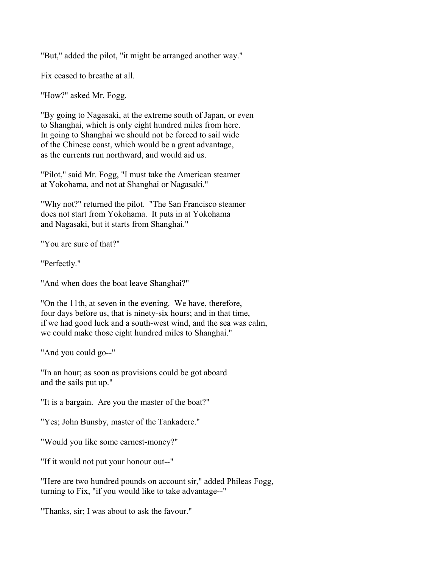"But," added the pilot, "it might be arranged another way."

Fix ceased to breathe at all.

"How?" asked Mr. Fogg.

"By going to Nagasaki, at the extreme south of Japan, or even to Shanghai, which is only eight hundred miles from here. In going to Shanghai we should not be forced to sail wide of the Chinese coast, which would be a great advantage, as the currents run northward, and would aid us.

"Pilot," said Mr. Fogg, "I must take the American steamer at Yokohama, and not at Shanghai or Nagasaki."

"Why not?" returned the pilot. "The San Francisco steamer does not start from Yokohama. It puts in at Yokohama and Nagasaki, but it starts from Shanghai."

"You are sure of that?"

"Perfectly."

"And when does the boat leave Shanghai?"

"On the 11th, at seven in the evening. We have, therefore, four days before us, that is ninety-six hours; and in that time, if we had good luck and a south-west wind, and the sea was calm, we could make those eight hundred miles to Shanghai."

"And you could go--"

"In an hour; as soon as provisions could be got aboard and the sails put up."

"It is a bargain. Are you the master of the boat?"

"Yes; John Bunsby, master of the Tankadere."

"Would you like some earnest-money?"

"If it would not put your honour out--"

"Here are two hundred pounds on account sir," added Phileas Fogg, turning to Fix, "if you would like to take advantage--"

"Thanks, sir; I was about to ask the favour."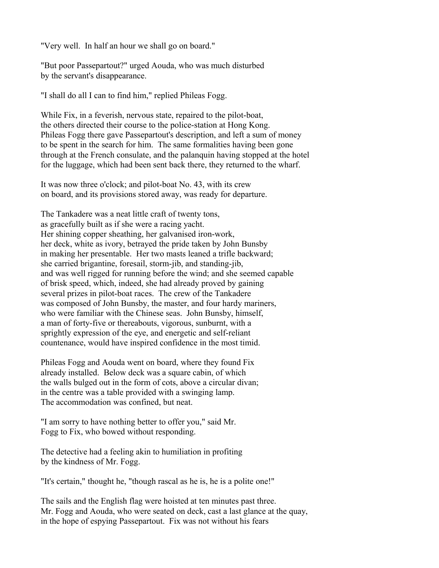"Very well. In half an hour we shall go on board."

"But poor Passepartout?" urged Aouda, who was much disturbed by the servant's disappearance.

"I shall do all I can to find him," replied Phileas Fogg.

While Fix, in a feverish, nervous state, repaired to the pilot-boat, the others directed their course to the police-station at Hong Kong. Phileas Fogg there gave Passepartout's description, and left a sum of money to be spent in the search for him. The same formalities having been gone through at the French consulate, and the palanquin having stopped at the hotel for the luggage, which had been sent back there, they returned to the wharf.

It was now three o'clock; and pilot-boat No. 43, with its crew on board, and its provisions stored away, was ready for departure.

The Tankadere was a neat little craft of twenty tons, as gracefully built as if she were a racing yacht. Her shining copper sheathing, her galvanised iron-work, her deck, white as ivory, betrayed the pride taken by John Bunsby in making her presentable. Her two masts leaned a trifle backward; she carried brigantine, foresail, storm-jib, and standing-jib, and was well rigged for running before the wind; and she seemed capable of brisk speed, which, indeed, she had already proved by gaining several prizes in pilot-boat races. The crew of the Tankadere was composed of John Bunsby, the master, and four hardy mariners, who were familiar with the Chinese seas. John Bunsby, himself, a man of forty-five or thereabouts, vigorous, sunburnt, with a sprightly expression of the eye, and energetic and self-reliant countenance, would have inspired confidence in the most timid.

Phileas Fogg and Aouda went on board, where they found Fix already installed. Below deck was a square cabin, of which the walls bulged out in the form of cots, above a circular divan; in the centre was a table provided with a swinging lamp. The accommodation was confined, but neat.

"I am sorry to have nothing better to offer you," said Mr. Fogg to Fix, who bowed without responding.

The detective had a feeling akin to humiliation in profiting by the kindness of Mr. Fogg.

"It's certain," thought he, "though rascal as he is, he is a polite one!"

The sails and the English flag were hoisted at ten minutes past three. Mr. Fogg and Aouda, who were seated on deck, cast a last glance at the quay, in the hope of espying Passepartout. Fix was not without his fears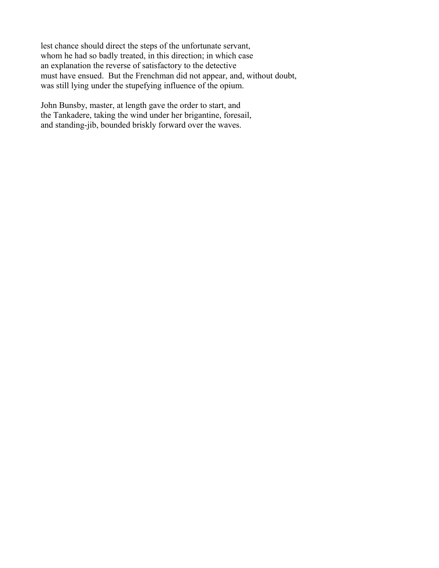lest chance should direct the steps of the unfortunate servant, whom he had so badly treated, in this direction; in which case an explanation the reverse of satisfactory to the detective must have ensued. But the Frenchman did not appear, and, without doubt, was still lying under the stupefying influence of the opium.

John Bunsby, master, at length gave the order to start, and the Tankadere, taking the wind under her brigantine, foresail, and standing-jib, bounded briskly forward over the waves.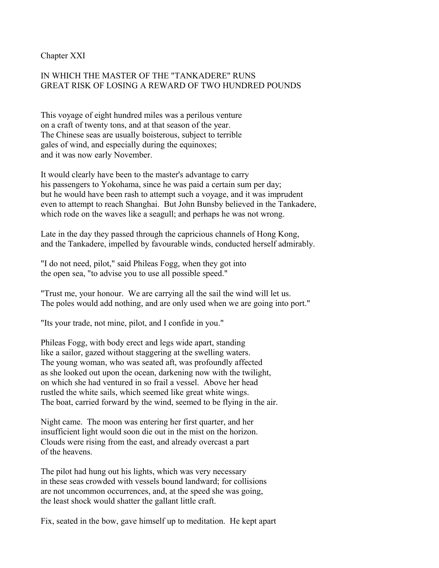Chapter XXI

# IN WHICH THE MASTER OF THE "TANKADERE" RUNS GREAT RISK OF LOSING A REWARD OF TWO HUNDRED POUNDS

This voyage of eight hundred miles was a perilous venture on a craft of twenty tons, and at that season of the year. The Chinese seas are usually boisterous, subject to terrible gales of wind, and especially during the equinoxes; and it was now early November.

It would clearly have been to the master's advantage to carry his passengers to Yokohama, since he was paid a certain sum per day; but he would have been rash to attempt such a voyage, and it was imprudent even to attempt to reach Shanghai. But John Bunsby believed in the Tankadere, which rode on the waves like a seagull; and perhaps he was not wrong.

Late in the day they passed through the capricious channels of Hong Kong, and the Tankadere, impelled by favourable winds, conducted herself admirably.

"I do not need, pilot," said Phileas Fogg, when they got into the open sea, "to advise you to use all possible speed."

"Trust me, your honour. We are carrying all the sail the wind will let us. The poles would add nothing, and are only used when we are going into port."

"Its your trade, not mine, pilot, and I confide in you."

Phileas Fogg, with body erect and legs wide apart, standing like a sailor, gazed without staggering at the swelling waters. The young woman, who was seated aft, was profoundly affected as she looked out upon the ocean, darkening now with the twilight, on which she had ventured in so frail a vessel. Above her head rustled the white sails, which seemed like great white wings. The boat, carried forward by the wind, seemed to be flying in the air.

Night came. The moon was entering her first quarter, and her insufficient light would soon die out in the mist on the horizon. Clouds were rising from the east, and already overcast a part of the heavens.

The pilot had hung out his lights, which was very necessary in these seas crowded with vessels bound landward; for collisions are not uncommon occurrences, and, at the speed she was going, the least shock would shatter the gallant little craft.

Fix, seated in the bow, gave himself up to meditation. He kept apart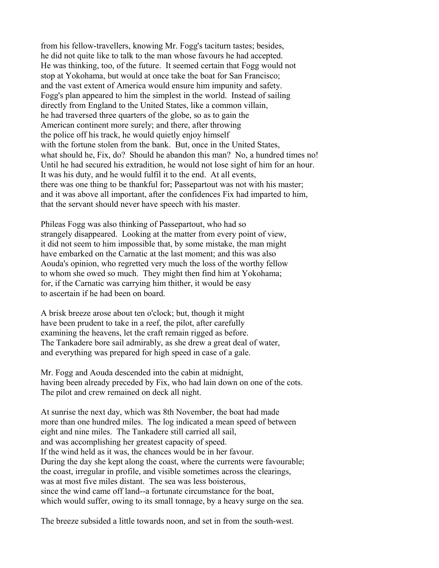from his fellow-travellers, knowing Mr. Fogg's taciturn tastes; besides, he did not quite like to talk to the man whose favours he had accepted. He was thinking, too, of the future. It seemed certain that Fogg would not stop at Yokohama, but would at once take the boat for San Francisco; and the vast extent of America would ensure him impunity and safety. Fogg's plan appeared to him the simplest in the world. Instead of sailing directly from England to the United States, like a common villain, he had traversed three quarters of the globe, so as to gain the American continent more surely; and there, after throwing the police off his track, he would quietly enjoy himself with the fortune stolen from the bank. But, once in the United States, what should he, Fix, do? Should he abandon this man? No, a hundred times no! Until he had secured his extradition, he would not lose sight of him for an hour. It was his duty, and he would fulfil it to the end. At all events, there was one thing to be thankful for; Passepartout was not with his master; and it was above all important, after the confidences Fix had imparted to him, that the servant should never have speech with his master.

Phileas Fogg was also thinking of Passepartout, who had so strangely disappeared. Looking at the matter from every point of view, it did not seem to him impossible that, by some mistake, the man might have embarked on the Carnatic at the last moment; and this was also Aouda's opinion, who regretted very much the loss of the worthy fellow to whom she owed so much. They might then find him at Yokohama; for, if the Carnatic was carrying him thither, it would be easy to ascertain if he had been on board.

A brisk breeze arose about ten o'clock; but, though it might have been prudent to take in a reef, the pilot, after carefully examining the heavens, let the craft remain rigged as before. The Tankadere bore sail admirably, as she drew a great deal of water, and everything was prepared for high speed in case of a gale.

Mr. Fogg and Aouda descended into the cabin at midnight, having been already preceded by Fix, who had lain down on one of the cots. The pilot and crew remained on deck all night.

At sunrise the next day, which was 8th November, the boat had made more than one hundred miles. The log indicated a mean speed of between eight and nine miles. The Tankadere still carried all sail, and was accomplishing her greatest capacity of speed. If the wind held as it was, the chances would be in her favour. During the day she kept along the coast, where the currents were favourable; the coast, irregular in profile, and visible sometimes across the clearings, was at most five miles distant. The sea was less boisterous, since the wind came off land--a fortunate circumstance for the boat, which would suffer, owing to its small tonnage, by a heavy surge on the sea.

The breeze subsided a little towards noon, and set in from the south-west.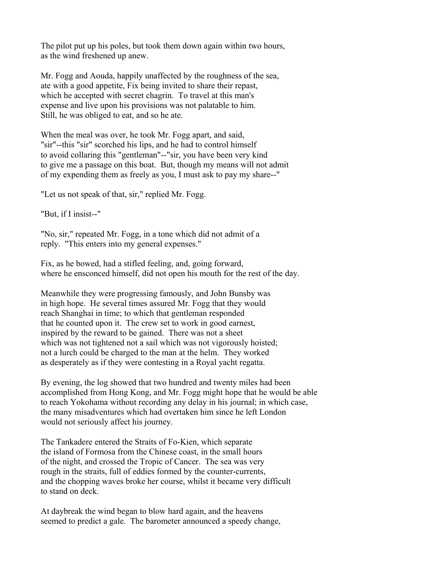The pilot put up his poles, but took them down again within two hours, as the wind freshened up anew.

Mr. Fogg and Aouda, happily unaffected by the roughness of the sea, ate with a good appetite, Fix being invited to share their repast, which he accepted with secret chagrin. To travel at this man's expense and live upon his provisions was not palatable to him. Still, he was obliged to eat, and so he ate.

When the meal was over, he took Mr. Fogg apart, and said, "sir"--this "sir" scorched his lips, and he had to control himself to avoid collaring this "gentleman"--"sir, you have been very kind to give me a passage on this boat. But, though my means will not admit of my expending them as freely as you, I must ask to pay my share--"

"Let us not speak of that, sir," replied Mr. Fogg.

"But, if I insist--"

"No, sir," repeated Mr. Fogg, in a tone which did not admit of a reply. "This enters into my general expenses."

Fix, as he bowed, had a stifled feeling, and, going forward, where he ensconced himself, did not open his mouth for the rest of the day.

Meanwhile they were progressing famously, and John Bunsby was in high hope. He several times assured Mr. Fogg that they would reach Shanghai in time; to which that gentleman responded that he counted upon it. The crew set to work in good earnest, inspired by the reward to be gained. There was not a sheet which was not tightened not a sail which was not vigorously hoisted; not a lurch could be charged to the man at the helm. They worked as desperately as if they were contesting in a Royal yacht regatta.

By evening, the log showed that two hundred and twenty miles had been accomplished from Hong Kong, and Mr. Fogg might hope that he would be able to reach Yokohama without recording any delay in his journal; in which case, the many misadventures which had overtaken him since he left London would not seriously affect his journey.

The Tankadere entered the Straits of Fo-Kien, which separate the island of Formosa from the Chinese coast, in the small hours of the night, and crossed the Tropic of Cancer. The sea was very rough in the straits, full of eddies formed by the counter-currents, and the chopping waves broke her course, whilst it became very difficult to stand on deck.

At daybreak the wind began to blow hard again, and the heavens seemed to predict a gale. The barometer announced a speedy change,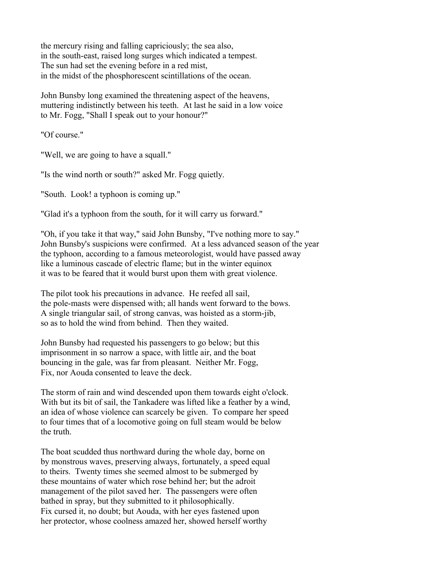the mercury rising and falling capriciously; the sea also, in the south-east, raised long surges which indicated a tempest. The sun had set the evening before in a red mist, in the midst of the phosphorescent scintillations of the ocean.

John Bunsby long examined the threatening aspect of the heavens, muttering indistinctly between his teeth. At last he said in a low voice to Mr. Fogg, "Shall I speak out to your honour?"

"Of course."

"Well, we are going to have a squall."

"Is the wind north or south?" asked Mr. Fogg quietly.

"South. Look! a typhoon is coming up."

"Glad it's a typhoon from the south, for it will carry us forward."

"Oh, if you take it that way," said John Bunsby, "I've nothing more to say." John Bunsby's suspicions were confirmed. At a less advanced season of the year the typhoon, according to a famous meteorologist, would have passed away like a luminous cascade of electric flame; but in the winter equinox it was to be feared that it would burst upon them with great violence.

The pilot took his precautions in advance. He reefed all sail, the pole-masts were dispensed with; all hands went forward to the bows. A single triangular sail, of strong canvas, was hoisted as a storm-jib, so as to hold the wind from behind. Then they waited.

John Bunsby had requested his passengers to go below; but this imprisonment in so narrow a space, with little air, and the boat bouncing in the gale, was far from pleasant. Neither Mr. Fogg, Fix, nor Aouda consented to leave the deck.

The storm of rain and wind descended upon them towards eight o'clock. With but its bit of sail, the Tankadere was lifted like a feather by a wind, an idea of whose violence can scarcely be given. To compare her speed to four times that of a locomotive going on full steam would be below the truth.

The boat scudded thus northward during the whole day, borne on by monstrous waves, preserving always, fortunately, a speed equal to theirs. Twenty times she seemed almost to be submerged by these mountains of water which rose behind her; but the adroit management of the pilot saved her. The passengers were often bathed in spray, but they submitted to it philosophically. Fix cursed it, no doubt; but Aouda, with her eyes fastened upon her protector, whose coolness amazed her, showed herself worthy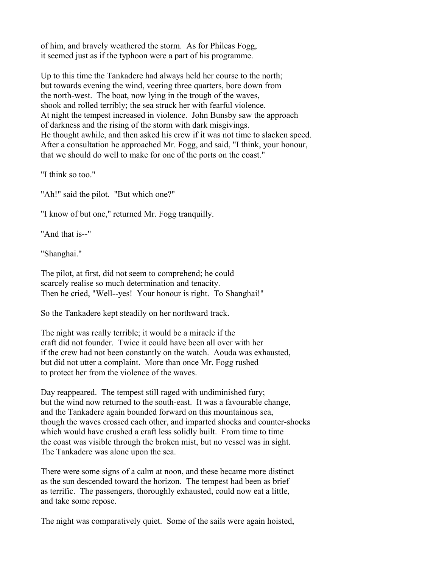of him, and bravely weathered the storm. As for Phileas Fogg, it seemed just as if the typhoon were a part of his programme.

Up to this time the Tankadere had always held her course to the north; but towards evening the wind, veering three quarters, bore down from the north-west. The boat, now lying in the trough of the waves, shook and rolled terribly; the sea struck her with fearful violence. At night the tempest increased in violence. John Bunsby saw the approach of darkness and the rising of the storm with dark misgivings. He thought awhile, and then asked his crew if it was not time to slacken speed. After a consultation he approached Mr. Fogg, and said, "I think, your honour, that we should do well to make for one of the ports on the coast."

"I think so too."

"Ah!" said the pilot. "But which one?"

"I know of but one," returned Mr. Fogg tranquilly.

"And that is--"

"Shanghai."

The pilot, at first, did not seem to comprehend; he could scarcely realise so much determination and tenacity. Then he cried, "Well--yes! Your honour is right. To Shanghai!"

So the Tankadere kept steadily on her northward track.

The night was really terrible; it would be a miracle if the craft did not founder. Twice it could have been all over with her if the crew had not been constantly on the watch. Aouda was exhausted, but did not utter a complaint. More than once Mr. Fogg rushed to protect her from the violence of the waves.

Day reappeared. The tempest still raged with undiminished fury; but the wind now returned to the south-east. It was a favourable change, and the Tankadere again bounded forward on this mountainous sea, though the waves crossed each other, and imparted shocks and counter-shocks which would have crushed a craft less solidly built. From time to time the coast was visible through the broken mist, but no vessel was in sight. The Tankadere was alone upon the sea.

There were some signs of a calm at noon, and these became more distinct as the sun descended toward the horizon. The tempest had been as brief as terrific. The passengers, thoroughly exhausted, could now eat a little, and take some repose.

The night was comparatively quiet. Some of the sails were again hoisted,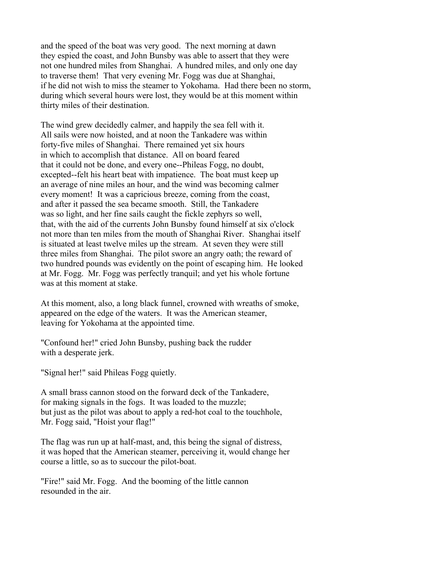and the speed of the boat was very good. The next morning at dawn they espied the coast, and John Bunsby was able to assert that they were not one hundred miles from Shanghai. A hundred miles, and only one day to traverse them! That very evening Mr. Fogg was due at Shanghai, if he did not wish to miss the steamer to Yokohama. Had there been no storm, during which several hours were lost, they would be at this moment within thirty miles of their destination.

The wind grew decidedly calmer, and happily the sea fell with it. All sails were now hoisted, and at noon the Tankadere was within forty-five miles of Shanghai. There remained yet six hours in which to accomplish that distance. All on board feared that it could not be done, and every one--Phileas Fogg, no doubt, excepted--felt his heart beat with impatience. The boat must keep up an average of nine miles an hour, and the wind was becoming calmer every moment! It was a capricious breeze, coming from the coast, and after it passed the sea became smooth. Still, the Tankadere was so light, and her fine sails caught the fickle zephyrs so well, that, with the aid of the currents John Bunsby found himself at six o'clock not more than ten miles from the mouth of Shanghai River. Shanghai itself is situated at least twelve miles up the stream. At seven they were still three miles from Shanghai. The pilot swore an angry oath; the reward of two hundred pounds was evidently on the point of escaping him. He looked at Mr. Fogg. Mr. Fogg was perfectly tranquil; and yet his whole fortune was at this moment at stake.

At this moment, also, a long black funnel, crowned with wreaths of smoke, appeared on the edge of the waters. It was the American steamer, leaving for Yokohama at the appointed time.

"Confound her!" cried John Bunsby, pushing back the rudder with a desperate jerk.

"Signal her!" said Phileas Fogg quietly.

A small brass cannon stood on the forward deck of the Tankadere, for making signals in the fogs. It was loaded to the muzzle; but just as the pilot was about to apply a red-hot coal to the touchhole, Mr. Fogg said, "Hoist your flag!"

The flag was run up at half-mast, and, this being the signal of distress, it was hoped that the American steamer, perceiving it, would change her course a little, so as to succour the pilot-boat.

"Fire!" said Mr. Fogg. And the booming of the little cannon resounded in the air.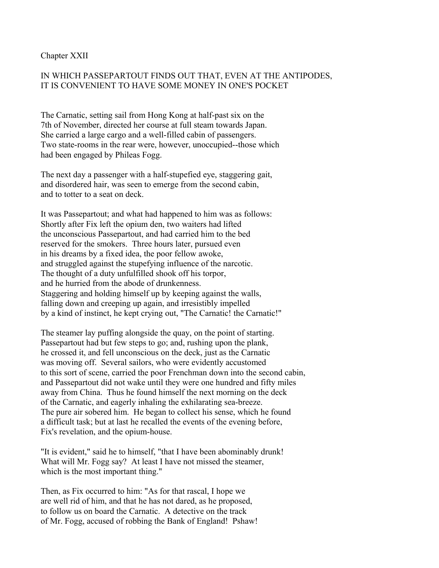Chapter XXII

# IN WHICH PASSEPARTOUT FINDS OUT THAT, EVEN AT THE ANTIPODES, IT IS CONVENIENT TO HAVE SOME MONEY IN ONE'S POCKET

The Carnatic, setting sail from Hong Kong at half-past six on the 7th of November, directed her course at full steam towards Japan. She carried a large cargo and a well-filled cabin of passengers. Two state-rooms in the rear were, however, unoccupied--those which had been engaged by Phileas Fogg.

The next day a passenger with a half-stupefied eye, staggering gait, and disordered hair, was seen to emerge from the second cabin, and to totter to a seat on deck.

It was Passepartout; and what had happened to him was as follows: Shortly after Fix left the opium den, two waiters had lifted the unconscious Passepartout, and had carried him to the bed reserved for the smokers. Three hours later, pursued even in his dreams by a fixed idea, the poor fellow awoke, and struggled against the stupefying influence of the narcotic. The thought of a duty unfulfilled shook off his torpor, and he hurried from the abode of drunkenness. Staggering and holding himself up by keeping against the walls, falling down and creeping up again, and irresistibly impelled by a kind of instinct, he kept crying out, "The Carnatic! the Carnatic!"

The steamer lay puffing alongside the quay, on the point of starting. Passepartout had but few steps to go; and, rushing upon the plank, he crossed it, and fell unconscious on the deck, just as the Carnatic was moving off. Several sailors, who were evidently accustomed to this sort of scene, carried the poor Frenchman down into the second cabin, and Passepartout did not wake until they were one hundred and fifty miles away from China. Thus he found himself the next morning on the deck of the Carnatic, and eagerly inhaling the exhilarating sea-breeze. The pure air sobered him. He began to collect his sense, which he found a difficult task; but at last he recalled the events of the evening before, Fix's revelation, and the opium-house.

"It is evident," said he to himself, "that I have been abominably drunk! What will Mr. Fogg say? At least I have not missed the steamer, which is the most important thing."

Then, as Fix occurred to him: "As for that rascal, I hope we are well rid of him, and that he has not dared, as he proposed, to follow us on board the Carnatic. A detective on the track of Mr. Fogg, accused of robbing the Bank of England! Pshaw!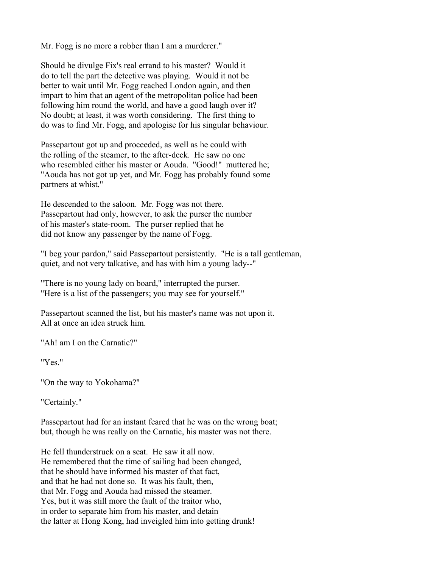Mr. Fogg is no more a robber than I am a murderer."

Should he divulge Fix's real errand to his master? Would it do to tell the part the detective was playing. Would it not be better to wait until Mr. Fogg reached London again, and then impart to him that an agent of the metropolitan police had been following him round the world, and have a good laugh over it? No doubt; at least, it was worth considering. The first thing to do was to find Mr. Fogg, and apologise for his singular behaviour.

Passepartout got up and proceeded, as well as he could with the rolling of the steamer, to the after-deck. He saw no one who resembled either his master or Aouda. "Good!" muttered he; "Aouda has not got up yet, and Mr. Fogg has probably found some partners at whist."

He descended to the saloon. Mr. Fogg was not there. Passepartout had only, however, to ask the purser the number of his master's state-room. The purser replied that he did not know any passenger by the name of Fogg.

"I beg your pardon," said Passepartout persistently. "He is a tall gentleman, quiet, and not very talkative, and has with him a young lady--"

"There is no young lady on board," interrupted the purser. "Here is a list of the passengers; you may see for yourself."

Passepartout scanned the list, but his master's name was not upon it. All at once an idea struck him.

"Ah! am I on the Carnatic?"

"Yes."

"On the way to Yokohama?"

"Certainly."

Passepartout had for an instant feared that he was on the wrong boat; but, though he was really on the Carnatic, his master was not there.

He fell thunderstruck on a seat. He saw it all now. He remembered that the time of sailing had been changed, that he should have informed his master of that fact, and that he had not done so. It was his fault, then, that Mr. Fogg and Aouda had missed the steamer. Yes, but it was still more the fault of the traitor who, in order to separate him from his master, and detain the latter at Hong Kong, had inveigled him into getting drunk!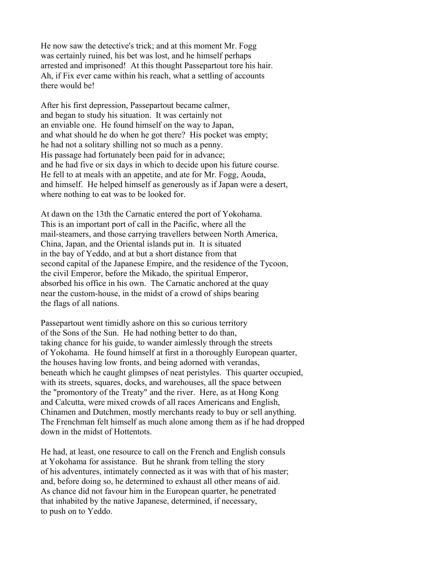He now saw the detective's trick; and at this moment Mr. Fogg was certainly ruined, his bet was lost, and he himself perhaps arrested and imprisoned! At this thought Passepartout tore his hair. Ah, if Fix ever came within his reach, what a settling of accounts there would be!

After his first depression, Passepartout became calmer, and began to study his situation. It was certainly not an enviable one. He found himself on the way to Japan, and what should he do when he got there? His pocket was empty; he had not a solitary shilling not so much as a penny. His passage had fortunately been paid for in advance; and he had five or six days in which to decide upon his future course. He fell to at meals with an appetite, and ate for Mr. Fogg, Aouda, and himself. He helped himself as generously as if Japan were a desert, where nothing to eat was to be looked for.

At dawn on the 13th the Carnatic entered the port of Yokohama. This is an important port of call in the Pacific, where all the mail-steamers, and those carrying travellers between North America, China, Japan, and the Oriental islands put in. It is situated in the bay of Yeddo, and at but a short distance from that second capital of the Japanese Empire, and the residence of the Tycoon, the civil Emperor, before the Mikado, the spiritual Emperor, absorbed his office in his own. The Carnatic anchored at the quay near the custom-house, in the midst of a crowd of ships bearing the flags of all nations.

Passepartout went timidly ashore on this so curious territory of the Sons of the Sun. He had nothing better to do than, taking chance for his guide, to wander aimlessly through the streets of Yokohama. He found himself at first in a thoroughly European quarter, the houses having low fronts, and being adorned with verandas, beneath which he caught glimpses of neat peristyles. This quarter occupied, with its streets, squares, docks, and warehouses, all the space between the "promontory of the Treaty" and the river. Here, as at Hong Kong and Calcutta, were mixed crowds of all races Americans and English, Chinamen and Dutchmen, mostly merchants ready to buy or sell anything. The Frenchman felt himself as much alone among them as if he had dropped down in the midst of Hottentots.

He had, at least, one resource to call on the French and English consuls at Yokohama for assistance. But he shrank from telling the story of his adventures, intimately connected as it was with that of his master; and, before doing so, he determined to exhaust all other means of aid. As chance did not favour him in the European quarter, he penetrated that inhabited by the native Japanese, determined, if necessary, to push on to Yeddo.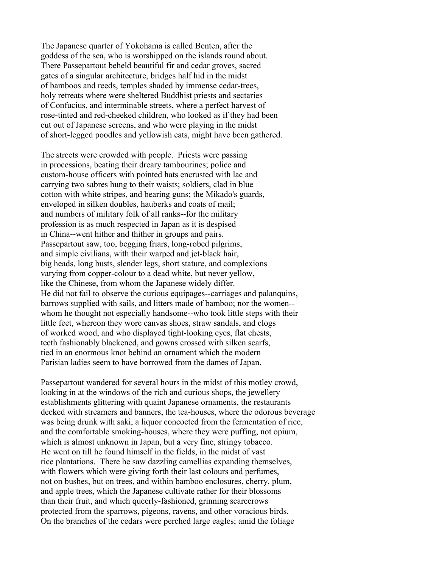The Japanese quarter of Yokohama is called Benten, after the goddess of the sea, who is worshipped on the islands round about. There Passepartout beheld beautiful fir and cedar groves, sacred gates of a singular architecture, bridges half hid in the midst of bamboos and reeds, temples shaded by immense cedar-trees, holy retreats where were sheltered Buddhist priests and sectaries of Confucius, and interminable streets, where a perfect harvest of rose-tinted and red-cheeked children, who looked as if they had been cut out of Japanese screens, and who were playing in the midst of short-legged poodles and yellowish cats, might have been gathered.

The streets were crowded with people. Priests were passing in processions, beating their dreary tambourines; police and custom-house officers with pointed hats encrusted with lac and carrying two sabres hung to their waists; soldiers, clad in blue cotton with white stripes, and bearing guns; the Mikado's guards, enveloped in silken doubles, hauberks and coats of mail; and numbers of military folk of all ranks--for the military profession is as much respected in Japan as it is despised in China--went hither and thither in groups and pairs. Passepartout saw, too, begging friars, long-robed pilgrims, and simple civilians, with their warped and jet-black hair, big heads, long busts, slender legs, short stature, and complexions varying from copper-colour to a dead white, but never yellow, like the Chinese, from whom the Japanese widely differ. He did not fail to observe the curious equipages--carriages and palanquins, barrows supplied with sails, and litters made of bamboo; nor the women- whom he thought not especially handsome--who took little steps with their little feet, whereon they wore canvas shoes, straw sandals, and clogs of worked wood, and who displayed tight-looking eyes, flat chests, teeth fashionably blackened, and gowns crossed with silken scarfs, tied in an enormous knot behind an ornament which the modern Parisian ladies seem to have borrowed from the dames of Japan.

Passepartout wandered for several hours in the midst of this motley crowd, looking in at the windows of the rich and curious shops, the jewellery establishments glittering with quaint Japanese ornaments, the restaurants decked with streamers and banners, the tea-houses, where the odorous beverage was being drunk with saki, a liquor concocted from the fermentation of rice, and the comfortable smoking-houses, where they were puffing, not opium, which is almost unknown in Japan, but a very fine, stringy tobacco. He went on till he found himself in the fields, in the midst of vast rice plantations. There he saw dazzling camellias expanding themselves, with flowers which were giving forth their last colours and perfumes, not on bushes, but on trees, and within bamboo enclosures, cherry, plum, and apple trees, which the Japanese cultivate rather for their blossoms than their fruit, and which queerly-fashioned, grinning scarecrows protected from the sparrows, pigeons, ravens, and other voracious birds. On the branches of the cedars were perched large eagles; amid the foliage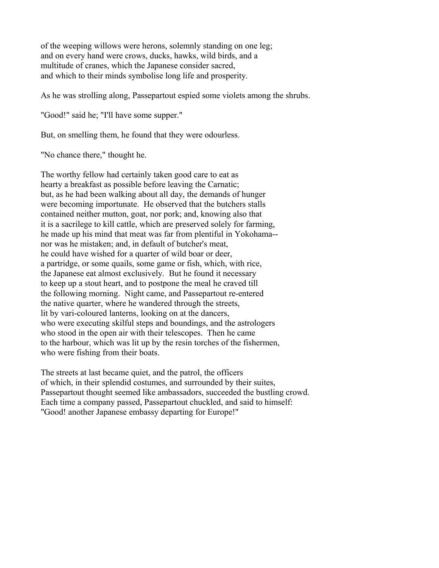of the weeping willows were herons, solemnly standing on one leg; and on every hand were crows, ducks, hawks, wild birds, and a multitude of cranes, which the Japanese consider sacred, and which to their minds symbolise long life and prosperity.

As he was strolling along, Passepartout espied some violets among the shrubs.

"Good!" said he; "I'll have some supper."

But, on smelling them, he found that they were odourless.

"No chance there," thought he.

The worthy fellow had certainly taken good care to eat as hearty a breakfast as possible before leaving the Carnatic; but, as he had been walking about all day, the demands of hunger were becoming importunate. He observed that the butchers stalls contained neither mutton, goat, nor pork; and, knowing also that it is a sacrilege to kill cattle, which are preserved solely for farming, he made up his mind that meat was far from plentiful in Yokohama- nor was he mistaken; and, in default of butcher's meat, he could have wished for a quarter of wild boar or deer, a partridge, or some quails, some game or fish, which, with rice, the Japanese eat almost exclusively. But he found it necessary to keep up a stout heart, and to postpone the meal he craved till the following morning. Night came, and Passepartout re-entered the native quarter, where he wandered through the streets, lit by vari-coloured lanterns, looking on at the dancers, who were executing skilful steps and boundings, and the astrologers who stood in the open air with their telescopes. Then he came to the harbour, which was lit up by the resin torches of the fishermen, who were fishing from their boats.

The streets at last became quiet, and the patrol, the officers of which, in their splendid costumes, and surrounded by their suites, Passepartout thought seemed like ambassadors, succeeded the bustling crowd. Each time a company passed, Passepartout chuckled, and said to himself: "Good! another Japanese embassy departing for Europe!"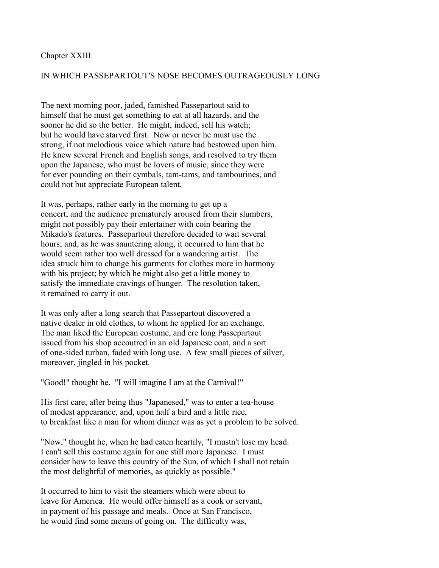### Chapter XXIII

## IN WHICH PASSEPARTOUT'S NOSE BECOMES OUTRAGEOUSLY LONG

The next morning poor, jaded, famished Passepartout said to himself that he must get something to eat at all hazards, and the sooner he did so the better. He might, indeed, sell his watch; but he would have starved first. Now or never he must use the strong, if not melodious voice which nature had bestowed upon him. He knew several French and English songs, and resolved to try them upon the Japanese, who must be lovers of music, since they were for ever pounding on their cymbals, tam-tams, and tambourines, and could not but appreciate European talent.

It was, perhaps, rather early in the morning to get up a concert, and the audience prematurely aroused from their slumbers, might not possibly pay their entertainer with coin bearing the Mikado's features. Passepartout therefore decided to wait several hours; and, as he was sauntering along, it occurred to him that he would seem rather too well dressed for a wandering artist. The idea struck him to change his garments for clothes more in harmony with his project; by which he might also get a little money to satisfy the immediate cravings of hunger. The resolution taken, it remained to carry it out.

It was only after a long search that Passepartout discovered a native dealer in old clothes, to whom he applied for an exchange. The man liked the European costume, and ere long Passepartout issued from his shop accoutred in an old Japanese coat, and a sort of one-sided turban, faded with long use. A few small pieces of silver, moreover, jingled in his pocket.

"Good!" thought he. "I will imagine I am at the Carnival!"

His first care, after being thus "Japanesed," was to enter a tea-house of modest appearance, and, upon half a bird and a little rice, to breakfast like a man for whom dinner was as yet a problem to be solved.

"Now," thought he, when he had eaten heartily, "I mustn't lose my head. I can't sell this costume again for one still more Japanese. I must consider how to leave this country of the Sun, of which I shall not retain the most delightful of memories, as quickly as possible."

It occurred to him to visit the steamers which were about to leave for America. He would offer himself as a cook or servant, in payment of his passage and meals. Once at San Francisco, he would find some means of going on. The difficulty was,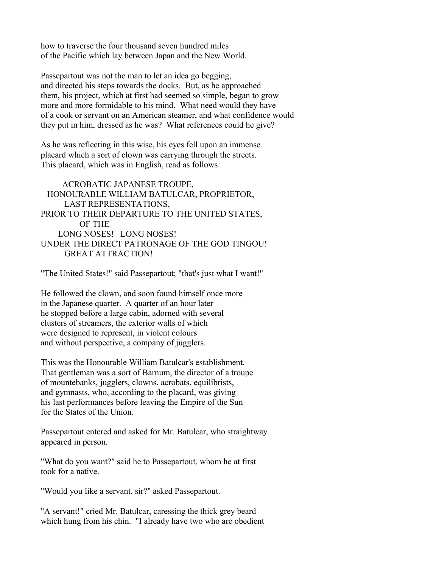how to traverse the four thousand seven hundred miles of the Pacific which lay between Japan and the New World.

Passepartout was not the man to let an idea go begging, and directed his steps towards the docks. But, as he approached them, his project, which at first had seemed so simple, began to grow more and more formidable to his mind. What need would they have of a cook or servant on an American steamer, and what confidence would they put in him, dressed as he was? What references could he give?

As he was reflecting in this wise, his eyes fell upon an immense placard which a sort of clown was carrying through the streets. This placard, which was in English, read as follows:

 ACROBATIC JAPANESE TROUPE, HONOURABLE WILLIAM BATULCAR, PROPRIETOR, LAST REPRESENTATIONS, PRIOR TO THEIR DEPARTURE TO THE UNITED STATES, OF THE LONG NOSES! LONG NOSES! UNDER THE DIRECT PATRONAGE OF THE GOD TINGOU! GREAT ATTRACTION!

"The United States!" said Passepartout; "that's just what I want!"

He followed the clown, and soon found himself once more in the Japanese quarter. A quarter of an hour later he stopped before a large cabin, adorned with several clusters of streamers, the exterior walls of which were designed to represent, in violent colours and without perspective, a company of jugglers.

This was the Honourable William Batulcar's establishment. That gentleman was a sort of Barnum, the director of a troupe of mountebanks, jugglers, clowns, acrobats, equilibrists, and gymnasts, who, according to the placard, was giving his last performances before leaving the Empire of the Sun for the States of the Union.

Passepartout entered and asked for Mr. Batulcar, who straightway appeared in person.

"What do you want?" said he to Passepartout, whom he at first took for a native.

"Would you like a servant, sir?" asked Passepartout.

"A servant!" cried Mr. Batulcar, caressing the thick grey beard which hung from his chin. "I already have two who are obedient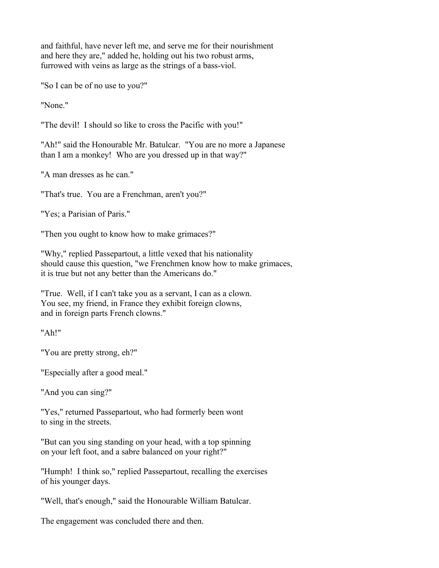and faithful, have never left me, and serve me for their nourishment and here they are," added he, holding out his two robust arms, furrowed with veins as large as the strings of a bass-viol.

"So I can be of no use to you?"

"None."

"The devil! I should so like to cross the Pacific with you!"

"Ah!" said the Honourable Mr. Batulcar. "You are no more a Japanese than I am a monkey! Who are you dressed up in that way?"

"A man dresses as he can."

"That's true. You are a Frenchman, aren't you?"

"Yes; a Parisian of Paris."

"Then you ought to know how to make grimaces?"

"Why," replied Passepartout, a little vexed that his nationality should cause this question, "we Frenchmen know how to make grimaces, it is true but not any better than the Americans do."

"True. Well, if I can't take you as a servant, I can as a clown. You see, my friend, in France they exhibit foreign clowns, and in foreign parts French clowns."

"Ah!"

"You are pretty strong, eh?"

"Especially after a good meal."

"And you can sing?"

"Yes," returned Passepartout, who had formerly been wont to sing in the streets.

"But can you sing standing on your head, with a top spinning on your left foot, and a sabre balanced on your right?"

"Humph! I think so," replied Passepartout, recalling the exercises of his younger days.

"Well, that's enough," said the Honourable William Batulcar.

The engagement was concluded there and then.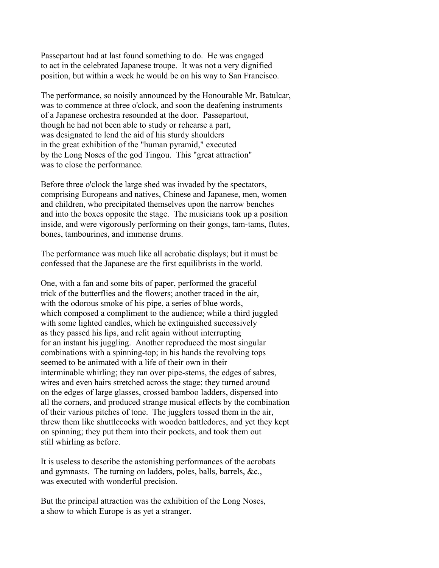Passepartout had at last found something to do. He was engaged to act in the celebrated Japanese troupe. It was not a very dignified position, but within a week he would be on his way to San Francisco.

The performance, so noisily announced by the Honourable Mr. Batulcar, was to commence at three o'clock, and soon the deafening instruments of a Japanese orchestra resounded at the door. Passepartout, though he had not been able to study or rehearse a part, was designated to lend the aid of his sturdy shoulders in the great exhibition of the "human pyramid," executed by the Long Noses of the god Tingou. This "great attraction" was to close the performance.

Before three o'clock the large shed was invaded by the spectators, comprising Europeans and natives, Chinese and Japanese, men, women and children, who precipitated themselves upon the narrow benches and into the boxes opposite the stage. The musicians took up a position inside, and were vigorously performing on their gongs, tam-tams, flutes, bones, tambourines, and immense drums.

The performance was much like all acrobatic displays; but it must be confessed that the Japanese are the first equilibrists in the world.

One, with a fan and some bits of paper, performed the graceful trick of the butterflies and the flowers; another traced in the air, with the odorous smoke of his pipe, a series of blue words, which composed a compliment to the audience; while a third juggled with some lighted candles, which he extinguished successively as they passed his lips, and relit again without interrupting for an instant his juggling. Another reproduced the most singular combinations with a spinning-top; in his hands the revolving tops seemed to be animated with a life of their own in their interminable whirling; they ran over pipe-stems, the edges of sabres, wires and even hairs stretched across the stage; they turned around on the edges of large glasses, crossed bamboo ladders, dispersed into all the corners, and produced strange musical effects by the combination of their various pitches of tone. The jugglers tossed them in the air, threw them like shuttlecocks with wooden battledores, and yet they kept on spinning; they put them into their pockets, and took them out still whirling as before.

It is useless to describe the astonishing performances of the acrobats and gymnasts. The turning on ladders, poles, balls, barrels, &c., was executed with wonderful precision.

But the principal attraction was the exhibition of the Long Noses, a show to which Europe is as yet a stranger.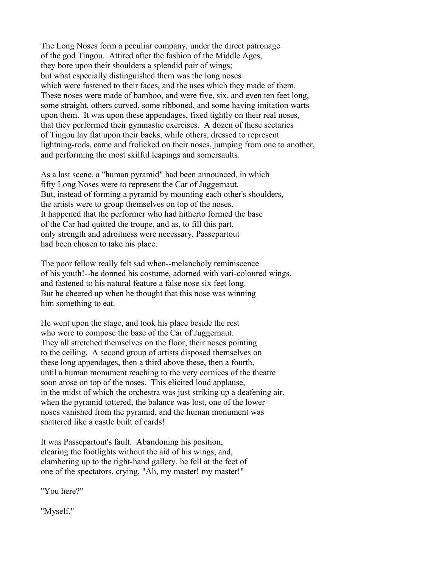The Long Noses form a peculiar company, under the direct patronage of the god Tingou. Attired after the fashion of the Middle Ages, they bore upon their shoulders a splendid pair of wings; but what especially distinguished them was the long noses which were fastened to their faces, and the uses which they made of them. These noses were made of bamboo, and were five, six, and even ten feet long, some straight, others curved, some ribboned, and some having imitation warts upon them. It was upon these appendages, fixed tightly on their real noses, that they performed their gymnastic exercises. A dozen of these sectaries of Tingou lay flat upon their backs, while others, dressed to represent lightning-rods, came and frolicked on their noses, jumping from one to another, and performing the most skilful leapings and somersaults.

As a last scene, a "human pyramid" had been announced, in which fifty Long Noses were to represent the Car of Juggernaut. But, instead of forming a pyramid by mounting each other's shoulders, the artists were to group themselves on top of the noses. It happened that the performer who had hitherto formed the base of the Car had quitted the troupe, and as, to fill this part, only strength and adroitness were necessary, Passepartout had been chosen to take his place.

The poor fellow really felt sad when--melancholy reminiscence of his youth!--he donned his costume, adorned with vari-coloured wings, and fastened to his natural feature a false nose six feet long. But he cheered up when he thought that this nose was winning him something to eat.

He went upon the stage, and took his place beside the rest who were to compose the base of the Car of Juggernaut. They all stretched themselves on the floor, their noses pointing to the ceiling. A second group of artists disposed themselves on these long appendages, then a third above these, then a fourth, until a human monument reaching to the very cornices of the theatre soon arose on top of the noses. This elicited loud applause, in the midst of which the orchestra was just striking up a deafening air, when the pyramid tottered, the balance was lost, one of the lower noses vanished from the pyramid, and the human monument was shattered like a castle built of cards!

It was Passepartout's fault. Abandoning his position, clearing the footlights without the aid of his wings, and, clambering up to the right-hand gallery, he fell at the feet of one of the spectators, crying, "Ah, my master! my master!"

"You here?"

"Myself."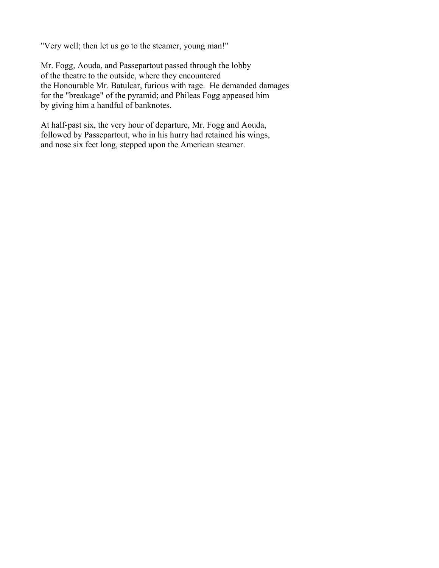"Very well; then let us go to the steamer, young man!"

Mr. Fogg, Aouda, and Passepartout passed through the lobby of the theatre to the outside, where they encountered the Honourable Mr. Batulcar, furious with rage. He demanded damages for the "breakage" of the pyramid; and Phileas Fogg appeased him by giving him a handful of banknotes.

At half-past six, the very hour of departure, Mr. Fogg and Aouda, followed by Passepartout, who in his hurry had retained his wings, and nose six feet long, stepped upon the American steamer.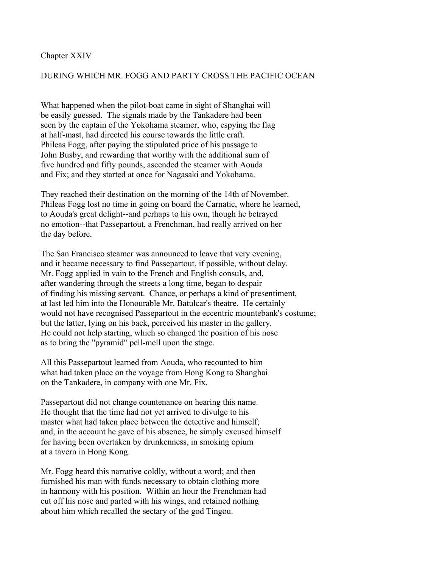### Chapter XXIV

### DURING WHICH MR. FOGG AND PARTY CROSS THE PACIFIC OCEAN

What happened when the pilot-boat came in sight of Shanghai will be easily guessed. The signals made by the Tankadere had been seen by the captain of the Yokohama steamer, who, espying the flag at half-mast, had directed his course towards the little craft. Phileas Fogg, after paying the stipulated price of his passage to John Busby, and rewarding that worthy with the additional sum of five hundred and fifty pounds, ascended the steamer with Aouda and Fix; and they started at once for Nagasaki and Yokohama.

They reached their destination on the morning of the 14th of November. Phileas Fogg lost no time in going on board the Carnatic, where he learned, to Aouda's great delight--and perhaps to his own, though he betrayed no emotion--that Passepartout, a Frenchman, had really arrived on her the day before.

The San Francisco steamer was announced to leave that very evening, and it became necessary to find Passepartout, if possible, without delay. Mr. Fogg applied in vain to the French and English consuls, and, after wandering through the streets a long time, began to despair of finding his missing servant. Chance, or perhaps a kind of presentiment, at last led him into the Honourable Mr. Batulcar's theatre. He certainly would not have recognised Passepartout in the eccentric mountebank's costume; but the latter, lying on his back, perceived his master in the gallery. He could not help starting, which so changed the position of his nose as to bring the "pyramid" pell-mell upon the stage.

All this Passepartout learned from Aouda, who recounted to him what had taken place on the voyage from Hong Kong to Shanghai on the Tankadere, in company with one Mr. Fix.

Passepartout did not change countenance on hearing this name. He thought that the time had not yet arrived to divulge to his master what had taken place between the detective and himself; and, in the account he gave of his absence, he simply excused himself for having been overtaken by drunkenness, in smoking opium at a tavern in Hong Kong.

Mr. Fogg heard this narrative coldly, without a word; and then furnished his man with funds necessary to obtain clothing more in harmony with his position. Within an hour the Frenchman had cut off his nose and parted with his wings, and retained nothing about him which recalled the sectary of the god Tingou.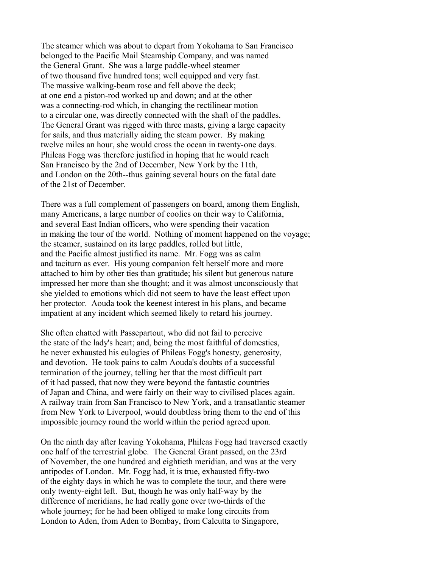The steamer which was about to depart from Yokohama to San Francisco belonged to the Pacific Mail Steamship Company, and was named the General Grant. She was a large paddle-wheel steamer of two thousand five hundred tons; well equipped and very fast. The massive walking-beam rose and fell above the deck; at one end a piston-rod worked up and down; and at the other was a connecting-rod which, in changing the rectilinear motion to a circular one, was directly connected with the shaft of the paddles. The General Grant was rigged with three masts, giving a large capacity for sails, and thus materially aiding the steam power. By making twelve miles an hour, she would cross the ocean in twenty-one days. Phileas Fogg was therefore justified in hoping that he would reach San Francisco by the 2nd of December, New York by the 11th, and London on the 20th--thus gaining several hours on the fatal date of the 21st of December.

There was a full complement of passengers on board, among them English, many Americans, a large number of coolies on their way to California, and several East Indian officers, who were spending their vacation in making the tour of the world. Nothing of moment happened on the voyage; the steamer, sustained on its large paddles, rolled but little, and the Pacific almost justified its name. Mr. Fogg was as calm and taciturn as ever. His young companion felt herself more and more attached to him by other ties than gratitude; his silent but generous nature impressed her more than she thought; and it was almost unconsciously that she yielded to emotions which did not seem to have the least effect upon her protector. Aouda took the keenest interest in his plans, and became impatient at any incident which seemed likely to retard his journey.

She often chatted with Passepartout, who did not fail to perceive the state of the lady's heart; and, being the most faithful of domestics, he never exhausted his eulogies of Phileas Fogg's honesty, generosity, and devotion. He took pains to calm Aouda's doubts of a successful termination of the journey, telling her that the most difficult part of it had passed, that now they were beyond the fantastic countries of Japan and China, and were fairly on their way to civilised places again. A railway train from San Francisco to New York, and a transatlantic steamer from New York to Liverpool, would doubtless bring them to the end of this impossible journey round the world within the period agreed upon.

On the ninth day after leaving Yokohama, Phileas Fogg had traversed exactly one half of the terrestrial globe. The General Grant passed, on the 23rd of November, the one hundred and eightieth meridian, and was at the very antipodes of London. Mr. Fogg had, it is true, exhausted fifty-two of the eighty days in which he was to complete the tour, and there were only twenty-eight left. But, though he was only half-way by the difference of meridians, he had really gone over two-thirds of the whole journey; for he had been obliged to make long circuits from London to Aden, from Aden to Bombay, from Calcutta to Singapore,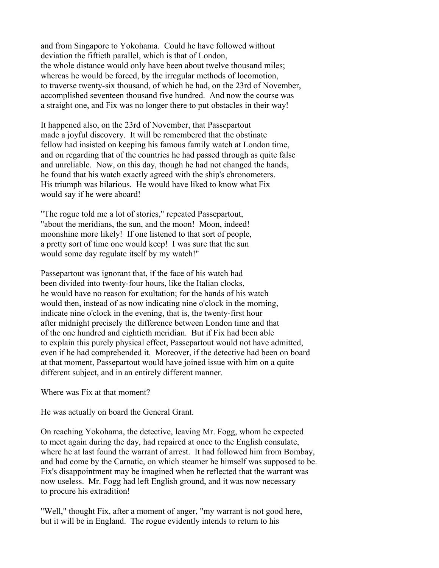and from Singapore to Yokohama. Could he have followed without deviation the fiftieth parallel, which is that of London, the whole distance would only have been about twelve thousand miles; whereas he would be forced, by the irregular methods of locomotion, to traverse twenty-six thousand, of which he had, on the 23rd of November, accomplished seventeen thousand five hundred. And now the course was a straight one, and Fix was no longer there to put obstacles in their way!

It happened also, on the 23rd of November, that Passepartout made a joyful discovery. It will be remembered that the obstinate fellow had insisted on keeping his famous family watch at London time, and on regarding that of the countries he had passed through as quite false and unreliable. Now, on this day, though he had not changed the hands, he found that his watch exactly agreed with the ship's chronometers. His triumph was hilarious. He would have liked to know what Fix would say if he were aboard!

"The rogue told me a lot of stories," repeated Passepartout, "about the meridians, the sun, and the moon! Moon, indeed! moonshine more likely! If one listened to that sort of people, a pretty sort of time one would keep! I was sure that the sun would some day regulate itself by my watch!"

Passepartout was ignorant that, if the face of his watch had been divided into twenty-four hours, like the Italian clocks, he would have no reason for exultation; for the hands of his watch would then, instead of as now indicating nine o'clock in the morning, indicate nine o'clock in the evening, that is, the twenty-first hour after midnight precisely the difference between London time and that of the one hundred and eightieth meridian. But if Fix had been able to explain this purely physical effect, Passepartout would not have admitted, even if he had comprehended it. Moreover, if the detective had been on board at that moment, Passepartout would have joined issue with him on a quite different subject, and in an entirely different manner.

Where was Fix at that moment?

He was actually on board the General Grant.

On reaching Yokohama, the detective, leaving Mr. Fogg, whom he expected to meet again during the day, had repaired at once to the English consulate, where he at last found the warrant of arrest. It had followed him from Bombay, and had come by the Carnatic, on which steamer he himself was supposed to be. Fix's disappointment may be imagined when he reflected that the warrant was now useless. Mr. Fogg had left English ground, and it was now necessary to procure his extradition!

"Well," thought Fix, after a moment of anger, "my warrant is not good here, but it will be in England. The rogue evidently intends to return to his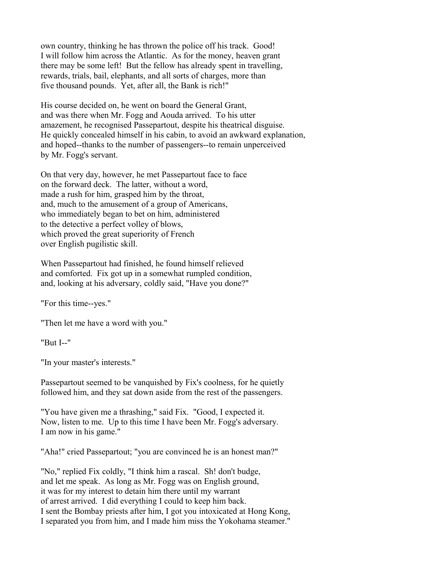own country, thinking he has thrown the police off his track. Good! I will follow him across the Atlantic. As for the money, heaven grant there may be some left! But the fellow has already spent in travelling, rewards, trials, bail, elephants, and all sorts of charges, more than five thousand pounds. Yet, after all, the Bank is rich!"

His course decided on, he went on board the General Grant, and was there when Mr. Fogg and Aouda arrived. To his utter amazement, he recognised Passepartout, despite his theatrical disguise. He quickly concealed himself in his cabin, to avoid an awkward explanation, and hoped--thanks to the number of passengers--to remain unperceived by Mr. Fogg's servant.

On that very day, however, he met Passepartout face to face on the forward deck. The latter, without a word, made a rush for him, grasped him by the throat, and, much to the amusement of a group of Americans, who immediately began to bet on him, administered to the detective a perfect volley of blows, which proved the great superiority of French over English pugilistic skill.

When Passepartout had finished, he found himself relieved and comforted. Fix got up in a somewhat rumpled condition, and, looking at his adversary, coldly said, "Have you done?"

"For this time--yes."

"Then let me have a word with you."

"But I--"

"In your master's interests."

Passepartout seemed to be vanquished by Fix's coolness, for he quietly followed him, and they sat down aside from the rest of the passengers.

"You have given me a thrashing," said Fix. "Good, I expected it. Now, listen to me. Up to this time I have been Mr. Fogg's adversary. I am now in his game."

"Aha!" cried Passepartout; "you are convinced he is an honest man?"

"No," replied Fix coldly, "I think him a rascal. Sh! don't budge, and let me speak. As long as Mr. Fogg was on English ground, it was for my interest to detain him there until my warrant of arrest arrived. I did everything I could to keep him back. I sent the Bombay priests after him, I got you intoxicated at Hong Kong, I separated you from him, and I made him miss the Yokohama steamer."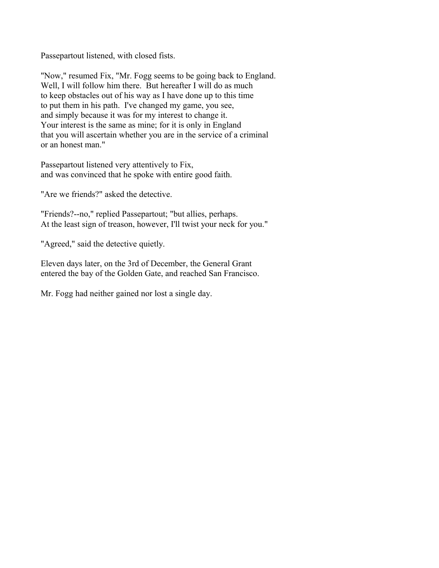Passepartout listened, with closed fists.

"Now," resumed Fix, "Mr. Fogg seems to be going back to England. Well, I will follow him there. But hereafter I will do as much to keep obstacles out of his way as I have done up to this time to put them in his path. I've changed my game, you see, and simply because it was for my interest to change it. Your interest is the same as mine; for it is only in England that you will ascertain whether you are in the service of a criminal or an honest man."

Passepartout listened very attentively to Fix, and was convinced that he spoke with entire good faith.

"Are we friends?" asked the detective.

"Friends?--no," replied Passepartout; "but allies, perhaps. At the least sign of treason, however, I'll twist your neck for you."

"Agreed," said the detective quietly.

Eleven days later, on the 3rd of December, the General Grant entered the bay of the Golden Gate, and reached San Francisco.

Mr. Fogg had neither gained nor lost a single day.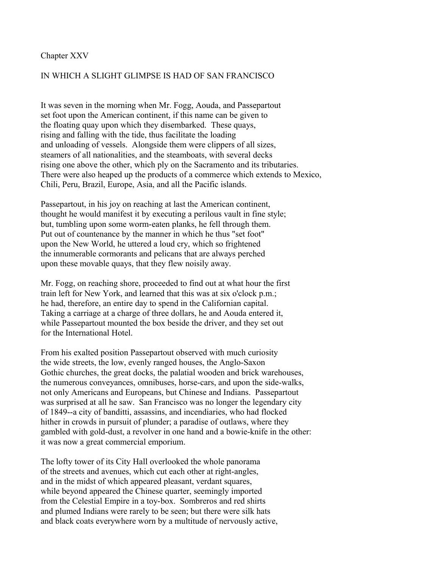#### Chapter XXV

### IN WHICH A SLIGHT GLIMPSE IS HAD OF SAN FRANCISCO

It was seven in the morning when Mr. Fogg, Aouda, and Passepartout set foot upon the American continent, if this name can be given to the floating quay upon which they disembarked. These quays, rising and falling with the tide, thus facilitate the loading and unloading of vessels. Alongside them were clippers of all sizes, steamers of all nationalities, and the steamboats, with several decks rising one above the other, which ply on the Sacramento and its tributaries. There were also heaped up the products of a commerce which extends to Mexico, Chili, Peru, Brazil, Europe, Asia, and all the Pacific islands.

Passepartout, in his joy on reaching at last the American continent, thought he would manifest it by executing a perilous vault in fine style; but, tumbling upon some worm-eaten planks, he fell through them. Put out of countenance by the manner in which he thus "set foot" upon the New World, he uttered a loud cry, which so frightened the innumerable cormorants and pelicans that are always perched upon these movable quays, that they flew noisily away.

Mr. Fogg, on reaching shore, proceeded to find out at what hour the first train left for New York, and learned that this was at six o'clock p.m.; he had, therefore, an entire day to spend in the Californian capital. Taking a carriage at a charge of three dollars, he and Aouda entered it, while Passepartout mounted the box beside the driver, and they set out for the International Hotel.

From his exalted position Passepartout observed with much curiosity the wide streets, the low, evenly ranged houses, the Anglo-Saxon Gothic churches, the great docks, the palatial wooden and brick warehouses, the numerous conveyances, omnibuses, horse-cars, and upon the side-walks, not only Americans and Europeans, but Chinese and Indians. Passepartout was surprised at all he saw. San Francisco was no longer the legendary city of 1849--a city of banditti, assassins, and incendiaries, who had flocked hither in crowds in pursuit of plunder; a paradise of outlaws, where they gambled with gold-dust, a revolver in one hand and a bowie-knife in the other: it was now a great commercial emporium.

The lofty tower of its City Hall overlooked the whole panorama of the streets and avenues, which cut each other at right-angles, and in the midst of which appeared pleasant, verdant squares, while beyond appeared the Chinese quarter, seemingly imported from the Celestial Empire in a toy-box. Sombreros and red shirts and plumed Indians were rarely to be seen; but there were silk hats and black coats everywhere worn by a multitude of nervously active,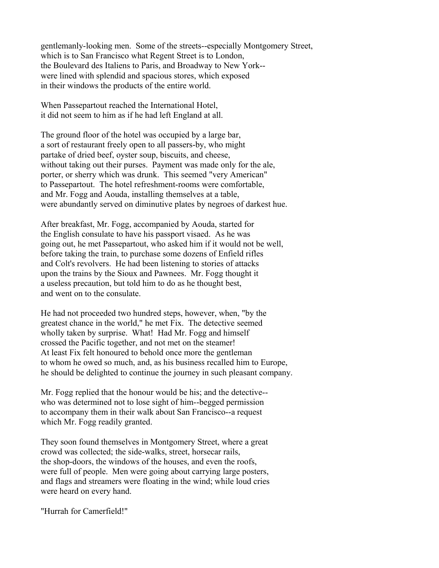gentlemanly-looking men. Some of the streets--especially Montgomery Street, which is to San Francisco what Regent Street is to London, the Boulevard des Italiens to Paris, and Broadway to New York- were lined with splendid and spacious stores, which exposed in their windows the products of the entire world.

When Passepartout reached the International Hotel, it did not seem to him as if he had left England at all.

The ground floor of the hotel was occupied by a large bar, a sort of restaurant freely open to all passers-by, who might partake of dried beef, oyster soup, biscuits, and cheese, without taking out their purses. Payment was made only for the ale, porter, or sherry which was drunk. This seemed "very American" to Passepartout. The hotel refreshment-rooms were comfortable, and Mr. Fogg and Aouda, installing themselves at a table, were abundantly served on diminutive plates by negroes of darkest hue.

After breakfast, Mr. Fogg, accompanied by Aouda, started for the English consulate to have his passport visaed. As he was going out, he met Passepartout, who asked him if it would not be well, before taking the train, to purchase some dozens of Enfield rifles and Colt's revolvers. He had been listening to stories of attacks upon the trains by the Sioux and Pawnees. Mr. Fogg thought it a useless precaution, but told him to do as he thought best, and went on to the consulate.

He had not proceeded two hundred steps, however, when, "by the greatest chance in the world," he met Fix. The detective seemed wholly taken by surprise. What! Had Mr. Fogg and himself crossed the Pacific together, and not met on the steamer! At least Fix felt honoured to behold once more the gentleman to whom he owed so much, and, as his business recalled him to Europe, he should be delighted to continue the journey in such pleasant company.

Mr. Fogg replied that the honour would be his; and the detective- who was determined not to lose sight of him--begged permission to accompany them in their walk about San Francisco--a request which Mr. Fogg readily granted.

They soon found themselves in Montgomery Street, where a great crowd was collected; the side-walks, street, horsecar rails, the shop-doors, the windows of the houses, and even the roofs, were full of people. Men were going about carrying large posters, and flags and streamers were floating in the wind; while loud cries were heard on every hand.

"Hurrah for Camerfield!"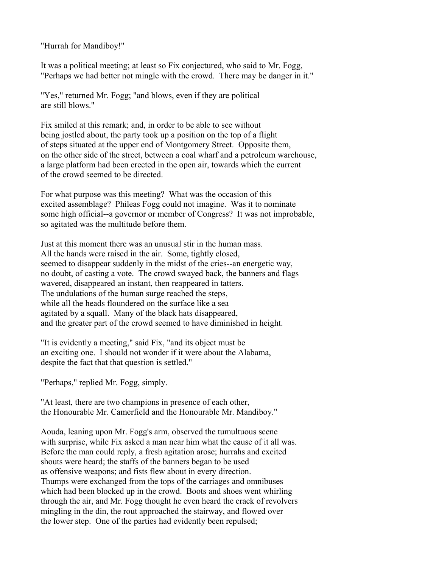"Hurrah for Mandiboy!"

It was a political meeting; at least so Fix conjectured, who said to Mr. Fogg, "Perhaps we had better not mingle with the crowd. There may be danger in it."

"Yes," returned Mr. Fogg; "and blows, even if they are political are still blows."

Fix smiled at this remark; and, in order to be able to see without being jostled about, the party took up a position on the top of a flight of steps situated at the upper end of Montgomery Street. Opposite them, on the other side of the street, between a coal wharf and a petroleum warehouse, a large platform had been erected in the open air, towards which the current of the crowd seemed to be directed.

For what purpose was this meeting? What was the occasion of this excited assemblage? Phileas Fogg could not imagine. Was it to nominate some high official--a governor or member of Congress? It was not improbable, so agitated was the multitude before them.

Just at this moment there was an unusual stir in the human mass. All the hands were raised in the air. Some, tightly closed, seemed to disappear suddenly in the midst of the cries--an energetic way, no doubt, of casting a vote. The crowd swayed back, the banners and flags wavered, disappeared an instant, then reappeared in tatters. The undulations of the human surge reached the steps, while all the heads floundered on the surface like a sea agitated by a squall. Many of the black hats disappeared, and the greater part of the crowd seemed to have diminished in height.

"It is evidently a meeting," said Fix, "and its object must be an exciting one. I should not wonder if it were about the Alabama, despite the fact that that question is settled."

"Perhaps," replied Mr. Fogg, simply.

"At least, there are two champions in presence of each other, the Honourable Mr. Camerfield and the Honourable Mr. Mandiboy."

Aouda, leaning upon Mr. Fogg's arm, observed the tumultuous scene with surprise, while Fix asked a man near him what the cause of it all was. Before the man could reply, a fresh agitation arose; hurrahs and excited shouts were heard; the staffs of the banners began to be used as offensive weapons; and fists flew about in every direction. Thumps were exchanged from the tops of the carriages and omnibuses which had been blocked up in the crowd. Boots and shoes went whirling through the air, and Mr. Fogg thought he even heard the crack of revolvers mingling in the din, the rout approached the stairway, and flowed over the lower step. One of the parties had evidently been repulsed;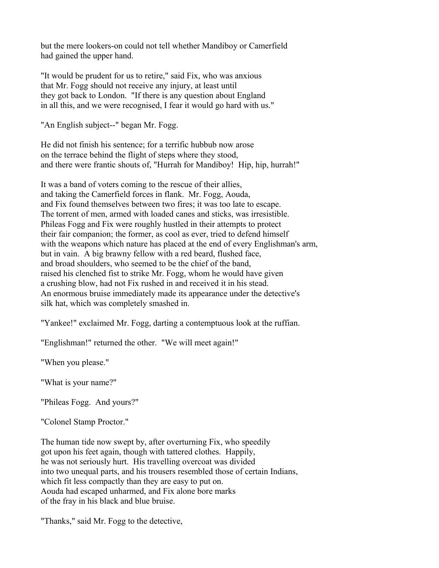but the mere lookers-on could not tell whether Mandiboy or Camerfield had gained the upper hand.

"It would be prudent for us to retire," said Fix, who was anxious that Mr. Fogg should not receive any injury, at least until they got back to London. "If there is any question about England in all this, and we were recognised, I fear it would go hard with us."

"An English subject--" began Mr. Fogg.

He did not finish his sentence; for a terrific hubbub now arose on the terrace behind the flight of steps where they stood, and there were frantic shouts of, "Hurrah for Mandiboy! Hip, hip, hurrah!"

It was a band of voters coming to the rescue of their allies, and taking the Camerfield forces in flank. Mr. Fogg, Aouda, and Fix found themselves between two fires; it was too late to escape. The torrent of men, armed with loaded canes and sticks, was irresistible. Phileas Fogg and Fix were roughly hustled in their attempts to protect their fair companion; the former, as cool as ever, tried to defend himself with the weapons which nature has placed at the end of every Englishman's arm, but in vain. A big brawny fellow with a red beard, flushed face, and broad shoulders, who seemed to be the chief of the band, raised his clenched fist to strike Mr. Fogg, whom he would have given a crushing blow, had not Fix rushed in and received it in his stead. An enormous bruise immediately made its appearance under the detective's silk hat, which was completely smashed in.

"Yankee!" exclaimed Mr. Fogg, darting a contemptuous look at the ruffian.

"Englishman!" returned the other. "We will meet again!"

"When you please."

"What is your name?"

"Phileas Fogg. And yours?"

"Colonel Stamp Proctor."

The human tide now swept by, after overturning Fix, who speedily got upon his feet again, though with tattered clothes. Happily, he was not seriously hurt. His travelling overcoat was divided into two unequal parts, and his trousers resembled those of certain Indians, which fit less compactly than they are easy to put on. Aouda had escaped unharmed, and Fix alone bore marks of the fray in his black and blue bruise.

"Thanks," said Mr. Fogg to the detective,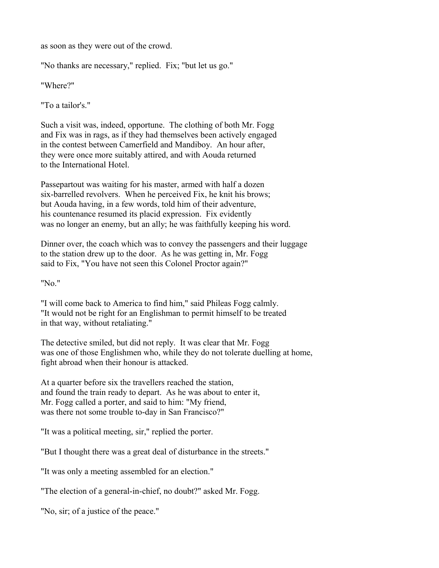as soon as they were out of the crowd.

"No thanks are necessary," replied. Fix; "but let us go."

"Where?"

"To a tailor's."

Such a visit was, indeed, opportune. The clothing of both Mr. Fogg and Fix was in rags, as if they had themselves been actively engaged in the contest between Camerfield and Mandiboy. An hour after, they were once more suitably attired, and with Aouda returned to the International Hotel.

Passepartout was waiting for his master, armed with half a dozen six-barrelled revolvers. When he perceived Fix, he knit his brows; but Aouda having, in a few words, told him of their adventure, his countenance resumed its placid expression. Fix evidently was no longer an enemy, but an ally; he was faithfully keeping his word.

Dinner over, the coach which was to convey the passengers and their luggage to the station drew up to the door. As he was getting in, Mr. Fogg said to Fix, "You have not seen this Colonel Proctor again?"

"No."

"I will come back to America to find him," said Phileas Fogg calmly. "It would not be right for an Englishman to permit himself to be treated in that way, without retaliating."

The detective smiled, but did not reply. It was clear that Mr. Fogg was one of those Englishmen who, while they do not tolerate duelling at home, fight abroad when their honour is attacked.

At a quarter before six the travellers reached the station, and found the train ready to depart. As he was about to enter it, Mr. Fogg called a porter, and said to him: "My friend, was there not some trouble to-day in San Francisco?"

"It was a political meeting, sir," replied the porter.

"But I thought there was a great deal of disturbance in the streets."

"It was only a meeting assembled for an election."

"The election of a general-in-chief, no doubt?" asked Mr. Fogg.

"No, sir; of a justice of the peace."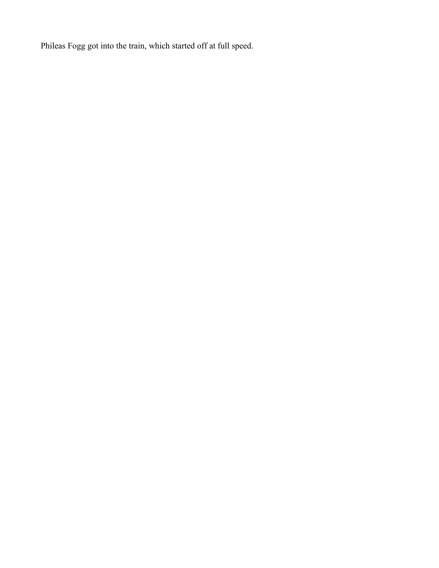Phileas Fogg got into the train, which started off at full speed.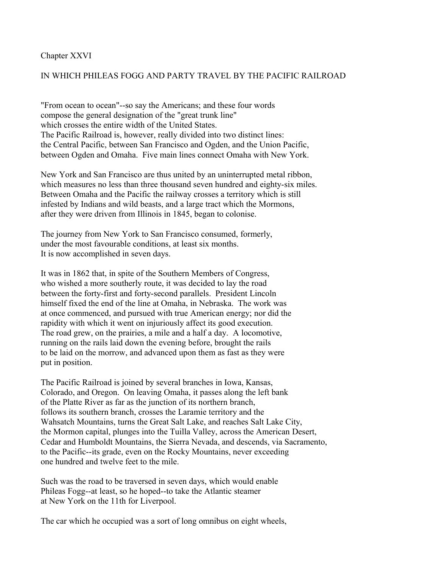### Chapter XXVI

## IN WHICH PHILEAS FOGG AND PARTY TRAVEL BY THE PACIFIC RAILROAD

"From ocean to ocean"--so say the Americans; and these four words compose the general designation of the "great trunk line" which crosses the entire width of the United States. The Pacific Railroad is, however, really divided into two distinct lines: the Central Pacific, between San Francisco and Ogden, and the Union Pacific, between Ogden and Omaha. Five main lines connect Omaha with New York.

New York and San Francisco are thus united by an uninterrupted metal ribbon, which measures no less than three thousand seven hundred and eighty-six miles. Between Omaha and the Pacific the railway crosses a territory which is still infested by Indians and wild beasts, and a large tract which the Mormons, after they were driven from Illinois in 1845, began to colonise.

The journey from New York to San Francisco consumed, formerly, under the most favourable conditions, at least six months. It is now accomplished in seven days.

It was in 1862 that, in spite of the Southern Members of Congress, who wished a more southerly route, it was decided to lay the road between the forty-first and forty-second parallels. President Lincoln himself fixed the end of the line at Omaha, in Nebraska. The work was at once commenced, and pursued with true American energy; nor did the rapidity with which it went on injuriously affect its good execution. The road grew, on the prairies, a mile and a half a day. A locomotive, running on the rails laid down the evening before, brought the rails to be laid on the morrow, and advanced upon them as fast as they were put in position.

The Pacific Railroad is joined by several branches in Iowa, Kansas, Colorado, and Oregon. On leaving Omaha, it passes along the left bank of the Platte River as far as the junction of its northern branch, follows its southern branch, crosses the Laramie territory and the Wahsatch Mountains, turns the Great Salt Lake, and reaches Salt Lake City, the Mormon capital, plunges into the Tuilla Valley, across the American Desert, Cedar and Humboldt Mountains, the Sierra Nevada, and descends, via Sacramento, to the Pacific--its grade, even on the Rocky Mountains, never exceeding one hundred and twelve feet to the mile.

Such was the road to be traversed in seven days, which would enable Phileas Fogg--at least, so he hoped--to take the Atlantic steamer at New York on the 11th for Liverpool.

The car which he occupied was a sort of long omnibus on eight wheels,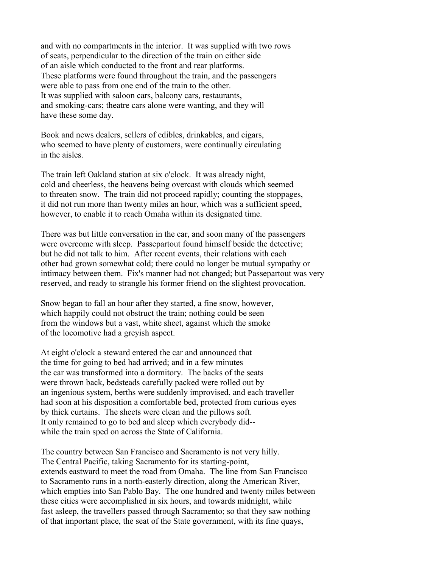and with no compartments in the interior. It was supplied with two rows of seats, perpendicular to the direction of the train on either side of an aisle which conducted to the front and rear platforms. These platforms were found throughout the train, and the passengers were able to pass from one end of the train to the other. It was supplied with saloon cars, balcony cars, restaurants, and smoking-cars; theatre cars alone were wanting, and they will have these some day.

Book and news dealers, sellers of edibles, drinkables, and cigars, who seemed to have plenty of customers, were continually circulating in the aisles.

The train left Oakland station at six o'clock. It was already night, cold and cheerless, the heavens being overcast with clouds which seemed to threaten snow. The train did not proceed rapidly; counting the stoppages, it did not run more than twenty miles an hour, which was a sufficient speed, however, to enable it to reach Omaha within its designated time.

There was but little conversation in the car, and soon many of the passengers were overcome with sleep. Passepartout found himself beside the detective; but he did not talk to him. After recent events, their relations with each other had grown somewhat cold; there could no longer be mutual sympathy or intimacy between them. Fix's manner had not changed; but Passepartout was very reserved, and ready to strangle his former friend on the slightest provocation.

Snow began to fall an hour after they started, a fine snow, however, which happily could not obstruct the train; nothing could be seen from the windows but a vast, white sheet, against which the smoke of the locomotive had a greyish aspect.

At eight o'clock a steward entered the car and announced that the time for going to bed had arrived; and in a few minutes the car was transformed into a dormitory. The backs of the seats were thrown back, bedsteads carefully packed were rolled out by an ingenious system, berths were suddenly improvised, and each traveller had soon at his disposition a comfortable bed, protected from curious eyes by thick curtains. The sheets were clean and the pillows soft. It only remained to go to bed and sleep which everybody did- while the train sped on across the State of California.

The country between San Francisco and Sacramento is not very hilly. The Central Pacific, taking Sacramento for its starting-point, extends eastward to meet the road from Omaha. The line from San Francisco to Sacramento runs in a north-easterly direction, along the American River, which empties into San Pablo Bay. The one hundred and twenty miles between these cities were accomplished in six hours, and towards midnight, while fast asleep, the travellers passed through Sacramento; so that they saw nothing of that important place, the seat of the State government, with its fine quays,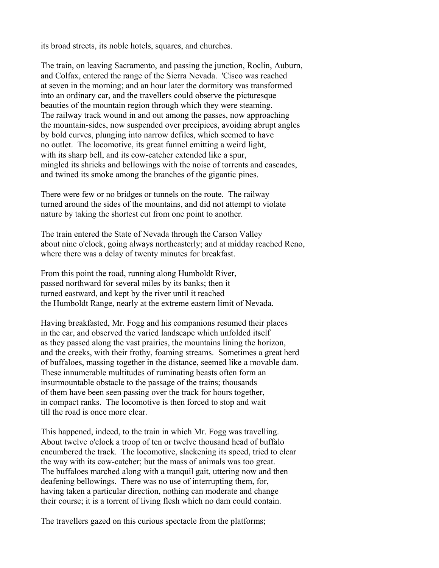its broad streets, its noble hotels, squares, and churches.

The train, on leaving Sacramento, and passing the junction, Roclin, Auburn, and Colfax, entered the range of the Sierra Nevada. 'Cisco was reached at seven in the morning; and an hour later the dormitory was transformed into an ordinary car, and the travellers could observe the picturesque beauties of the mountain region through which they were steaming. The railway track wound in and out among the passes, now approaching the mountain-sides, now suspended over precipices, avoiding abrupt angles by bold curves, plunging into narrow defiles, which seemed to have no outlet. The locomotive, its great funnel emitting a weird light, with its sharp bell, and its cow-catcher extended like a spur. mingled its shrieks and bellowings with the noise of torrents and cascades, and twined its smoke among the branches of the gigantic pines.

There were few or no bridges or tunnels on the route. The railway turned around the sides of the mountains, and did not attempt to violate nature by taking the shortest cut from one point to another.

The train entered the State of Nevada through the Carson Valley about nine o'clock, going always northeasterly; and at midday reached Reno, where there was a delay of twenty minutes for breakfast.

From this point the road, running along Humboldt River, passed northward for several miles by its banks; then it turned eastward, and kept by the river until it reached the Humboldt Range, nearly at the extreme eastern limit of Nevada.

Having breakfasted, Mr. Fogg and his companions resumed their places in the car, and observed the varied landscape which unfolded itself as they passed along the vast prairies, the mountains lining the horizon, and the creeks, with their frothy, foaming streams. Sometimes a great herd of buffaloes, massing together in the distance, seemed like a movable dam. These innumerable multitudes of ruminating beasts often form an insurmountable obstacle to the passage of the trains; thousands of them have been seen passing over the track for hours together, in compact ranks. The locomotive is then forced to stop and wait till the road is once more clear.

This happened, indeed, to the train in which Mr. Fogg was travelling. About twelve o'clock a troop of ten or twelve thousand head of buffalo encumbered the track. The locomotive, slackening its speed, tried to clear the way with its cow-catcher; but the mass of animals was too great. The buffaloes marched along with a tranquil gait, uttering now and then deafening bellowings. There was no use of interrupting them, for, having taken a particular direction, nothing can moderate and change their course; it is a torrent of living flesh which no dam could contain.

The travellers gazed on this curious spectacle from the platforms;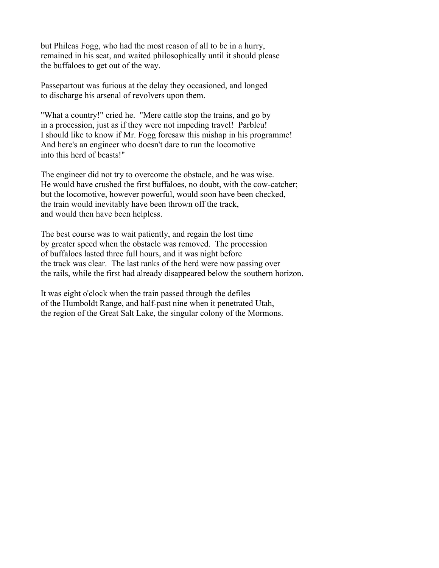but Phileas Fogg, who had the most reason of all to be in a hurry, remained in his seat, and waited philosophically until it should please the buffaloes to get out of the way.

Passepartout was furious at the delay they occasioned, and longed to discharge his arsenal of revolvers upon them.

"What a country!" cried he. "Mere cattle stop the trains, and go by in a procession, just as if they were not impeding travel! Parbleu! I should like to know if Mr. Fogg foresaw this mishap in his programme! And here's an engineer who doesn't dare to run the locomotive into this herd of beasts!"

The engineer did not try to overcome the obstacle, and he was wise. He would have crushed the first buffaloes, no doubt, with the cow-catcher; but the locomotive, however powerful, would soon have been checked, the train would inevitably have been thrown off the track, and would then have been helpless.

The best course was to wait patiently, and regain the lost time by greater speed when the obstacle was removed. The procession of buffaloes lasted three full hours, and it was night before the track was clear. The last ranks of the herd were now passing over the rails, while the first had already disappeared below the southern horizon.

It was eight o'clock when the train passed through the defiles of the Humboldt Range, and half-past nine when it penetrated Utah, the region of the Great Salt Lake, the singular colony of the Mormons.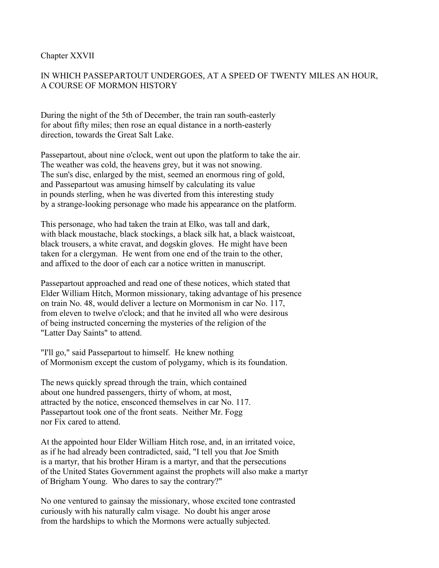### Chapter XXVII

# IN WHICH PASSEPARTOUT UNDERGOES, AT A SPEED OF TWENTY MILES AN HOUR, A COURSE OF MORMON HISTORY

During the night of the 5th of December, the train ran south-easterly for about fifty miles; then rose an equal distance in a north-easterly direction, towards the Great Salt Lake.

Passepartout, about nine o'clock, went out upon the platform to take the air. The weather was cold, the heavens grey, but it was not snowing. The sun's disc, enlarged by the mist, seemed an enormous ring of gold, and Passepartout was amusing himself by calculating its value in pounds sterling, when he was diverted from this interesting study by a strange-looking personage who made his appearance on the platform.

This personage, who had taken the train at Elko, was tall and dark, with black moustache, black stockings, a black silk hat, a black waistcoat, black trousers, a white cravat, and dogskin gloves. He might have been taken for a clergyman. He went from one end of the train to the other, and affixed to the door of each car a notice written in manuscript.

Passepartout approached and read one of these notices, which stated that Elder William Hitch, Mormon missionary, taking advantage of his presence on train No. 48, would deliver a lecture on Mormonism in car No. 117, from eleven to twelve o'clock; and that he invited all who were desirous of being instructed concerning the mysteries of the religion of the "Latter Day Saints" to attend.

"I'll go," said Passepartout to himself. He knew nothing of Mormonism except the custom of polygamy, which is its foundation.

The news quickly spread through the train, which contained about one hundred passengers, thirty of whom, at most, attracted by the notice, ensconced themselves in car No. 117. Passepartout took one of the front seats. Neither Mr. Fogg nor Fix cared to attend.

At the appointed hour Elder William Hitch rose, and, in an irritated voice, as if he had already been contradicted, said, "I tell you that Joe Smith is a martyr, that his brother Hiram is a martyr, and that the persecutions of the United States Government against the prophets will also make a martyr of Brigham Young. Who dares to say the contrary?"

No one ventured to gainsay the missionary, whose excited tone contrasted curiously with his naturally calm visage. No doubt his anger arose from the hardships to which the Mormons were actually subjected.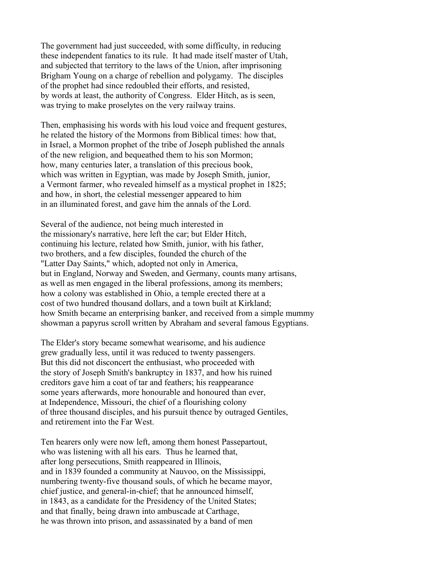The government had just succeeded, with some difficulty, in reducing these independent fanatics to its rule. It had made itself master of Utah, and subjected that territory to the laws of the Union, after imprisoning Brigham Young on a charge of rebellion and polygamy. The disciples of the prophet had since redoubled their efforts, and resisted, by words at least, the authority of Congress. Elder Hitch, as is seen, was trying to make proselytes on the very railway trains.

Then, emphasising his words with his loud voice and frequent gestures, he related the history of the Mormons from Biblical times: how that, in Israel, a Mormon prophet of the tribe of Joseph published the annals of the new religion, and bequeathed them to his son Mormon; how, many centuries later, a translation of this precious book, which was written in Egyptian, was made by Joseph Smith, junior, a Vermont farmer, who revealed himself as a mystical prophet in 1825; and how, in short, the celestial messenger appeared to him in an illuminated forest, and gave him the annals of the Lord.

Several of the audience, not being much interested in the missionary's narrative, here left the car; but Elder Hitch, continuing his lecture, related how Smith, junior, with his father, two brothers, and a few disciples, founded the church of the "Latter Day Saints," which, adopted not only in America, but in England, Norway and Sweden, and Germany, counts many artisans, as well as men engaged in the liberal professions, among its members; how a colony was established in Ohio, a temple erected there at a cost of two hundred thousand dollars, and a town built at Kirkland; how Smith became an enterprising banker, and received from a simple mummy showman a papyrus scroll written by Abraham and several famous Egyptians.

The Elder's story became somewhat wearisome, and his audience grew gradually less, until it was reduced to twenty passengers. But this did not disconcert the enthusiast, who proceeded with the story of Joseph Smith's bankruptcy in 1837, and how his ruined creditors gave him a coat of tar and feathers; his reappearance some years afterwards, more honourable and honoured than ever, at Independence, Missouri, the chief of a flourishing colony of three thousand disciples, and his pursuit thence by outraged Gentiles, and retirement into the Far West.

Ten hearers only were now left, among them honest Passepartout, who was listening with all his ears. Thus he learned that, after long persecutions, Smith reappeared in Illinois, and in 1839 founded a community at Nauvoo, on the Mississippi, numbering twenty-five thousand souls, of which he became mayor, chief justice, and general-in-chief; that he announced himself, in 1843, as a candidate for the Presidency of the United States; and that finally, being drawn into ambuscade at Carthage, he was thrown into prison, and assassinated by a band of men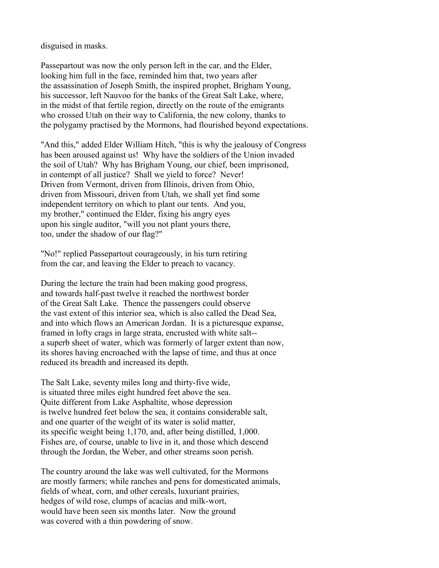disguised in masks.

Passepartout was now the only person left in the car, and the Elder, looking him full in the face, reminded him that, two years after the assassination of Joseph Smith, the inspired prophet, Brigham Young, his successor, left Nauvoo for the banks of the Great Salt Lake, where, in the midst of that fertile region, directly on the route of the emigrants who crossed Utah on their way to California, the new colony, thanks to the polygamy practised by the Mormons, had flourished beyond expectations.

"And this," added Elder William Hitch, "this is why the jealousy of Congress has been aroused against us! Why have the soldiers of the Union invaded the soil of Utah? Why has Brigham Young, our chief, been imprisoned, in contempt of all justice? Shall we yield to force? Never! Driven from Vermont, driven from Illinois, driven from Ohio, driven from Missouri, driven from Utah, we shall yet find some independent territory on which to plant our tents. And you, my brother," continued the Elder, fixing his angry eyes upon his single auditor, "will you not plant yours there, too, under the shadow of our flag?"

"No!" replied Passepartout courageously, in his turn retiring from the car, and leaving the Elder to preach to vacancy.

During the lecture the train had been making good progress, and towards half-past twelve it reached the northwest border of the Great Salt Lake. Thence the passengers could observe the vast extent of this interior sea, which is also called the Dead Sea, and into which flows an American Jordan. It is a picturesque expanse, framed in lofty crags in large strata, encrusted with white salt- a superb sheet of water, which was formerly of larger extent than now, its shores having encroached with the lapse of time, and thus at once reduced its breadth and increased its depth.

The Salt Lake, seventy miles long and thirty-five wide, is situated three miles eight hundred feet above the sea. Quite different from Lake Asphaltite, whose depression is twelve hundred feet below the sea, it contains considerable salt, and one quarter of the weight of its water is solid matter, its specific weight being 1,170, and, after being distilled, 1,000. Fishes are, of course, unable to live in it, and those which descend through the Jordan, the Weber, and other streams soon perish.

The country around the lake was well cultivated, for the Mormons are mostly farmers; while ranches and pens for domesticated animals, fields of wheat, corn, and other cereals, luxuriant prairies, hedges of wild rose, clumps of acacias and milk-wort, would have been seen six months later. Now the ground was covered with a thin powdering of snow.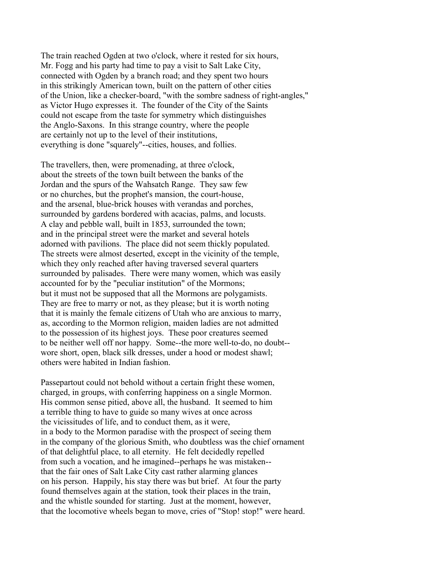The train reached Ogden at two o'clock, where it rested for six hours, Mr. Fogg and his party had time to pay a visit to Salt Lake City, connected with Ogden by a branch road; and they spent two hours in this strikingly American town, built on the pattern of other cities of the Union, like a checker-board, "with the sombre sadness of right-angles," as Victor Hugo expresses it. The founder of the City of the Saints could not escape from the taste for symmetry which distinguishes the Anglo-Saxons. In this strange country, where the people are certainly not up to the level of their institutions, everything is done "squarely"--cities, houses, and follies.

The travellers, then, were promenading, at three o'clock, about the streets of the town built between the banks of the Jordan and the spurs of the Wahsatch Range. They saw few or no churches, but the prophet's mansion, the court-house, and the arsenal, blue-brick houses with verandas and porches, surrounded by gardens bordered with acacias, palms, and locusts. A clay and pebble wall, built in 1853, surrounded the town; and in the principal street were the market and several hotels adorned with pavilions. The place did not seem thickly populated. The streets were almost deserted, except in the vicinity of the temple, which they only reached after having traversed several quarters surrounded by palisades. There were many women, which was easily accounted for by the "peculiar institution" of the Mormons; but it must not be supposed that all the Mormons are polygamists. They are free to marry or not, as they please; but it is worth noting that it is mainly the female citizens of Utah who are anxious to marry, as, according to the Mormon religion, maiden ladies are not admitted to the possession of its highest joys. These poor creatures seemed to be neither well off nor happy. Some--the more well-to-do, no doubt- wore short, open, black silk dresses, under a hood or modest shawl; others were habited in Indian fashion.

Passepartout could not behold without a certain fright these women, charged, in groups, with conferring happiness on a single Mormon. His common sense pitied, above all, the husband. It seemed to him a terrible thing to have to guide so many wives at once across the vicissitudes of life, and to conduct them, as it were, in a body to the Mormon paradise with the prospect of seeing them in the company of the glorious Smith, who doubtless was the chief ornament of that delightful place, to all eternity. He felt decidedly repelled from such a vocation, and he imagined--perhaps he was mistaken- that the fair ones of Salt Lake City cast rather alarming glances on his person. Happily, his stay there was but brief. At four the party found themselves again at the station, took their places in the train, and the whistle sounded for starting. Just at the moment, however, that the locomotive wheels began to move, cries of "Stop! stop!" were heard.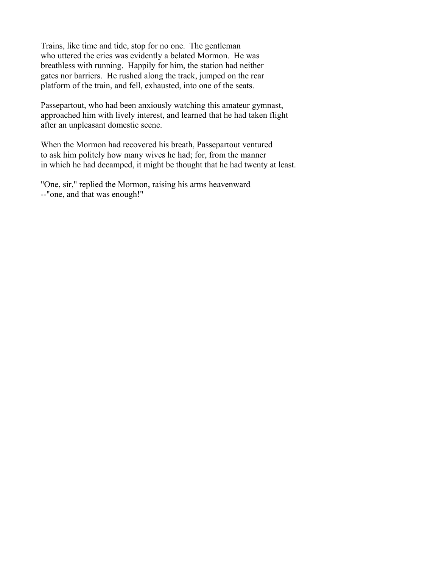Trains, like time and tide, stop for no one. The gentleman who uttered the cries was evidently a belated Mormon. He was breathless with running. Happily for him, the station had neither gates nor barriers. He rushed along the track, jumped on the rear platform of the train, and fell, exhausted, into one of the seats.

Passepartout, who had been anxiously watching this amateur gymnast, approached him with lively interest, and learned that he had taken flight after an unpleasant domestic scene.

When the Mormon had recovered his breath, Passepartout ventured to ask him politely how many wives he had; for, from the manner in which he had decamped, it might be thought that he had twenty at least.

"One, sir," replied the Mormon, raising his arms heavenward --"one, and that was enough!"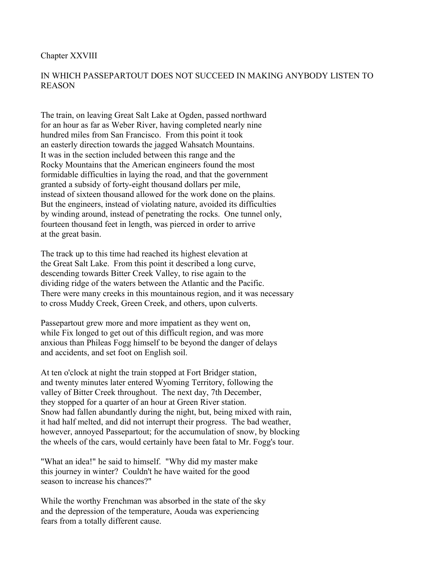### Chapter XXVIII

## IN WHICH PASSEPARTOUT DOES NOT SUCCEED IN MAKING ANYBODY LISTEN TO REASON

The train, on leaving Great Salt Lake at Ogden, passed northward for an hour as far as Weber River, having completed nearly nine hundred miles from San Francisco. From this point it took an easterly direction towards the jagged Wahsatch Mountains. It was in the section included between this range and the Rocky Mountains that the American engineers found the most formidable difficulties in laying the road, and that the government granted a subsidy of forty-eight thousand dollars per mile, instead of sixteen thousand allowed for the work done on the plains. But the engineers, instead of violating nature, avoided its difficulties by winding around, instead of penetrating the rocks. One tunnel only, fourteen thousand feet in length, was pierced in order to arrive at the great basin.

The track up to this time had reached its highest elevation at the Great Salt Lake. From this point it described a long curve, descending towards Bitter Creek Valley, to rise again to the dividing ridge of the waters between the Atlantic and the Pacific. There were many creeks in this mountainous region, and it was necessary to cross Muddy Creek, Green Creek, and others, upon culverts.

Passepartout grew more and more impatient as they went on, while Fix longed to get out of this difficult region, and was more anxious than Phileas Fogg himself to be beyond the danger of delays and accidents, and set foot on English soil.

At ten o'clock at night the train stopped at Fort Bridger station, and twenty minutes later entered Wyoming Territory, following the valley of Bitter Creek throughout. The next day, 7th December, they stopped for a quarter of an hour at Green River station. Snow had fallen abundantly during the night, but, being mixed with rain, it had half melted, and did not interrupt their progress. The bad weather, however, annoyed Passepartout; for the accumulation of snow, by blocking the wheels of the cars, would certainly have been fatal to Mr. Fogg's tour.

"What an idea!" he said to himself. "Why did my master make this journey in winter? Couldn't he have waited for the good season to increase his chances?"

While the worthy Frenchman was absorbed in the state of the sky and the depression of the temperature, Aouda was experiencing fears from a totally different cause.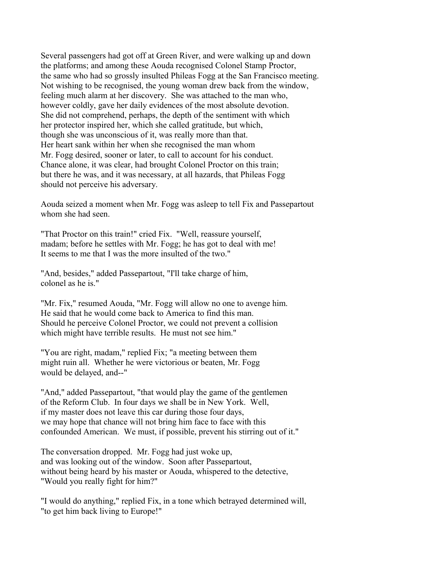Several passengers had got off at Green River, and were walking up and down the platforms; and among these Aouda recognised Colonel Stamp Proctor, the same who had so grossly insulted Phileas Fogg at the San Francisco meeting. Not wishing to be recognised, the young woman drew back from the window, feeling much alarm at her discovery. She was attached to the man who, however coldly, gave her daily evidences of the most absolute devotion. She did not comprehend, perhaps, the depth of the sentiment with which her protector inspired her, which she called gratitude, but which, though she was unconscious of it, was really more than that. Her heart sank within her when she recognised the man whom Mr. Fogg desired, sooner or later, to call to account for his conduct. Chance alone, it was clear, had brought Colonel Proctor on this train; but there he was, and it was necessary, at all hazards, that Phileas Fogg should not perceive his adversary.

Aouda seized a moment when Mr. Fogg was asleep to tell Fix and Passepartout whom she had seen.

"That Proctor on this train!" cried Fix. "Well, reassure yourself, madam; before he settles with Mr. Fogg; he has got to deal with me! It seems to me that I was the more insulted of the two."

"And, besides," added Passepartout, "I'll take charge of him, colonel as he is."

"Mr. Fix," resumed Aouda, "Mr. Fogg will allow no one to avenge him. He said that he would come back to America to find this man. Should he perceive Colonel Proctor, we could not prevent a collision which might have terrible results. He must not see him."

"You are right, madam," replied Fix; "a meeting between them might ruin all. Whether he were victorious or beaten, Mr. Fogg would be delayed, and--"

"And," added Passepartout, "that would play the game of the gentlemen of the Reform Club. In four days we shall be in New York. Well, if my master does not leave this car during those four days, we may hope that chance will not bring him face to face with this confounded American. We must, if possible, prevent his stirring out of it."

The conversation dropped. Mr. Fogg had just woke up, and was looking out of the window. Soon after Passepartout, without being heard by his master or Aouda, whispered to the detective, "Would you really fight for him?"

"I would do anything," replied Fix, in a tone which betrayed determined will, "to get him back living to Europe!"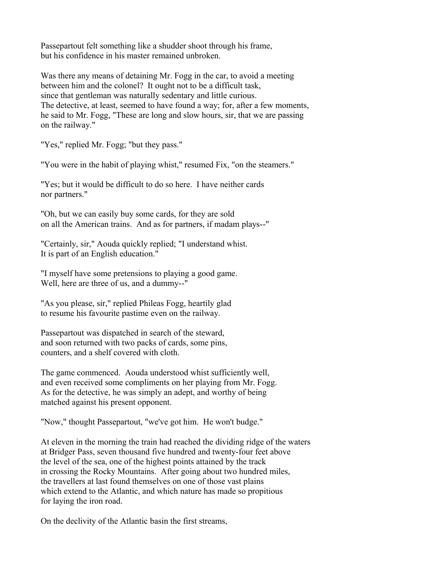Passepartout felt something like a shudder shoot through his frame, but his confidence in his master remained unbroken.

Was there any means of detaining Mr. Fogg in the car, to avoid a meeting between him and the colonel? It ought not to be a difficult task, since that gentleman was naturally sedentary and little curious. The detective, at least, seemed to have found a way; for, after a few moments, he said to Mr. Fogg, "These are long and slow hours, sir, that we are passing on the railway."

"Yes," replied Mr. Fogg; "but they pass."

"You were in the habit of playing whist," resumed Fix, "on the steamers."

"Yes; but it would be difficult to do so here. I have neither cards nor partners."

"Oh, but we can easily buy some cards, for they are sold on all the American trains. And as for partners, if madam plays--"

"Certainly, sir," Aouda quickly replied; "I understand whist. It is part of an English education."

"I myself have some pretensions to playing a good game. Well, here are three of us, and a dummy--"

"As you please, sir," replied Phileas Fogg, heartily glad to resume his favourite pastime even on the railway.

Passepartout was dispatched in search of the steward, and soon returned with two packs of cards, some pins, counters, and a shelf covered with cloth.

The game commenced. Aouda understood whist sufficiently well, and even received some compliments on her playing from Mr. Fogg. As for the detective, he was simply an adept, and worthy of being matched against his present opponent.

"Now," thought Passepartout, "we've got him. He won't budge."

At eleven in the morning the train had reached the dividing ridge of the waters at Bridger Pass, seven thousand five hundred and twenty-four feet above the level of the sea, one of the highest points attained by the track in crossing the Rocky Mountains. After going about two hundred miles, the travellers at last found themselves on one of those vast plains which extend to the Atlantic, and which nature has made so propitious for laying the iron road.

On the declivity of the Atlantic basin the first streams,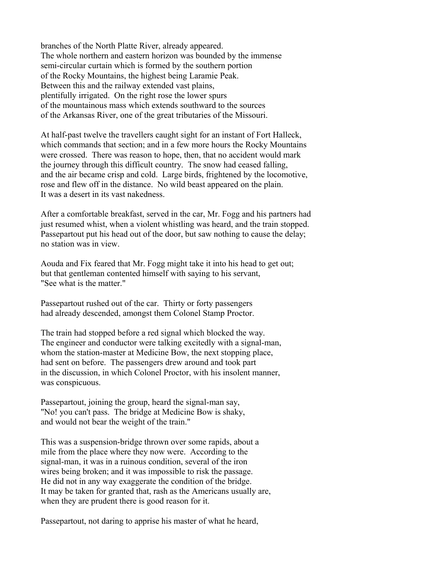branches of the North Platte River, already appeared. The whole northern and eastern horizon was bounded by the immense semi-circular curtain which is formed by the southern portion of the Rocky Mountains, the highest being Laramie Peak. Between this and the railway extended vast plains, plentifully irrigated. On the right rose the lower spurs of the mountainous mass which extends southward to the sources of the Arkansas River, one of the great tributaries of the Missouri.

At half-past twelve the travellers caught sight for an instant of Fort Halleck, which commands that section; and in a few more hours the Rocky Mountains were crossed. There was reason to hope, then, that no accident would mark the journey through this difficult country. The snow had ceased falling, and the air became crisp and cold. Large birds, frightened by the locomotive, rose and flew off in the distance. No wild beast appeared on the plain. It was a desert in its vast nakedness.

After a comfortable breakfast, served in the car, Mr. Fogg and his partners had just resumed whist, when a violent whistling was heard, and the train stopped. Passepartout put his head out of the door, but saw nothing to cause the delay; no station was in view.

Aouda and Fix feared that Mr. Fogg might take it into his head to get out; but that gentleman contented himself with saying to his servant, "See what is the matter."

Passepartout rushed out of the car. Thirty or forty passengers had already descended, amongst them Colonel Stamp Proctor.

The train had stopped before a red signal which blocked the way. The engineer and conductor were talking excitedly with a signal-man, whom the station-master at Medicine Bow, the next stopping place, had sent on before. The passengers drew around and took part in the discussion, in which Colonel Proctor, with his insolent manner, was conspicuous.

Passepartout, joining the group, heard the signal-man say, "No! you can't pass. The bridge at Medicine Bow is shaky, and would not bear the weight of the train."

This was a suspension-bridge thrown over some rapids, about a mile from the place where they now were. According to the signal-man, it was in a ruinous condition, several of the iron wires being broken; and it was impossible to risk the passage. He did not in any way exaggerate the condition of the bridge. It may be taken for granted that, rash as the Americans usually are, when they are prudent there is good reason for it.

Passepartout, not daring to apprise his master of what he heard,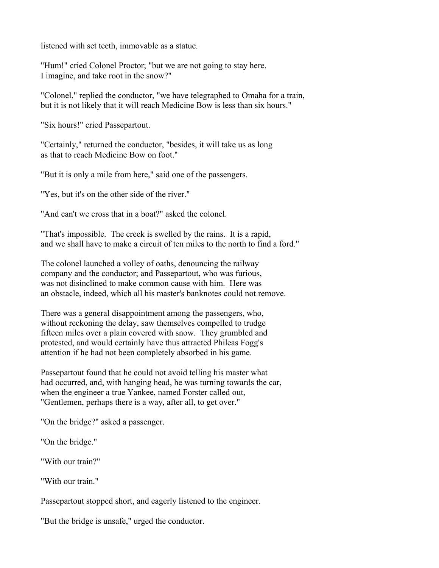listened with set teeth, immovable as a statue.

"Hum!" cried Colonel Proctor; "but we are not going to stay here, I imagine, and take root in the snow?"

"Colonel," replied the conductor, "we have telegraphed to Omaha for a train, but it is not likely that it will reach Medicine Bow is less than six hours."

"Six hours!" cried Passepartout.

"Certainly," returned the conductor, "besides, it will take us as long as that to reach Medicine Bow on foot."

"But it is only a mile from here," said one of the passengers.

"Yes, but it's on the other side of the river."

"And can't we cross that in a boat?" asked the colonel.

"That's impossible. The creek is swelled by the rains. It is a rapid, and we shall have to make a circuit of ten miles to the north to find a ford."

The colonel launched a volley of oaths, denouncing the railway company and the conductor; and Passepartout, who was furious, was not disinclined to make common cause with him. Here was an obstacle, indeed, which all his master's banknotes could not remove.

There was a general disappointment among the passengers, who, without reckoning the delay, saw themselves compelled to trudge fifteen miles over a plain covered with snow. They grumbled and protested, and would certainly have thus attracted Phileas Fogg's attention if he had not been completely absorbed in his game.

Passepartout found that he could not avoid telling his master what had occurred, and, with hanging head, he was turning towards the car, when the engineer a true Yankee, named Forster called out, "Gentlemen, perhaps there is a way, after all, to get over."

"On the bridge?" asked a passenger.

"On the bridge."

"With our train?"

"With our train."

Passepartout stopped short, and eagerly listened to the engineer.

"But the bridge is unsafe," urged the conductor.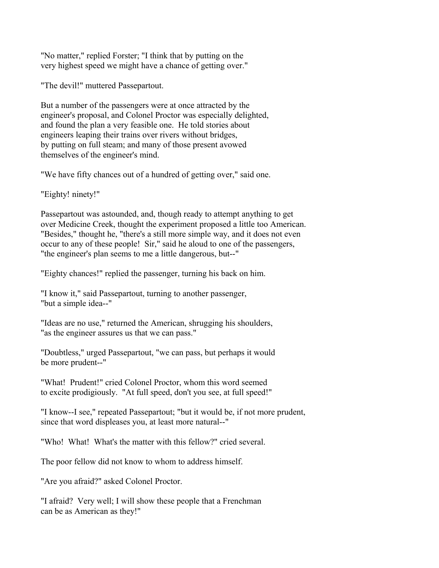"No matter," replied Forster; "I think that by putting on the very highest speed we might have a chance of getting over."

"The devil!" muttered Passepartout.

But a number of the passengers were at once attracted by the engineer's proposal, and Colonel Proctor was especially delighted, and found the plan a very feasible one. He told stories about engineers leaping their trains over rivers without bridges, by putting on full steam; and many of those present avowed themselves of the engineer's mind.

"We have fifty chances out of a hundred of getting over," said one.

"Eighty! ninety!"

Passepartout was astounded, and, though ready to attempt anything to get over Medicine Creek, thought the experiment proposed a little too American. "Besides," thought he, "there's a still more simple way, and it does not even occur to any of these people! Sir," said he aloud to one of the passengers, "the engineer's plan seems to me a little dangerous, but--"

"Eighty chances!" replied the passenger, turning his back on him.

"I know it," said Passepartout, turning to another passenger, "but a simple idea--"

"Ideas are no use," returned the American, shrugging his shoulders, "as the engineer assures us that we can pass."

"Doubtless," urged Passepartout, "we can pass, but perhaps it would be more prudent--"

"What! Prudent!" cried Colonel Proctor, whom this word seemed to excite prodigiously. "At full speed, don't you see, at full speed!"

"I know--I see," repeated Passepartout; "but it would be, if not more prudent, since that word displeases you, at least more natural--"

"Who! What! What's the matter with this fellow?" cried several.

The poor fellow did not know to whom to address himself.

"Are you afraid?" asked Colonel Proctor.

"I afraid? Very well; I will show these people that a Frenchman can be as American as they!"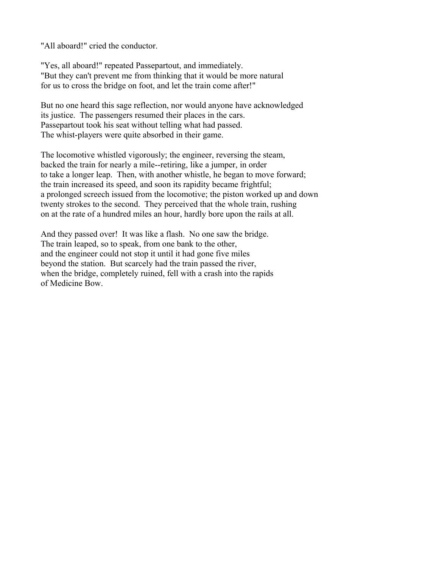"All aboard!" cried the conductor.

"Yes, all aboard!" repeated Passepartout, and immediately. "But they can't prevent me from thinking that it would be more natural for us to cross the bridge on foot, and let the train come after!"

But no one heard this sage reflection, nor would anyone have acknowledged its justice. The passengers resumed their places in the cars. Passepartout took his seat without telling what had passed. The whist-players were quite absorbed in their game.

The locomotive whistled vigorously; the engineer, reversing the steam, backed the train for nearly a mile--retiring, like a jumper, in order to take a longer leap. Then, with another whistle, he began to move forward; the train increased its speed, and soon its rapidity became frightful; a prolonged screech issued from the locomotive; the piston worked up and down twenty strokes to the second. They perceived that the whole train, rushing on at the rate of a hundred miles an hour, hardly bore upon the rails at all.

And they passed over! It was like a flash. No one saw the bridge. The train leaped, so to speak, from one bank to the other, and the engineer could not stop it until it had gone five miles beyond the station. But scarcely had the train passed the river, when the bridge, completely ruined, fell with a crash into the rapids of Medicine Bow.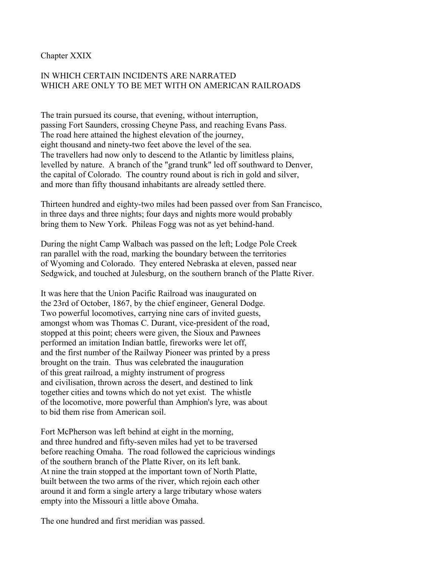### Chapter XXIX

## IN WHICH CERTAIN INCIDENTS ARE NARRATED WHICH ARE ONLY TO BE MET WITH ON AMERICAN RAILROADS

The train pursued its course, that evening, without interruption, passing Fort Saunders, crossing Cheyne Pass, and reaching Evans Pass. The road here attained the highest elevation of the journey, eight thousand and ninety-two feet above the level of the sea. The travellers had now only to descend to the Atlantic by limitless plains, levelled by nature. A branch of the "grand trunk" led off southward to Denver, the capital of Colorado. The country round about is rich in gold and silver, and more than fifty thousand inhabitants are already settled there.

Thirteen hundred and eighty-two miles had been passed over from San Francisco, in three days and three nights; four days and nights more would probably bring them to New York. Phileas Fogg was not as yet behind-hand.

During the night Camp Walbach was passed on the left; Lodge Pole Creek ran parallel with the road, marking the boundary between the territories of Wyoming and Colorado. They entered Nebraska at eleven, passed near Sedgwick, and touched at Julesburg, on the southern branch of the Platte River.

It was here that the Union Pacific Railroad was inaugurated on the 23rd of October, 1867, by the chief engineer, General Dodge. Two powerful locomotives, carrying nine cars of invited guests, amongst whom was Thomas C. Durant, vice-president of the road, stopped at this point; cheers were given, the Sioux and Pawnees performed an imitation Indian battle, fireworks were let off, and the first number of the Railway Pioneer was printed by a press brought on the train. Thus was celebrated the inauguration of this great railroad, a mighty instrument of progress and civilisation, thrown across the desert, and destined to link together cities and towns which do not yet exist. The whistle of the locomotive, more powerful than Amphion's lyre, was about to bid them rise from American soil.

Fort McPherson was left behind at eight in the morning, and three hundred and fifty-seven miles had yet to be traversed before reaching Omaha. The road followed the capricious windings of the southern branch of the Platte River, on its left bank. At nine the train stopped at the important town of North Platte, built between the two arms of the river, which rejoin each other around it and form a single artery a large tributary whose waters empty into the Missouri a little above Omaha.

The one hundred and first meridian was passed.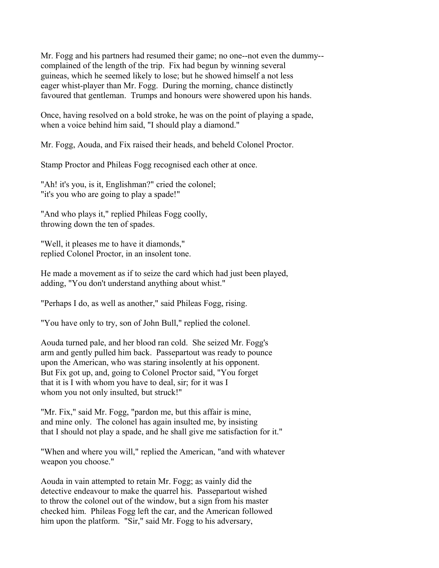Mr. Fogg and his partners had resumed their game; no one--not even the dummy- complained of the length of the trip. Fix had begun by winning several guineas, which he seemed likely to lose; but he showed himself a not less eager whist-player than Mr. Fogg. During the morning, chance distinctly favoured that gentleman. Trumps and honours were showered upon his hands.

Once, having resolved on a bold stroke, he was on the point of playing a spade, when a voice behind him said, "I should play a diamond."

Mr. Fogg, Aouda, and Fix raised their heads, and beheld Colonel Proctor.

Stamp Proctor and Phileas Fogg recognised each other at once.

"Ah! it's you, is it, Englishman?" cried the colonel; "it's you who are going to play a spade!"

"And who plays it," replied Phileas Fogg coolly, throwing down the ten of spades.

"Well, it pleases me to have it diamonds," replied Colonel Proctor, in an insolent tone.

He made a movement as if to seize the card which had just been played, adding, "You don't understand anything about whist."

"Perhaps I do, as well as another," said Phileas Fogg, rising.

"You have only to try, son of John Bull," replied the colonel.

Aouda turned pale, and her blood ran cold. She seized Mr. Fogg's arm and gently pulled him back. Passepartout was ready to pounce upon the American, who was staring insolently at his opponent. But Fix got up, and, going to Colonel Proctor said, "You forget that it is I with whom you have to deal, sir; for it was I whom you not only insulted, but struck!"

"Mr. Fix," said Mr. Fogg, "pardon me, but this affair is mine, and mine only. The colonel has again insulted me, by insisting that I should not play a spade, and he shall give me satisfaction for it."

"When and where you will," replied the American, "and with whatever weapon you choose."

Aouda in vain attempted to retain Mr. Fogg; as vainly did the detective endeavour to make the quarrel his. Passepartout wished to throw the colonel out of the window, but a sign from his master checked him. Phileas Fogg left the car, and the American followed him upon the platform. "Sir," said Mr. Fogg to his adversary,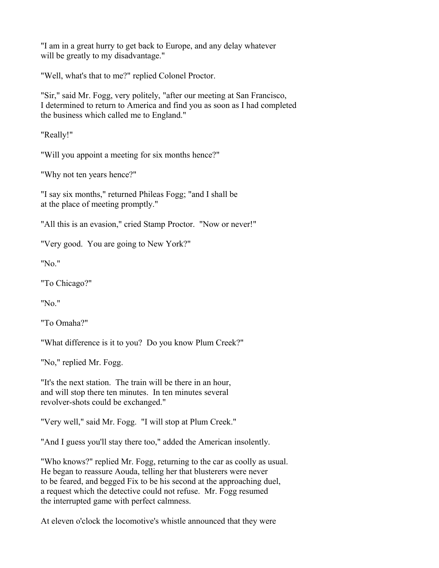"I am in a great hurry to get back to Europe, and any delay whatever will be greatly to my disadvantage."

"Well, what's that to me?" replied Colonel Proctor.

"Sir," said Mr. Fogg, very politely, "after our meeting at San Francisco, I determined to return to America and find you as soon as I had completed the business which called me to England."

"Really!"

"Will you appoint a meeting for six months hence?"

"Why not ten years hence?"

"I say six months," returned Phileas Fogg; "and I shall be at the place of meeting promptly."

"All this is an evasion," cried Stamp Proctor. "Now or never!"

"Very good. You are going to New York?"

"No."

"To Chicago?"

"No."

"To Omaha?"

"What difference is it to you? Do you know Plum Creek?"

"No," replied Mr. Fogg.

"It's the next station. The train will be there in an hour, and will stop there ten minutes. In ten minutes several revolver-shots could be exchanged."

"Very well," said Mr. Fogg. "I will stop at Plum Creek."

"And I guess you'll stay there too," added the American insolently.

"Who knows?" replied Mr. Fogg, returning to the car as coolly as usual. He began to reassure Aouda, telling her that blusterers were never to be feared, and begged Fix to be his second at the approaching duel, a request which the detective could not refuse. Mr. Fogg resumed the interrupted game with perfect calmness.

At eleven o'clock the locomotive's whistle announced that they were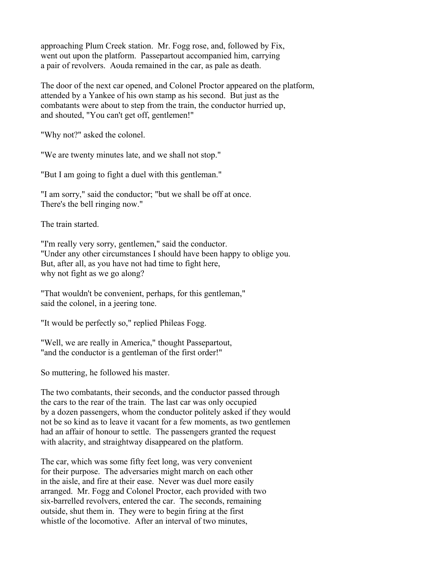approaching Plum Creek station. Mr. Fogg rose, and, followed by Fix, went out upon the platform. Passepartout accompanied him, carrying a pair of revolvers. Aouda remained in the car, as pale as death.

The door of the next car opened, and Colonel Proctor appeared on the platform, attended by a Yankee of his own stamp as his second. But just as the combatants were about to step from the train, the conductor hurried up, and shouted, "You can't get off, gentlemen!"

"Why not?" asked the colonel.

"We are twenty minutes late, and we shall not stop."

"But I am going to fight a duel with this gentleman."

"I am sorry," said the conductor; "but we shall be off at once. There's the bell ringing now."

The train started.

"I'm really very sorry, gentlemen," said the conductor. "Under any other circumstances I should have been happy to oblige you. But, after all, as you have not had time to fight here, why not fight as we go along?

"That wouldn't be convenient, perhaps, for this gentleman," said the colonel, in a jeering tone.

"It would be perfectly so," replied Phileas Fogg.

"Well, we are really in America," thought Passepartout, "and the conductor is a gentleman of the first order!"

So muttering, he followed his master.

The two combatants, their seconds, and the conductor passed through the cars to the rear of the train. The last car was only occupied by a dozen passengers, whom the conductor politely asked if they would not be so kind as to leave it vacant for a few moments, as two gentlemen had an affair of honour to settle. The passengers granted the request with alacrity, and straightway disappeared on the platform.

The car, which was some fifty feet long, was very convenient for their purpose. The adversaries might march on each other in the aisle, and fire at their ease. Never was duel more easily arranged. Mr. Fogg and Colonel Proctor, each provided with two six-barrelled revolvers, entered the car. The seconds, remaining outside, shut them in. They were to begin firing at the first whistle of the locomotive. After an interval of two minutes,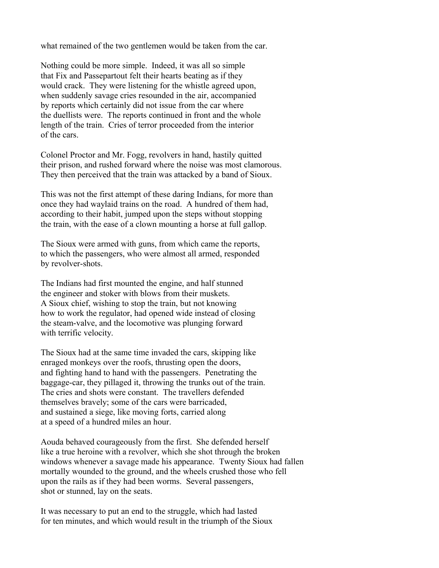what remained of the two gentlemen would be taken from the car.

Nothing could be more simple. Indeed, it was all so simple that Fix and Passepartout felt their hearts beating as if they would crack. They were listening for the whistle agreed upon, when suddenly savage cries resounded in the air, accompanied by reports which certainly did not issue from the car where the duellists were. The reports continued in front and the whole length of the train. Cries of terror proceeded from the interior of the cars.

Colonel Proctor and Mr. Fogg, revolvers in hand, hastily quitted their prison, and rushed forward where the noise was most clamorous. They then perceived that the train was attacked by a band of Sioux.

This was not the first attempt of these daring Indians, for more than once they had waylaid trains on the road. A hundred of them had, according to their habit, jumped upon the steps without stopping the train, with the ease of a clown mounting a horse at full gallop.

The Sioux were armed with guns, from which came the reports, to which the passengers, who were almost all armed, responded by revolver-shots.

The Indians had first mounted the engine, and half stunned the engineer and stoker with blows from their muskets. A Sioux chief, wishing to stop the train, but not knowing how to work the regulator, had opened wide instead of closing the steam-valve, and the locomotive was plunging forward with terrific velocity.

The Sioux had at the same time invaded the cars, skipping like enraged monkeys over the roofs, thrusting open the doors, and fighting hand to hand with the passengers. Penetrating the baggage-car, they pillaged it, throwing the trunks out of the train. The cries and shots were constant. The travellers defended themselves bravely; some of the cars were barricaded, and sustained a siege, like moving forts, carried along at a speed of a hundred miles an hour.

Aouda behaved courageously from the first. She defended herself like a true heroine with a revolver, which she shot through the broken windows whenever a savage made his appearance. Twenty Sioux had fallen mortally wounded to the ground, and the wheels crushed those who fell upon the rails as if they had been worms. Several passengers, shot or stunned, lay on the seats.

It was necessary to put an end to the struggle, which had lasted for ten minutes, and which would result in the triumph of the Sioux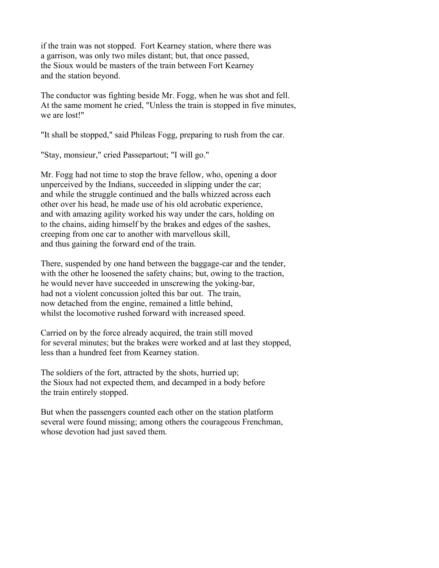if the train was not stopped. Fort Kearney station, where there was a garrison, was only two miles distant; but, that once passed, the Sioux would be masters of the train between Fort Kearney and the station beyond.

The conductor was fighting beside Mr. Fogg, when he was shot and fell. At the same moment he cried, "Unless the train is stopped in five minutes, we are lost!"

"It shall be stopped," said Phileas Fogg, preparing to rush from the car.

"Stay, monsieur," cried Passepartout; "I will go."

Mr. Fogg had not time to stop the brave fellow, who, opening a door unperceived by the Indians, succeeded in slipping under the car; and while the struggle continued and the balls whizzed across each other over his head, he made use of his old acrobatic experience, and with amazing agility worked his way under the cars, holding on to the chains, aiding himself by the brakes and edges of the sashes, creeping from one car to another with marvellous skill, and thus gaining the forward end of the train.

There, suspended by one hand between the baggage-car and the tender, with the other he loosened the safety chains; but, owing to the traction, he would never have succeeded in unscrewing the yoking-bar, had not a violent concussion jolted this bar out. The train, now detached from the engine, remained a little behind, whilst the locomotive rushed forward with increased speed.

Carried on by the force already acquired, the train still moved for several minutes; but the brakes were worked and at last they stopped, less than a hundred feet from Kearney station.

The soldiers of the fort, attracted by the shots, hurried up; the Sioux had not expected them, and decamped in a body before the train entirely stopped.

But when the passengers counted each other on the station platform several were found missing; among others the courageous Frenchman, whose devotion had just saved them.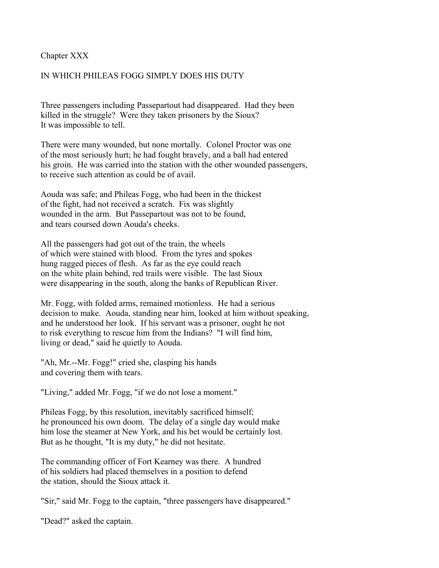### Chapter XXX

## IN WHICH PHILEAS FOGG SIMPLY DOES HIS DUTY

Three passengers including Passepartout had disappeared. Had they been killed in the struggle? Were they taken prisoners by the Sioux? It was impossible to tell.

There were many wounded, but none mortally. Colonel Proctor was one of the most seriously hurt; he had fought bravely, and a ball had entered his groin. He was carried into the station with the other wounded passengers, to receive such attention as could be of avail.

Aouda was safe; and Phileas Fogg, who had been in the thickest of the fight, had not received a scratch. Fix was slightly wounded in the arm. But Passepartout was not to be found, and tears coursed down Aouda's cheeks.

All the passengers had got out of the train, the wheels of which were stained with blood. From the tyres and spokes hung ragged pieces of flesh. As far as the eye could reach on the white plain behind, red trails were visible. The last Sioux were disappearing in the south, along the banks of Republican River.

Mr. Fogg, with folded arms, remained motionless. He had a serious decision to make. Aouda, standing near him, looked at him without speaking, and he understood her look. If his servant was a prisoner, ought he not to risk everything to rescue him from the Indians? "I will find him, living or dead," said he quietly to Aouda.

"Ah, Mr.--Mr. Fogg!" cried she, clasping his hands and covering them with tears.

"Living," added Mr. Fogg, "if we do not lose a moment."

Phileas Fogg, by this resolution, inevitably sacrificed himself; he pronounced his own doom. The delay of a single day would make him lose the steamer at New York, and his bet would be certainly lost. But as he thought, "It is my duty," he did not hesitate.

The commanding officer of Fort Kearney was there. A hundred of his soldiers had placed themselves in a position to defend the station, should the Sioux attack it.

"Sir," said Mr. Fogg to the captain, "three passengers have disappeared."

"Dead?" asked the captain.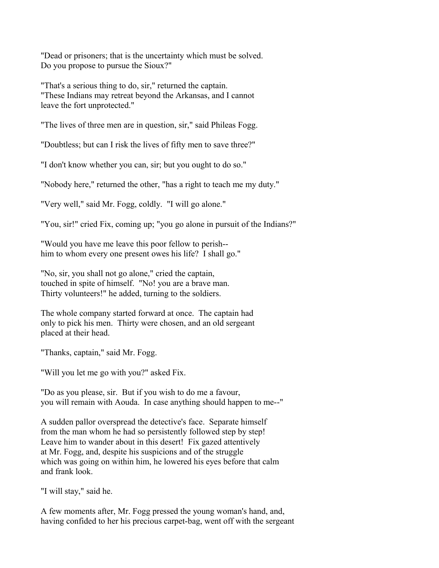"Dead or prisoners; that is the uncertainty which must be solved. Do you propose to pursue the Sioux?"

"That's a serious thing to do, sir," returned the captain. "These Indians may retreat beyond the Arkansas, and I cannot leave the fort unprotected."

"The lives of three men are in question, sir," said Phileas Fogg.

"Doubtless; but can I risk the lives of fifty men to save three?"

"I don't know whether you can, sir; but you ought to do so."

"Nobody here," returned the other, "has a right to teach me my duty."

"Very well," said Mr. Fogg, coldly. "I will go alone."

"You, sir!" cried Fix, coming up; "you go alone in pursuit of the Indians?"

"Would you have me leave this poor fellow to perish- him to whom every one present owes his life? I shall go."

"No, sir, you shall not go alone," cried the captain, touched in spite of himself. "No! you are a brave man. Thirty volunteers!" he added, turning to the soldiers.

The whole company started forward at once. The captain had only to pick his men. Thirty were chosen, and an old sergeant placed at their head.

"Thanks, captain," said Mr. Fogg.

"Will you let me go with you?" asked Fix.

"Do as you please, sir. But if you wish to do me a favour, you will remain with Aouda. In case anything should happen to me--"

A sudden pallor overspread the detective's face. Separate himself from the man whom he had so persistently followed step by step! Leave him to wander about in this desert! Fix gazed attentively at Mr. Fogg, and, despite his suspicions and of the struggle which was going on within him, he lowered his eyes before that calm and frank look.

"I will stay," said he.

A few moments after, Mr. Fogg pressed the young woman's hand, and, having confided to her his precious carpet-bag, went off with the sergeant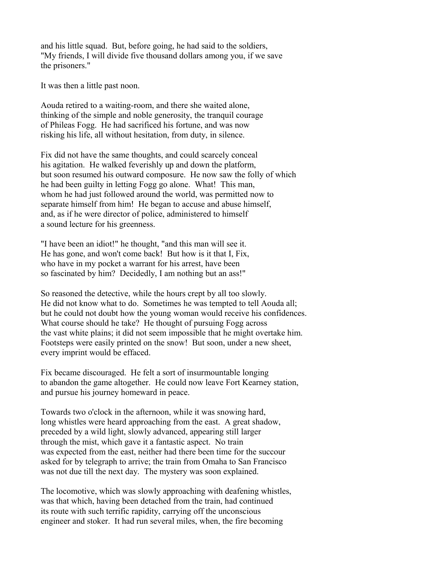and his little squad. But, before going, he had said to the soldiers, "My friends, I will divide five thousand dollars among you, if we save the prisoners."

It was then a little past noon.

Aouda retired to a waiting-room, and there she waited alone, thinking of the simple and noble generosity, the tranquil courage of Phileas Fogg. He had sacrificed his fortune, and was now risking his life, all without hesitation, from duty, in silence.

Fix did not have the same thoughts, and could scarcely conceal his agitation. He walked feverishly up and down the platform, but soon resumed his outward composure. He now saw the folly of which he had been guilty in letting Fogg go alone. What! This man, whom he had just followed around the world, was permitted now to separate himself from him! He began to accuse and abuse himself, and, as if he were director of police, administered to himself a sound lecture for his greenness.

"I have been an idiot!" he thought, "and this man will see it. He has gone, and won't come back! But how is it that I, Fix, who have in my pocket a warrant for his arrest, have been so fascinated by him? Decidedly, I am nothing but an ass!"

So reasoned the detective, while the hours crept by all too slowly. He did not know what to do. Sometimes he was tempted to tell Aouda all; but he could not doubt how the young woman would receive his confidences. What course should he take? He thought of pursuing Fogg across the vast white plains; it did not seem impossible that he might overtake him. Footsteps were easily printed on the snow! But soon, under a new sheet, every imprint would be effaced.

Fix became discouraged. He felt a sort of insurmountable longing to abandon the game altogether. He could now leave Fort Kearney station, and pursue his journey homeward in peace.

Towards two o'clock in the afternoon, while it was snowing hard, long whistles were heard approaching from the east. A great shadow, preceded by a wild light, slowly advanced, appearing still larger through the mist, which gave it a fantastic aspect. No train was expected from the east, neither had there been time for the succour asked for by telegraph to arrive; the train from Omaha to San Francisco was not due till the next day. The mystery was soon explained.

The locomotive, which was slowly approaching with deafening whistles, was that which, having been detached from the train, had continued its route with such terrific rapidity, carrying off the unconscious engineer and stoker. It had run several miles, when, the fire becoming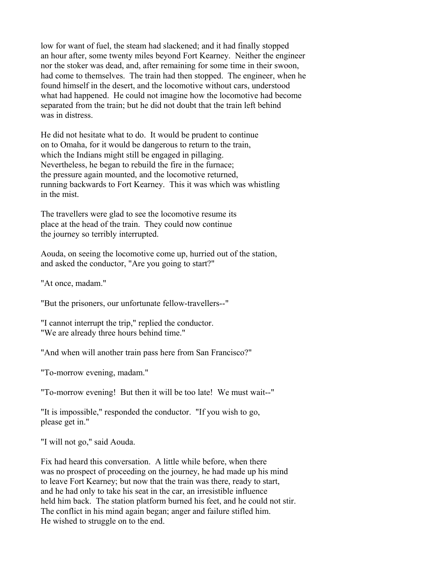low for want of fuel, the steam had slackened; and it had finally stopped an hour after, some twenty miles beyond Fort Kearney. Neither the engineer nor the stoker was dead, and, after remaining for some time in their swoon, had come to themselves. The train had then stopped. The engineer, when he found himself in the desert, and the locomotive without cars, understood what had happened. He could not imagine how the locomotive had become separated from the train; but he did not doubt that the train left behind was in distress.

He did not hesitate what to do. It would be prudent to continue on to Omaha, for it would be dangerous to return to the train, which the Indians might still be engaged in pillaging. Nevertheless, he began to rebuild the fire in the furnace; the pressure again mounted, and the locomotive returned, running backwards to Fort Kearney. This it was which was whistling in the mist.

The travellers were glad to see the locomotive resume its place at the head of the train. They could now continue the journey so terribly interrupted.

Aouda, on seeing the locomotive come up, hurried out of the station, and asked the conductor, "Are you going to start?"

"At once, madam."

"But the prisoners, our unfortunate fellow-travellers--"

"I cannot interrupt the trip," replied the conductor. "We are already three hours behind time."

"And when will another train pass here from San Francisco?"

"To-morrow evening, madam."

"To-morrow evening! But then it will be too late! We must wait--"

"It is impossible," responded the conductor. "If you wish to go, please get in."

"I will not go," said Aouda.

Fix had heard this conversation. A little while before, when there was no prospect of proceeding on the journey, he had made up his mind to leave Fort Kearney; but now that the train was there, ready to start, and he had only to take his seat in the car, an irresistible influence held him back. The station platform burned his feet, and he could not stir. The conflict in his mind again began; anger and failure stifled him. He wished to struggle on to the end.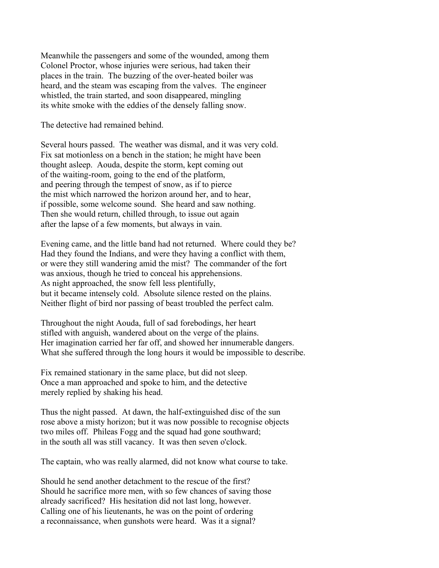Meanwhile the passengers and some of the wounded, among them Colonel Proctor, whose injuries were serious, had taken their places in the train. The buzzing of the over-heated boiler was heard, and the steam was escaping from the valves. The engineer whistled, the train started, and soon disappeared, mingling its white smoke with the eddies of the densely falling snow.

The detective had remained behind.

Several hours passed. The weather was dismal, and it was very cold. Fix sat motionless on a bench in the station; he might have been thought asleep. Aouda, despite the storm, kept coming out of the waiting-room, going to the end of the platform, and peering through the tempest of snow, as if to pierce the mist which narrowed the horizon around her, and to hear, if possible, some welcome sound. She heard and saw nothing. Then she would return, chilled through, to issue out again after the lapse of a few moments, but always in vain.

Evening came, and the little band had not returned. Where could they be? Had they found the Indians, and were they having a conflict with them, or were they still wandering amid the mist? The commander of the fort was anxious, though he tried to conceal his apprehensions. As night approached, the snow fell less plentifully, but it became intensely cold. Absolute silence rested on the plains. Neither flight of bird nor passing of beast troubled the perfect calm.

Throughout the night Aouda, full of sad forebodings, her heart stifled with anguish, wandered about on the verge of the plains. Her imagination carried her far off, and showed her innumerable dangers. What she suffered through the long hours it would be impossible to describe.

Fix remained stationary in the same place, but did not sleep. Once a man approached and spoke to him, and the detective merely replied by shaking his head.

Thus the night passed. At dawn, the half-extinguished disc of the sun rose above a misty horizon; but it was now possible to recognise objects two miles off. Phileas Fogg and the squad had gone southward; in the south all was still vacancy. It was then seven o'clock.

The captain, who was really alarmed, did not know what course to take.

Should he send another detachment to the rescue of the first? Should he sacrifice more men, with so few chances of saving those already sacrificed? His hesitation did not last long, however. Calling one of his lieutenants, he was on the point of ordering a reconnaissance, when gunshots were heard. Was it a signal?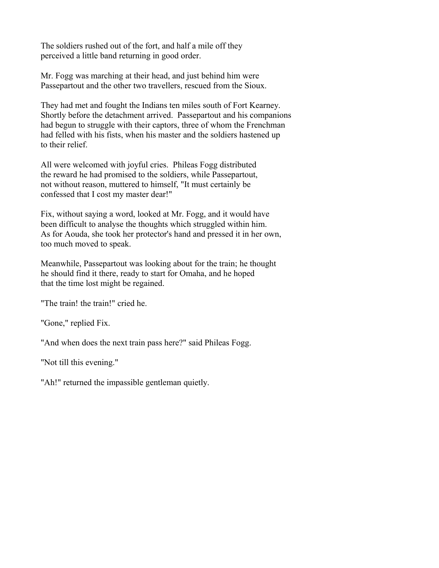The soldiers rushed out of the fort, and half a mile off they perceived a little band returning in good order.

Mr. Fogg was marching at their head, and just behind him were Passepartout and the other two travellers, rescued from the Sioux.

They had met and fought the Indians ten miles south of Fort Kearney. Shortly before the detachment arrived. Passepartout and his companions had begun to struggle with their captors, three of whom the Frenchman had felled with his fists, when his master and the soldiers hastened up to their relief.

All were welcomed with joyful cries. Phileas Fogg distributed the reward he had promised to the soldiers, while Passepartout, not without reason, muttered to himself, "It must certainly be confessed that I cost my master dear!"

Fix, without saying a word, looked at Mr. Fogg, and it would have been difficult to analyse the thoughts which struggled within him. As for Aouda, she took her protector's hand and pressed it in her own, too much moved to speak.

Meanwhile, Passepartout was looking about for the train; he thought he should find it there, ready to start for Omaha, and he hoped that the time lost might be regained.

"The train! the train!" cried he.

"Gone," replied Fix.

"And when does the next train pass here?" said Phileas Fogg.

"Not till this evening."

"Ah!" returned the impassible gentleman quietly.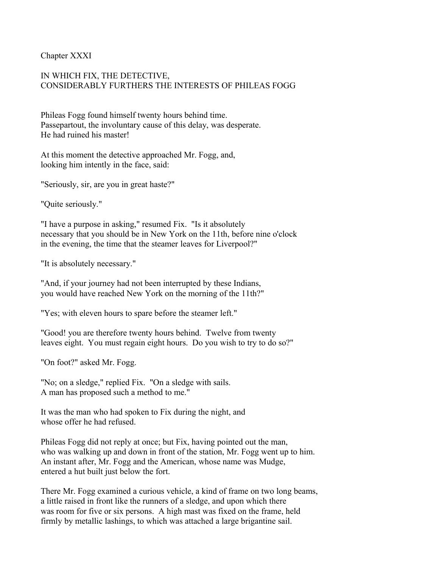Chapter XXXI

# IN WHICH FIX, THE DETECTIVE, CONSIDERABLY FURTHERS THE INTERESTS OF PHILEAS FOGG

Phileas Fogg found himself twenty hours behind time. Passepartout, the involuntary cause of this delay, was desperate. He had ruined his master!

At this moment the detective approached Mr. Fogg, and, looking him intently in the face, said:

"Seriously, sir, are you in great haste?"

"Quite seriously."

"I have a purpose in asking," resumed Fix. "Is it absolutely necessary that you should be in New York on the 11th, before nine o'clock in the evening, the time that the steamer leaves for Liverpool?"

"It is absolutely necessary."

"And, if your journey had not been interrupted by these Indians, you would have reached New York on the morning of the 11th?"

"Yes; with eleven hours to spare before the steamer left."

"Good! you are therefore twenty hours behind. Twelve from twenty leaves eight. You must regain eight hours. Do you wish to try to do so?"

"On foot?" asked Mr. Fogg.

"No; on a sledge," replied Fix. "On a sledge with sails. A man has proposed such a method to me."

It was the man who had spoken to Fix during the night, and whose offer he had refused.

Phileas Fogg did not reply at once; but Fix, having pointed out the man, who was walking up and down in front of the station, Mr. Fogg went up to him. An instant after, Mr. Fogg and the American, whose name was Mudge, entered a hut built just below the fort.

There Mr. Fogg examined a curious vehicle, a kind of frame on two long beams, a little raised in front like the runners of a sledge, and upon which there was room for five or six persons. A high mast was fixed on the frame, held firmly by metallic lashings, to which was attached a large brigantine sail.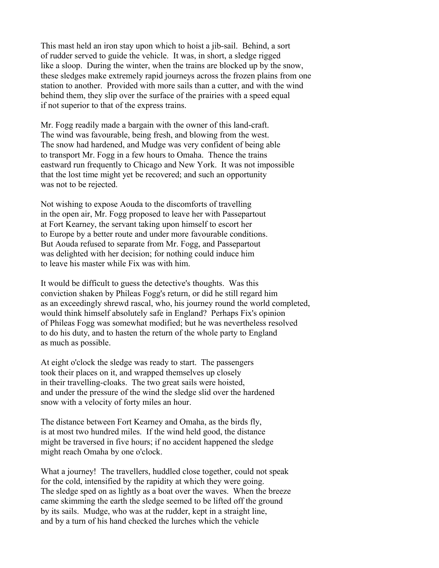This mast held an iron stay upon which to hoist a jib-sail. Behind, a sort of rudder served to guide the vehicle. It was, in short, a sledge rigged like a sloop. During the winter, when the trains are blocked up by the snow, these sledges make extremely rapid journeys across the frozen plains from one station to another. Provided with more sails than a cutter, and with the wind behind them, they slip over the surface of the prairies with a speed equal if not superior to that of the express trains.

Mr. Fogg readily made a bargain with the owner of this land-craft. The wind was favourable, being fresh, and blowing from the west. The snow had hardened, and Mudge was very confident of being able to transport Mr. Fogg in a few hours to Omaha. Thence the trains eastward run frequently to Chicago and New York. It was not impossible that the lost time might yet be recovered; and such an opportunity was not to be rejected.

Not wishing to expose Aouda to the discomforts of travelling in the open air, Mr. Fogg proposed to leave her with Passepartout at Fort Kearney, the servant taking upon himself to escort her to Europe by a better route and under more favourable conditions. But Aouda refused to separate from Mr. Fogg, and Passepartout was delighted with her decision; for nothing could induce him to leave his master while Fix was with him.

It would be difficult to guess the detective's thoughts. Was this conviction shaken by Phileas Fogg's return, or did he still regard him as an exceedingly shrewd rascal, who, his journey round the world completed, would think himself absolutely safe in England? Perhaps Fix's opinion of Phileas Fogg was somewhat modified; but he was nevertheless resolved to do his duty, and to hasten the return of the whole party to England as much as possible.

At eight o'clock the sledge was ready to start. The passengers took their places on it, and wrapped themselves up closely in their travelling-cloaks. The two great sails were hoisted, and under the pressure of the wind the sledge slid over the hardened snow with a velocity of forty miles an hour.

The distance between Fort Kearney and Omaha, as the birds fly, is at most two hundred miles. If the wind held good, the distance might be traversed in five hours; if no accident happened the sledge might reach Omaha by one o'clock.

What a journey! The travellers, huddled close together, could not speak for the cold, intensified by the rapidity at which they were going. The sledge sped on as lightly as a boat over the waves. When the breeze came skimming the earth the sledge seemed to be lifted off the ground by its sails. Mudge, who was at the rudder, kept in a straight line, and by a turn of his hand checked the lurches which the vehicle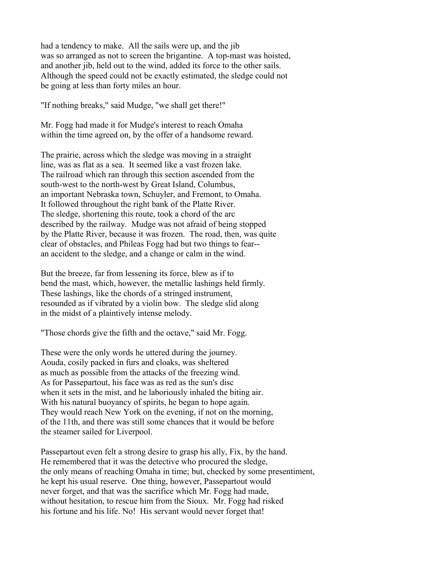had a tendency to make. All the sails were up, and the jib was so arranged as not to screen the brigantine. A top-mast was hoisted, and another jib, held out to the wind, added its force to the other sails. Although the speed could not be exactly estimated, the sledge could not be going at less than forty miles an hour.

"If nothing breaks," said Mudge, "we shall get there!"

Mr. Fogg had made it for Mudge's interest to reach Omaha within the time agreed on, by the offer of a handsome reward.

The prairie, across which the sledge was moving in a straight line, was as flat as a sea. It seemed like a vast frozen lake. The railroad which ran through this section ascended from the south-west to the north-west by Great Island, Columbus, an important Nebraska town, Schuyler, and Fremont, to Omaha. It followed throughout the right bank of the Platte River. The sledge, shortening this route, took a chord of the arc described by the railway. Mudge was not afraid of being stopped by the Platte River, because it was frozen. The road, then, was quite clear of obstacles, and Phileas Fogg had but two things to fear- an accident to the sledge, and a change or calm in the wind.

But the breeze, far from lessening its force, blew as if to bend the mast, which, however, the metallic lashings held firmly. These lashings, like the chords of a stringed instrument, resounded as if vibrated by a violin bow. The sledge slid along in the midst of a plaintively intense melody.

"Those chords give the fifth and the octave," said Mr. Fogg.

These were the only words he uttered during the journey. Aouda, cosily packed in furs and cloaks, was sheltered as much as possible from the attacks of the freezing wind. As for Passepartout, his face was as red as the sun's disc when it sets in the mist, and he laboriously inhaled the biting air. With his natural buoyancy of spirits, he began to hope again. They would reach New York on the evening, if not on the morning, of the 11th, and there was still some chances that it would be before the steamer sailed for Liverpool.

Passepartout even felt a strong desire to grasp his ally, Fix, by the hand. He remembered that it was the detective who procured the sledge, the only means of reaching Omaha in time; but, checked by some presentiment, he kept his usual reserve. One thing, however, Passepartout would never forget, and that was the sacrifice which Mr. Fogg had made, without hesitation, to rescue him from the Sioux. Mr. Fogg had risked his fortune and his life. No! His servant would never forget that!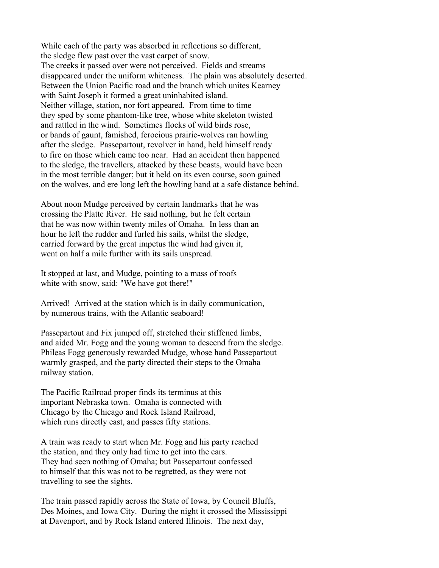While each of the party was absorbed in reflections so different, the sledge flew past over the vast carpet of snow. The creeks it passed over were not perceived. Fields and streams disappeared under the uniform whiteness. The plain was absolutely deserted. Between the Union Pacific road and the branch which unites Kearney with Saint Joseph it formed a great uninhabited island. Neither village, station, nor fort appeared. From time to time they sped by some phantom-like tree, whose white skeleton twisted and rattled in the wind. Sometimes flocks of wild birds rose, or bands of gaunt, famished, ferocious prairie-wolves ran howling after the sledge. Passepartout, revolver in hand, held himself ready to fire on those which came too near. Had an accident then happened to the sledge, the travellers, attacked by these beasts, would have been in the most terrible danger; but it held on its even course, soon gained on the wolves, and ere long left the howling band at a safe distance behind.

About noon Mudge perceived by certain landmarks that he was crossing the Platte River. He said nothing, but he felt certain that he was now within twenty miles of Omaha. In less than an hour he left the rudder and furled his sails, whilst the sledge, carried forward by the great impetus the wind had given it, went on half a mile further with its sails unspread.

It stopped at last, and Mudge, pointing to a mass of roofs white with snow, said: "We have got there!"

Arrived! Arrived at the station which is in daily communication, by numerous trains, with the Atlantic seaboard!

Passepartout and Fix jumped off, stretched their stiffened limbs, and aided Mr. Fogg and the young woman to descend from the sledge. Phileas Fogg generously rewarded Mudge, whose hand Passepartout warmly grasped, and the party directed their steps to the Omaha railway station.

The Pacific Railroad proper finds its terminus at this important Nebraska town. Omaha is connected with Chicago by the Chicago and Rock Island Railroad, which runs directly east, and passes fifty stations.

A train was ready to start when Mr. Fogg and his party reached the station, and they only had time to get into the cars. They had seen nothing of Omaha; but Passepartout confessed to himself that this was not to be regretted, as they were not travelling to see the sights.

The train passed rapidly across the State of Iowa, by Council Bluffs, Des Moines, and Iowa City. During the night it crossed the Mississippi at Davenport, and by Rock Island entered Illinois. The next day,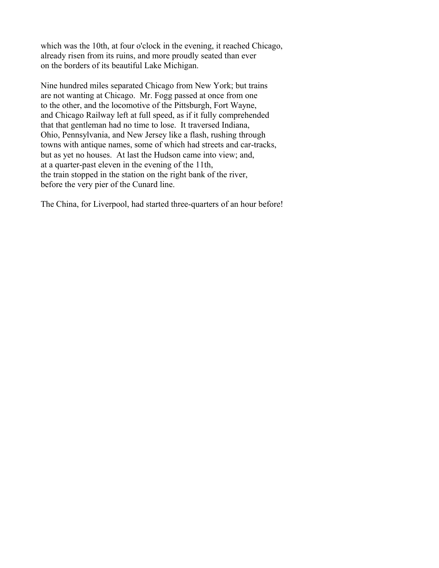which was the 10th, at four o'clock in the evening, it reached Chicago, already risen from its ruins, and more proudly seated than ever on the borders of its beautiful Lake Michigan.

Nine hundred miles separated Chicago from New York; but trains are not wanting at Chicago. Mr. Fogg passed at once from one to the other, and the locomotive of the Pittsburgh, Fort Wayne, and Chicago Railway left at full speed, as if it fully comprehended that that gentleman had no time to lose. It traversed Indiana, Ohio, Pennsylvania, and New Jersey like a flash, rushing through towns with antique names, some of which had streets and car-tracks, but as yet no houses. At last the Hudson came into view; and, at a quarter-past eleven in the evening of the 11th, the train stopped in the station on the right bank of the river, before the very pier of the Cunard line.

The China, for Liverpool, had started three-quarters of an hour before!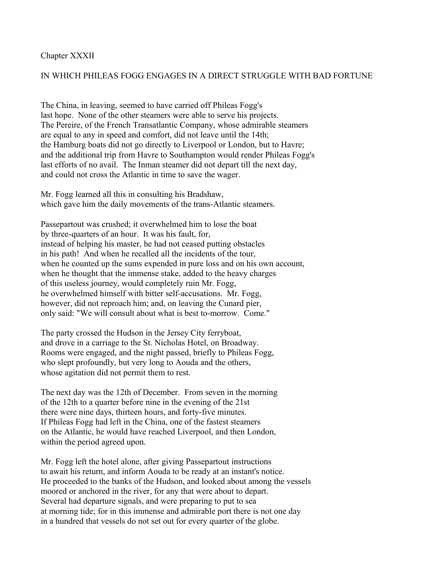## Chapter XXXII

## IN WHICH PHILEAS FOGG ENGAGES IN A DIRECT STRUGGLE WITH BAD FORTUNE

The China, in leaving, seemed to have carried off Phileas Fogg's last hope. None of the other steamers were able to serve his projects. The Pereire, of the French Transatlantic Company, whose admirable steamers are equal to any in speed and comfort, did not leave until the 14th; the Hamburg boats did not go directly to Liverpool or London, but to Havre; and the additional trip from Havre to Southampton would render Phileas Fogg's last efforts of no avail. The Inman steamer did not depart till the next day, and could not cross the Atlantic in time to save the wager.

Mr. Fogg learned all this in consulting his Bradshaw, which gave him the daily movements of the trans-Atlantic steamers.

Passepartout was crushed; it overwhelmed him to lose the boat by three-quarters of an hour. It was his fault, for, instead of helping his master, he had not ceased putting obstacles in his path! And when he recalled all the incidents of the tour, when he counted up the sums expended in pure loss and on his own account, when he thought that the immense stake, added to the heavy charges of this useless journey, would completely ruin Mr. Fogg, he overwhelmed himself with bitter self-accusations. Mr. Fogg, however, did not reproach him; and, on leaving the Cunard pier, only said: "We will consult about what is best to-morrow. Come."

The party crossed the Hudson in the Jersey City ferryboat, and drove in a carriage to the St. Nicholas Hotel, on Broadway. Rooms were engaged, and the night passed, briefly to Phileas Fogg, who slept profoundly, but very long to Aouda and the others, whose agitation did not permit them to rest.

The next day was the 12th of December. From seven in the morning of the 12th to a quarter before nine in the evening of the 21st there were nine days, thirteen hours, and forty-five minutes. If Phileas Fogg had left in the China, one of the fastest steamers on the Atlantic, he would have reached Liverpool, and then London, within the period agreed upon.

Mr. Fogg left the hotel alone, after giving Passepartout instructions to await his return, and inform Aouda to be ready at an instant's notice. He proceeded to the banks of the Hudson, and looked about among the vessels moored or anchored in the river, for any that were about to depart. Several had departure signals, and were preparing to put to sea at morning tide; for in this immense and admirable port there is not one day in a hundred that vessels do not set out for every quarter of the globe.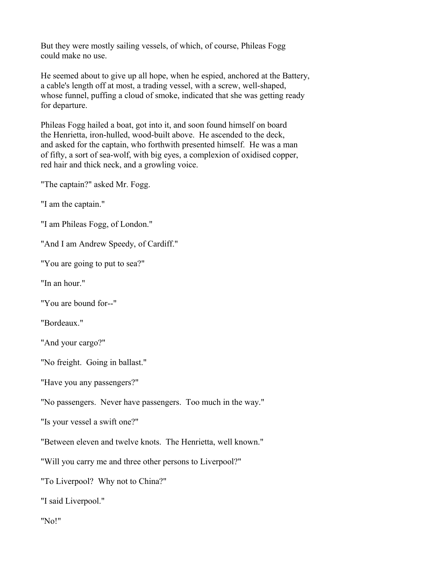But they were mostly sailing vessels, of which, of course, Phileas Fogg could make no use.

He seemed about to give up all hope, when he espied, anchored at the Battery, a cable's length off at most, a trading vessel, with a screw, well-shaped, whose funnel, puffing a cloud of smoke, indicated that she was getting ready for departure.

Phileas Fogg hailed a boat, got into it, and soon found himself on board the Henrietta, iron-hulled, wood-built above. He ascended to the deck, and asked for the captain, who forthwith presented himself. He was a man of fifty, a sort of sea-wolf, with big eyes, a complexion of oxidised copper, red hair and thick neck, and a growling voice.

"The captain?" asked Mr. Fogg.

"I am the captain."

"I am Phileas Fogg, of London."

"And I am Andrew Speedy, of Cardiff."

"You are going to put to sea?"

"In an hour."

"You are bound for--"

"Bordeaux."

"And your cargo?"

"No freight. Going in ballast."

"Have you any passengers?"

"No passengers. Never have passengers. Too much in the way."

"Is your vessel a swift one?"

"Between eleven and twelve knots. The Henrietta, well known."

"Will you carry me and three other persons to Liverpool?"

"To Liverpool? Why not to China?"

"I said Liverpool."

"No!"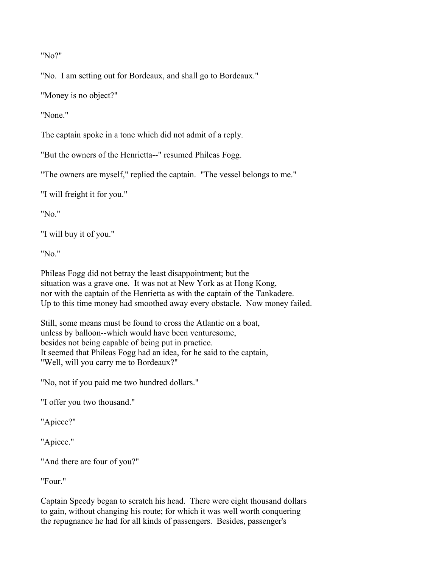"No?"

"No. I am setting out for Bordeaux, and shall go to Bordeaux."

"Money is no object?"

"None."

The captain spoke in a tone which did not admit of a reply.

"But the owners of the Henrietta--" resumed Phileas Fogg.

"The owners are myself," replied the captain. "The vessel belongs to me."

"I will freight it for you."

"No."

"I will buy it of you."

"No."

Phileas Fogg did not betray the least disappointment; but the situation was a grave one. It was not at New York as at Hong Kong, nor with the captain of the Henrietta as with the captain of the Tankadere. Up to this time money had smoothed away every obstacle. Now money failed.

Still, some means must be found to cross the Atlantic on a boat, unless by balloon--which would have been venturesome, besides not being capable of being put in practice. It seemed that Phileas Fogg had an idea, for he said to the captain, "Well, will you carry me to Bordeaux?"

"No, not if you paid me two hundred dollars."

"I offer you two thousand."

"Apiece?"

"Apiece."

"And there are four of you?"

"Four."

Captain Speedy began to scratch his head. There were eight thousand dollars to gain, without changing his route; for which it was well worth conquering the repugnance he had for all kinds of passengers. Besides, passenger's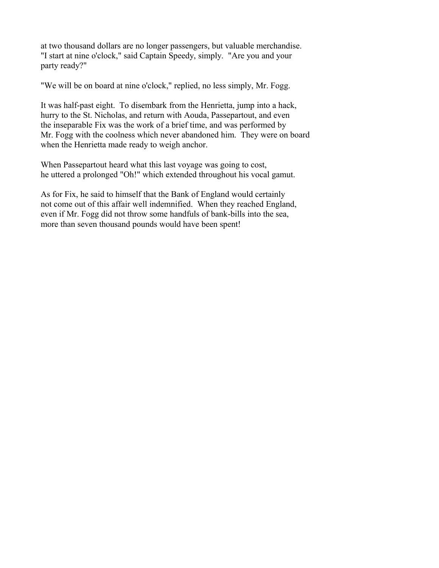at two thousand dollars are no longer passengers, but valuable merchandise. "I start at nine o'clock," said Captain Speedy, simply. "Are you and your party ready?"

"We will be on board at nine o'clock," replied, no less simply, Mr. Fogg.

It was half-past eight. To disembark from the Henrietta, jump into a hack, hurry to the St. Nicholas, and return with Aouda, Passepartout, and even the inseparable Fix was the work of a brief time, and was performed by Mr. Fogg with the coolness which never abandoned him. They were on board when the Henrietta made ready to weigh anchor.

When Passepartout heard what this last voyage was going to cost, he uttered a prolonged "Oh!" which extended throughout his vocal gamut.

As for Fix, he said to himself that the Bank of England would certainly not come out of this affair well indemnified. When they reached England, even if Mr. Fogg did not throw some handfuls of bank-bills into the sea, more than seven thousand pounds would have been spent!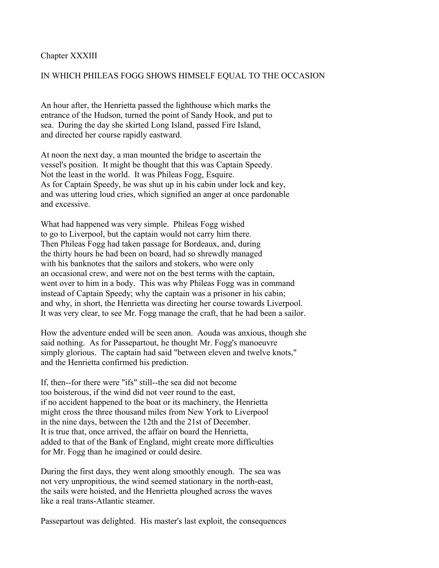Chapter XXXIII

# IN WHICH PHILEAS FOGG SHOWS HIMSELF EQUAL TO THE OCCASION

An hour after, the Henrietta passed the lighthouse which marks the entrance of the Hudson, turned the point of Sandy Hook, and put to sea. During the day she skirted Long Island, passed Fire Island, and directed her course rapidly eastward.

At noon the next day, a man mounted the bridge to ascertain the vessel's position. It might be thought that this was Captain Speedy. Not the least in the world. It was Phileas Fogg, Esquire. As for Captain Speedy, he was shut up in his cabin under lock and key, and was uttering loud cries, which signified an anger at once pardonable and excessive.

What had happened was very simple. Phileas Fogg wished to go to Liverpool, but the captain would not carry him there. Then Phileas Fogg had taken passage for Bordeaux, and, during the thirty hours he had been on board, had so shrewdly managed with his banknotes that the sailors and stokers, who were only an occasional crew, and were not on the best terms with the captain, went over to him in a body. This was why Phileas Fogg was in command instead of Captain Speedy; why the captain was a prisoner in his cabin; and why, in short, the Henrietta was directing her course towards Liverpool. It was very clear, to see Mr. Fogg manage the craft, that he had been a sailor.

How the adventure ended will be seen anon. Aouda was anxious, though she said nothing. As for Passepartout, he thought Mr. Fogg's manoeuvre simply glorious. The captain had said "between eleven and twelve knots," and the Henrietta confirmed his prediction.

If, then--for there were "ifs" still--the sea did not become too boisterous, if the wind did not veer round to the east, if no accident happened to the boat or its machinery, the Henrietta might cross the three thousand miles from New York to Liverpool in the nine days, between the 12th and the 21st of December. It is true that, once arrived, the affair on board the Henrietta, added to that of the Bank of England, might create more difficulties for Mr. Fogg than he imagined or could desire.

During the first days, they went along smoothly enough. The sea was not very unpropitious, the wind seemed stationary in the north-east, the sails were hoisted, and the Henrietta ploughed across the waves like a real trans-Atlantic steamer.

Passepartout was delighted. His master's last exploit, the consequences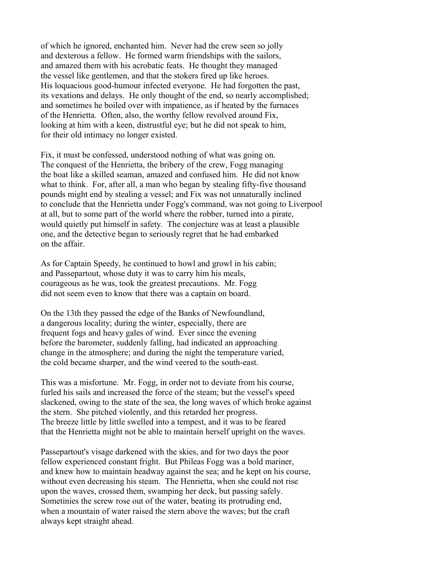of which he ignored, enchanted him. Never had the crew seen so jolly and dexterous a fellow. He formed warm friendships with the sailors, and amazed them with his acrobatic feats. He thought they managed the vessel like gentlemen, and that the stokers fired up like heroes. His loquacious good-humour infected everyone. He had forgotten the past, its vexations and delays. He only thought of the end, so nearly accomplished; and sometimes he boiled over with impatience, as if heated by the furnaces of the Henrietta. Often, also, the worthy fellow revolved around Fix, looking at him with a keen, distrustful eye; but he did not speak to him, for their old intimacy no longer existed.

Fix, it must be confessed, understood nothing of what was going on. The conquest of the Henrietta, the bribery of the crew, Fogg managing the boat like a skilled seaman, amazed and confused him. He did not know what to think. For, after all, a man who began by stealing fifty-five thousand pounds might end by stealing a vessel; and Fix was not unnaturally inclined to conclude that the Henrietta under Fogg's command, was not going to Liverpool at all, but to some part of the world where the robber, turned into a pirate, would quietly put himself in safety. The conjecture was at least a plausible one, and the detective began to seriously regret that he had embarked on the affair.

As for Captain Speedy, he continued to howl and growl in his cabin; and Passepartout, whose duty it was to carry him his meals, courageous as he was, took the greatest precautions. Mr. Fogg did not seem even to know that there was a captain on board.

On the 13th they passed the edge of the Banks of Newfoundland, a dangerous locality; during the winter, especially, there are frequent fogs and heavy gales of wind. Ever since the evening before the barometer, suddenly falling, had indicated an approaching change in the atmosphere; and during the night the temperature varied, the cold became sharper, and the wind veered to the south-east.

This was a misfortune. Mr. Fogg, in order not to deviate from his course, furled his sails and increased the force of the steam; but the vessel's speed slackened, owing to the state of the sea, the long waves of which broke against the stern. She pitched violently, and this retarded her progress. The breeze little by little swelled into a tempest, and it was to be feared that the Henrietta might not be able to maintain herself upright on the waves.

Passepartout's visage darkened with the skies, and for two days the poor fellow experienced constant fright. But Phileas Fogg was a bold mariner, and knew how to maintain headway against the sea; and he kept on his course, without even decreasing his steam. The Henrietta, when she could not rise upon the waves, crossed them, swamping her deck, but passing safely. Sometinies the screw rose out of the water, beating its protruding end, when a mountain of water raised the stern above the waves; but the craft always kept straight ahead.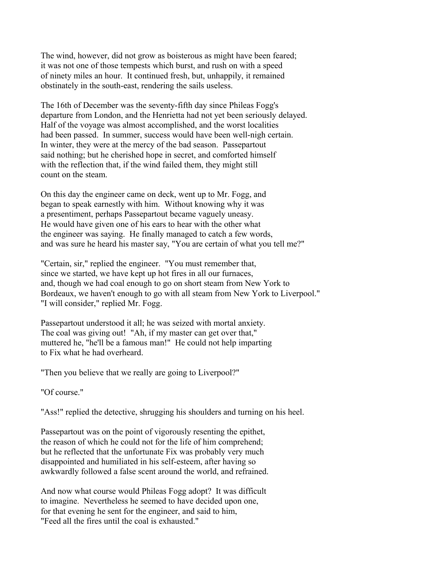The wind, however, did not grow as boisterous as might have been feared; it was not one of those tempests which burst, and rush on with a speed of ninety miles an hour. It continued fresh, but, unhappily, it remained obstinately in the south-east, rendering the sails useless.

The 16th of December was the seventy-fifth day since Phileas Fogg's departure from London, and the Henrietta had not yet been seriously delayed. Half of the voyage was almost accomplished, and the worst localities had been passed. In summer, success would have been well-nigh certain. In winter, they were at the mercy of the bad season. Passepartout said nothing; but he cherished hope in secret, and comforted himself with the reflection that, if the wind failed them, they might still count on the steam.

On this day the engineer came on deck, went up to Mr. Fogg, and began to speak earnestly with him. Without knowing why it was a presentiment, perhaps Passepartout became vaguely uneasy. He would have given one of his ears to hear with the other what the engineer was saying. He finally managed to catch a few words, and was sure he heard his master say, "You are certain of what you tell me?"

"Certain, sir," replied the engineer. "You must remember that, since we started, we have kept up hot fires in all our furnaces, and, though we had coal enough to go on short steam from New York to Bordeaux, we haven't enough to go with all steam from New York to Liverpool." "I will consider," replied Mr. Fogg.

Passepartout understood it all; he was seized with mortal anxiety. The coal was giving out! "Ah, if my master can get over that," muttered he, "he'll be a famous man!" He could not help imparting to Fix what he had overheard.

"Then you believe that we really are going to Liverpool?"

"Of course."

"Ass!" replied the detective, shrugging his shoulders and turning on his heel.

Passepartout was on the point of vigorously resenting the epithet, the reason of which he could not for the life of him comprehend; but he reflected that the unfortunate Fix was probably very much disappointed and humiliated in his self-esteem, after having so awkwardly followed a false scent around the world, and refrained.

And now what course would Phileas Fogg adopt? It was difficult to imagine. Nevertheless he seemed to have decided upon one, for that evening he sent for the engineer, and said to him, "Feed all the fires until the coal is exhausted."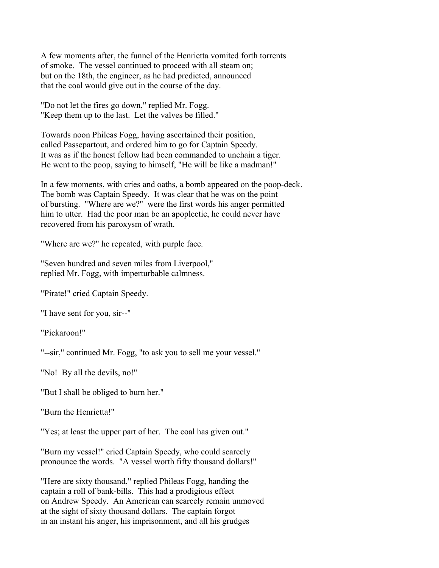A few moments after, the funnel of the Henrietta vomited forth torrents of smoke. The vessel continued to proceed with all steam on; but on the 18th, the engineer, as he had predicted, announced that the coal would give out in the course of the day.

"Do not let the fires go down," replied Mr. Fogg. "Keep them up to the last. Let the valves be filled."

Towards noon Phileas Fogg, having ascertained their position, called Passepartout, and ordered him to go for Captain Speedy. It was as if the honest fellow had been commanded to unchain a tiger. He went to the poop, saying to himself, "He will be like a madman!"

In a few moments, with cries and oaths, a bomb appeared on the poop-deck. The bomb was Captain Speedy. It was clear that he was on the point of bursting. "Where are we?" were the first words his anger permitted him to utter. Had the poor man be an apoplectic, he could never have recovered from his paroxysm of wrath.

"Where are we?" he repeated, with purple face.

"Seven hundred and seven miles from Liverpool," replied Mr. Fogg, with imperturbable calmness.

"Pirate!" cried Captain Speedy.

"I have sent for you, sir--"

"Pickaroon!"

"--sir," continued Mr. Fogg, "to ask you to sell me your vessel."

"No! By all the devils, no!"

"But I shall be obliged to burn her."

"Burn the Henrietta!"

"Yes; at least the upper part of her. The coal has given out."

"Burn my vessel!" cried Captain Speedy, who could scarcely pronounce the words. "A vessel worth fifty thousand dollars!"

"Here are sixty thousand," replied Phileas Fogg, handing the captain a roll of bank-bills. This had a prodigious effect on Andrew Speedy. An American can scarcely remain unmoved at the sight of sixty thousand dollars. The captain forgot in an instant his anger, his imprisonment, and all his grudges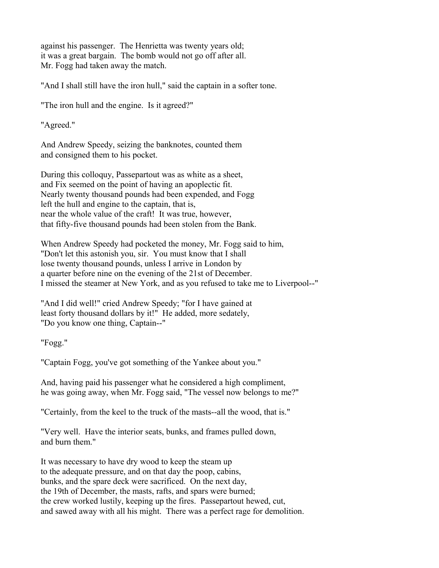against his passenger. The Henrietta was twenty years old; it was a great bargain. The bomb would not go off after all. Mr. Fogg had taken away the match.

"And I shall still have the iron hull," said the captain in a softer tone.

"The iron hull and the engine. Is it agreed?"

"Agreed."

And Andrew Speedy, seizing the banknotes, counted them and consigned them to his pocket.

During this colloquy, Passepartout was as white as a sheet, and Fix seemed on the point of having an apoplectic fit. Nearly twenty thousand pounds had been expended, and Fogg left the hull and engine to the captain, that is, near the whole value of the craft! It was true, however, that fifty-five thousand pounds had been stolen from the Bank.

When Andrew Speedy had pocketed the money, Mr. Fogg said to him, "Don't let this astonish you, sir. You must know that I shall lose twenty thousand pounds, unless I arrive in London by a quarter before nine on the evening of the 21st of December. I missed the steamer at New York, and as you refused to take me to Liverpool--"

"And I did well!" cried Andrew Speedy; "for I have gained at least forty thousand dollars by it!" He added, more sedately, "Do you know one thing, Captain--"

"Fogg."

"Captain Fogg, you've got something of the Yankee about you."

And, having paid his passenger what he considered a high compliment, he was going away, when Mr. Fogg said, "The vessel now belongs to me?"

"Certainly, from the keel to the truck of the masts--all the wood, that is."

"Very well. Have the interior seats, bunks, and frames pulled down, and burn them."

It was necessary to have dry wood to keep the steam up to the adequate pressure, and on that day the poop, cabins, bunks, and the spare deck were sacrificed. On the next day, the 19th of December, the masts, rafts, and spars were burned; the crew worked lustily, keeping up the fires. Passepartout hewed, cut, and sawed away with all his might. There was a perfect rage for demolition.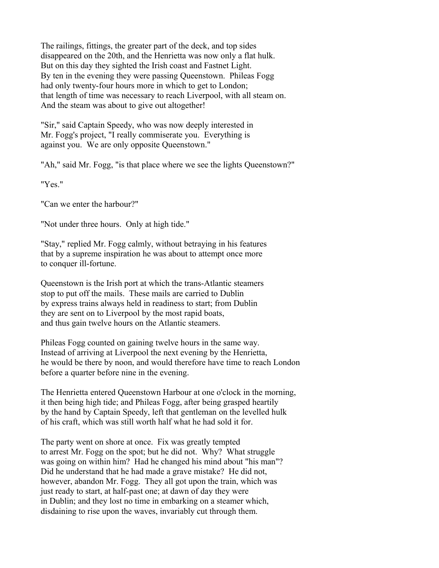The railings, fittings, the greater part of the deck, and top sides disappeared on the 20th, and the Henrietta was now only a flat hulk. But on this day they sighted the Irish coast and Fastnet Light. By ten in the evening they were passing Queenstown. Phileas Fogg had only twenty-four hours more in which to get to London; that length of time was necessary to reach Liverpool, with all steam on. And the steam was about to give out altogether!

"Sir," said Captain Speedy, who was now deeply interested in Mr. Fogg's project, "I really commiserate you. Everything is against you. We are only opposite Queenstown."

"Ah," said Mr. Fogg, "is that place where we see the lights Queenstown?"

"Yes."

"Can we enter the harbour?"

"Not under three hours. Only at high tide."

"Stay," replied Mr. Fogg calmly, without betraying in his features that by a supreme inspiration he was about to attempt once more to conquer ill-fortune.

Queenstown is the Irish port at which the trans-Atlantic steamers stop to put off the mails. These mails are carried to Dublin by express trains always held in readiness to start; from Dublin they are sent on to Liverpool by the most rapid boats, and thus gain twelve hours on the Atlantic steamers.

Phileas Fogg counted on gaining twelve hours in the same way. Instead of arriving at Liverpool the next evening by the Henrietta, he would be there by noon, and would therefore have time to reach London before a quarter before nine in the evening.

The Henrietta entered Queenstown Harbour at one o'clock in the morning, it then being high tide; and Phileas Fogg, after being grasped heartily by the hand by Captain Speedy, left that gentleman on the levelled hulk of his craft, which was still worth half what he had sold it for.

The party went on shore at once. Fix was greatly tempted to arrest Mr. Fogg on the spot; but he did not. Why? What struggle was going on within him? Had he changed his mind about "his man"? Did he understand that he had made a grave mistake? He did not, however, abandon Mr. Fogg. They all got upon the train, which was just ready to start, at half-past one; at dawn of day they were in Dublin; and they lost no time in embarking on a steamer which, disdaining to rise upon the waves, invariably cut through them.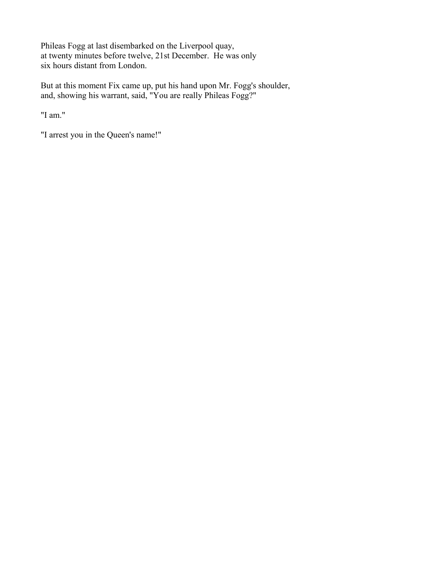Phileas Fogg at last disembarked on the Liverpool quay, at twenty minutes before twelve, 21st December. He was only six hours distant from London.

But at this moment Fix came up, put his hand upon Mr. Fogg's shoulder, and, showing his warrant, said, "You are really Phileas Fogg?"

"I am."

"I arrest you in the Queen's name!"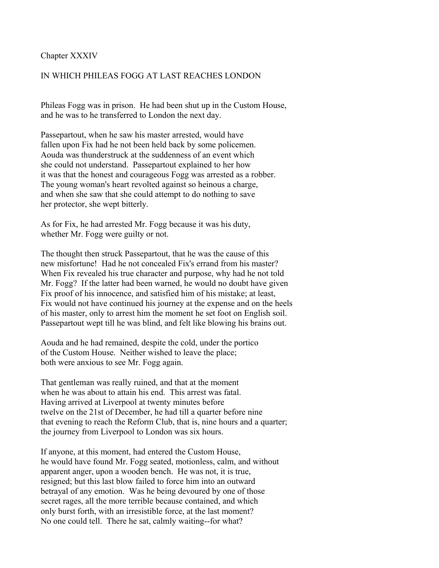#### Chapter XXXIV

## IN WHICH PHILEAS FOGG AT LAST REACHES LONDON

Phileas Fogg was in prison. He had been shut up in the Custom House, and he was to he transferred to London the next day.

Passepartout, when he saw his master arrested, would have fallen upon Fix had he not been held back by some policemen. Aouda was thunderstruck at the suddenness of an event which she could not understand. Passepartout explained to her how it was that the honest and courageous Fogg was arrested as a robber. The young woman's heart revolted against so heinous a charge, and when she saw that she could attempt to do nothing to save her protector, she wept bitterly.

As for Fix, he had arrested Mr. Fogg because it was his duty, whether Mr. Fogg were guilty or not.

The thought then struck Passepartout, that he was the cause of this new misfortune! Had he not concealed Fix's errand from his master? When Fix revealed his true character and purpose, why had he not told Mr. Fogg? If the latter had been warned, he would no doubt have given Fix proof of his innocence, and satisfied him of his mistake; at least, Fix would not have continued his journey at the expense and on the heels of his master, only to arrest him the moment he set foot on English soil. Passepartout wept till he was blind, and felt like blowing his brains out.

Aouda and he had remained, despite the cold, under the portico of the Custom House. Neither wished to leave the place; both were anxious to see Mr. Fogg again.

That gentleman was really ruined, and that at the moment when he was about to attain his end. This arrest was fatal. Having arrived at Liverpool at twenty minutes before twelve on the 21st of December, he had till a quarter before nine that evening to reach the Reform Club, that is, nine hours and a quarter; the journey from Liverpool to London was six hours.

If anyone, at this moment, had entered the Custom House, he would have found Mr. Fogg seated, motionless, calm, and without apparent anger, upon a wooden bench. He was not, it is true, resigned; but this last blow failed to force him into an outward betrayal of any emotion. Was he being devoured by one of those secret rages, all the more terrible because contained, and which only burst forth, with an irresistible force, at the last moment? No one could tell. There he sat, calmly waiting--for what?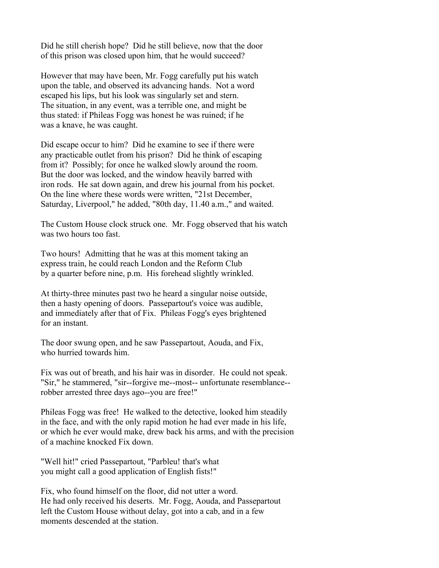Did he still cherish hope? Did he still believe, now that the door of this prison was closed upon him, that he would succeed?

However that may have been, Mr. Fogg carefully put his watch upon the table, and observed its advancing hands. Not a word escaped his lips, but his look was singularly set and stern. The situation, in any event, was a terrible one, and might be thus stated: if Phileas Fogg was honest he was ruined; if he was a knave, he was caught.

Did escape occur to him? Did he examine to see if there were any practicable outlet from his prison? Did he think of escaping from it? Possibly; for once he walked slowly around the room. But the door was locked, and the window heavily barred with iron rods. He sat down again, and drew his journal from his pocket. On the line where these words were written, "21st December, Saturday, Liverpool," he added, "80th day, 11.40 a.m.," and waited.

The Custom House clock struck one. Mr. Fogg observed that his watch was two hours too fast.

Two hours! Admitting that he was at this moment taking an express train, he could reach London and the Reform Club by a quarter before nine, p.m. His forehead slightly wrinkled.

At thirty-three minutes past two he heard a singular noise outside, then a hasty opening of doors. Passepartout's voice was audible, and immediately after that of Fix. Phileas Fogg's eyes brightened for an instant.

The door swung open, and he saw Passepartout, Aouda, and Fix, who hurried towards him.

Fix was out of breath, and his hair was in disorder. He could not speak. "Sir," he stammered, "sir--forgive me--most-- unfortunate resemblance- robber arrested three days ago--you are free!"

Phileas Fogg was free! He walked to the detective, looked him steadily in the face, and with the only rapid motion he had ever made in his life, or which he ever would make, drew back his arms, and with the precision of a machine knocked Fix down.

"Well hit!" cried Passepartout, "Parbleu! that's what you might call a good application of English fists!"

Fix, who found himself on the floor, did not utter a word. He had only received his deserts. Mr. Fogg, Aouda, and Passepartout left the Custom House without delay, got into a cab, and in a few moments descended at the station.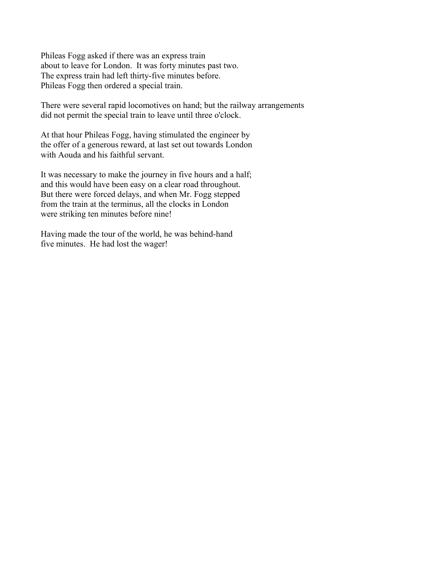Phileas Fogg asked if there was an express train about to leave for London. It was forty minutes past two. The express train had left thirty-five minutes before. Phileas Fogg then ordered a special train.

There were several rapid locomotives on hand; but the railway arrangements did not permit the special train to leave until three o'clock.

At that hour Phileas Fogg, having stimulated the engineer by the offer of a generous reward, at last set out towards London with Aouda and his faithful servant.

It was necessary to make the journey in five hours and a half; and this would have been easy on a clear road throughout. But there were forced delays, and when Mr. Fogg stepped from the train at the terminus, all the clocks in London were striking ten minutes before nine!

Having made the tour of the world, he was behind-hand five minutes. He had lost the wager!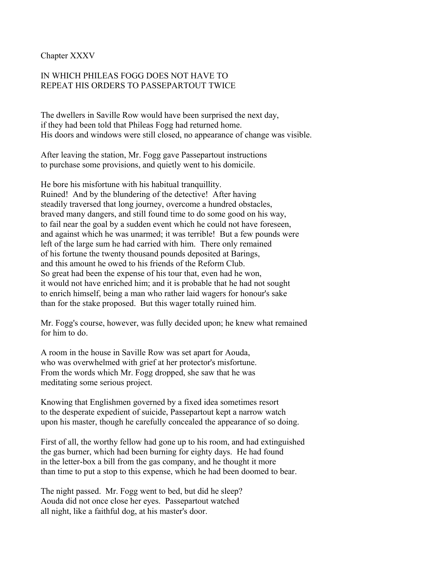Chapter XXXV

## IN WHICH PHILEAS FOGG DOES NOT HAVE TO REPEAT HIS ORDERS TO PASSEPARTOUT TWICE

The dwellers in Saville Row would have been surprised the next day, if they had been told that Phileas Fogg had returned home. His doors and windows were still closed, no appearance of change was visible.

After leaving the station, Mr. Fogg gave Passepartout instructions to purchase some provisions, and quietly went to his domicile.

He bore his misfortune with his habitual tranquillity. Ruined! And by the blundering of the detective! After having steadily traversed that long journey, overcome a hundred obstacles, braved many dangers, and still found time to do some good on his way, to fail near the goal by a sudden event which he could not have foreseen, and against which he was unarmed; it was terrible! But a few pounds were left of the large sum he had carried with him. There only remained of his fortune the twenty thousand pounds deposited at Barings, and this amount he owed to his friends of the Reform Club. So great had been the expense of his tour that, even had he won, it would not have enriched him; and it is probable that he had not sought to enrich himself, being a man who rather laid wagers for honour's sake than for the stake proposed. But this wager totally ruined him.

Mr. Fogg's course, however, was fully decided upon; he knew what remained for him to do.

A room in the house in Saville Row was set apart for Aouda, who was overwhelmed with grief at her protector's misfortune. From the words which Mr. Fogg dropped, she saw that he was meditating some serious project.

Knowing that Englishmen governed by a fixed idea sometimes resort to the desperate expedient of suicide, Passepartout kept a narrow watch upon his master, though he carefully concealed the appearance of so doing.

First of all, the worthy fellow had gone up to his room, and had extinguished the gas burner, which had been burning for eighty days. He had found in the letter-box a bill from the gas company, and he thought it more than time to put a stop to this expense, which he had been doomed to bear.

The night passed. Mr. Fogg went to bed, but did he sleep? Aouda did not once close her eyes. Passepartout watched all night, like a faithful dog, at his master's door.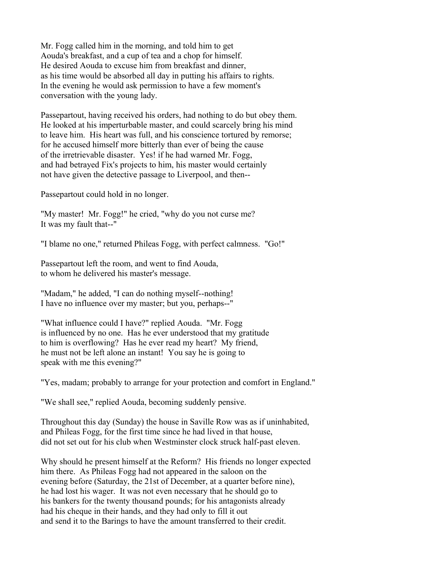Mr. Fogg called him in the morning, and told him to get Aouda's breakfast, and a cup of tea and a chop for himself. He desired Aouda to excuse him from breakfast and dinner, as his time would be absorbed all day in putting his affairs to rights. In the evening he would ask permission to have a few moment's conversation with the young lady.

Passepartout, having received his orders, had nothing to do but obey them. He looked at his imperturbable master, and could scarcely bring his mind to leave him. His heart was full, and his conscience tortured by remorse; for he accused himself more bitterly than ever of being the cause of the irretrievable disaster. Yes! if he had warned Mr. Fogg, and had betrayed Fix's projects to him, his master would certainly not have given the detective passage to Liverpool, and then--

Passepartout could hold in no longer.

"My master! Mr. Fogg!" he cried, "why do you not curse me? It was my fault that--"

"I blame no one," returned Phileas Fogg, with perfect calmness. "Go!"

Passepartout left the room, and went to find Aouda, to whom he delivered his master's message.

"Madam," he added, "I can do nothing myself--nothing! I have no influence over my master; but you, perhaps--"

"What influence could I have?" replied Aouda. "Mr. Fogg is influenced by no one. Has he ever understood that my gratitude to him is overflowing? Has he ever read my heart? My friend, he must not be left alone an instant! You say he is going to speak with me this evening?"

"Yes, madam; probably to arrange for your protection and comfort in England."

"We shall see," replied Aouda, becoming suddenly pensive.

Throughout this day (Sunday) the house in Saville Row was as if uninhabited, and Phileas Fogg, for the first time since he had lived in that house, did not set out for his club when Westminster clock struck half-past eleven.

Why should he present himself at the Reform? His friends no longer expected him there. As Phileas Fogg had not appeared in the saloon on the evening before (Saturday, the 21st of December, at a quarter before nine), he had lost his wager. It was not even necessary that he should go to his bankers for the twenty thousand pounds; for his antagonists already had his cheque in their hands, and they had only to fill it out and send it to the Barings to have the amount transferred to their credit.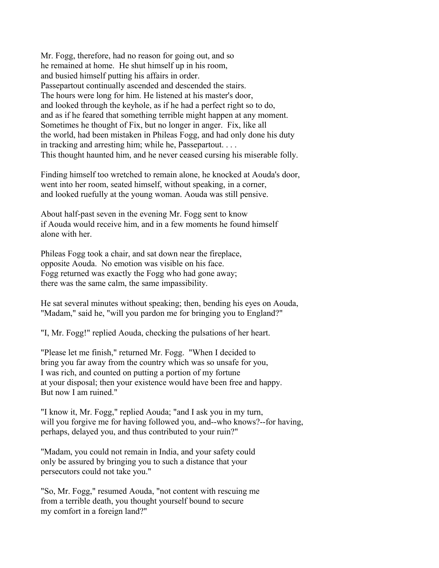Mr. Fogg, therefore, had no reason for going out, and so he remained at home. He shut himself up in his room, and busied himself putting his affairs in order. Passepartout continually ascended and descended the stairs. The hours were long for him. He listened at his master's door, and looked through the keyhole, as if he had a perfect right so to do, and as if he feared that something terrible might happen at any moment. Sometimes he thought of Fix, but no longer in anger. Fix, like all the world, had been mistaken in Phileas Fogg, and had only done his duty in tracking and arresting him; while he, Passepartout. . . . This thought haunted him, and he never ceased cursing his miserable folly.

Finding himself too wretched to remain alone, he knocked at Aouda's door, went into her room, seated himself, without speaking, in a corner, and looked ruefully at the young woman. Aouda was still pensive.

About half-past seven in the evening Mr. Fogg sent to know if Aouda would receive him, and in a few moments he found himself alone with her.

Phileas Fogg took a chair, and sat down near the fireplace, opposite Aouda. No emotion was visible on his face. Fogg returned was exactly the Fogg who had gone away; there was the same calm, the same impassibility.

He sat several minutes without speaking; then, bending his eyes on Aouda, "Madam," said he, "will you pardon me for bringing you to England?"

"I, Mr. Fogg!" replied Aouda, checking the pulsations of her heart.

"Please let me finish," returned Mr. Fogg. "When I decided to bring you far away from the country which was so unsafe for you, I was rich, and counted on putting a portion of my fortune at your disposal; then your existence would have been free and happy. But now I am ruined."

"I know it, Mr. Fogg," replied Aouda; "and I ask you in my turn, will you forgive me for having followed you, and--who knows?--for having, perhaps, delayed you, and thus contributed to your ruin?"

"Madam, you could not remain in India, and your safety could only be assured by bringing you to such a distance that your persecutors could not take you."

"So, Mr. Fogg," resumed Aouda, "not content with rescuing me from a terrible death, you thought yourself bound to secure my comfort in a foreign land?"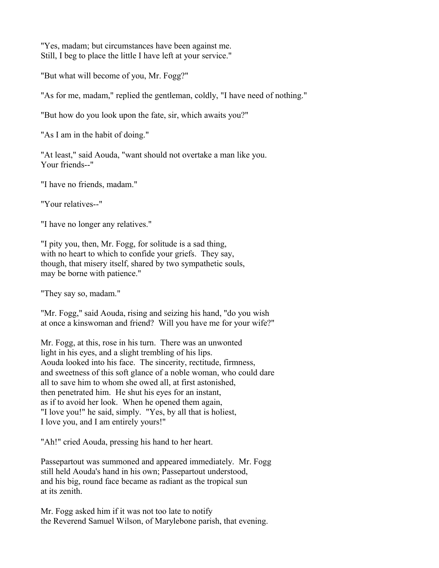"Yes, madam; but circumstances have been against me. Still, I beg to place the little I have left at your service."

"But what will become of you, Mr. Fogg?"

"As for me, madam," replied the gentleman, coldly, "I have need of nothing."

"But how do you look upon the fate, sir, which awaits you?"

"As I am in the habit of doing."

"At least," said Aouda, "want should not overtake a man like you. Your friends--"

"I have no friends, madam."

"Your relatives--"

"I have no longer any relatives."

"I pity you, then, Mr. Fogg, for solitude is a sad thing, with no heart to which to confide your griefs. They say, though, that misery itself, shared by two sympathetic souls, may be borne with patience."

"They say so, madam."

"Mr. Fogg," said Aouda, rising and seizing his hand, "do you wish at once a kinswoman and friend? Will you have me for your wife?"

Mr. Fogg, at this, rose in his turn. There was an unwonted light in his eyes, and a slight trembling of his lips. Aouda looked into his face. The sincerity, rectitude, firmness, and sweetness of this soft glance of a noble woman, who could dare all to save him to whom she owed all, at first astonished, then penetrated him. He shut his eyes for an instant, as if to avoid her look. When he opened them again, "I love you!" he said, simply. "Yes, by all that is holiest, I love you, and I am entirely yours!"

"Ah!" cried Aouda, pressing his hand to her heart.

Passepartout was summoned and appeared immediately. Mr. Fogg still held Aouda's hand in his own; Passepartout understood, and his big, round face became as radiant as the tropical sun at its zenith.

Mr. Fogg asked him if it was not too late to notify the Reverend Samuel Wilson, of Marylebone parish, that evening.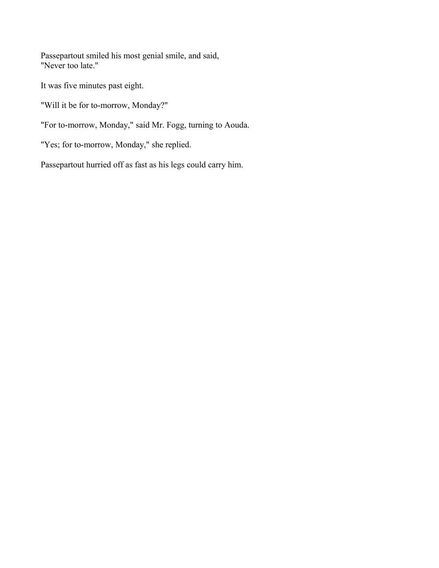Passepartout smiled his most genial smile, and said, "Never too late."

It was five minutes past eight.

"Will it be for to-morrow, Monday?"

"For to-morrow, Monday," said Mr. Fogg, turning to Aouda.

"Yes; for to-morrow, Monday," she replied.

Passepartout hurried off as fast as his legs could carry him.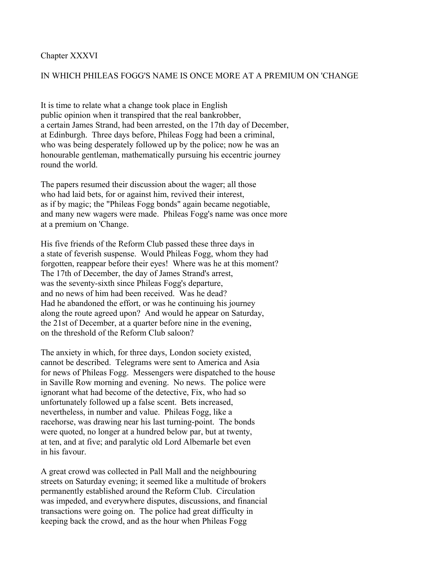#### Chapter XXXVI

### IN WHICH PHILEAS FOGG'S NAME IS ONCE MORE AT A PREMIUM ON 'CHANGE

It is time to relate what a change took place in English public opinion when it transpired that the real bankrobber, a certain James Strand, had been arrested, on the 17th day of December, at Edinburgh. Three days before, Phileas Fogg had been a criminal, who was being desperately followed up by the police; now he was an honourable gentleman, mathematically pursuing his eccentric journey round the world.

The papers resumed their discussion about the wager; all those who had laid bets, for or against him, revived their interest, as if by magic; the "Phileas Fogg bonds" again became negotiable, and many new wagers were made. Phileas Fogg's name was once more at a premium on 'Change.

His five friends of the Reform Club passed these three days in a state of feverish suspense. Would Phileas Fogg, whom they had forgotten, reappear before their eyes! Where was he at this moment? The 17th of December, the day of James Strand's arrest, was the seventy-sixth since Phileas Fogg's departure, and no news of him had been received. Was he dead? Had he abandoned the effort, or was he continuing his journey along the route agreed upon? And would he appear on Saturday, the 21st of December, at a quarter before nine in the evening, on the threshold of the Reform Club saloon?

The anxiety in which, for three days, London society existed, cannot be described. Telegrams were sent to America and Asia for news of Phileas Fogg. Messengers were dispatched to the house in Saville Row morning and evening. No news. The police were ignorant what had become of the detective, Fix, who had so unfortunately followed up a false scent. Bets increased, nevertheless, in number and value. Phileas Fogg, like a racehorse, was drawing near his last turning-point. The bonds were quoted, no longer at a hundred below par, but at twenty, at ten, and at five; and paralytic old Lord Albemarle bet even in his favour.

A great crowd was collected in Pall Mall and the neighbouring streets on Saturday evening; it seemed like a multitude of brokers permanently established around the Reform Club. Circulation was impeded, and everywhere disputes, discussions, and financial transactions were going on. The police had great difficulty in keeping back the crowd, and as the hour when Phileas Fogg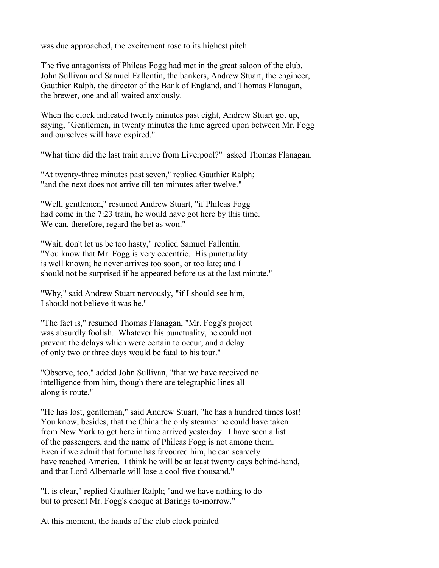was due approached, the excitement rose to its highest pitch.

The five antagonists of Phileas Fogg had met in the great saloon of the club. John Sullivan and Samuel Fallentin, the bankers, Andrew Stuart, the engineer, Gauthier Ralph, the director of the Bank of England, and Thomas Flanagan, the brewer, one and all waited anxiously.

When the clock indicated twenty minutes past eight, Andrew Stuart got up, saying, "Gentlemen, in twenty minutes the time agreed upon between Mr. Fogg and ourselves will have expired."

"What time did the last train arrive from Liverpool?" asked Thomas Flanagan.

"At twenty-three minutes past seven," replied Gauthier Ralph; "and the next does not arrive till ten minutes after twelve."

"Well, gentlemen," resumed Andrew Stuart, "if Phileas Fogg had come in the 7:23 train, he would have got here by this time. We can, therefore, regard the bet as won."

"Wait; don't let us be too hasty," replied Samuel Fallentin. "You know that Mr. Fogg is very eccentric. His punctuality is well known; he never arrives too soon, or too late; and I should not be surprised if he appeared before us at the last minute."

"Why," said Andrew Stuart nervously, "if I should see him, I should not believe it was he."

"The fact is," resumed Thomas Flanagan, "Mr. Fogg's project was absurdly foolish. Whatever his punctuality, he could not prevent the delays which were certain to occur; and a delay of only two or three days would be fatal to his tour."

"Observe, too," added John Sullivan, "that we have received no intelligence from him, though there are telegraphic lines all along is route."

"He has lost, gentleman," said Andrew Stuart, "he has a hundred times lost! You know, besides, that the China the only steamer he could have taken from New York to get here in time arrived yesterday. I have seen a list of the passengers, and the name of Phileas Fogg is not among them. Even if we admit that fortune has favoured him, he can scarcely have reached America. I think he will be at least twenty days behind-hand, and that Lord Albemarle will lose a cool five thousand."

"It is clear," replied Gauthier Ralph; "and we have nothing to do but to present Mr. Fogg's cheque at Barings to-morrow."

At this moment, the hands of the club clock pointed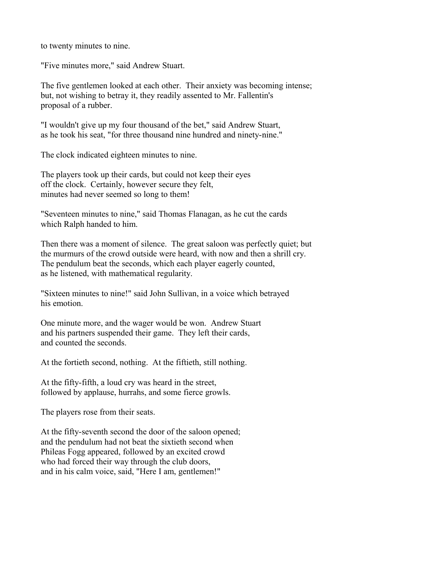to twenty minutes to nine.

"Five minutes more," said Andrew Stuart.

The five gentlemen looked at each other. Their anxiety was becoming intense; but, not wishing to betray it, they readily assented to Mr. Fallentin's proposal of a rubber.

"I wouldn't give up my four thousand of the bet," said Andrew Stuart, as he took his seat, "for three thousand nine hundred and ninety-nine."

The clock indicated eighteen minutes to nine.

The players took up their cards, but could not keep their eyes off the clock. Certainly, however secure they felt, minutes had never seemed so long to them!

"Seventeen minutes to nine," said Thomas Flanagan, as he cut the cards which Ralph handed to him.

Then there was a moment of silence. The great saloon was perfectly quiet; but the murmurs of the crowd outside were heard, with now and then a shrill cry. The pendulum beat the seconds, which each player eagerly counted, as he listened, with mathematical regularity.

"Sixteen minutes to nine!" said John Sullivan, in a voice which betrayed his emotion.

One minute more, and the wager would be won. Andrew Stuart and his partners suspended their game. They left their cards, and counted the seconds.

At the fortieth second, nothing. At the fiftieth, still nothing.

At the fifty-fifth, a loud cry was heard in the street, followed by applause, hurrahs, and some fierce growls.

The players rose from their seats.

At the fifty-seventh second the door of the saloon opened; and the pendulum had not beat the sixtieth second when Phileas Fogg appeared, followed by an excited crowd who had forced their way through the club doors, and in his calm voice, said, "Here I am, gentlemen!"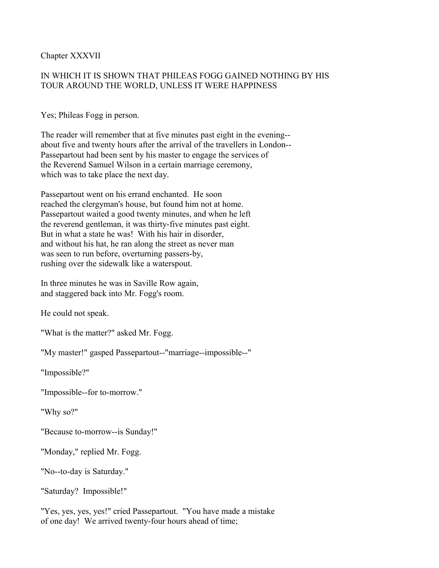Chapter XXXVII

# IN WHICH IT IS SHOWN THAT PHILEAS FOGG GAINED NOTHING BY HIS TOUR AROUND THE WORLD, UNLESS IT WERE HAPPINESS

Yes; Phileas Fogg in person.

The reader will remember that at five minutes past eight in the evening- about five and twenty hours after the arrival of the travellers in London-- Passepartout had been sent by his master to engage the services of the Reverend Samuel Wilson in a certain marriage ceremony, which was to take place the next day.

Passepartout went on his errand enchanted. He soon reached the clergyman's house, but found him not at home. Passepartout waited a good twenty minutes, and when he left the reverend gentleman, it was thirty-five minutes past eight. But in what a state he was! With his hair in disorder, and without his hat, he ran along the street as never man was seen to run before, overturning passers-by, rushing over the sidewalk like a waterspout.

In three minutes he was in Saville Row again, and staggered back into Mr. Fogg's room.

He could not speak.

"What is the matter?" asked Mr. Fogg.

"My master!" gasped Passepartout--"marriage--impossible--"

"Impossible?"

"Impossible--for to-morrow."

"Why so?"

"Because to-morrow--is Sunday!"

"Monday," replied Mr. Fogg.

"No--to-day is Saturday."

"Saturday? Impossible!"

"Yes, yes, yes, yes!" cried Passepartout. "You have made a mistake of one day! We arrived twenty-four hours ahead of time;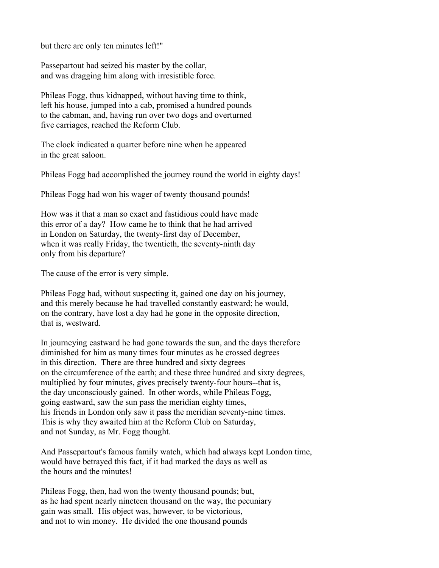but there are only ten minutes left!"

Passepartout had seized his master by the collar, and was dragging him along with irresistible force.

Phileas Fogg, thus kidnapped, without having time to think, left his house, jumped into a cab, promised a hundred pounds to the cabman, and, having run over two dogs and overturned five carriages, reached the Reform Club.

The clock indicated a quarter before nine when he appeared in the great saloon.

Phileas Fogg had accomplished the journey round the world in eighty days!

Phileas Fogg had won his wager of twenty thousand pounds!

How was it that a man so exact and fastidious could have made this error of a day? How came he to think that he had arrived in London on Saturday, the twenty-first day of December, when it was really Friday, the twentieth, the seventy-ninth day only from his departure?

The cause of the error is very simple.

Phileas Fogg had, without suspecting it, gained one day on his journey, and this merely because he had travelled constantly eastward; he would, on the contrary, have lost a day had he gone in the opposite direction, that is, westward.

In journeying eastward he had gone towards the sun, and the days therefore diminished for him as many times four minutes as he crossed degrees in this direction. There are three hundred and sixty degrees on the circumference of the earth; and these three hundred and sixty degrees, multiplied by four minutes, gives precisely twenty-four hours--that is, the day unconsciously gained. In other words, while Phileas Fogg, going eastward, saw the sun pass the meridian eighty times, his friends in London only saw it pass the meridian seventy-nine times. This is why they awaited him at the Reform Club on Saturday, and not Sunday, as Mr. Fogg thought.

And Passepartout's famous family watch, which had always kept London time, would have betrayed this fact, if it had marked the days as well as the hours and the minutes!

Phileas Fogg, then, had won the twenty thousand pounds; but, as he had spent nearly nineteen thousand on the way, the pecuniary gain was small. His object was, however, to be victorious, and not to win money. He divided the one thousand pounds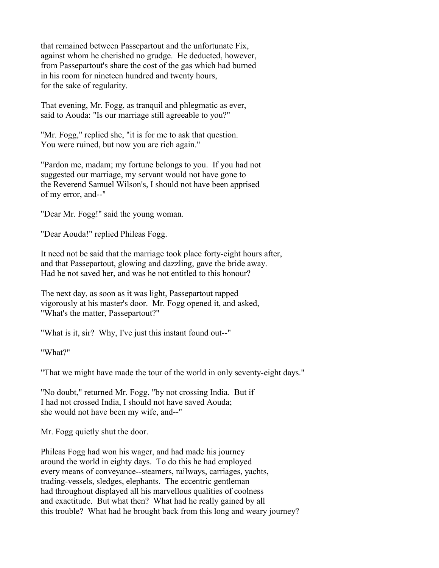that remained between Passepartout and the unfortunate Fix, against whom he cherished no grudge. He deducted, however, from Passepartout's share the cost of the gas which had burned in his room for nineteen hundred and twenty hours, for the sake of regularity.

That evening, Mr. Fogg, as tranquil and phlegmatic as ever, said to Aouda: "Is our marriage still agreeable to you?"

"Mr. Fogg," replied she, "it is for me to ask that question. You were ruined, but now you are rich again."

"Pardon me, madam; my fortune belongs to you. If you had not suggested our marriage, my servant would not have gone to the Reverend Samuel Wilson's, I should not have been apprised of my error, and--"

"Dear Mr. Fogg!" said the young woman.

"Dear Aouda!" replied Phileas Fogg.

It need not be said that the marriage took place forty-eight hours after, and that Passepartout, glowing and dazzling, gave the bride away. Had he not saved her, and was he not entitled to this honour?

The next day, as soon as it was light, Passepartout rapped vigorously at his master's door. Mr. Fogg opened it, and asked, "What's the matter, Passepartout?"

"What is it, sir? Why, I've just this instant found out--"

"What?"

"That we might have made the tour of the world in only seventy-eight days."

"No doubt," returned Mr. Fogg, "by not crossing India. But if I had not crossed India, I should not have saved Aouda; she would not have been my wife, and--"

Mr. Fogg quietly shut the door.

Phileas Fogg had won his wager, and had made his journey around the world in eighty days. To do this he had employed every means of conveyance--steamers, railways, carriages, yachts, trading-vessels, sledges, elephants. The eccentric gentleman had throughout displayed all his marvellous qualities of coolness and exactitude. But what then? What had he really gained by all this trouble? What had he brought back from this long and weary journey?